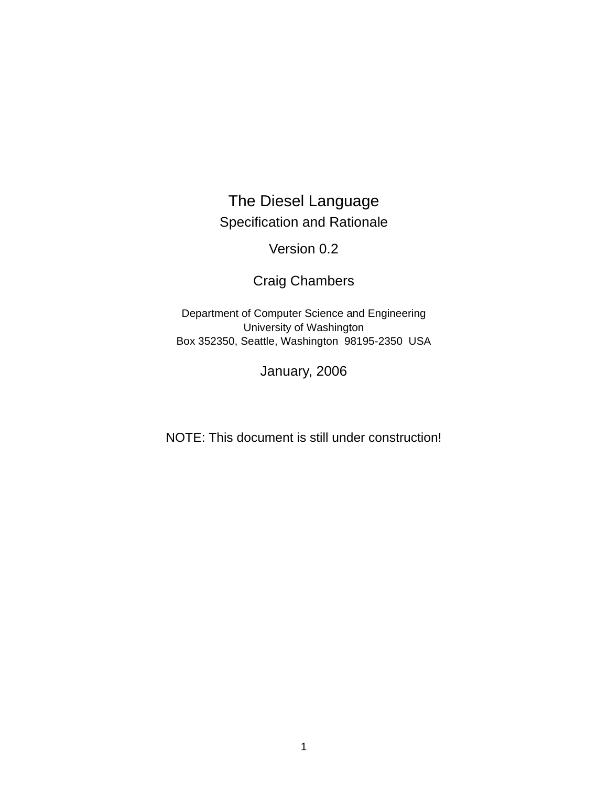# The Diesel Language Specification and Rationale

Version 0.2

Craig Chambers

Department of Computer Science and Engineering University of Washington Box 352350, Seattle, Washington 98195-2350 USA

January, 2006

NOTE: This document is still under construction!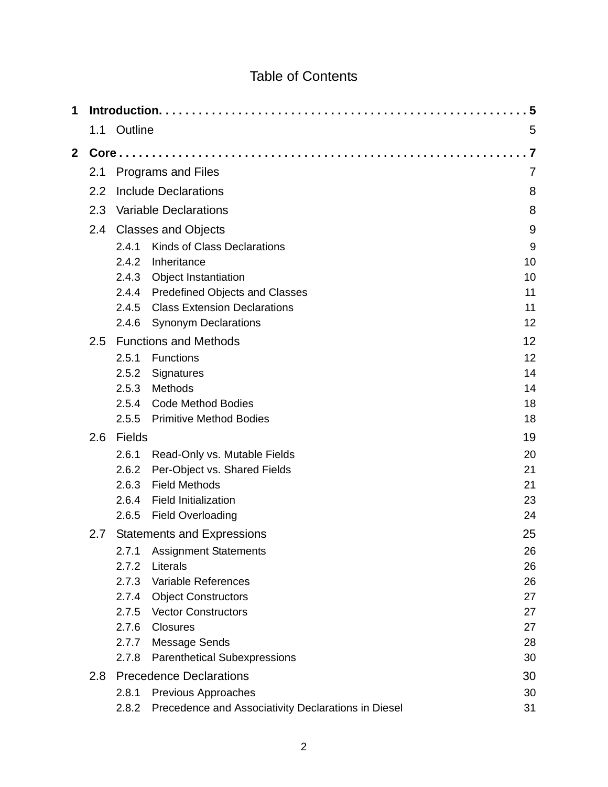# Table of Contents

| 1            |     |                           |                                                     | 5  |  |  |  |  |
|--------------|-----|---------------------------|-----------------------------------------------------|----|--|--|--|--|
|              | 1.1 | Outline                   |                                                     | 5  |  |  |  |  |
| $\mathbf{2}$ |     | $Core$                    |                                                     |    |  |  |  |  |
|              | 2.1 | <b>Programs and Files</b> |                                                     |    |  |  |  |  |
|              | 2.2 |                           | <b>Include Declarations</b>                         | 8  |  |  |  |  |
|              | 2.3 |                           | <b>Variable Declarations</b>                        | 8  |  |  |  |  |
|              | 2.4 |                           | <b>Classes and Objects</b>                          | 9  |  |  |  |  |
|              |     | 2.4.1                     | <b>Kinds of Class Declarations</b>                  | 9  |  |  |  |  |
|              |     | 2.4.2                     | Inheritance                                         | 10 |  |  |  |  |
|              |     | 2.4.3                     | <b>Object Instantiation</b>                         | 10 |  |  |  |  |
|              |     |                           | 2.4.4 Predefined Objects and Classes                | 11 |  |  |  |  |
|              |     | 2.4.5                     | <b>Class Extension Declarations</b>                 | 11 |  |  |  |  |
|              |     | 2.4.6                     | <b>Synonym Declarations</b>                         | 12 |  |  |  |  |
|              | 2.5 |                           | <b>Functions and Methods</b>                        | 12 |  |  |  |  |
|              |     | 2.5.1                     | Functions                                           | 12 |  |  |  |  |
|              |     | 2.5.2                     | Signatures                                          | 14 |  |  |  |  |
|              |     | 2.5.3                     | Methods                                             | 14 |  |  |  |  |
|              |     | 2.5.4                     | <b>Code Method Bodies</b>                           | 18 |  |  |  |  |
|              |     | 2.5.5                     | <b>Primitive Method Bodies</b>                      | 18 |  |  |  |  |
|              | 2.6 | <b>Fields</b>             |                                                     | 19 |  |  |  |  |
|              |     | 2.6.1                     | Read-Only vs. Mutable Fields                        | 20 |  |  |  |  |
|              |     | 2.6.2                     | Per-Object vs. Shared Fields                        | 21 |  |  |  |  |
|              |     | 2.6.3                     | <b>Field Methods</b>                                | 21 |  |  |  |  |
|              |     | 2.6.4                     | <b>Field Initialization</b>                         | 23 |  |  |  |  |
|              |     | 2.6.5                     | <b>Field Overloading</b>                            | 24 |  |  |  |  |
|              | 2.7 |                           | <b>Statements and Expressions</b>                   | 25 |  |  |  |  |
|              |     |                           | 2.7.1 Assignment Statements                         | 26 |  |  |  |  |
|              |     | 2.7.2                     | Literals                                            | 26 |  |  |  |  |
|              |     | 2.7.3                     | Variable References                                 | 26 |  |  |  |  |
|              |     |                           | 2.7.4 Object Constructors                           | 27 |  |  |  |  |
|              |     | 2.7.5                     | <b>Vector Constructors</b>                          | 27 |  |  |  |  |
|              |     | 2.7.6                     | <b>Closures</b>                                     | 27 |  |  |  |  |
|              |     | 2.7.7                     | Message Sends                                       | 28 |  |  |  |  |
|              |     | 2.7.8                     | <b>Parenthetical Subexpressions</b>                 | 30 |  |  |  |  |
|              | 2.8 |                           | <b>Precedence Declarations</b>                      | 30 |  |  |  |  |
|              |     | 2.8.1                     | Previous Approaches                                 | 30 |  |  |  |  |
|              |     | 2.8.2                     | Precedence and Associativity Declarations in Diesel | 31 |  |  |  |  |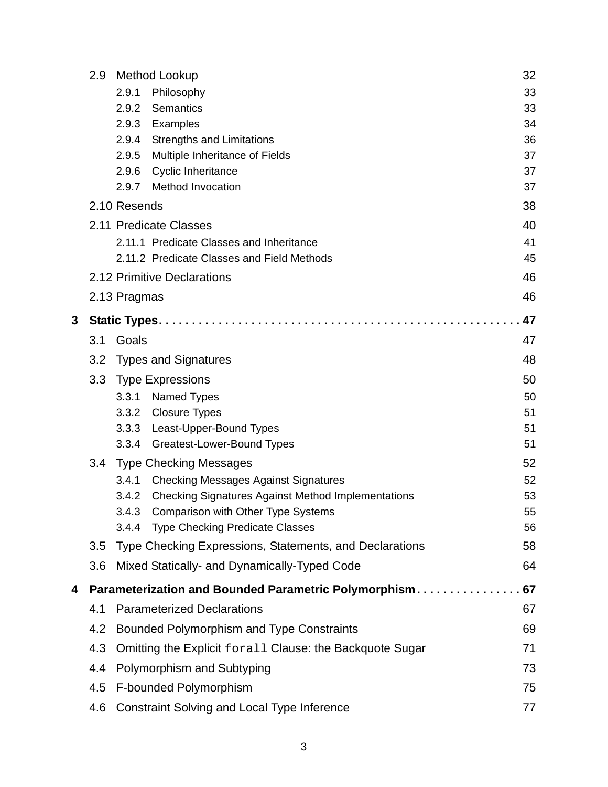|   | 2.9 | Method Lookup                                                      | 32 |
|---|-----|--------------------------------------------------------------------|----|
|   |     | 2.9.1<br>Philosophy                                                | 33 |
|   |     | Semantics<br>2.9.2                                                 | 33 |
|   |     | 2.9.3<br>Examples                                                  | 34 |
|   |     | <b>Strengths and Limitations</b><br>2.9.4                          | 36 |
|   |     | 2.9.5<br>Multiple Inheritance of Fields                            | 37 |
|   |     | 2.9.6<br><b>Cyclic Inheritance</b>                                 | 37 |
|   |     | <b>Method Invocation</b><br>2.9.7                                  | 37 |
|   |     | 2.10 Resends                                                       | 38 |
|   |     | 2.11 Predicate Classes                                             | 40 |
|   |     | 2.11.1 Predicate Classes and Inheritance                           | 41 |
|   |     | 2.11.2 Predicate Classes and Field Methods                         | 45 |
|   |     | 2.12 Primitive Declarations                                        | 46 |
|   |     | 2.13 Pragmas                                                       | 46 |
| 3 |     |                                                                    | 47 |
|   | 3.1 | Goals                                                              | 47 |
|   | 3.2 | <b>Types and Signatures</b>                                        | 48 |
|   | 3.3 | <b>Type Expressions</b>                                            | 50 |
|   |     | 3.3.1<br>Named Types                                               | 50 |
|   |     | 3.3.2 Closure Types                                                | 51 |
|   |     | 3.3.3 Least-Upper-Bound Types                                      | 51 |
|   |     | Greatest-Lower-Bound Types<br>3.3.4                                | 51 |
|   | 3.4 | <b>Type Checking Messages</b>                                      | 52 |
|   |     | <b>Checking Messages Against Signatures</b><br>3.4.1               | 52 |
|   |     | <b>Checking Signatures Against Method Implementations</b><br>3.4.2 | 53 |
|   |     | 3.4.3 Comparison with Other Type Systems                           | 55 |
|   |     | 3.4.4 Type Checking Predicate Classes                              | 56 |
|   | 3.5 | Type Checking Expressions, Statements, and Declarations            | 58 |
|   | 3.6 | Mixed Statically- and Dynamically-Typed Code                       | 64 |
| 4 |     | Parameterization and Bounded Parametric Polymorphism               | 67 |
|   | 4.1 | <b>Parameterized Declarations</b>                                  | 67 |
|   | 4.2 | Bounded Polymorphism and Type Constraints                          | 69 |
|   | 4.3 | Omitting the Explicit forall Clause: the Backquote Sugar           | 71 |
|   | 4.4 | Polymorphism and Subtyping                                         | 73 |
|   | 4.5 | F-bounded Polymorphism                                             | 75 |
|   | 4.6 | <b>Constraint Solving and Local Type Inference</b>                 | 77 |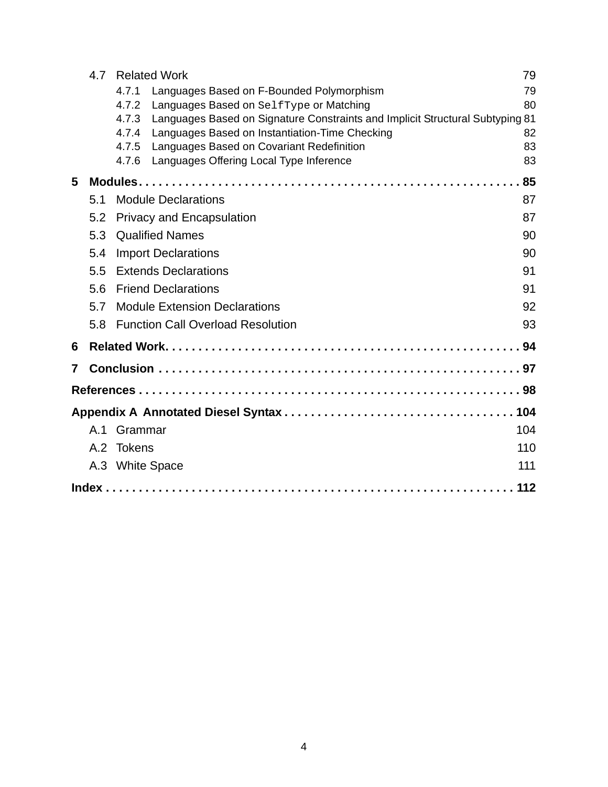|   | 4.7 | <b>Related Work</b>                                                                    | 79  |
|---|-----|----------------------------------------------------------------------------------------|-----|
|   |     | 4.7.1<br>Languages Based on F-Bounded Polymorphism                                     | 79  |
|   |     | Languages Based on SelfType or Matching<br>4.7.2                                       | 80  |
|   |     | Languages Based on Signature Constraints and Implicit Structural Subtyping 81<br>4.7.3 |     |
|   |     | 4.7.4<br>Languages Based on Instantiation-Time Checking                                | 82  |
|   |     | 4.7.5<br>Languages Based on Covariant Redefinition                                     | 83  |
|   |     | Languages Offering Local Type Inference<br>4.7.6                                       | 83  |
| 5 |     |                                                                                        | 85  |
|   | 5.1 | <b>Module Declarations</b>                                                             | 87  |
|   | 5.2 | <b>Privacy and Encapsulation</b>                                                       | 87  |
|   | 5.3 | <b>Qualified Names</b>                                                                 | 90  |
|   | 5.4 | <b>Import Declarations</b>                                                             | 90  |
|   | 5.5 | <b>Extends Declarations</b>                                                            | 91  |
|   | 5.6 | <b>Friend Declarations</b>                                                             | 91  |
|   | 5.7 | <b>Module Extension Declarations</b>                                                   | 92  |
|   | 5.8 | <b>Function Call Overload Resolution</b>                                               | 93  |
| 6 |     |                                                                                        |     |
| 7 |     |                                                                                        |     |
|   |     |                                                                                        |     |
|   |     |                                                                                        |     |
|   | A.1 | Grammar                                                                                | 104 |
|   |     | A.2 Tokens                                                                             | 110 |
|   | A.3 | <b>White Space</b>                                                                     | 111 |
|   |     |                                                                                        | 112 |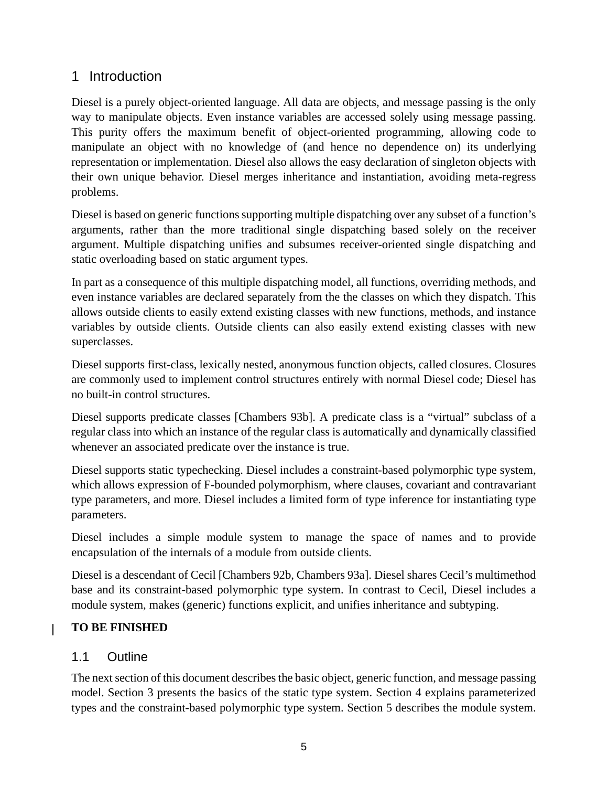# <span id="page-4-0"></span>1 Introduction

Diesel is a purely object-oriented language. All data are objects, and message passing is the only way to manipulate objects. Even instance variables are accessed solely using message passing. This purity offers the maximum benefit of object-oriented programming, allowing code to manipulate an object with no knowledge of (and hence no dependence on) its underlying representation or implementation. Diesel also allows the easy declaration of singleton objects with their own unique behavior. Diesel merges inheritance and instantiation, avoiding meta-regress problems.

Diesel is based on generic functionssupporting multiple dispatching over any subset of a function's arguments, rather than the more traditional single dispatching based solely on the receiver argument. Multiple dispatching unifies and subsumes receiver-oriented single dispatching and static overloading based on static argument types.

In part as a consequence of this multiple dispatching model, all functions, overriding methods, and even instance variables are declared separately from the the classes on which they dispatch. This allows outside clients to easily extend existing classes with new functions, methods, and instance variables by outside clients. Outside clients can also easily extend existing classes with new superclasses.

Diesel supports first-class, lexically nested, anonymous function objects, called closures. Closures are commonly used to implement control structures entirely with normal Diesel code; Diesel has no built-in control structures.

Diesel supports predicate classes [Chambers 93b]. A predicate class is a "virtual" subclass of a regular class into which an instance of the regular class is automatically and dynamically classified whenever an associated predicate over the instance is true.

Diesel supports static typechecking. Diesel includes a constraint-based polymorphic type system, which allows expression of F-bounded polymorphism, where clauses, covariant and contravariant type parameters, and more. Diesel includes a limited form of type inference for instantiating type parameters.

Diesel includes a simple module system to manage the space of names and to provide encapsulation of the internals of a module from outside clients.

Diesel is a descendant of Cecil [Chambers 92b, Chambers 93a]. Diesel shares Cecil's multimethod base and its constraint-based polymorphic type system. In contrast to Cecil, Diesel includes a module system, makes (generic) functions explicit, and unifies inheritance and subtyping.

# **TO BE FINISHED**

# 1.1 Outline

 $\mathbf{I}$ 

The next section of this document describes the basic object, generic function, and message passing model. Section [3](#page-46-0) presents the basics of the static type system. Section [4](#page-66-0) explains parameterized types and the constraint-based polymorphic type system. Section [5](#page-84-0) describes the module system.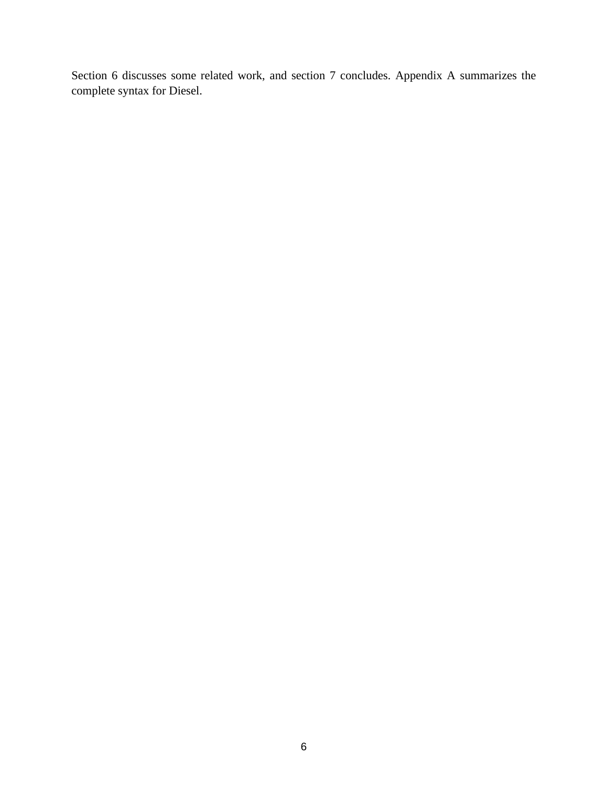Section [6](#page-93-0) discusses some related work, and section [7](#page-96-0) concludes. [Appendix](#page-103-0) A summarizes the complete syntax for Diesel.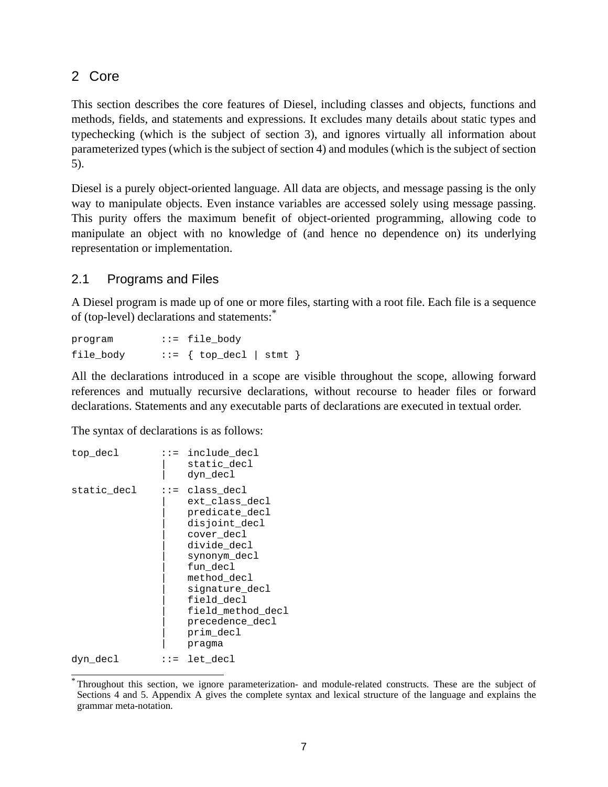# <span id="page-6-0"></span>2 Core

This section describes the core features of Diesel, including classes and objects, functions and methods, fields, and statements and expressions. It excludes many details about static types and typechecking (which is the subject of section [3\)](#page-46-0), and ignores virtually all information about parameterized types (which is the subject of section [4](#page-66-0)) and modules (which is the subject of section [5\)](#page-84-0).

Diesel is a purely object-oriented language. All data are objects, and message passing is the only way to manipulate objects. Even instance variables are accessed solely using message passing. This purity offers the maximum benefit of object-oriented programming, allowing code to manipulate an object with no knowledge of (and hence no dependence on) its underlying representation or implementation.

# 2.1 Programs and Files

A Diesel program is made up of one or more files, starting with a root file. Each file is a sequence of (top-level) declarations and statements:<sup>\*</sup>

program ::= file body file body  $::=$  { top decl | stmt }

All the declarations introduced in a scope are visible throughout the scope, allowing forward references and mutually recursive declarations, without recourse to header files or forward declarations. Statements and any executable parts of declarations are executed in textual order.

The syntax of declarations is as follows:

```
top decl ::= include decl
                   static decl
                   dyn decl
static decl ::= class decl
                   ext class decl
                   predicate decl
                   disjoint_decl
                   cover decl
                   divide decl
                   synonym decl
                   fun decl
                   method decl
                   | signature_decl
                   field decl
                   field method decl
                   precedence decl
                   prim decl
                   | pragma
dyn decl ::= let decl
```
<sup>\*</sup> Throughout this section, we ignore parameterization- and module-related constructs. These are the subject of Sections [4](#page-66-0) and [5.](#page-84-0) [Appendix](#page-103-0) A gives the complete syntax and lexical structure of the language and explains the grammar meta-notation.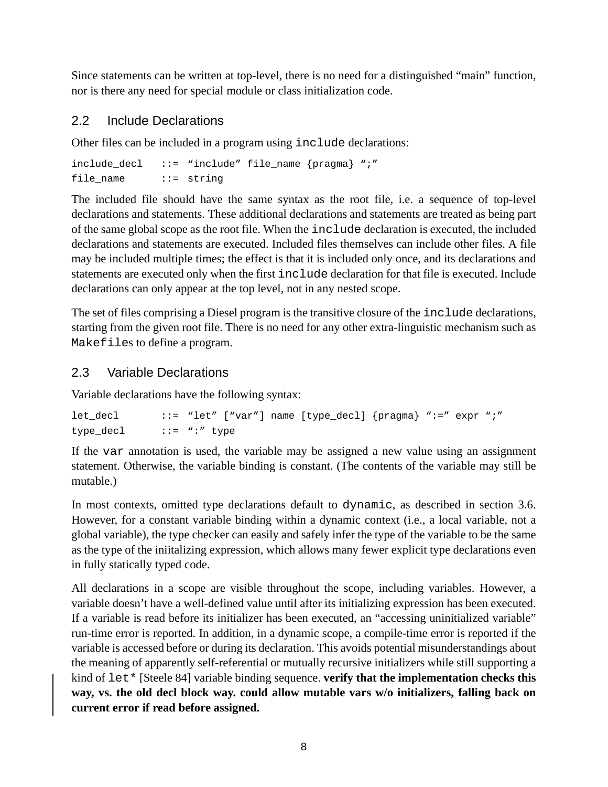<span id="page-7-0"></span>Since statements can be written at top-level, there is no need for a distinguished "main" function, nor is there any need for special module or class initialization code.

# 2.2 Include Declarations

Other files can be included in a program using include declarations:

```
include_decl ::= "include" file_name {pragma} ";"
file name ::= string
```
The included file should have the same syntax as the root file, i.e. a sequence of top-level declarations and statements. These additional declarations and statements are treated as being part of the same global scope as the root file. When the include declaration is executed, the included declarations and statements are executed. Included files themselves can include other files. A file may be included multiple times; the effect is that it is included only once, and its declarations and statements are executed only when the first include declaration for that file is executed. Include declarations can only appear at the top level, not in any nested scope.

The set of files comprising a Diesel program is the transitive closure of the include declarations, starting from the given root file. There is no need for any other extra-linguistic mechanism such as Makefiles to define a program.

# 2.3 Variable Declarations

Variable declarations have the following syntax:

```
let decl ::= "let" ["var"] name [type decl] {pragma} ":=" expr ";"
type decl ::= ":" type
```
If the var annotation is used, the variable may be assigned a new value using an assignment statement. Otherwise, the variable binding is constant. (The contents of the variable may still be mutable.)

In most contexts, omitted type declarations default to dynamic, as described in section [3.6.](#page-63-0) However, for a constant variable binding within a dynamic context (i.e., a local variable, not a global variable), the type checker can easily and safely infer the type of the variable to be the same as the type of the iniitalizing expression, which allows many fewer explicit type declarations even in fully statically typed code.

All declarations in a scope are visible throughout the scope, including variables. However, a variable doesn't have a well-defined value until after its initializing expression has been executed. If a variable is read before its initializer has been executed, an "accessing uninitialized variable" run-time error is reported. In addition, in a dynamic scope, a compile-time error is reported if the variable is accessed before or during its declaration. This avoids potential misunderstandings about the meaning of apparently self-referential or mutually recursive initializers while still supporting a kind of let\* [Steele 84] variable binding sequence. **verify that the implementation checks this way, vs. the old decl block way. could allow mutable vars w/o initializers, falling back on current error if read before assigned.**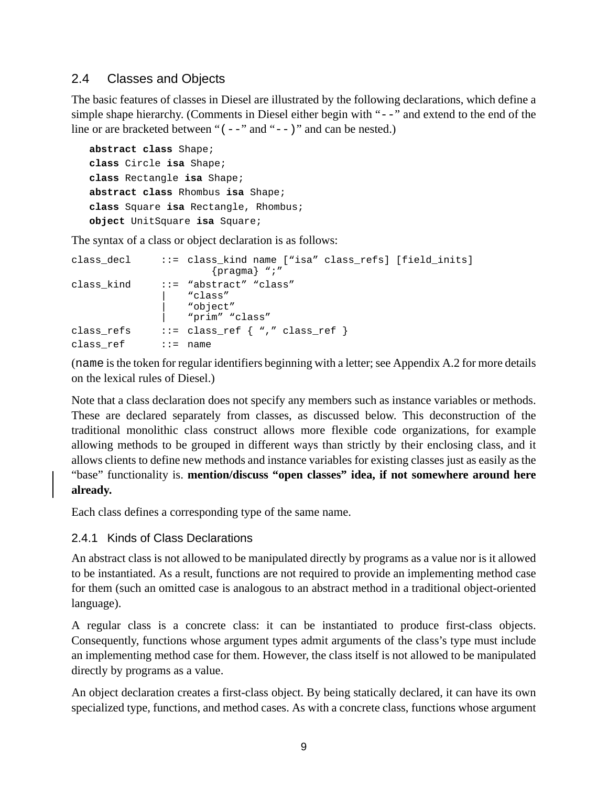# <span id="page-8-0"></span>2.4 Classes and Objects

The basic features of classes in Diesel are illustrated by the following declarations, which define a simple shape hierarchy. (Comments in Diesel either begin with "--" and extend to the end of the line or are bracketed between " $(--$ " and " $-$ )" and can be nested.)

```
abstract class Shape;
class Circle isa Shape;
class Rectangle isa Shape;
abstract class Rhombus isa Shape;
class Square isa Rectangle, Rhombus;
object UnitSquare isa Square;
```
The syntax of a class or object declaration is as follows:

```
class decl ::= class kind name ["isa" class refs] [field inits]
                      {pragma} ";"
class_kind ::= "abstract" "class"
                  | "class"
                  | "object"
                  | "prim" "class"
class_refs ::= class_ref { "," class_ref }
class_ref ::= name
```
(name is the token for regular identifiers beginning with a letter; see Appendix  $A.2$  for more details on the lexical rules of Diesel.)

Note that a class declaration does not specify any members such as instance variables or methods. These are declared separately from classes, as discussed below. This deconstruction of the traditional monolithic class construct allows more flexible code organizations, for example allowing methods to be grouped in different ways than strictly by their enclosing class, and it allows clients to define new methods and instance variables for existing classes just as easily as the "base" functionality is. **mention/discuss "open classes" idea, if not somewhere around here already.**

Each class defines a corresponding type of the same name.

#### 2.4.1 Kinds of Class Declarations

An abstract class is not allowed to be manipulated directly by programs as a value nor is it allowed to be instantiated. As a result, functions are not required to provide an implementing method case for them (such an omitted case is analogous to an abstract method in a traditional object-oriented language).

A regular class is a concrete class: it can be instantiated to produce first-class objects. Consequently, functions whose argument types admit arguments of the class's type must include an implementing method case for them. However, the class itself is not allowed to be manipulated directly by programs as a value.

An object declaration creates a first-class object. By being statically declared, it can have its own specialized type, functions, and method cases. As with a concrete class, functions whose argument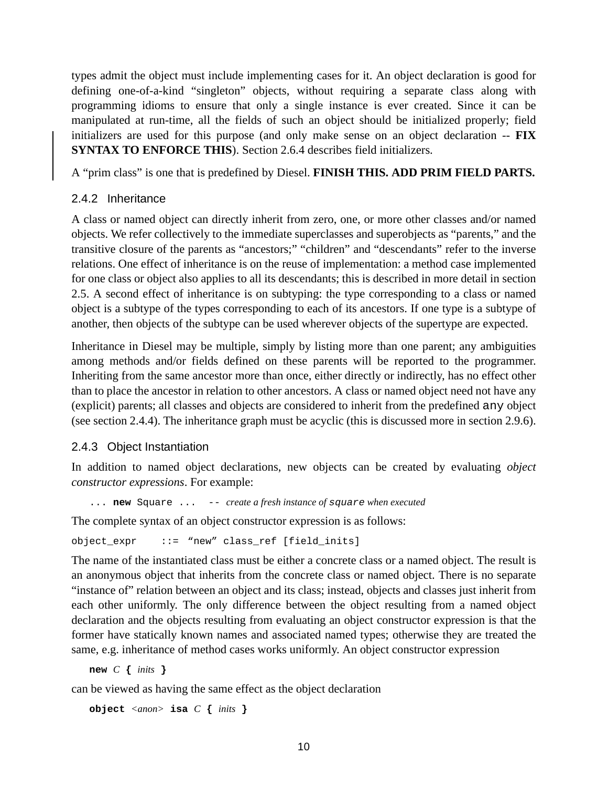<span id="page-9-0"></span>types admit the object must include implementing cases for it. An object declaration is good for defining one-of-a-kind "singleton" objects, without requiring a separate class along with programming idioms to ensure that only a single instance is ever created. Since it can be manipulated at run-time, all the fields of such an object should be initialized properly; field initializers are used for this purpose (and only make sense on an object declaration -- **FIX SYNTAX TO ENFORCE THIS**). Section [2.6.4](#page-22-0) describes field initializers.

A "prim class" is one that is predefined by Diesel. **FINISH THIS. ADD PRIM FIELD PARTS.**

# 2.4.2 Inheritance

A class or named object can directly inherit from zero, one, or more other classes and/or named objects. We refer collectively to the immediate superclasses and superobjects as "parents," and the transitive closure of the parents as "ancestors;" "children" and "descendants" refer to the inverse relations. One effect of inheritance is on the reuse of implementation: a method case implemented for one class or object also applies to all its descendants; this is described in more detail in section [2.5.](#page-11-0) A second effect of inheritance is on subtyping: the type corresponding to a class or named object is a subtype of the types corresponding to each of its ancestors. If one type is a subtype of another, then objects of the subtype can be used wherever objects of the supertype are expected.

Inheritance in Diesel may be multiple, simply by listing more than one parent; any ambiguities among methods and/or fields defined on these parents will be reported to the programmer. Inheriting from the same ancestor more than once, either directly or indirectly, has no effect other than to place the ancestor in relation to other ancestors. A class or named object need not have any (explicit) parents; all classes and objects are considered to inherit from the predefined any object (see section [2.4.4\)](#page-10-0). The inheritance graph must be acyclic (this is discussed more in section [2.9.6](#page-36-0)).

#### 2.4.3 Object Instantiation

In addition to named object declarations, new objects can be created by evaluating *object constructor expressions*. For example:

... **new** Square ... -- *create a fresh instance of* square *when executed*

The complete syntax of an object constructor expression is as follows:

```
object expr ::= "new" class ref [field inits]
```
The name of the instantiated class must be either a concrete class or a named object. The result is an anonymous object that inherits from the concrete class or named object. There is no separate "instance of" relation between an object and its class; instead, objects and classes just inherit from each other uniformly. The only difference between the object resulting from a named object declaration and the objects resulting from evaluating an object constructor expression is that the former have statically known names and associated named types; otherwise they are treated the same, e.g. inheritance of method cases works uniformly. An object constructor expression

**new** *C* **{** *inits* **}**

can be viewed as having the same effect as the object declaration

**object** *<anon>* **isa** *C* **{** *inits* **}**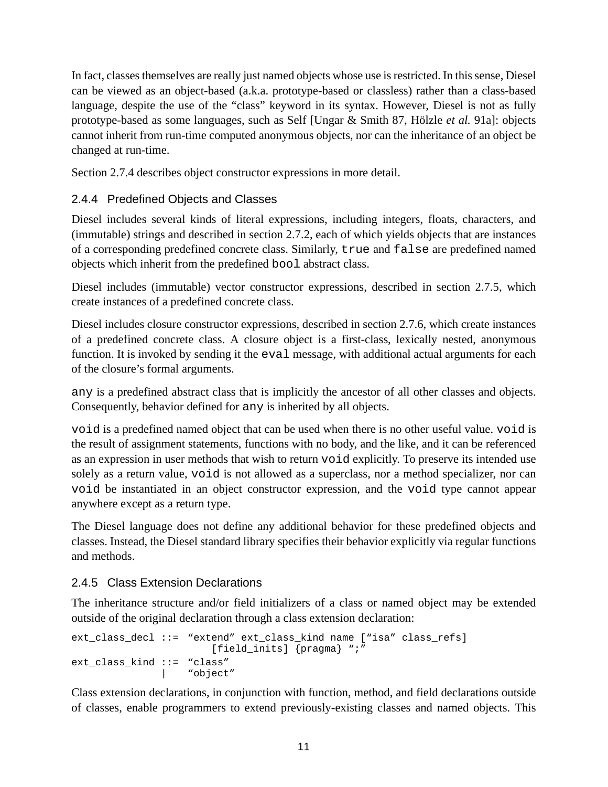<span id="page-10-0"></span>In fact, classes themselves are really just named objects whose use is restricted. In this sense, Diesel can be viewed as an object-based (a.k.a. prototype-based or classless) rather than a class-based language, despite the use of the "class" keyword in its syntax. However, Diesel is not as fully prototype-based as some languages, such as Self [Ungar & Smith 87, Hölzle *et al.* 91a]: objects cannot inherit from run-time computed anonymous objects, nor can the inheritance of an object be changed at run-time.

Section [2.7.4](#page-26-0) describes object constructor expressions in more detail.

# 2.4.4 Predefined Objects and Classes

Diesel includes several kinds of literal expressions, including integers, floats, characters, and (immutable) strings and described in section [2.7.2](#page-25-0), each of which yields objects that are instances of a corresponding predefined concrete class. Similarly, true and false are predefined named objects which inherit from the predefined bool abstract class.

Diesel includes (immutable) vector constructor expressions, described in section [2.7.5,](#page-26-0) which create instances of a predefined concrete class.

Diesel includes closure constructor expressions, described in section [2.7.6,](#page-26-0) which create instances of a predefined concrete class. A closure object is a first-class, lexically nested, anonymous function. It is invoked by sending it the eval message, with additional actual arguments for each of the closure's formal arguments.

any is a predefined abstract class that is implicitly the ancestor of all other classes and objects. Consequently, behavior defined for any is inherited by all objects.

void is a predefined named object that can be used when there is no other useful value. void is the result of assignment statements, functions with no body, and the like, and it can be referenced as an expression in user methods that wish to return void explicitly. To preserve its intended use solely as a return value, void is not allowed as a superclass, nor a method specializer, nor can void be instantiated in an object constructor expression, and the void type cannot appear anywhere except as a return type.

The Diesel language does not define any additional behavior for these predefined objects and classes. Instead, the Diesel standard library specifies their behavior explicitly via regular functions and methods.

# 2.4.5 Class Extension Declarations

The inheritance structure and/or field initializers of a class or named object may be extended outside of the original declaration through a class extension declaration:

```
ext class decl ::= "extend" ext class kind name ["isa" class refs]
                       [field_inits] {pragma} ";"
ext class kind ::= "class"
               | "object"
```
Class extension declarations, in conjunction with function, method, and field declarations outside of classes, enable programmers to extend previously-existing classes and named objects. This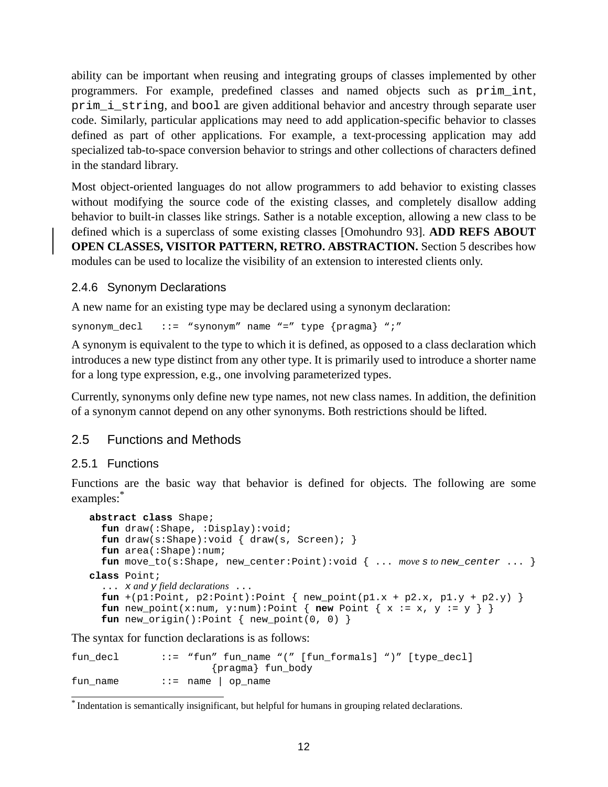<span id="page-11-0"></span>ability can be important when reusing and integrating groups of classes implemented by other programmers. For example, predefined classes and named objects such as prim\_int, prim\_i\_string, and bool are given additional behavior and ancestry through separate user code. Similarly, particular applications may need to add application-specific behavior to classes defined as part of other applications. For example, a text-processing application may add specialized tab-to-space conversion behavior to strings and other collections of characters defined in the standard library.

Most object-oriented languages do not allow programmers to add behavior to existing classes without modifying the source code of the existing classes, and completely disallow adding behavior to built-in classes like strings. Sather is a notable exception, allowing a new class to be defined which is a superclass of some existing classes [Omohundro 93]. **ADD REFS ABOUT OPEN CLASSES, VISITOR PATTERN, RETRO. ABSTRACTION.** Section [5](#page-84-0) describes how modules can be used to localize the visibility of an extension to interested clients only.

#### 2.4.6 Synonym Declarations

A new name for an existing type may be declared using a synonym declaration:

synonym\_decl ::= "synonym" name "=" type {pragma} ";"

A synonym is equivalent to the type to which it is defined, as opposed to a class declaration which introduces a new type distinct from any other type. It is primarily used to introduce a shorter name for a long type expression, e.g., one involving parameterized types.

Currently, synonyms only define new type names, not new class names. In addition, the definition of a synonym cannot depend on any other synonyms. Both restrictions should be lifted.

#### 2.5 Functions and Methods

#### 2.5.1 Functions

Functions are the basic way that behavior is defined for objects. The following are some examples: \*

```
abstract class Shape;
  fun draw(:Shape, :Display):void;
  fun draw(s:Shape):void { draw(s, Screen); }
  fun area(:Shape):num;
  fun move_to(s:Shape, new_center:Point):void { ... move s to new_center ... }
class Point;
  ... x and y field declarations ...
  fun +(pl:Point, p2:Point):Point { new_point(p1.x + p2.x, p1.y + p2.y) }
  fun new point(x:num, y:num):Point { new Point { x := x, y := y } }
  fun new_origin():Point { new_point(0, 0) }
```
The syntax for function declarations is as follows:

| fun decl | $::=$ "fun" fun name "(" [fun formals] ")" [type decl] |
|----------|--------------------------------------------------------|
|          | {pragma} fun_body                                      |
| fun name | $\cdot \cdot =$ name   op_name                         |

<sup>\*</sup> Indentation is semantically insignificant, but helpful for humans in grouping related declarations.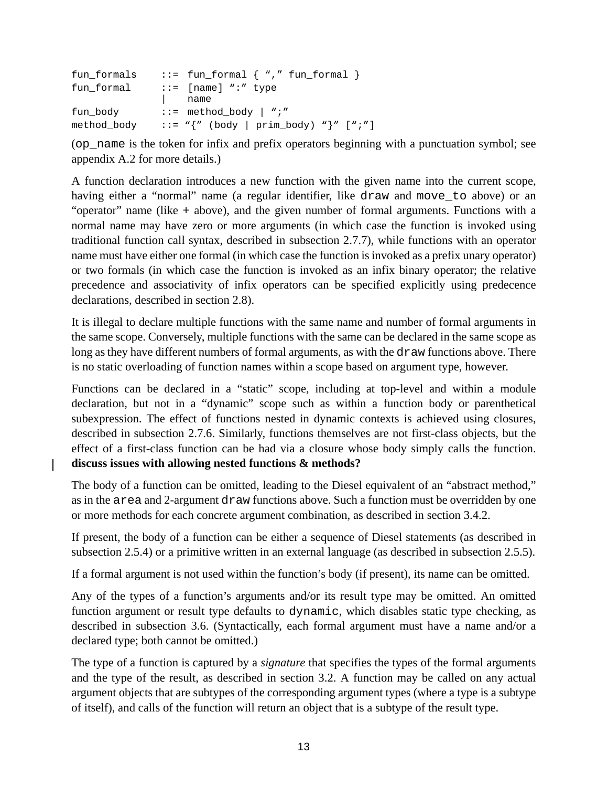| fun formals | $::=$ fun_formal $\{$ "," fun_formal $\}$                          |
|-------------|--------------------------------------------------------------------|
| fun formal  | $::=$ [name] ":" type                                              |
|             | name                                                               |
| fun body    | $::=$ method_body   ";"                                            |
| method body | ::= $"\{'' \text{ (body }   \text{ prim\_body}\} " \} " [ " ; " ]$ |

(op\_name is the token for infix and prefix operators beginning with a punctuation symbol; see appendix [A.2](#page-109-0) for more details.)

A function declaration introduces a new function with the given name into the current scope, having either a "normal" name (a regular identifier, like draw and move\_to above) or an "operator" name (like + above), and the given number of formal arguments. Functions with a normal name may have zero or more arguments (in which case the function is invoked using traditional function call syntax, described in subsection [2.7.7\)](#page-27-0), while functions with an operator name must have either one formal (in which case the function is invoked as a prefix unary operator) or two formals (in which case the function is invoked as an infix binary operator; the relative precedence and associativity of infix operators can be specified explicitly using predecence declarations, described in section [2.8](#page-29-0)).

It is illegal to declare multiple functions with the same name and number of formal arguments in the same scope. Conversely, multiple functions with the same can be declared in the same scope as long as they have different numbers of formal arguments, as with the draw functions above. There is no static overloading of function names within a scope based on argument type, however.

Functions can be declared in a "static" scope, including at top-level and within a module declaration, but not in a "dynamic" scope such as within a function body or parenthetical subexpression. The effect of functions nested in dynamic contexts is achieved using closures, described in subsection [2.7.6.](#page-26-0) Similarly, functions themselves are not first-class objects, but the effect of a first-class function can be had via a closure whose body simply calls the function. **discuss issues with allowing nested functions & methods?**

The body of a function can be omitted, leading to the Diesel equivalent of an "abstract method," as in the area and 2-argument draw functions above. Such a function must be overridden by one or more methods for each concrete argument combination, as described in section [3.4.2](#page-52-0).

If present, the body of a function can be either a sequence of Diesel statements (as described in subsection [2.5.4\)](#page-17-0) or a primitive written in an external language (as described in subsection [2.5.5](#page-17-0)).

If a formal argument is not used within the function's body (if present), its name can be omitted.

Any of the types of a function's arguments and/or its result type may be omitted. An omitted function argument or result type defaults to dynamic, which disables static type checking, as described in subsection [3.6.](#page-63-0) (Syntactically, each formal argument must have a name and/or a declared type; both cannot be omitted.)

The type of a function is captured by a *signature* that specifies the types of the formal arguments and the type of the result, as described in section [3.2.](#page-47-0) A function may be called on any actual argument objects that are subtypes of the corresponding argument types (where a type is a subtype of itself), and calls of the function will return an object that is a subtype of the result type.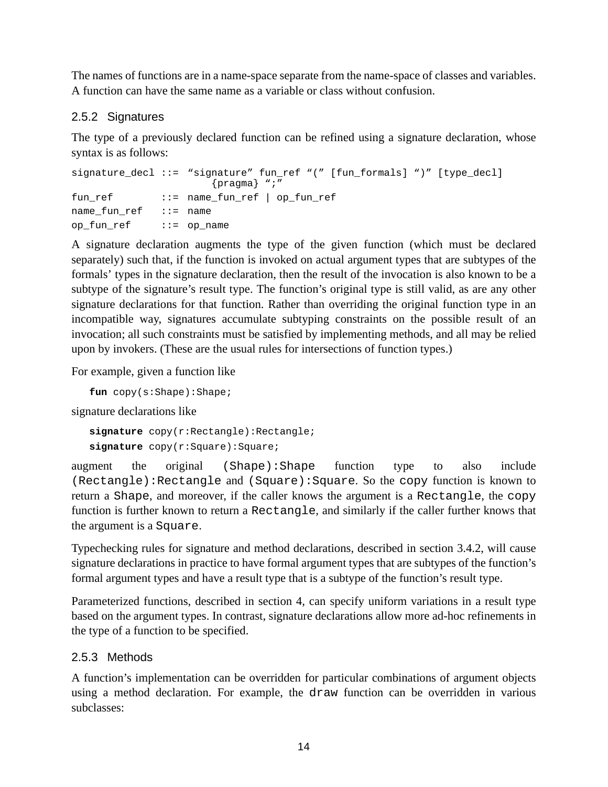<span id="page-13-0"></span>The names of functions are in a name-space separate from the name-space of classes and variables. A function can have the same name as a variable or class without confusion.

# 2.5.2 Signatures

The type of a previously declared function can be refined using a signature declaration, whose syntax is as follows:

```
signature_decl ::= "signature" fun_ref "(" [fun_formals] ")" [type_decl]
                      {pragma} ";"
fun ref ::= name fun ref | op fun ref
name_fun_ref ::= name
op fun ref ::= op name
```
A signature declaration augments the type of the given function (which must be declared separately) such that, if the function is invoked on actual argument types that are subtypes of the formals' types in the signature declaration, then the result of the invocation is also known to be a subtype of the signature's result type. The function's original type is still valid, as are any other signature declarations for that function. Rather than overriding the original function type in an incompatible way, signatures accumulate subtyping constraints on the possible result of an invocation; all such constraints must be satisfied by implementing methods, and all may be relied upon by invokers. (These are the usual rules for intersections of function types.)

For example, given a function like

**fun** copy(s:Shape):Shape;

signature declarations like

```
signature copy(r:Rectangle):Rectangle;
signature copy(r:Square):Square;
```
augment the original (Shape):Shape function type to also include (Rectangle):Rectangle and (Square):Square. So the copy function is known to return a Shape, and moreover, if the caller knows the argument is a Rectangle, the copy function is further known to return a Rectangle, and similarly if the caller further knows that the argument is a Square.

Typechecking rules for signature and method declarations, described in section [3.4.2](#page-52-0), will cause signature declarations in practice to have formal argument types that are subtypes of the function's formal argument types and have a result type that is a subtype of the function's result type.

Parameterized functions, described in section [4,](#page-66-0) can specify uniform variations in a result type based on the argument types. In contrast, signature declarations allow more ad-hoc refinements in the type of a function to be specified.

#### 2.5.3 Methods

A function's implementation can be overridden for particular combinations of argument objects using a method declaration. For example, the draw function can be overridden in various subclasses: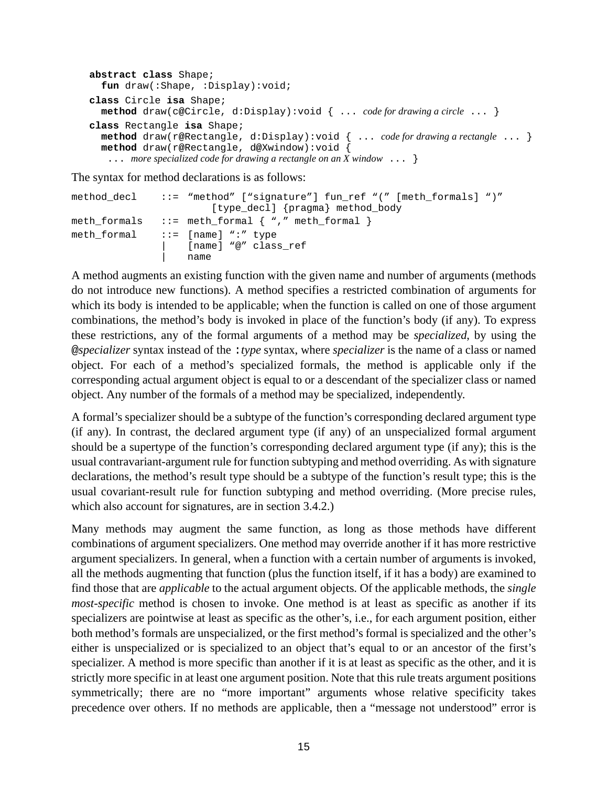```
abstract class Shape;
  fun draw(:Shape, :Display):void;
class Circle isa Shape;
  method draw(c@Circle, d:Display):void { ... code for drawing a circle ... }
class Rectangle isa Shape;
  method draw(r@Rectangle, d:Display):void { ... code for drawing a rectangle ... }
  method draw(r@Rectangle, d@Xwindow):void {
   ... more specialized code for drawing a rectangle on an X window ... }
```
The syntax for method declarations is as follows:

```
method_decl ::= "method" ["signature"] fun_ref "(" [meth_formals] ")"
                          [type_decl] {pragma} method_body
meth formals ::= meth formal { \nightharpoonup \nightharpoonup } "," meth formal }meth formal ::= [name] ":" type
                      [name] "@" class_ref
                     | name
```
A method augments an existing function with the given name and number of arguments (methods do not introduce new functions). A method specifies a restricted combination of arguments for which its body is intended to be applicable; when the function is called on one of those argument combinations, the method's body is invoked in place of the function's body (if any). To express these restrictions, any of the formal arguments of a method may be *specialized*, by using the @*specializer* syntax instead of the :*type* syntax, where *specializer* is the name of a class or named object. For each of a method's specialized formals, the method is applicable only if the corresponding actual argument object is equal to or a descendant of the specializer class or named object. Any number of the formals of a method may be specialized, independently.

A formal's specializer should be a subtype of the function's corresponding declared argument type (if any). In contrast, the declared argument type (if any) of an unspecialized formal argument should be a supertype of the function's corresponding declared argument type (if any); this is the usual contravariant-argument rule for function subtyping and method overriding. As with signature declarations, the method's result type should be a subtype of the function's result type; this is the usual covariant-result rule for function subtyping and method overriding. (More precise rules, which also account for signatures, are in section [3.4.2](#page-52-0).)

Many methods may augment the same function, as long as those methods have different combinations of argument specializers. One method may override another if it has more restrictive argument specializers. In general, when a function with a certain number of arguments is invoked, all the methods augmenting that function (plus the function itself, if it has a body) are examined to find those that are *applicable* to the actual argument objects. Of the applicable methods, the *single most-specific* method is chosen to invoke. One method is at least as specific as another if its specializers are pointwise at least as specific as the other's, i.e., for each argument position, either both method's formals are unspecialized, or the first method's formal is specialized and the other's either is unspecialized or is specialized to an object that's equal to or an ancestor of the first's specializer. A method is more specific than another if it is at least as specific as the other, and it is strictly more specific in at least one argument position. Note that this rule treats argument positions symmetrically; there are no "more important" arguments whose relative specificity takes precedence over others. If no methods are applicable, then a "message not understood" error is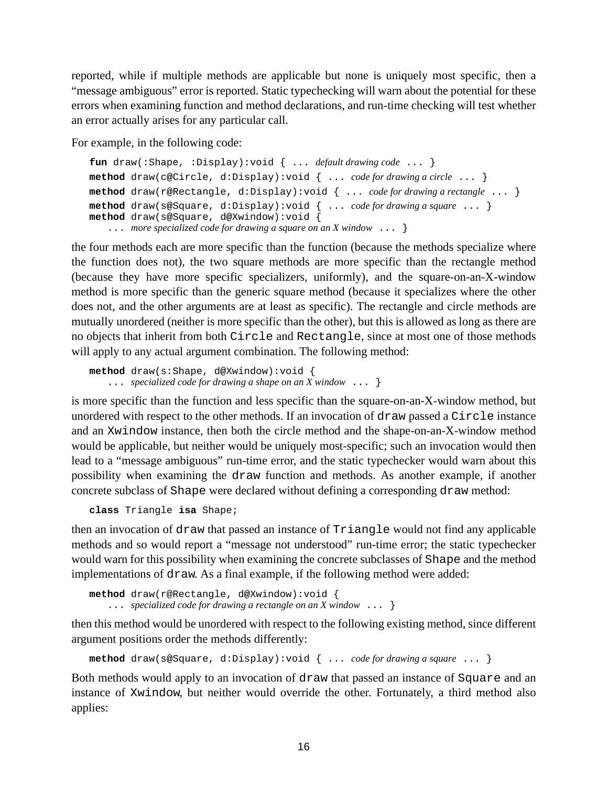reported, while if multiple methods are applicable but none is uniquely most specific, then a "message ambiguous" error is reported. Static typechecking will warn about the potential for these errors when examining function and method declarations, and run-time checking will test whether an error actually arises for any particular call.

For example, in the following code:

```
fun draw(:Shape, :Display):void { ... default drawing code ... }
method draw(c@Circle, d:Display):void { ... code for drawing a circle ... }
method draw(r@Rectangle, d:Display):void { ... code for drawing a rectangle ... }
method draw(s@Square, d:Display):void { ... code for drawing a square ... }
method draw(s@Square, d@Xwindow):void {
   ... more specialized code for drawing a square on an X window ... }
```
the four methods each are more specific than the function (because the methods specialize where the function does not), the two square methods are more specific than the rectangle method (because they have more specific specializers, uniformly), and the square-on-an-X-window method is more specific than the generic square method (because it specializes where the other does not, and the other arguments are at least as specific). The rectangle and circle methods are mutually unordered (neither is more specific than the other), but this is allowed as long as there are no objects that inherit from both Circle and Rectangle, since at most one of those methods will apply to any actual argument combination. The following method:

```
method draw(s:Shape, d@Xwindow):void {
    ... specialized code for drawing a shape on an X window ... }
```
is more specific than the function and less specific than the square-on-an-X-window method, but unordered with respect to the other methods. If an invocation of draw passed a Circle instance and an Xwindow instance, then both the circle method and the shape-on-an-X-window method would be applicable, but neither would be uniquely most-specific; such an invocation would then lead to a "message ambiguous" run-time error, and the static typechecker would warn about this possibility when examining the draw function and methods. As another example, if another concrete subclass of Shape were declared without defining a corresponding draw method:

```
class Triangle isa Shape;
```
then an invocation of draw that passed an instance of Triangle would not find any applicable methods and so would report a "message not understood" run-time error; the static typechecker would warn for this possibility when examining the concrete subclasses of Shape and the method implementations of draw. As a final example, if the following method were added:

```
method draw(r@Rectangle, d@Xwindow):void {
   ... specialized code for drawing a rectangle on an X window ... }
```
then this method would be unordered with respect to the following existing method, since different argument positions order the methods differently:

**method** draw(s**@**Square, d:Display):void { ... *code for drawing a square* ... }

Both methods would apply to an invocation of draw that passed an instance of Square and an instance of Xwindow, but neither would override the other. Fortunately, a third method also applies: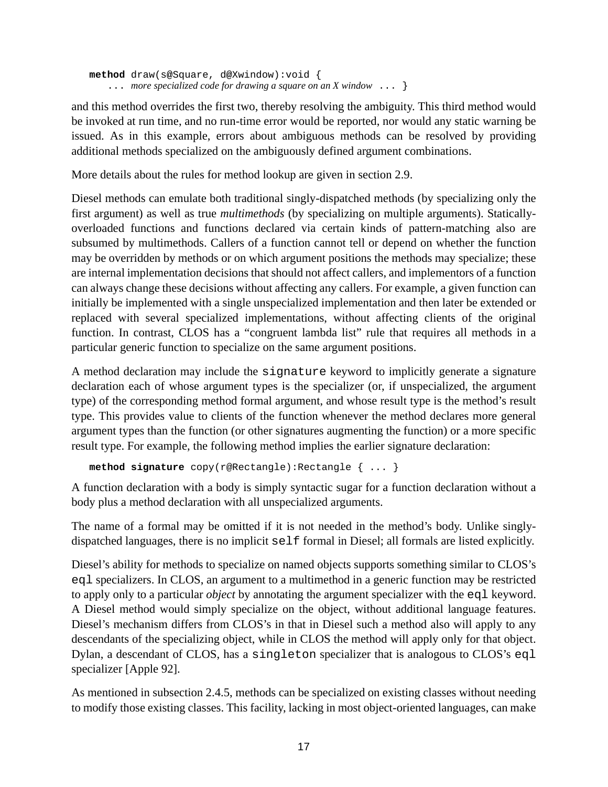**method** draw(s**@**Square, d**@**Xwindow):void { ... *more specialized code for drawing a square on an X window* ... }

and this method overrides the first two, thereby resolving the ambiguity. This third method would be invoked at run time, and no run-time error would be reported, nor would any static warning be issued. As in this example, errors about ambiguous methods can be resolved by providing additional methods specialized on the ambiguously defined argument combinations.

More details about the rules for method lookup are given in section [2.9](#page-31-0).

Diesel methods can emulate both traditional singly-dispatched methods (by specializing only the first argument) as well as true *multimethods* (by specializing on multiple arguments). Staticallyoverloaded functions and functions declared via certain kinds of pattern-matching also are subsumed by multimethods. Callers of a function cannot tell or depend on whether the function may be overridden by methods or on which argument positions the methods may specialize; these are internal implementation decisions that should not affect callers, and implementors of a function can always change these decisions without affecting any callers. For example, a given function can initially be implemented with a single unspecialized implementation and then later be extended or replaced with several specialized implementations, without affecting clients of the original function. In contrast, CLOS has a "congruent lambda list" rule that requires all methods in a particular generic function to specialize on the same argument positions.

A method declaration may include the signature keyword to implicitly generate a signature declaration each of whose argument types is the specializer (or, if unspecialized, the argument type) of the corresponding method formal argument, and whose result type is the method's result type. This provides value to clients of the function whenever the method declares more general argument types than the function (or other signatures augmenting the function) or a more specific result type. For example, the following method implies the earlier signature declaration:

```
method signature copy(r@Rectangle):Rectangle { ... }
```
A function declaration with a body is simply syntactic sugar for a function declaration without a body plus a method declaration with all unspecialized arguments.

The name of a formal may be omitted if it is not needed in the method's body. Unlike singlydispatched languages, there is no implicit self formal in Diesel; all formals are listed explicitly.

Diesel's ability for methods to specialize on named objects supports something similar to CLOS's eql specializers. In CLOS, an argument to a multimethod in a generic function may be restricted to apply only to a particular *object* by annotating the argument specializer with the eql keyword. A Diesel method would simply specialize on the object, without additional language features. Diesel's mechanism differs from CLOS's in that in Diesel such a method also will apply to any descendants of the specializing object, while in CLOS the method will apply only for that object. Dylan, a descendant of CLOS, has a singleton specializer that is analogous to CLOS's eql specializer [Apple 92].

As mentioned in subsection [2.4.5](#page-10-0), methods can be specialized on existing classes without needing to modify those existing classes. This facility, lacking in most object-oriented languages, can make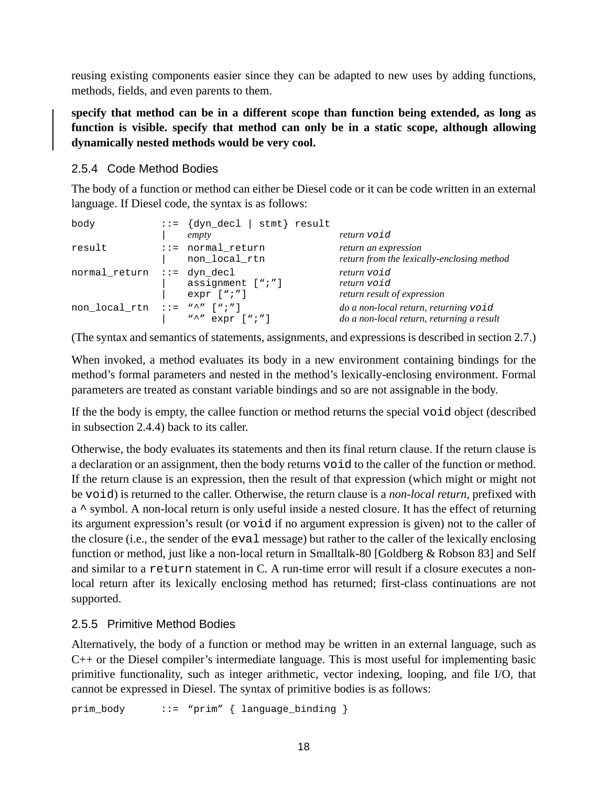<span id="page-17-0"></span>reusing existing components easier since they can be adapted to new uses by adding functions, methods, fields, and even parents to them.

**specify that method can be in a different scope than function being extended, as long as function is visible. specify that method can only be in a static scope, although allowing dynamically nested methods would be very cool.**

# 2.5.4 Code Method Bodies

The body of a function or method can either be Diesel code or it can be code written in an external language. If Diesel code, the syntax is as follows:

| body                                       | $ ::= \{dyn\_dec1   simt\} \text{result}$<br>empty | return void                                                                        |
|--------------------------------------------|----------------------------------------------------|------------------------------------------------------------------------------------|
| result                                     | $::=$ normal_return<br>non_local_rtn               | return an expression<br>return from the lexically-enclosing method                 |
| normal_return ::= dyn_decl                 | assignment [";"]<br>$expr$ [";"]                   | return void<br>return void<br>return result of expression                          |
| $non\_local\_rtn :: = "\wedge" [\wedge;"]$ | "^" $expr$ [";"]                                   | do a non-local return, returning void<br>do a non-local return, returning a result |

(The syntax and semantics of statements, assignments, and expressions is described in section [2.7](#page-24-0).)

When invoked, a method evaluates its body in a new environment containing bindings for the method's formal parameters and nested in the method's lexically-enclosing environment. Formal parameters are treated as constant variable bindings and so are not assignable in the body.

If the the body is empty, the callee function or method returns the special void object (described in subsection [2.4.4\)](#page-10-0) back to its caller.

Otherwise, the body evaluates its statements and then its final return clause. If the return clause is a declaration or an assignment, then the body returns void to the caller of the function or method. If the return clause is an expression, then the result of that expression (which might or might not be void) is returned to the caller. Otherwise, the return clause is a *non-local return*, prefixed with a ^ symbol. A non-local return is only useful inside a nested closure. It has the effect of returning its argument expression's result (or void if no argument expression is given) not to the caller of the closure (i.e., the sender of the eval message) but rather to the caller of the lexically enclosing function or method, just like a non-local return in Smalltalk-80 [Goldberg & Robson 83] and Self and similar to a return statement in C. A run-time error will result if a closure executes a nonlocal return after its lexically enclosing method has returned; first-class continuations are not supported.

# 2.5.5 Primitive Method Bodies

Alternatively, the body of a function or method may be written in an external language, such as C++ or the Diesel compiler's intermediate language. This is most useful for implementing basic primitive functionality, such as integer arithmetic, vector indexing, looping, and file I/O, that cannot be expressed in Diesel. The syntax of primitive bodies is as follows:

prim\_body ::= "prim" { language\_binding }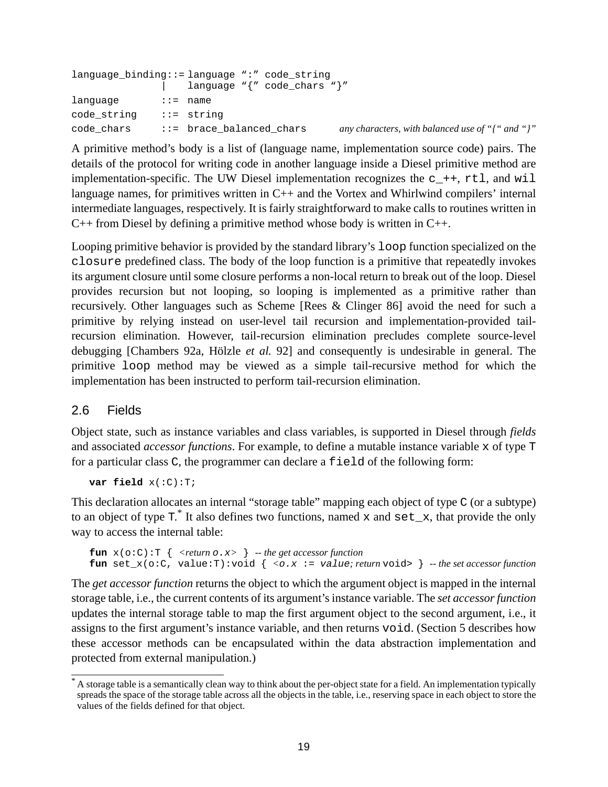<span id="page-18-0"></span>

| language binding::= language ":" code string |                            |                                                 |                                                            |
|----------------------------------------------|----------------------------|-------------------------------------------------|------------------------------------------------------------|
|                                              |                            | language $\sqrt[q]{n}$ code_chars $\sqrt[q]{n}$ |                                                            |
| lanquaqe                                     | ::= name:                  |                                                 |                                                            |
| code string                                  | ::= strinq                 |                                                 |                                                            |
| code chars                                   | $::=$ brace balanced chars |                                                 | any characters, with balanced use of " $\{$ " and " $\}$ " |

A primitive method's body is a list of (language name, implementation source code) pairs. The details of the protocol for writing code in another language inside a Diesel primitive method are implementation-specific. The UW Diesel implementation recognizes the  $c_{++}$ ,  $rtl$ , and will language names, for primitives written in C++ and the Vortex and Whirlwind compilers' internal intermediate languages, respectively. It is fairly straightforward to make calls to routines written in C++ from Diesel by defining a primitive method whose body is written in C++.

Looping primitive behavior is provided by the standard library's loop function specialized on the closure predefined class. The body of the loop function is a primitive that repeatedly invokes its argument closure until some closure performs a non-local return to break out of the loop. Diesel provides recursion but not looping, so looping is implemented as a primitive rather than recursively. Other languages such as Scheme [Rees & Clinger 86] avoid the need for such a primitive by relying instead on user-level tail recursion and implementation-provided tailrecursion elimination. However, tail-recursion elimination precludes complete source-level debugging [Chambers 92a, Hölzle *et al.* 92] and consequently is undesirable in general. The primitive loop method may be viewed as a simple tail-recursive method for which the implementation has been instructed to perform tail-recursion elimination.

#### 2.6 Fields

Object state, such as instance variables and class variables, is supported in Diesel through *fields* and associated *accessor functions*. For example, to define a mutable instance variable x of type T for a particular class C, the programmer can declare a field of the following form:

**var field** x(:C):T;

This declaration allocates an internal "storage table" mapping each object of type C (or a subtype) to an object of type  $T^*$ . It also defines two functions, named x and  $set_x$ , that provide the only way to access the internal table:

```
fun x(o:C):T \{ < return o.x> } -- the get accessor function
fun set_x(o:C, value:T):void { \langle \circ x \rangle := value; return void> } -- the set accessor function
```
The *get accessor function* returns the object to which the argument object is mapped in the internal storage table, i.e., the current contents of its argument'sinstance variable. The *set accessorfunction* updates the internal storage table to map the first argument object to the second argument, i.e., it assigns to the first argument's instance variable, and then returns void. (Section [5](#page-84-0) describes how these accessor methods can be encapsulated within the data abstraction implementation and protected from external manipulation.)

<sup>&</sup>lt;sup>\*</sup> A storage table is a semantically clean way to think about the per-object state for a field. An implementation typically spreads the space of the storage table across all the objects in the table, i.e., reserving space in each object to store the values of the fields defined for that object.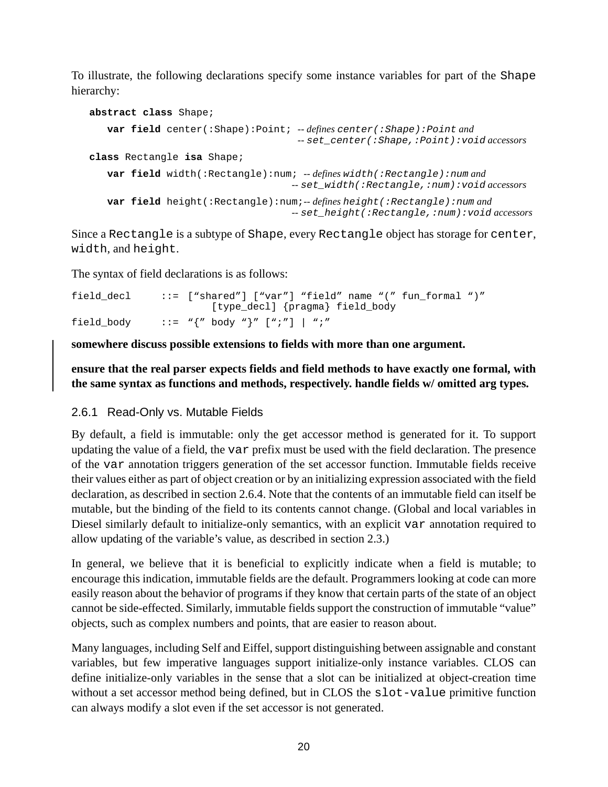<span id="page-19-0"></span>To illustrate, the following declarations specify some instance variables for part of the Shape hierarchy:

```
abstract class Shape;
   var field center(:Shape):Point; -- defines center(:Shape):Point and
                                      -- set_center(:Shape,:Point):void accessors
class Rectangle isa Shape;
   var field width(:Rectangle):num; -- defines width(:Rectangle):num and
                                    -- set_width(:Rectangle,:num):void accessors
   var field height(:Rectangle):num;-- defines height(:Rectangle):num and
                                     -- set_height(:Rectangle,:num):void accessors
```
Since a Rectangle is a subtype of Shape, every Rectangle object has storage for center, width, and height.

The syntax of field declarations is as follows:

| field decl | ::= $[$ "shared"] $[$ "var"] "field" name " $($ " fun formal " $)$ " |  |
|------------|----------------------------------------------------------------------|--|
|            | [type_decl] {pragma} field_body                                      |  |
| field body | ::= $"\{'' \text{ body } "\}''$ [";"]   ";"                          |  |

**somewhere discuss possible extensions to fields with more than one argument.**

**ensure that the real parser expects fields and field methods to have exactly one formal, with the same syntax as functions and methods, respectively. handle fields w/ omitted arg types.**

#### 2.6.1 Read-Only vs. Mutable Fields

By default, a field is immutable: only the get accessor method is generated for it. To support updating the value of a field, the var prefix must be used with the field declaration. The presence of the var annotation triggers generation of the set accessor function. Immutable fields receive their values either as part of object creation or by an initializing expression associated with the field declaration, as described in section [2.6.4.](#page-22-0) Note that the contents of an immutable field can itself be mutable, but the binding of the field to its contents cannot change. (Global and local variables in Diesel similarly default to initialize-only semantics, with an explicit var annotation required to allow updating of the variable's value, as described in section [2.3](#page-7-0).)

In general, we believe that it is beneficial to explicitly indicate when a field is mutable; to encourage this indication, immutable fields are the default. Programmers looking at code can more easily reason about the behavior of programs if they know that certain parts of the state of an object cannot be side-effected. Similarly, immutable fields support the construction of immutable "value" objects, such as complex numbers and points, that are easier to reason about.

Many languages, including Self and Eiffel, support distinguishing between assignable and constant variables, but few imperative languages support initialize-only instance variables. CLOS can define initialize-only variables in the sense that a slot can be initialized at object-creation time without a set accessor method being defined, but in CLOS the slot-value primitive function can always modify a slot even if the set accessor is not generated.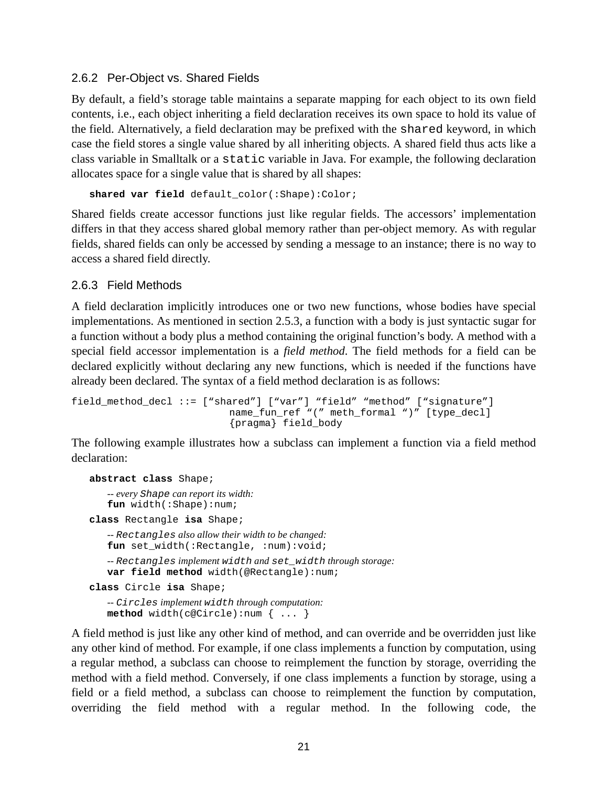#### <span id="page-20-0"></span>2.6.2 Per-Object vs. Shared Fields

By default, a field's storage table maintains a separate mapping for each object to its own field contents, i.e., each object inheriting a field declaration receives its own space to hold its value of the field. Alternatively, a field declaration may be prefixed with the shared keyword, in which case the field stores a single value shared by all inheriting objects. A shared field thus acts like a class variable in Smalltalk or a static variable in Java. For example, the following declaration allocates space for a single value that is shared by all shapes:

**shared var field** default\_color(:Shape):Color;

Shared fields create accessor functions just like regular fields. The accessors' implementation differs in that they access shared global memory rather than per-object memory. As with regular fields, shared fields can only be accessed by sending a message to an instance; there is no way to access a shared field directly.

#### 2.6.3 Field Methods

A field declaration implicitly introduces one or two new functions, whose bodies have special implementations. As mentioned in section [2.5.3,](#page-13-0) a function with a body is just syntactic sugar for a function without a body plus a method containing the original function's body. A method with a special field accessor implementation is a *field method*. The field methods for a field can be declared explicitly without declaring any new functions, which is needed if the functions have already been declared. The syntax of a field method declaration is as follows:

```
field method decl ::= ["shared"] ["var"] "field" "method" ["signature"]
                          name_fun_ref "(" meth_formal ")" [type_decl]
                          {pragma} field_body
```
The following example illustrates how a subclass can implement a function via a field method declaration:

```
abstract class Shape;
   -- every Shape can report its width:
   fun width(:Shape):num;
class Rectangle isa Shape;
   -- Rectangles also allow their width to be changed:
   fun set width(:Rectangle, :num):void;
   -- Rectangles implement width and set_width through storage:
   var field method width(@Rectangle):num;
class Circle isa Shape;
   -- Circles implement width through computation:
   method width(c@Circle):num { ... }
```
A field method is just like any other kind of method, and can override and be overridden just like any other kind of method. For example, if one class implements a function by computation, using a regular method, a subclass can choose to reimplement the function by storage, overriding the method with a field method. Conversely, if one class implements a function by storage, using a field or a field method, a subclass can choose to reimplement the function by computation, overriding the field method with a regular method. In the following code, the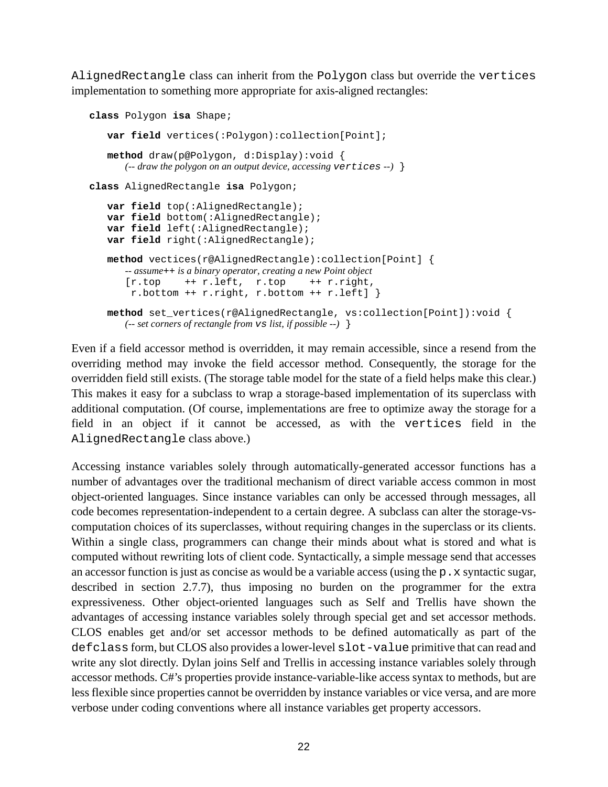AlignedRectangle class can inherit from the Polygon class but override the vertices implementation to something more appropriate for axis-aligned rectangles:

```
class Polygon isa Shape;
   var field vertices(:Polygon):collection[Point];
   method draw(p@Polygon, d:Display):void {
      (-- draw the polygon on an output device, accessing vertices --) }
class AlignedRectangle isa Polygon;
   var field top(:AlignedRectangle);
   var field bottom(:AlignedRectangle);
   var field left(:AlignedRectangle);
   var field right(:AlignedRectangle);
   method vectices(r@AlignedRectangle):collection[Point] {
      -- assume++ is a binary operator, creating a new Point object
      [r.top +r.left, r.top +r.right,r.bottom ++ r.right, r.bottom ++ r.left] }
   method set_vertices(r@AlignedRectangle, vs:collection[Point]):void {
      (-- set corners of rectangle from vs list, if possible --) }
```
Even if a field accessor method is overridden, it may remain accessible, since a resend from the overriding method may invoke the field accessor method. Consequently, the storage for the overridden field still exists. (The storage table model for the state of a field helps make this clear.) This makes it easy for a subclass to wrap a storage-based implementation of its superclass with additional computation. (Of course, implementations are free to optimize away the storage for a field in an object if it cannot be accessed, as with the vertices field in the AlignedRectangle class above.)

Accessing instance variables solely through automatically-generated accessor functions has a number of advantages over the traditional mechanism of direct variable access common in most object-oriented languages. Since instance variables can only be accessed through messages, all code becomes representation-independent to a certain degree. A subclass can alter the storage-vscomputation choices of its superclasses, without requiring changes in the superclass or its clients. Within a single class, programmers can change their minds about what is stored and what is computed without rewriting lots of client code. Syntactically, a simple message send that accesses an accessor function is just as concise as would be a variable access (using the  $p \cdot x$  syntactic sugar, described in section [2.7.7](#page-27-0)), thus imposing no burden on the programmer for the extra expressiveness. Other object-oriented languages such as Self and Trellis have shown the advantages of accessing instance variables solely through special get and set accessor methods. CLOS enables get and/or set accessor methods to be defined automatically as part of the defclass form, but CLOS also provides a lower-level slot-value primitive that can read and write any slot directly. Dylan joins Self and Trellis in accessing instance variables solely through accessor methods. C#'s properties provide instance-variable-like access syntax to methods, but are less flexible since properties cannot be overridden by instance variables or vice versa, and are more verbose under coding conventions where all instance variables get property accessors.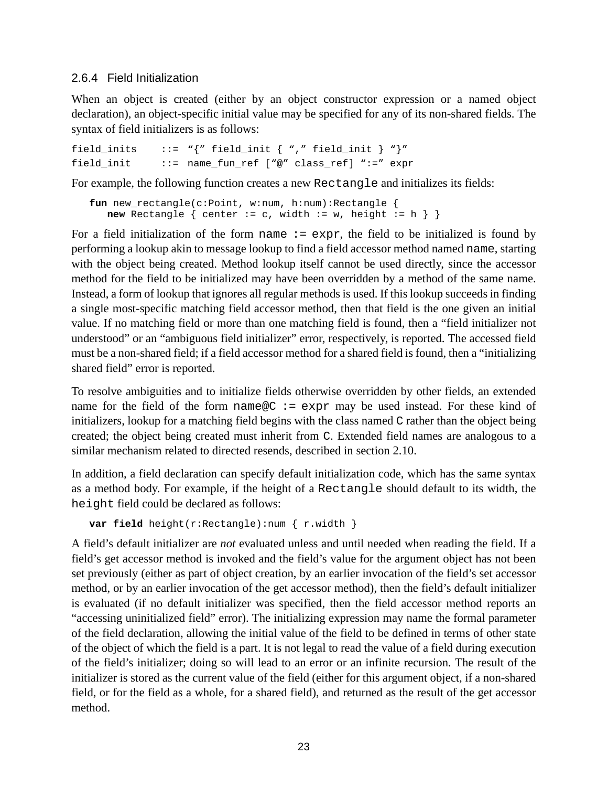#### <span id="page-22-0"></span>2.6.4 Field Initialization

When an object is created (either by an object constructor expression or a named object declaration), an object-specific initial value may be specified for any of its non-shared fields. The syntax of field initializers is as follows:

```
field inits ::= "{" field init { "," field init } "}"
field_init ::= name_fun_ref ["@" class_ref] ":=" expr
```
For example, the following function creates a new Rectangle and initializes its fields:

```
fun new rectangle(c:Point, w:num, h:num):Rectangle {
  new Rectangle \{ center := c, width := w, height := h \}
```
For a field initialization of the form name  $:=$  expr, the field to be initialized is found by performing a lookup akin to message lookup to find a field accessor method named name, starting with the object being created. Method lookup itself cannot be used directly, since the accessor method for the field to be initialized may have been overridden by a method of the same name. Instead, a form of lookup that ignores all regular methods is used. If this lookup succeeds in finding a single most-specific matching field accessor method, then that field is the one given an initial value. If no matching field or more than one matching field is found, then a "field initializer not understood" or an "ambiguous field initializer" error, respectively, is reported. The accessed field must be a non-shared field; if a field accessor method for a shared field is found, then a "initializing shared field" error is reported.

To resolve ambiguities and to initialize fields otherwise overridden by other fields, an extended name for the field of the form name  $\mathbb{Q}C := \exp r$  may be used instead. For these kind of initializers, lookup for a matching field begins with the class named C rather than the object being created; the object being created must inherit from C. Extended field names are analogous to a similar mechanism related to directed resends, described in section [2.10](#page-37-0).

In addition, a field declaration can specify default initialization code, which has the same syntax as a method body. For example, if the height of a Rectangle should default to its width, the height field could be declared as follows:

```
var field height(r:Rectangle):num { r.width }
```
A field's default initializer are *not* evaluated unless and until needed when reading the field. If a field's get accessor method is invoked and the field's value for the argument object has not been set previously (either as part of object creation, by an earlier invocation of the field's set accessor method, or by an earlier invocation of the get accessor method), then the field's default initializer is evaluated (if no default initializer was specified, then the field accessor method reports an "accessing uninitialized field" error). The initializing expression may name the formal parameter of the field declaration, allowing the initial value of the field to be defined in terms of other state of the object of which the field is a part. It is not legal to read the value of a field during execution of the field's initializer; doing so will lead to an error or an infinite recursion. The result of the initializer is stored as the current value of the field (either for this argument object, if a non-shared field, or for the field as a whole, for a shared field), and returned as the result of the get accessor method.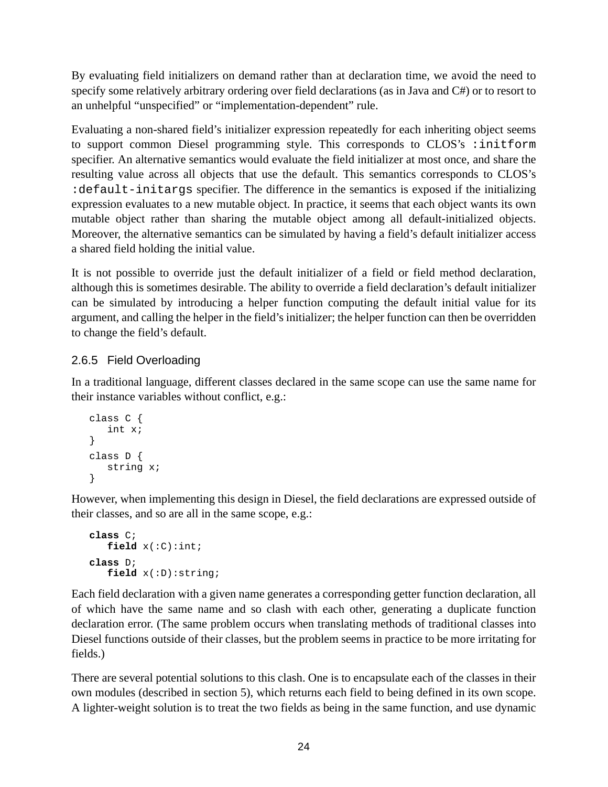<span id="page-23-0"></span>By evaluating field initializers on demand rather than at declaration time, we avoid the need to specify some relatively arbitrary ordering over field declarations (as in Java and C#) or to resort to an unhelpful "unspecified" or "implementation-dependent" rule.

Evaluating a non-shared field's initializer expression repeatedly for each inheriting object seems to support common Diesel programming style. This corresponds to CLOS's :initform specifier. An alternative semantics would evaluate the field initializer at most once, and share the resulting value across all objects that use the default. This semantics corresponds to CLOS's :default-initargs specifier. The difference in the semantics is exposed if the initializing expression evaluates to a new mutable object. In practice, it seems that each object wants its own mutable object rather than sharing the mutable object among all default-initialized objects. Moreover, the alternative semantics can be simulated by having a field's default initializer access a shared field holding the initial value.

It is not possible to override just the default initializer of a field or field method declaration, although this is sometimes desirable. The ability to override a field declaration's default initializer can be simulated by introducing a helper function computing the default initial value for its argument, and calling the helper in the field's initializer; the helper function can then be overridden to change the field's default.

# 2.6.5 Field Overloading

In a traditional language, different classes declared in the same scope can use the same name for their instance variables without conflict, e.g.:

```
class C {
   int x;
}
class D {
   string x;
}
```
However, when implementing this design in Diesel, the field declarations are expressed outside of their classes, and so are all in the same scope, e.g.:

```
class C;
   field x(:C):int;
class D;
   field x(:D):string;
```
Each field declaration with a given name generates a corresponding getter function declaration, all of which have the same name and so clash with each other, generating a duplicate function declaration error. (The same problem occurs when translating methods of traditional classes into Diesel functions outside of their classes, but the problem seems in practice to be more irritating for fields.)

There are several potential solutions to this clash. One is to encapsulate each of the classes in their own modules (described in section [5](#page-84-0)), which returns each field to being defined in its own scope. A lighter-weight solution is to treat the two fields as being in the same function, and use dynamic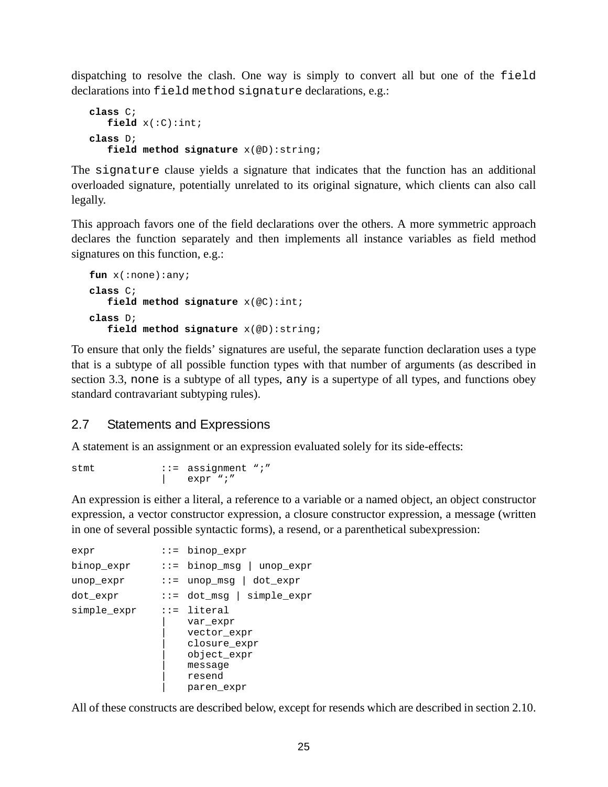<span id="page-24-0"></span>dispatching to resolve the clash. One way is simply to convert all but one of the field declarations into field method signature declarations, e.g.:

```
class C;
   field x(:C):int;
class D;
   field method signature x(@D):string;
```
The signature clause yields a signature that indicates that the function has an additional overloaded signature, potentially unrelated to its original signature, which clients can also call legally.

This approach favors one of the field declarations over the others. A more symmetric approach declares the function separately and then implements all instance variables as field method signatures on this function, e.g.:

```
fun x(:none):any;
class C;
   field method signature x(@C):int;
class D;
   field method signature x(@D):string;
```
To ensure that only the fields' signatures are useful, the separate function declaration uses a type that is a subtype of all possible function types with that number of arguments (as described in section [3.3,](#page-49-0) none is a subtype of all types, any is a supertype of all types, and functions obey standard contravariant subtyping rules).

# 2.7 Statements and Expressions

A statement is an assignment or an expression evaluated solely for its side-effects:

```
stmt ::= assignment ";"
               expr ";"
```
An expression is either a literal, a reference to a variable or a named object, an object constructor expression, a vector constructor expression, a closure constructor expression, a message (written in one of several possible syntactic forms), a resend, or a parenthetical subexpression:

```
expr ::= binop expr
binop_expr ::= binop_msg | unop_expr
unop_expr ::= unop_msg | dot_expr
dot expr ::= dot msg | simple exprsimple_expr ::= literal
                  | var_expr
                  | vector_expr
                  | closure_expr
                  | object_expr
                  | message
                  | resend
                  | paren_expr
```
All of these constructs are described below, except for resends which are described in section [2.10.](#page-37-0)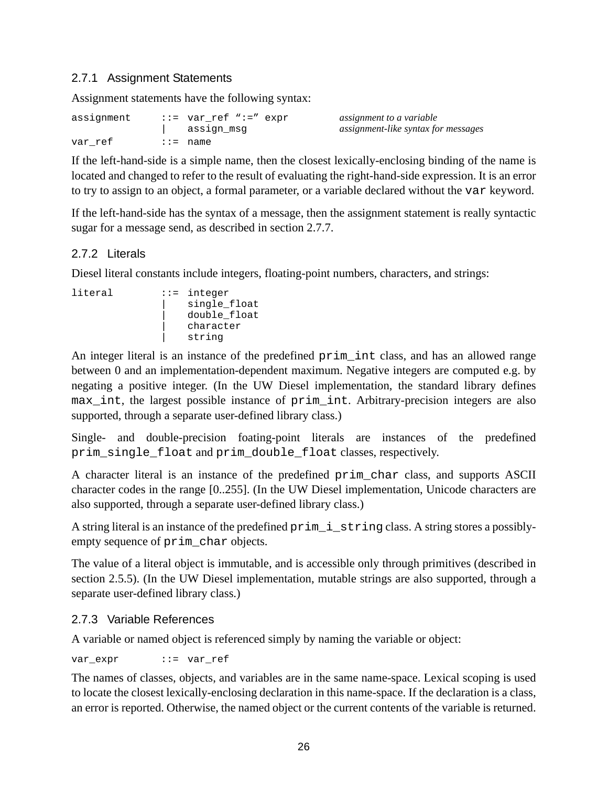#### <span id="page-25-0"></span>2.7.1 Assignment Statements

Assignment statements have the following syntax:

| assignment | ::= var_ref ":=" expr<br>assign_msg | assignment to a variable<br>assignment-like syntax for messages |
|------------|-------------------------------------|-----------------------------------------------------------------|
| var ref    | $\cdots$ name                       |                                                                 |

If the left-hand-side is a simple name, then the closest lexically-enclosing binding of the name is located and changed to refer to the result of evaluating the right-hand-side expression. It is an error to try to assign to an object, a formal parameter, or a variable declared without the var keyword.

If the left-hand-side has the syntax of a message, then the assignment statement is really syntactic sugar for a message send, as described in section [2.7.7](#page-27-0).

# 2.7.2 Literals

Diesel literal constants include integers, floating-point numbers, characters, and strings:

```
literal ::= integer
                   | single_float
                   | double_float
                   | character
                   string
```
An integer literal is an instance of the predefined prim int class, and has an allowed range between 0 and an implementation-dependent maximum. Negative integers are computed e.g. by negating a positive integer. (In the UW Diesel implementation, the standard library defines max int, the largest possible instance of prim int. Arbitrary-precision integers are also supported, through a separate user-defined library class.)

Single- and double-precision foating-point literals are instances of the predefined prim\_single\_float and prim\_double\_float classes, respectively.

A character literal is an instance of the predefined prim\_char class, and supports ASCII character codes in the range [0..255]. (In the UW Diesel implementation, Unicode characters are also supported, through a separate user-defined library class.)

A string literal is an instance of the predefined prim\_i\_string class. A string stores a possiblyempty sequence of prim\_char objects.

The value of a literal object is immutable, and is accessible only through primitives (described in section [2.5.5\)](#page-17-0). (In the UW Diesel implementation, mutable strings are also supported, through a separate user-defined library class.)

# 2.7.3 Variable References

A variable or named object is referenced simply by naming the variable or object:

var expr ::= var\_ref

The names of classes, objects, and variables are in the same name-space. Lexical scoping is used to locate the closest lexically-enclosing declaration in this name-space. If the declaration is a class, an error is reported. Otherwise, the named object or the current contents of the variable is returned.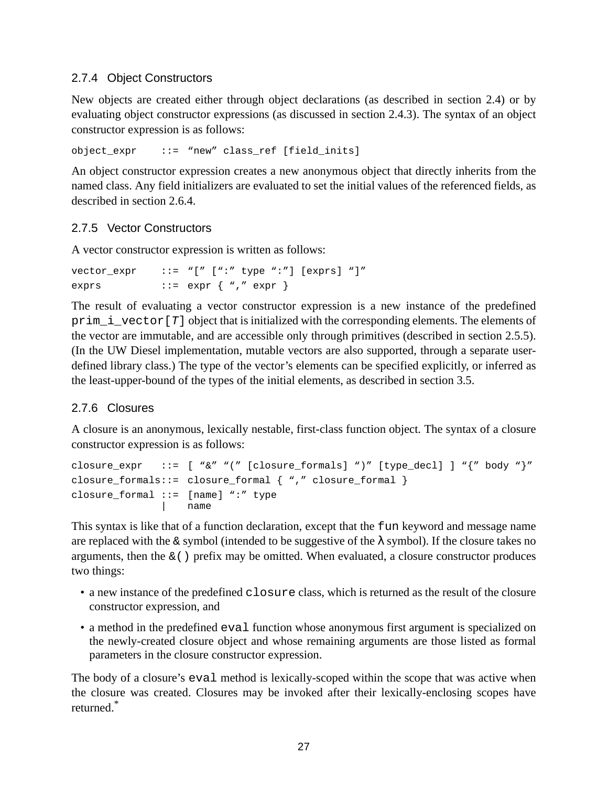# <span id="page-26-0"></span>2.7.4 Object Constructors

New objects are created either through object declarations (as described in section [2.4\)](#page-8-0) or by evaluating object constructor expressions (as discussed in section [2.4.3\)](#page-9-0). The syntax of an object constructor expression is as follows:

object\_expr ::= "new" class\_ref [field\_inits]

An object constructor expression creates a new anonymous object that directly inherits from the named class. Any field initializers are evaluated to set the initial values of the referenced fields, as described in section [2.6.4](#page-22-0).

#### 2.7.5 Vector Constructors

A vector constructor expression is written as follows:

```
vector expr ::="[" " " " type " : " ] [express " ]"exprs ::= expr \{ ", " expr \}
```
The result of evaluating a vector constructor expression is a new instance of the predefined prim i vector  $[T]$  object that is initialized with the corresponding elements. The elements of the vector are immutable, and are accessible only through primitives (described in section [2.5.5](#page-17-0)). (In the UW Diesel implementation, mutable vectors are also supported, through a separate userdefined library class.) The type of the vector's elements can be specified explicitly, or inferred as the least-upper-bound of the types of the initial elements, as described in section [3.5](#page-57-0).

#### 2.7.6 Closures

A closure is an anonymous, lexically nestable, first-class function object. The syntax of a closure constructor expression is as follows:

```
closure_expr ::= [ "&" "(" [closure_formals] ")" [type_decl] ] "{" body "}"
closure formals::= closure formal { \nightharpoonup \nightharpoonup } "," closure formal { \nightharpoonup \nightharpoonup }closure_formal ::= [name] ":" type
                          | name
```
This syntax is like that of a function declaration, except that the fun keyword and message name are replaced with the  $\&$  symbol (intended to be suggestive of the  $\lambda$  symbol). If the closure takes no arguments, then the  $\&$  () prefix may be omitted. When evaluated, a closure constructor produces two things:

- a new instance of the predefined closure class, which is returned as the result of the closure constructor expression, and
- a method in the predefined eval function whose anonymous first argument is specialized on the newly-created closure object and whose remaining arguments are those listed as formal parameters in the closure constructor expression.

The body of a closure's eval method is lexically-scoped within the scope that was active when the closure was created. Closures may be invoked after their lexically-enclosing scopes have returned. \*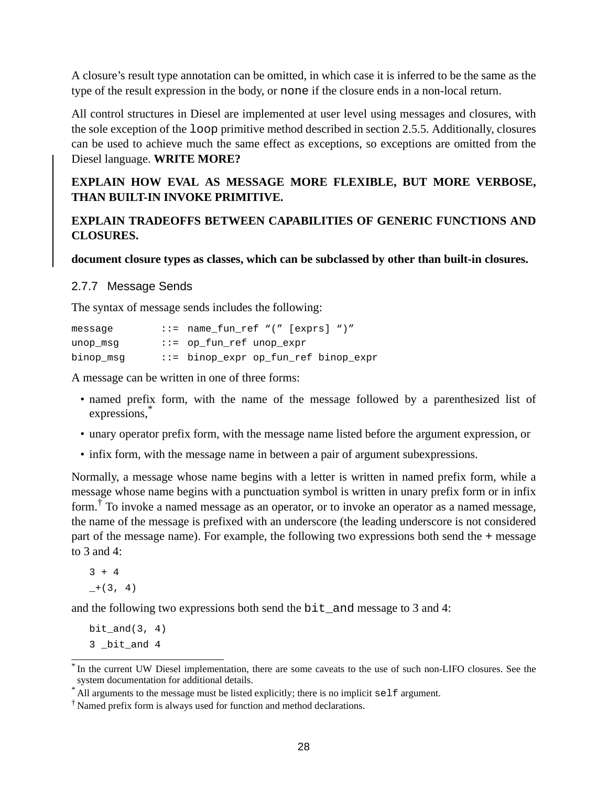<span id="page-27-0"></span>A closure's result type annotation can be omitted, in which case it is inferred to be the same as the type of the result expression in the body, or none if the closure ends in a non-local return.

All control structures in Diesel are implemented at user level using messages and closures, with the sole exception of the loop primitive method described in section [2.5.5](#page-17-0). Additionally, closures can be used to achieve much the same effect as exceptions, so exceptions are omitted from the Diesel language. **WRITE MORE?**

# **EXPLAIN HOW EVAL AS MESSAGE MORE FLEXIBLE, BUT MORE VERBOSE, THAN BUILT-IN INVOKE PRIMITIVE.**

#### **EXPLAIN TRADEOFFS BETWEEN CAPABILITIES OF GENERIC FUNCTIONS AND CLOSURES.**

**document closure types as classes, which can be subclassed by other than built-in closures.**

#### 2.7.7 Message Sends

The syntax of message sends includes the following:

| message   | $::=$ name fun ref "(" [exprs] ")"   |
|-----------|--------------------------------------|
| unop_msg  | $ ::=$ op fun ref unop expr          |
| binop_msg | ::= binop_expr op_fun_ref binop_expr |

A message can be written in one of three forms:

- named prefix form, with the name of the message followed by a parenthesized list of expressions, \*
- unary operator prefix form, with the message name listed before the argument expression, or
- infix form, with the message name in between a pair of argument subexpressions.

Normally, a message whose name begins with a letter is written in named prefix form, while a message whose name begins with a punctuation symbol is written in unary prefix form or in infix form.<sup>†</sup> To invoke a named message as an operator, or to invoke an operator as a named message, the name of the message is prefixed with an underscore (the leading underscore is not considered part of the message name). For example, the following two expressions both send the + message to 3 and 4:

 $3 + 4$  $+(3, 4)$ 

and the following two expressions both send the bit\_and message to 3 and 4:

 $bit_and(3, 4)$ 3 \_bit\_and 4

<sup>\*</sup> In the current UW Diesel implementation, there are some caveats to the use of such non-LIFO closures. See the system documentation for additional details.

<sup>\*</sup> All arguments to the message must be listed explicitly; there is no implicit self argument.

<sup>†</sup> Named prefix form is always used for function and method declarations.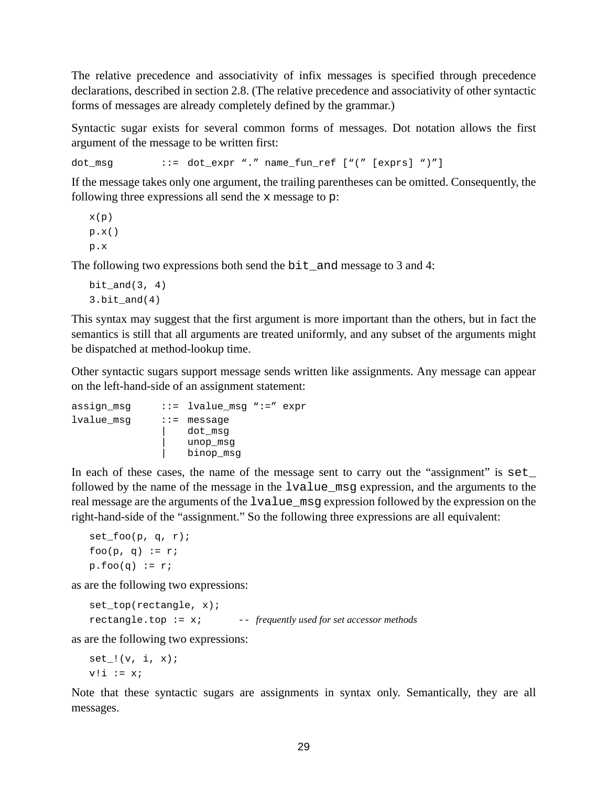The relative precedence and associativity of infix messages is specified through precedence declarations, described in section [2.8](#page-29-0). (The relative precedence and associativity of other syntactic forms of messages are already completely defined by the grammar.)

Syntactic sugar exists for several common forms of messages. Dot notation allows the first argument of the message to be written first:

dot\_msg ::= dot\_expr "." name\_fun\_ref ["(" [exprs] ")"]

If the message takes only one argument, the trailing parentheses can be omitted. Consequently, the following three expressions all send the x message to p:

```
x(p)
p.x()
p.x
```
The following two expressions both send the bit\_and message to 3 and 4:

```
bit and(3, 4)3. \text{bit\_and}(4)
```
This syntax may suggest that the first argument is more important than the others, but in fact the semantics is still that all arguments are treated uniformly, and any subset of the arguments might be dispatched at method-lookup time.

Other syntactic sugars support message sends written like assignments. Any message can appear on the left-hand-side of an assignment statement:

```
assign_msg ::= lvalue msq ":=" expr
lvalue msg ::= message
                 dot msg
                 unop msg
                 | binop_msg
```
In each of these cases, the name of the message sent to carry out the "assignment" is set followed by the name of the message in the lvalue\_msg expression, and the arguments to the real message are the arguments of the lvalue\_msg expression followed by the expression on the right-hand-side of the "assignment." So the following three expressions are all equivalent:

```
set\_foo(p, q, r);foo(p, q) := r;
p.foo(q) := r;
```
as are the following two expressions:

```
set top(rectangle, x);
rectangle.top := x; -- frequently used for set accessor methods
```
as are the following two expressions:

```
set !(v, i, x);v! i := x;
```
Note that these syntactic sugars are assignments in syntax only. Semantically, they are all messages.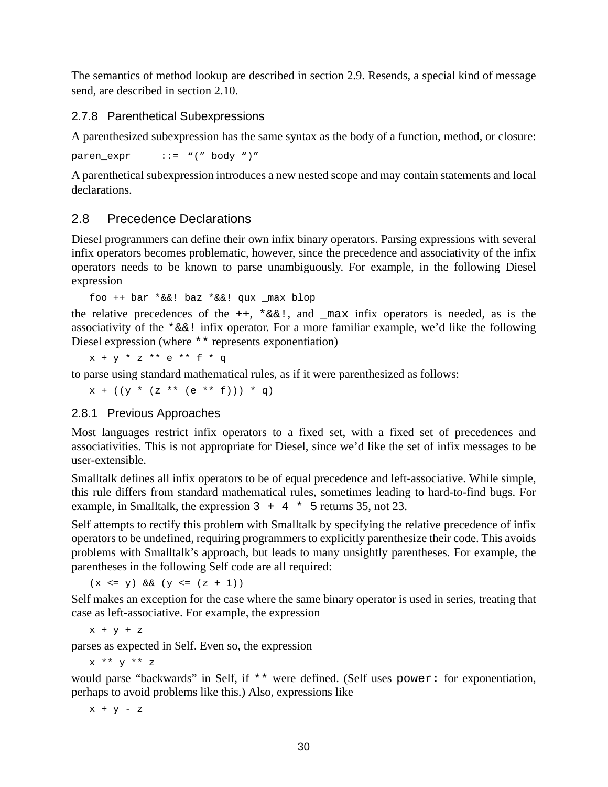<span id="page-29-0"></span>The semantics of method lookup are described in section [2.9.](#page-31-0) Resends, a special kind of message send, are described in section [2.10.](#page-37-0)

#### 2.7.8 Parenthetical Subexpressions

A parenthesized subexpression has the same syntax as the body of a function, method, or closure:

paren expr  $::= "(" body ")"$ 

A parenthetical subexpression introduces a new nested scope and may contain statements and local declarations.

# 2.8 Precedence Declarations

Diesel programmers can define their own infix binary operators. Parsing expressions with several infix operators becomes problematic, however, since the precedence and associativity of the infix operators needs to be known to parse unambiguously. For example, in the following Diesel expression

```
foo ++ bar *&&! baz *&&! qux max blop
```
the relative precedences of the  $++$ ,  $*\&\&\cdot$ , and  $\text{max}\;$  infix operators is needed, as is the associativity of the  $*\&&:$  infix operator. For a more familiar example, we'd like the following Diesel expression (where \*\* represents exponentiation)

 $x + y * z * e * f * f * q$ 

to parse using standard mathematical rules, as if it were parenthesized as follows:

 $x + ((y * (z * * (e * * f))) * q)$ 

#### 2.8.1 Previous Approaches

Most languages restrict infix operators to a fixed set, with a fixed set of precedences and associativities. This is not appropriate for Diesel, since we'd like the set of infix messages to be user-extensible.

Smalltalk defines all infix operators to be of equal precedence and left-associative. While simple, this rule differs from standard mathematical rules, sometimes leading to hard-to-find bugs. For example, in Smalltalk, the expression  $3 + 4 \times 5$  returns 35, not 23.

Self attempts to rectify this problem with Smalltalk by specifying the relative precedence of infix operators to be undefined, requiring programmers to explicitly parenthesize their code. This avoids problems with Smalltalk's approach, but leads to many unsightly parentheses. For example, the parentheses in the following Self code are all required:

 $(x \le y)$  &  $(y \le (z + 1))$ 

Self makes an exception for the case where the same binary operator is used in series, treating that case as left-associative. For example, the expression

 $x + y + z$ 

parses as expected in Self. Even so, the expression

x \*\* y \*\* z

would parse "backwards" in Self, if \*\* were defined. (Self uses power: for exponentiation, perhaps to avoid problems like this.) Also, expressions like

 $x + y - z$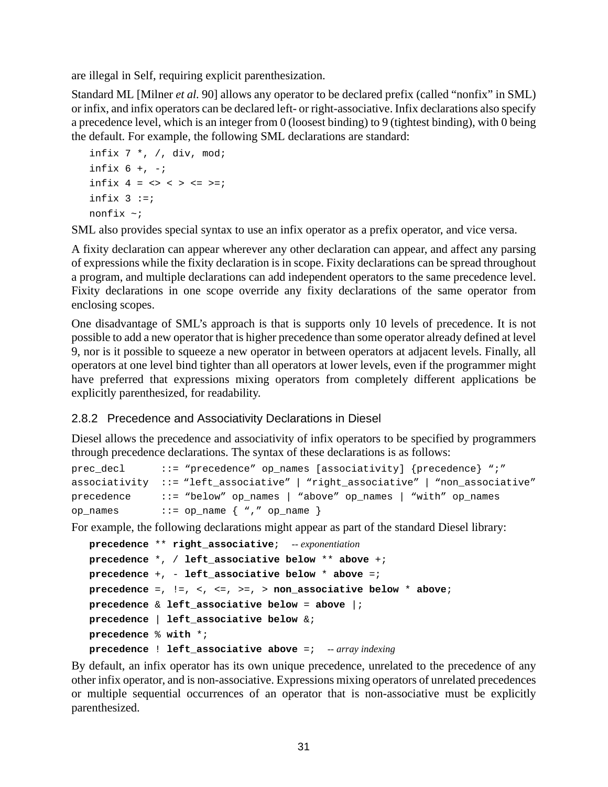<span id="page-30-0"></span>are illegal in Self, requiring explicit parenthesization.

Standard ML [Milner *et al.* 90] allows any operator to be declared prefix (called "nonfix" in SML) or infix, and infix operators can be declared left- or right-associative. Infix declarations also specify a precedence level, which is an integer from 0 (loosest binding) to 9 (tightest binding), with 0 being the default. For example, the following SML declarations are standard:

```
infix 7 *, /, div, mod;
infix 6 +, -iinfix 4 = \langle \rangle \langle \rangle \langle \rangle \langle = \rangle = \rangleinfix 3 := inonfix ~;
```
SML also provides special syntax to use an infix operator as a prefix operator, and vice versa.

A fixity declaration can appear wherever any other declaration can appear, and affect any parsing of expressions while the fixity declaration is in scope. Fixity declarations can be spread throughout a program, and multiple declarations can add independent operators to the same precedence level. Fixity declarations in one scope override any fixity declarations of the same operator from enclosing scopes.

One disadvantage of SML's approach is that is supports only 10 levels of precedence. It is not possible to add a new operator that is higher precedence than some operator already defined at level 9, nor is it possible to squeeze a new operator in between operators at adjacent levels. Finally, all operators at one level bind tighter than all operators at lower levels, even if the programmer might have preferred that expressions mixing operators from completely different applications be explicitly parenthesized, for readability.

#### 2.8.2 Precedence and Associativity Declarations in Diesel

Diesel allows the precedence and associativity of infix operators to be specified by programmers through precedence declarations. The syntax of these declarations is as follows:

|          | prec_decl ::= "precedence" op_names [associativity] {precedence} ";"           |
|----------|--------------------------------------------------------------------------------|
|          | associativity ::= "left_associative"   "right_associative"   "non_associative" |
|          | $precedence$ ::= "below" op_names   "above" op_names   "with" op_names         |
| op names | $::=$ op_name $\{$ "," op_name $\}$                                            |

For example, the following declarations might appear as part of the standard Diesel library:

```
precedence ** right_associative; -- exponentiation
precedence *, / left_associative below ** above +;
precedence +, - left_associative below * above =;
precedence =, !=, <, <=, >=, > non_associative below * above;
precedence & left_associative below = above |;
precedence | left_associative below &;
precedence % with *;
precedence ! left_associative above =; -- array indexing
```
By default, an infix operator has its own unique precedence, unrelated to the precedence of any other infix operator, and is non-associative. Expressions mixing operators of unrelated precedences or multiple sequential occurrences of an operator that is non-associative must be explicitly parenthesized.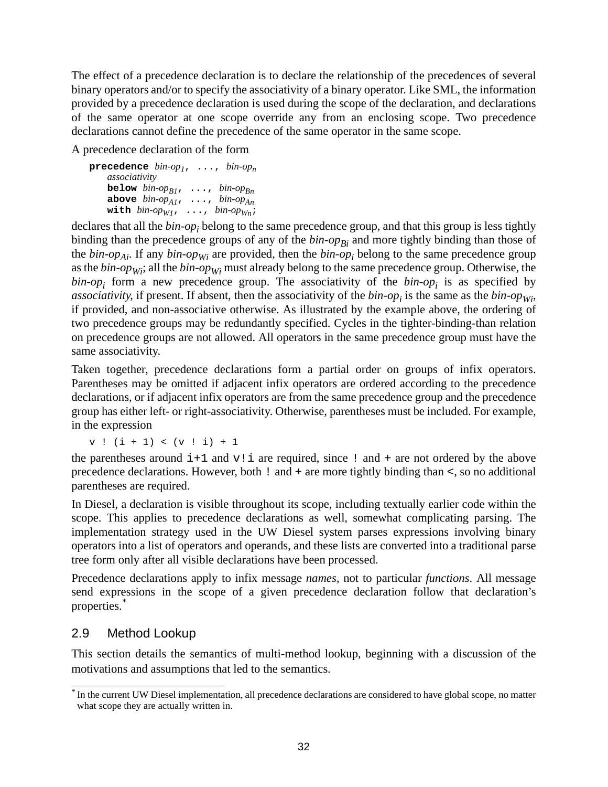<span id="page-31-0"></span>The effect of a precedence declaration is to declare the relationship of the precedences of several binary operators and/or to specify the associativity of a binary operator. Like SML, the information provided by a precedence declaration is used during the scope of the declaration, and declarations of the same operator at one scope override any from an enclosing scope. Two precedence declarations cannot define the precedence of the same operator in the same scope.

A precedence declaration of the form

**precedence**  $bin-op_1$ , ...,  $bin-op_n$ *associativity* **below** *bin-op*<sub>*B1</sub>*, ..., *bin-op*<sub>*Bn*</sub></sub> **above** *bin-opA1*, ..., *bin-opAn* with  $bin-op_{W1}$ , ...,  $bin-op_{Wn}$ ;

declares that all the *bin-op<sup>i</sup>* belong to the same precedence group, and that this group is less tightly binding than the precedence groups of any of the *bin-opBi* and more tightly binding than those of the *bin-opAi* . If any *bin-opWi* are provided, then the *bin-op<sup>i</sup>* belong to the same precedence group as the *bin-opWi* ; all the *bin-opWi* must already belong to the same precedence group. Otherwise, the  $bin-op<sub>i</sub>$  form a new precedence group. The associativity of the  $bin-op<sub>i</sub>$  is as specified by associativity, if present. If absent, then the associativity of the  $bin-op_i$  is the same as the  $bin-op_{Wi}$ , if provided, and non-associative otherwise. As illustrated by the example above, the ordering of two precedence groups may be redundantly specified. Cycles in the tighter-binding-than relation on precedence groups are not allowed. All operators in the same precedence group must have the same associativity.

Taken together, precedence declarations form a partial order on groups of infix operators. Parentheses may be omitted if adjacent infix operators are ordered according to the precedence declarations, or if adjacent infix operators are from the same precedence group and the precedence group has either left- or right-associativity. Otherwise, parentheses must be included. For example, in the expression

 $v : (i + 1) < (v : i) + 1$ 

the parentheses around  $i+1$  and  $v!$  i are required, since ! and + are not ordered by the above precedence declarations. However, both ! and + are more tightly binding than <, so no additional parentheses are required.

In Diesel, a declaration is visible throughout its scope, including textually earlier code within the scope. This applies to precedence declarations as well, somewhat complicating parsing. The implementation strategy used in the UW Diesel system parses expressions involving binary operators into a list of operators and operands, and these lists are converted into a traditional parse tree form only after all visible declarations have been processed.

Precedence declarations apply to infix message *names*, not to particular *functions*. All message send expressions in the scope of a given precedence declaration follow that declaration's properties. \*

# 2.9 Method Lookup

This section details the semantics of multi-method lookup, beginning with a discussion of the motivations and assumptions that led to the semantics.

<sup>\*</sup> In the current UW Diesel implementation, all precedence declarations are considered to have global scope, no matter what scope they are actually written in.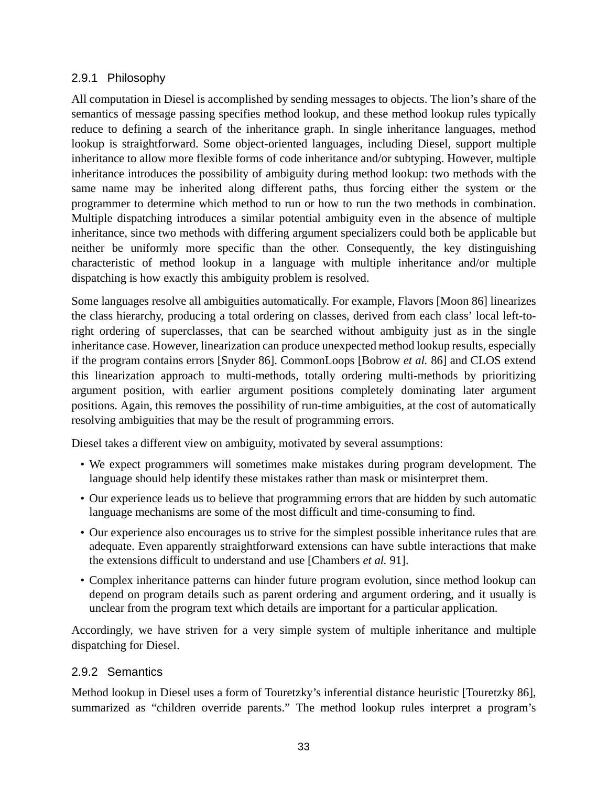# <span id="page-32-0"></span>2.9.1 Philosophy

All computation in Diesel is accomplished by sending messages to objects. The lion's share of the semantics of message passing specifies method lookup, and these method lookup rules typically reduce to defining a search of the inheritance graph. In single inheritance languages, method lookup is straightforward. Some object-oriented languages, including Diesel, support multiple inheritance to allow more flexible forms of code inheritance and/or subtyping. However, multiple inheritance introduces the possibility of ambiguity during method lookup: two methods with the same name may be inherited along different paths, thus forcing either the system or the programmer to determine which method to run or how to run the two methods in combination. Multiple dispatching introduces a similar potential ambiguity even in the absence of multiple inheritance, since two methods with differing argument specializers could both be applicable but neither be uniformly more specific than the other. Consequently, the key distinguishing characteristic of method lookup in a language with multiple inheritance and/or multiple dispatching is how exactly this ambiguity problem is resolved.

Some languages resolve all ambiguities automatically. For example, Flavors [Moon 86] linearizes the class hierarchy, producing a total ordering on classes, derived from each class' local left-toright ordering of superclasses, that can be searched without ambiguity just as in the single inheritance case. However, linearization can produce unexpected method lookup results, especially if the program contains errors [Snyder 86]. CommonLoops [Bobrow *et al.* 86] and CLOS extend this linearization approach to multi-methods, totally ordering multi-methods by prioritizing argument position, with earlier argument positions completely dominating later argument positions. Again, this removes the possibility of run-time ambiguities, at the cost of automatically resolving ambiguities that may be the result of programming errors.

Diesel takes a different view on ambiguity, motivated by several assumptions:

- We expect programmers will sometimes make mistakes during program development. The language should help identify these mistakes rather than mask or misinterpret them.
- Our experience leads us to believe that programming errors that are hidden by such automatic language mechanisms are some of the most difficult and time-consuming to find.
- Our experience also encourages us to strive for the simplest possible inheritance rules that are adequate. Even apparently straightforward extensions can have subtle interactions that make the extensions difficult to understand and use [Chambers *et al.* 91].
- Complex inheritance patterns can hinder future program evolution, since method lookup can depend on program details such as parent ordering and argument ordering, and it usually is unclear from the program text which details are important for a particular application.

Accordingly, we have striven for a very simple system of multiple inheritance and multiple dispatching for Diesel.

# 2.9.2 Semantics

Method lookup in Diesel uses a form of Touretzky's inferential distance heuristic [Touretzky 86], summarized as "children override parents." The method lookup rules interpret a program's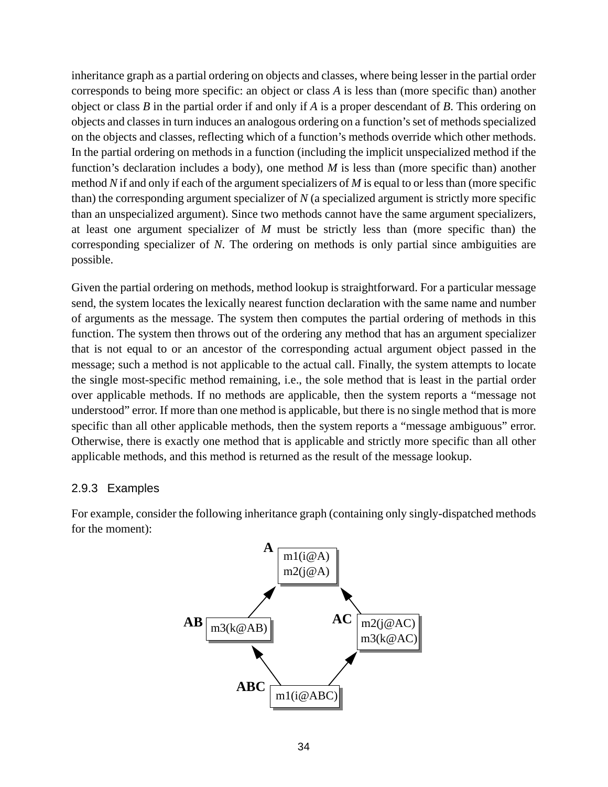<span id="page-33-0"></span>inheritance graph as a partial ordering on objects and classes, where being lesser in the partial order corresponds to being more specific: an object or class *A* is less than (more specific than) another object or class *B* in the partial order if and only if *A* is a proper descendant of *B*. This ordering on objects and classes in turn induces an analogous ordering on a function's set of methods specialized on the objects and classes, reflecting which of a function's methods override which other methods. In the partial ordering on methods in a function (including the implicit unspecialized method if the function's declaration includes a body), one method *M* is less than (more specific than) another method *N* if and only if each of the argument specializers of *M* is equal to or less than (more specific than) the corresponding argument specializer of *N* (a specialized argument is strictly more specific than an unspecialized argument). Since two methods cannot have the same argument specializers, at least one argument specializer of *M* must be strictly less than (more specific than) the corresponding specializer of *N*. The ordering on methods is only partial since ambiguities are possible.

Given the partial ordering on methods, method lookup is straightforward. For a particular message send, the system locates the lexically nearest function declaration with the same name and number of arguments as the message. The system then computes the partial ordering of methods in this function. The system then throws out of the ordering any method that has an argument specializer that is not equal to or an ancestor of the corresponding actual argument object passed in the message; such a method is not applicable to the actual call. Finally, the system attempts to locate the single most-specific method remaining, i.e., the sole method that is least in the partial order over applicable methods. If no methods are applicable, then the system reports a "message not understood" error. If more than one method is applicable, but there is no single method that is more specific than all other applicable methods, then the system reports a "message ambiguous" error. Otherwise, there is exactly one method that is applicable and strictly more specific than all other applicable methods, and this method is returned as the result of the message lookup.

#### 2.9.3 Examples

For example, consider the following inheritance graph (containing only singly-dispatched methods for the moment):

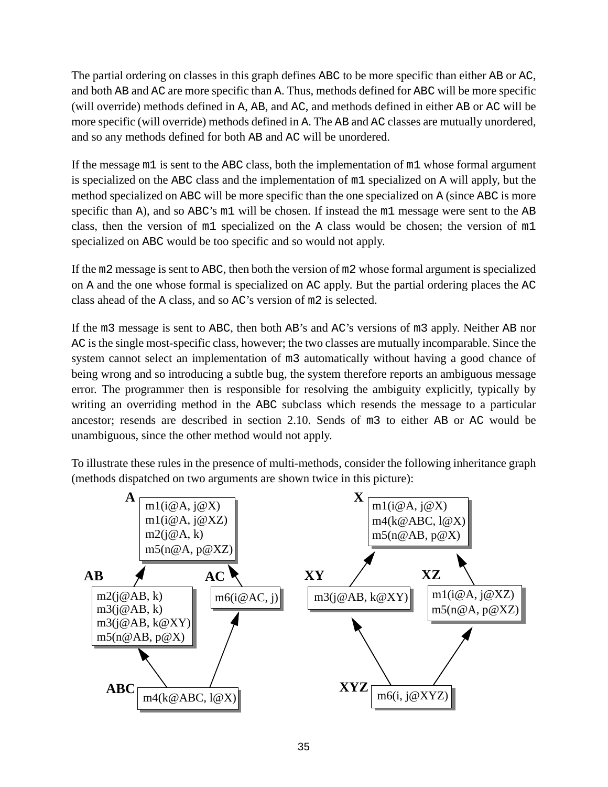The partial ordering on classes in this graph defines ABC to be more specific than either AB or AC, and both AB and AC are more specific than A. Thus, methods defined for ABC will be more specific (will override) methods defined in A, AB, and AC, and methods defined in either AB or AC will be more specific (will override) methods defined in A. The AB and AC classes are mutually unordered, and so any methods defined for both AB and AC will be unordered.

If the message m1 is sent to the ABC class, both the implementation of m1 whose formal argument is specialized on the ABC class and the implementation of m1 specialized on A will apply, but the method specialized on ABC will be more specific than the one specialized on A (since ABC is more specific than A), and so ABC's m1 will be chosen. If instead the m1 message were sent to the AB class, then the version of m1 specialized on the A class would be chosen; the version of m1 specialized on ABC would be too specific and so would not apply.

If the m2 message is sent to ABC, then both the version of m2 whose formal argument is specialized on A and the one whose formal is specialized on AC apply. But the partial ordering places the AC class ahead of the A class, and so AC's version of m2 is selected.

If the m3 message is sent to ABC, then both AB's and AC's versions of m3 apply. Neither AB nor AC is the single most-specific class, however; the two classes are mutually incomparable. Since the system cannot select an implementation of m3 automatically without having a good chance of being wrong and so introducing a subtle bug, the system therefore reports an ambiguous message error. The programmer then is responsible for resolving the ambiguity explicitly, typically by writing an overriding method in the ABC subclass which resends the message to a particular ancestor; resends are described in section [2.10](#page-37-0). Sends of m3 to either AB or AC would be unambiguous, since the other method would not apply.

To illustrate these rules in the presence of multi-methods, consider the following inheritance graph (methods dispatched on two arguments are shown twice in this picture):

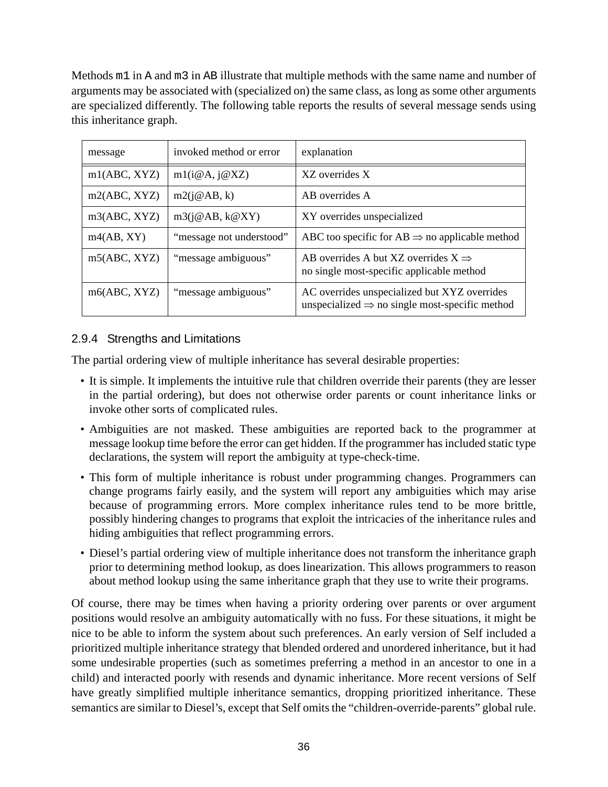<span id="page-35-0"></span>Methods m1 in A and m3 in AB illustrate that multiple methods with the same name and number of arguments may be associated with (specialized on) the same class, as long as some other arguments are specialized differently. The following table reports the results of several message sends using this inheritance graph.

| message      | invoked method or error  | explanation                                                                                                |
|--------------|--------------------------|------------------------------------------------------------------------------------------------------------|
| m1(ABC, XYZ) | m1(i@A, j@XZ)            | XZ overrides X                                                                                             |
| m2(ABC, XYZ) | m2(j@AB, k)              | AB overrides A                                                                                             |
| m3(ABC, XYZ) | m3(j@AB, k@XY)           | XY overrides unspecialized                                                                                 |
| m4(AB, XY)   | "message not understood" | ABC too specific for AB $\Rightarrow$ no applicable method                                                 |
| m5(ABC, XYZ) | "message ambiguous"      | AB overrides A but XZ overrides $X \implies$<br>no single most-specific applicable method                  |
| m6(ABC, XYZ) | "message ambiguous"      | AC overrides unspecialized but XYZ overrides<br>unspecialized $\Rightarrow$ no single most-specific method |

# 2.9.4 Strengths and Limitations

The partial ordering view of multiple inheritance has several desirable properties:

- It is simple. It implements the intuitive rule that children override their parents (they are lesser in the partial ordering), but does not otherwise order parents or count inheritance links or invoke other sorts of complicated rules.
- Ambiguities are not masked. These ambiguities are reported back to the programmer at message lookup time before the error can get hidden. If the programmer has included static type declarations, the system will report the ambiguity at type-check-time.
- This form of multiple inheritance is robust under programming changes. Programmers can change programs fairly easily, and the system will report any ambiguities which may arise because of programming errors. More complex inheritance rules tend to be more brittle, possibly hindering changes to programs that exploit the intricacies of the inheritance rules and hiding ambiguities that reflect programming errors.
- Diesel's partial ordering view of multiple inheritance does not transform the inheritance graph prior to determining method lookup, as does linearization. This allows programmers to reason about method lookup using the same inheritance graph that they use to write their programs.

Of course, there may be times when having a priority ordering over parents or over argument positions would resolve an ambiguity automatically with no fuss. For these situations, it might be nice to be able to inform the system about such preferences. An early version of Self included a prioritized multiple inheritance strategy that blended ordered and unordered inheritance, but it had some undesirable properties (such as sometimes preferring a method in an ancestor to one in a child) and interacted poorly with resends and dynamic inheritance. More recent versions of Self have greatly simplified multiple inheritance semantics, dropping prioritized inheritance. These semantics are similar to Diesel's, except that Self omits the "children-override-parents" global rule.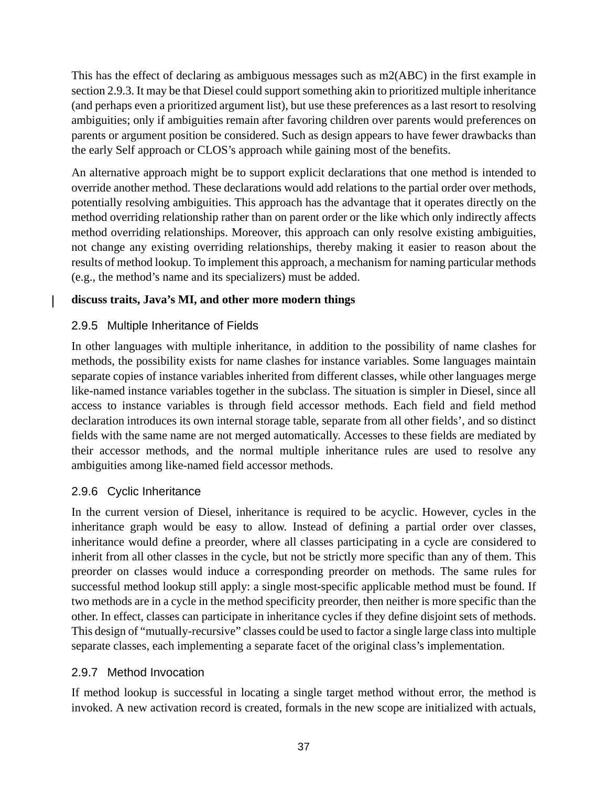This has the effect of declaring as ambiguous messages such as m2(ABC) in the first example in section [2.9.3](#page-33-0). It may be that Diesel could support something akin to prioritized multiple inheritance (and perhaps even a prioritized argument list), but use these preferences as a last resort to resolving ambiguities; only if ambiguities remain after favoring children over parents would preferences on parents or argument position be considered. Such as design appears to have fewer drawbacks than the early Self approach or CLOS's approach while gaining most of the benefits.

An alternative approach might be to support explicit declarations that one method is intended to override another method. These declarations would add relations to the partial order over methods, potentially resolving ambiguities. This approach has the advantage that it operates directly on the method overriding relationship rather than on parent order or the like which only indirectly affects method overriding relationships. Moreover, this approach can only resolve existing ambiguities, not change any existing overriding relationships, thereby making it easier to reason about the results of method lookup. To implement this approach, a mechanism for naming particular methods (e.g., the method's name and its specializers) must be added.

### **discuss traits, Java's MI, and other more modern things**

## 2.9.5 Multiple Inheritance of Fields

 $\mathbf l$ 

In other languages with multiple inheritance, in addition to the possibility of name clashes for methods, the possibility exists for name clashes for instance variables. Some languages maintain separate copies of instance variables inherited from different classes, while other languages merge like-named instance variables together in the subclass. The situation is simpler in Diesel, since all access to instance variables is through field accessor methods. Each field and field method declaration introduces its own internal storage table, separate from all other fields', and so distinct fields with the same name are not merged automatically. Accesses to these fields are mediated by their accessor methods, and the normal multiple inheritance rules are used to resolve any ambiguities among like-named field accessor methods.

## 2.9.6 Cyclic Inheritance

In the current version of Diesel, inheritance is required to be acyclic. However, cycles in the inheritance graph would be easy to allow. Instead of defining a partial order over classes, inheritance would define a preorder, where all classes participating in a cycle are considered to inherit from all other classes in the cycle, but not be strictly more specific than any of them. This preorder on classes would induce a corresponding preorder on methods. The same rules for successful method lookup still apply: a single most-specific applicable method must be found. If two methods are in a cycle in the method specificity preorder, then neither is more specific than the other. In effect, classes can participate in inheritance cycles if they define disjoint sets of methods. This design of "mutually-recursive" classes could be used to factor a single large classinto multiple separate classes, each implementing a separate facet of the original class's implementation.

### 2.9.7 Method Invocation

If method lookup is successful in locating a single target method without error, the method is invoked. A new activation record is created, formals in the new scope are initialized with actuals,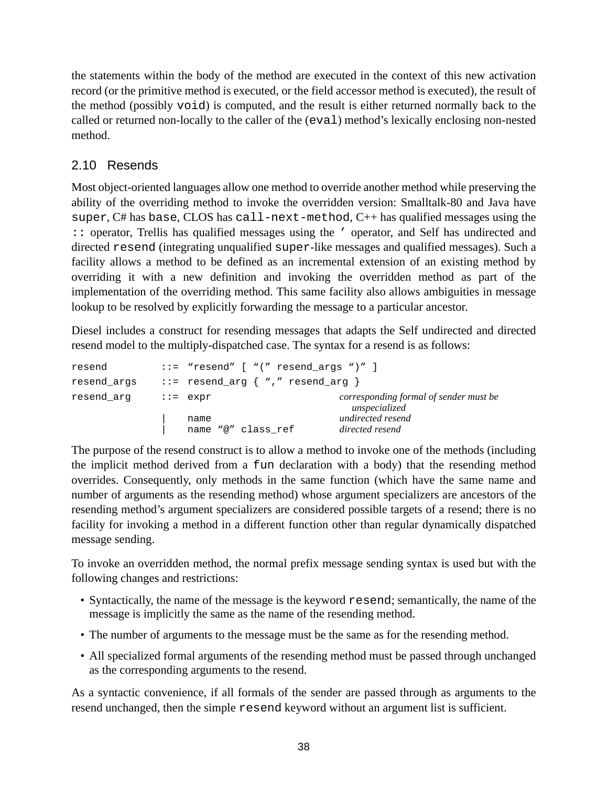the statements within the body of the method are executed in the context of this new activation record (or the primitive method is executed, or the field accessor method is executed), the result of the method (possibly void) is computed, and the result is either returned normally back to the called or returned non-locally to the caller of the (eval) method's lexically enclosing non-nested method.

## 2.10 Resends

Most object-oriented languages allow one method to override another method while preserving the ability of the overriding method to invoke the overridden version: Smalltalk-80 and Java have super, C# has base, CLOS has call-next-method, C++ has qualified messages using the :: operator, Trellis has qualified messages using the ' operator, and Self has undirected and directed resend (integrating unqualified super-like messages and qualified messages). Such a facility allows a method to be defined as an incremental extension of an existing method by overriding it with a new definition and invoking the overridden method as part of the implementation of the overriding method. This same facility also allows ambiguities in message lookup to be resolved by explicitly forwarding the message to a particular ancestor.

Diesel includes a construct for resending messages that adapts the Self undirected and directed resend model to the multiply-dispatched case. The syntax for a resend is as follows:

| resend      | $::=$ "resend" $[$ " $($ " resend args " $)$ " ] |                                                         |
|-------------|--------------------------------------------------|---------------------------------------------------------|
| resend args | $::=$ resend_arg $\{$ "," resend_arg $\}$        |                                                         |
| resend arg  | $:=$ $expr$                                      | corresponding formal of sender must be<br>unspecialized |
|             | name<br>name "@" class ref                       | undirected resend<br>directed resend                    |
|             |                                                  |                                                         |

The purpose of the resend construct is to allow a method to invoke one of the methods (including the implicit method derived from a fun declaration with a body) that the resending method overrides. Consequently, only methods in the same function (which have the same name and number of arguments as the resending method) whose argument specializers are ancestors of the resending method's argument specializers are considered possible targets of a resend; there is no facility for invoking a method in a different function other than regular dynamically dispatched message sending.

To invoke an overridden method, the normal prefix message sending syntax is used but with the following changes and restrictions:

- Syntactically, the name of the message is the keyword resend; semantically, the name of the message is implicitly the same as the name of the resending method.
- The number of arguments to the message must be the same as for the resending method.
- All specialized formal arguments of the resending method must be passed through unchanged as the corresponding arguments to the resend.

As a syntactic convenience, if all formals of the sender are passed through as arguments to the resend unchanged, then the simple resend keyword without an argument list is sufficient.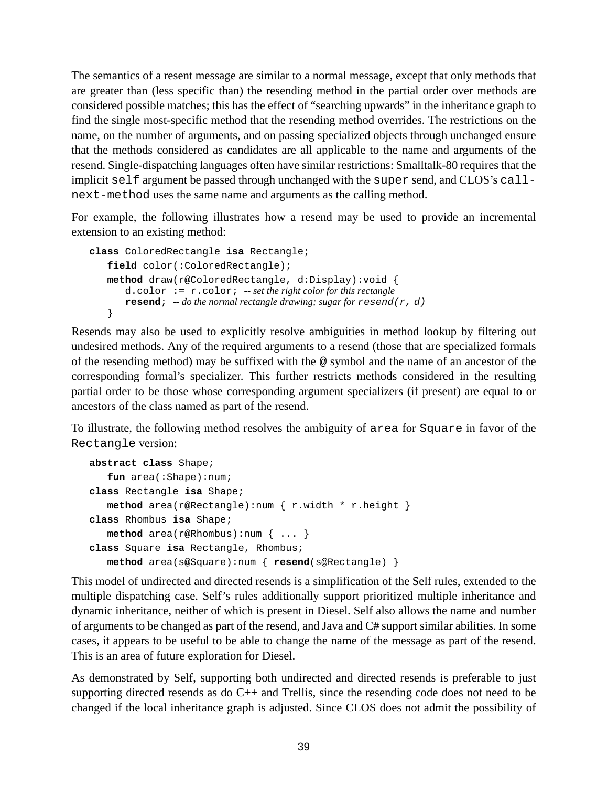The semantics of a resent message are similar to a normal message, except that only methods that are greater than (less specific than) the resending method in the partial order over methods are considered possible matches; this has the effect of "searching upwards" in the inheritance graph to find the single most-specific method that the resending method overrides. The restrictions on the name, on the number of arguments, and on passing specialized objects through unchanged ensure that the methods considered as candidates are all applicable to the name and arguments of the resend. Single-dispatching languages often have similar restrictions: Smalltalk-80 requires that the implicit self argument be passed through unchanged with the super send, and CLOS's callnext-method uses the same name and arguments as the calling method.

For example, the following illustrates how a resend may be used to provide an incremental extension to an existing method:

```
class ColoredRectangle isa Rectangle;
   field color(:ColoredRectangle);
   method draw(r@ColoredRectangle, d:Display):void {
      d.color := r.color; -- set the right color for this rectangle
      resend; -- do the normal rectangle drawing; sugar for resend(r, d)
   }
```
Resends may also be used to explicitly resolve ambiguities in method lookup by filtering out undesired methods. Any of the required arguments to a resend (those that are specialized formals of the resending method) may be suffixed with the @ symbol and the name of an ancestor of the corresponding formal's specializer. This further restricts methods considered in the resulting partial order to be those whose corresponding argument specializers (if present) are equal to or ancestors of the class named as part of the resend.

To illustrate, the following method resolves the ambiguity of area for Square in favor of the Rectangle version:

```
abstract class Shape;
   fun area(:Shape):num;
class Rectangle isa Shape;
  method area(r@Rectangle):num { r.width * r.height }
class Rhombus isa Shape;
  method area(r@Rhombus):num { ... }
class Square isa Rectangle, Rhombus;
  method area(s@Square):num { resend(s@Rectangle) }
```
This model of undirected and directed resends is a simplification of the Self rules, extended to the multiple dispatching case. Self's rules additionally support prioritized multiple inheritance and dynamic inheritance, neither of which is present in Diesel. Self also allows the name and number of arguments to be changed as part of the resend, and Java and C# support similar abilities. In some cases, it appears to be useful to be able to change the name of the message as part of the resend. This is an area of future exploration for Diesel.

As demonstrated by Self, supporting both undirected and directed resends is preferable to just supporting directed resends as do C++ and Trellis, since the resending code does not need to be changed if the local inheritance graph is adjusted. Since CLOS does not admit the possibility of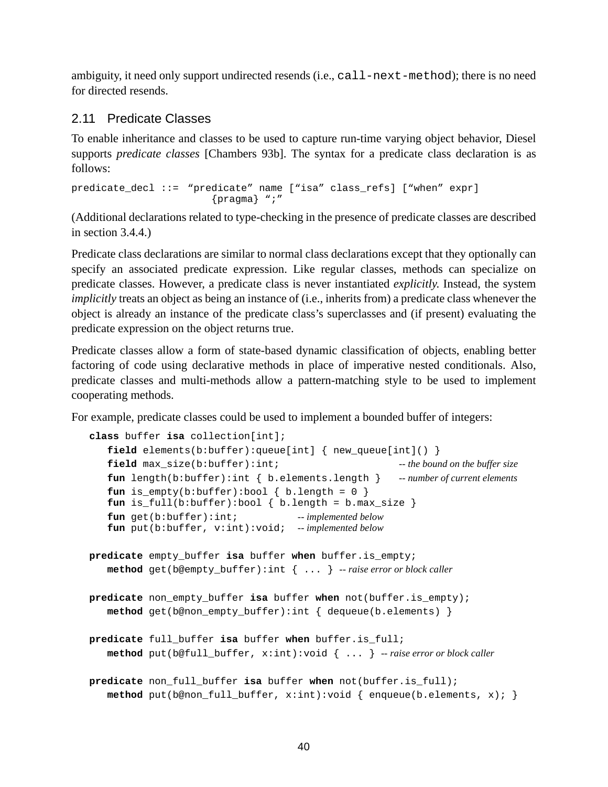<span id="page-39-0"></span>ambiguity, it need only support undirected resends (i.e., call-next-method); there is no need for directed resends.

## 2.11 Predicate Classes

To enable inheritance and classes to be used to capture run-time varying object behavior, Diesel supports *predicate classes* [Chambers 93b]. The syntax for a predicate class declaration is as follows:

predicate\_decl ::= "predicate" name ["isa" class\_refs] ["when" expr] {pragma} ";"

(Additional declarations related to type-checking in the presence of predicate classes are described in section [3.4.4](#page-55-0).)

Predicate class declarations are similar to normal class declarations except that they optionally can specify an associated predicate expression. Like regular classes, methods can specialize on predicate classes. However, a predicate class is never instantiated *explicitly*. Instead, the system *implicitly* treats an object as being an instance of (i.e., inherits from) a predicate class whenever the object is already an instance of the predicate class's superclasses and (if present) evaluating the predicate expression on the object returns true.

Predicate classes allow a form of state-based dynamic classification of objects, enabling better factoring of code using declarative methods in place of imperative nested conditionals. Also, predicate classes and multi-methods allow a pattern-matching style to be used to implement cooperating methods.

For example, predicate classes could be used to implement a bounded buffer of integers:

```
class buffer isa collection[int];
   field elements(b:buffer):queue[int] { new queue[int]() }
   field max_size(b:buffer):int; -- the bound on the buffer size
   fun length(b:buffer):int { b.elements.length } -- number of current elements
   fun is_empty(b:buffer):bool \{ b.length = 0 \}fun is_full(b:buffer):bool \{ b.length = b.max_size \}fun get(b:buffer):int; -- implemented below
   fun put(b:buffer, v:int):void; -- implemented below
predicate empty_buffer isa buffer when buffer.is_empty;
  method get(b@empty_buffer):int { ... } -- raise error or block caller
predicate non_empty_buffer isa buffer when not(buffer.is_empty);
  method get(b@non_empty_buffer):int { dequeue(b.elements) }
predicate full_buffer isa buffer when buffer.is_full;
  method put(b@full_buffer, x:int):void { ... } -- raise error or block caller
predicate non_full_buffer isa buffer when not(buffer.is_full);
  method put(b@non_full_buffer, x:int):void { enqueue(b.elements, x); }
```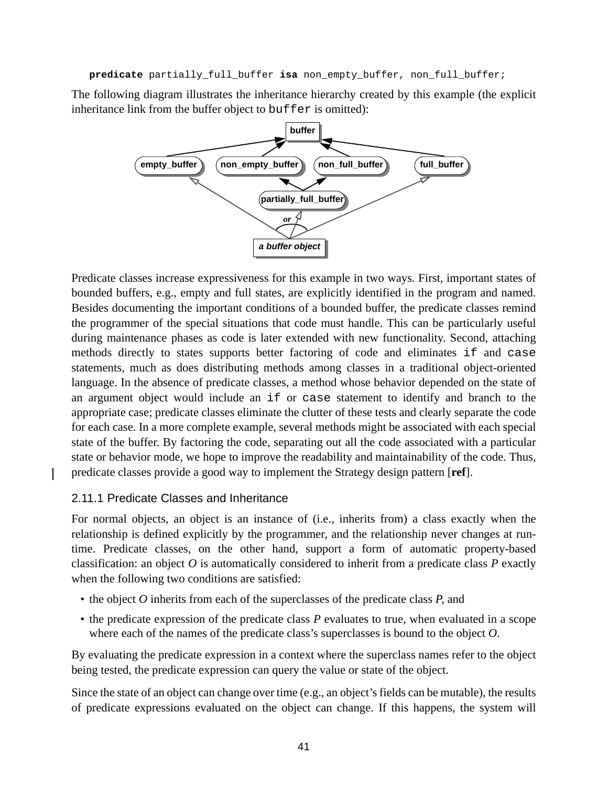**predicate** partially\_full\_buffer **isa** non\_empty\_buffer, non\_full\_buffer;

The following diagram illustrates the inheritance hierarchy created by this example (the explicit inheritance link from the buffer object to buffer is omitted):



Predicate classes increase expressiveness for this example in two ways. First, important states of bounded buffers, e.g., empty and full states, are explicitly identified in the program and named. Besides documenting the important conditions of a bounded buffer, the predicate classes remind the programmer of the special situations that code must handle. This can be particularly useful during maintenance phases as code is later extended with new functionality. Second, attaching methods directly to states supports better factoring of code and eliminates if and case statements, much as does distributing methods among classes in a traditional object-oriented language. In the absence of predicate classes, a method whose behavior depended on the state of an argument object would include an if or case statement to identify and branch to the appropriate case; predicate classes eliminate the clutter of these tests and clearly separate the code for each case. In a more complete example, several methods might be associated with each special state of the buffer. By factoring the code, separating out all the code associated with a particular state or behavior mode, we hope to improve the readability and maintainability of the code. Thus, predicate classes provide a good way to implement the Strategy design pattern [**ref**].

#### 2.11.1 Predicate Classes and Inheritance

For normal objects, an object is an instance of (i.e., inherits from) a class exactly when the relationship is defined explicitly by the programmer, and the relationship never changes at runtime. Predicate classes, on the other hand, support a form of automatic property-based classification: an object *O* is automatically considered to inherit from a predicate class *P* exactly when the following two conditions are satisfied:

- the object *O* inherits from each of the superclasses of the predicate class *P*, and
- the predicate expression of the predicate class *P* evaluates to true, when evaluated in a scope where each of the names of the predicate class's superclasses is bound to the object *O*.

By evaluating the predicate expression in a context where the superclass names refer to the object being tested, the predicate expression can query the value or state of the object.

Since the state of an object can change over time (e.g., an object's fields can be mutable), the results of predicate expressions evaluated on the object can change. If this happens, the system will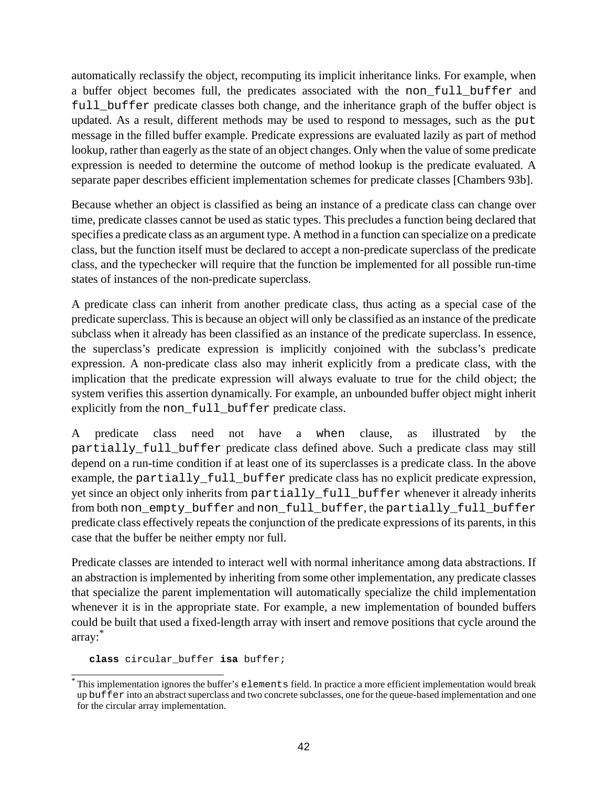automatically reclassify the object, recomputing its implicit inheritance links. For example, when a buffer object becomes full, the predicates associated with the non-full buffer and full buffer predicate classes both change, and the inheritance graph of the buffer object is updated. As a result, different methods may be used to respond to messages, such as the put message in the filled buffer example. Predicate expressions are evaluated lazily as part of method lookup, rather than eagerly as the state of an object changes. Only when the value of some predicate expression is needed to determine the outcome of method lookup is the predicate evaluated. A separate paper describes efficient implementation schemes for predicate classes [Chambers 93b].

Because whether an object is classified as being an instance of a predicate class can change over time, predicate classes cannot be used as static types. This precludes a function being declared that specifies a predicate class as an argument type. A method in a function can specialize on a predicate class, but the function itself must be declared to accept a non-predicate superclass of the predicate class, and the typechecker will require that the function be implemented for all possible run-time states of instances of the non-predicate superclass.

A predicate class can inherit from another predicate class, thus acting as a special case of the predicate superclass. This is because an object will only be classified as an instance of the predicate subclass when it already has been classified as an instance of the predicate superclass. In essence, the superclass's predicate expression is implicitly conjoined with the subclass's predicate expression. A non-predicate class also may inherit explicitly from a predicate class, with the implication that the predicate expression will always evaluate to true for the child object; the system verifies this assertion dynamically. For example, an unbounded buffer object might inherit explicitly from the non\_full\_buffer predicate class.

A predicate class need not have a when clause, as illustrated by the partially full buffer predicate class defined above. Such a predicate class may still depend on a run-time condition if at least one of its superclasses is a predicate class. In the above example, the partially\_full\_buffer predicate class has no explicit predicate expression, yet since an object only inherits from partially\_full\_buffer whenever it already inherits from both non\_empty\_buffer and non\_full\_buffer, the partially\_full\_buffer predicate class effectively repeats the conjunction of the predicate expressions of its parents, in this case that the buffer be neither empty nor full.

Predicate classes are intended to interact well with normal inheritance among data abstractions. If an abstraction is implemented by inheriting from some other implementation, any predicate classes that specialize the parent implementation will automatically specialize the child implementation whenever it is in the appropriate state. For example, a new implementation of bounded buffers could be built that used a fixed-length array with insert and remove positions that cycle around the array: \*

**class** circular\_buffer **isa** buffer;

<sup>\*</sup> This implementation ignores the buffer's elements field. In practice a more efficient implementation would break up buffer into an abstract superclass and two concrete subclasses, one for the queue-based implementation and one for the circular array implementation.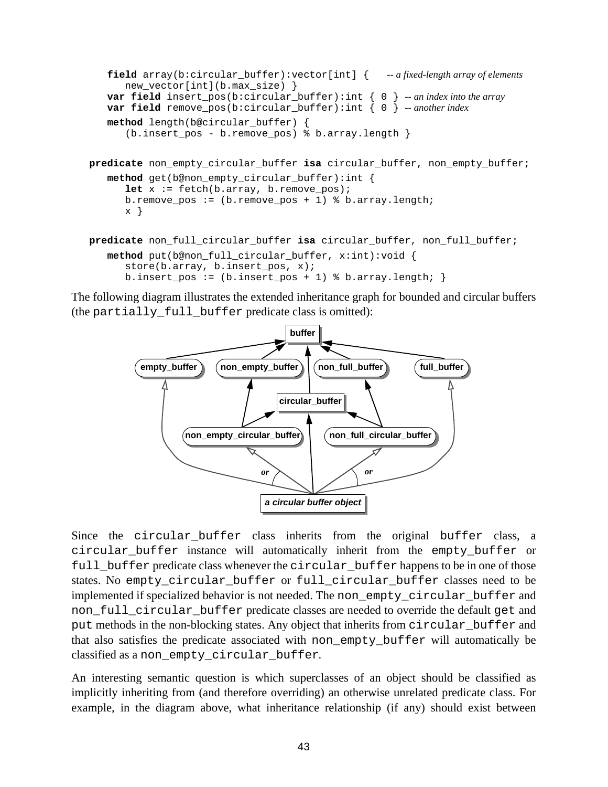```
field array(b:circular_buffer):vector[int] { -- a fixed-length array of elements
      new vector[int](b.max size) }
   var field insert_pos(b:circular_buffer):int { 0 } -- an index into the array
   var field remove_pos(b:circular_buffer):int { 0 } -- another index
   method length(b@circular_buffer) {
      (b.insert pos - b.remove pos) \delta b.array.length \}predicate non_empty_circular_buffer isa circular_buffer, non_empty_buffer;
   method get(b@non_empty_circular_buffer):int {
      let x := fetch(b.array, b.remove_pos);
      b.remove_pos := (b.remove_pos + 1) % b.array.length;
      x }
predicate non_full_circular_buffer isa circular_buffer, non_full_buffer;
   method put(b@non_full_circular_buffer, x:int):void {
      store(b.array, b.insert_pos, x);
      b.insert_pos := (b.insert_pos + 1) % b.array.length; }
```
The following diagram illustrates the extended inheritance graph for bounded and circular buffers (the partially full buffer predicate class is omitted):



Since the circular\_buffer class inherits from the original buffer class, a circular\_buffer instance will automatically inherit from the empty\_buffer or full buffer predicate class whenever the circular buffer happens to be in one of those states. No empty\_circular\_buffer or full\_circular\_buffer classes need to be implemented if specialized behavior is not needed. The non\_empty\_circular\_buffer and non full circular buffer predicate classes are needed to override the default get and put methods in the non-blocking states. Any object that inherits from circular\_buffer and that also satisfies the predicate associated with non\_empty\_buffer will automatically be classified as a non\_empty\_circular\_buffer.

An interesting semantic question is which superclasses of an object should be classified as implicitly inheriting from (and therefore overriding) an otherwise unrelated predicate class. For example, in the diagram above, what inheritance relationship (if any) should exist between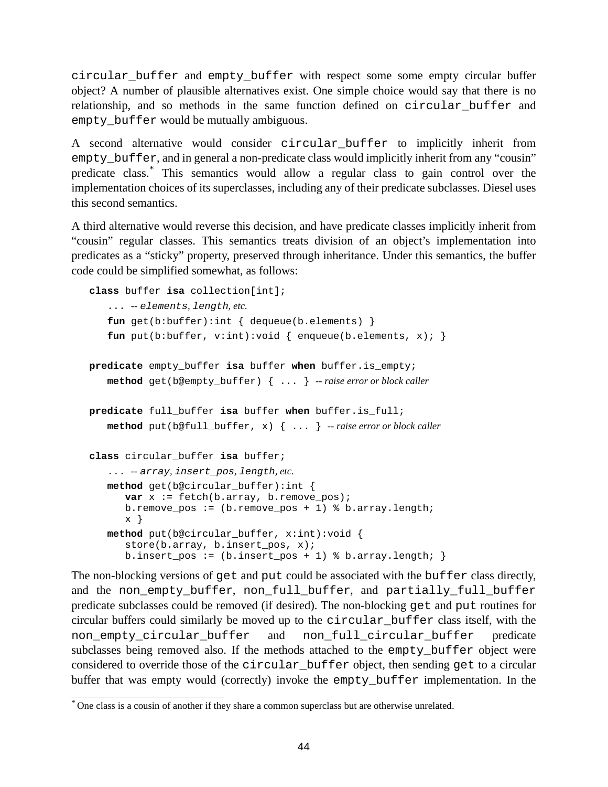circular\_buffer and empty\_buffer with respect some some empty circular buffer object? A number of plausible alternatives exist. One simple choice would say that there is no relationship, and so methods in the same function defined on circular\_buffer and empty\_buffer would be mutually ambiguous.

A second alternative would consider circular\_buffer to implicitly inherit from empty\_buffer, and in general a non-predicate class would implicitly inherit from any "cousin" predicate class. \* This semantics would allow a regular class to gain control over the implementation choices of its superclasses, including any of their predicate subclasses. Diesel uses this second semantics.

A third alternative would reverse this decision, and have predicate classes implicitly inherit from "cousin" regular classes. This semantics treats division of an object's implementation into predicates as a "sticky" property, preserved through inheritance. Under this semantics, the buffer code could be simplified somewhat, as follows:

```
class buffer isa collection[int];
   ... -- elements, length, etc.
   fun get(b:buffer):int { dequeue(b.elements) }
   fun put(b:buffer, v:int):void { enqueue(b.elements, x); }
predicate empty_buffer isa buffer when buffer.is_empty;
   method get(b@empty_buffer) { ... } -- raise error or block caller
predicate full_buffer isa buffer when buffer.is_full;
   method put(b@full_buffer, x) { ... } -- raise error or block caller
class circular_buffer isa buffer;
   ... -- array, insert_pos, length, etc.
   method get(b@circular_buffer):int {
      var x := fetch(b.array, b.remove_pos);
      b.remove_pos := (b.remove_pos + 1) % b.array.length;
      x }
   method put(b@circular_buffer, x:int):void {
      store(b.array, b.insert pos, x);
      b.insert_pos := (b.insert\_pos + 1) % b.array.length; }
```
The non-blocking versions of get and put could be associated with the buffer class directly, and the non\_empty\_buffer, non\_full\_buffer, and partially\_full\_buffer predicate subclasses could be removed (if desired). The non-blocking get and put routines for circular buffers could similarly be moved up to the circular\_buffer class itself, with the non\_empty\_circular\_buffer and non\_full\_circular\_buffer predicate subclasses being removed also. If the methods attached to the empty\_buffer object were considered to override those of the circular\_buffer object, then sending get to a circular buffer that was empty would (correctly) invoke the empty\_buffer implementation. In the

<sup>\*</sup> One class is a cousin of another if they share a common superclass but are otherwise unrelated.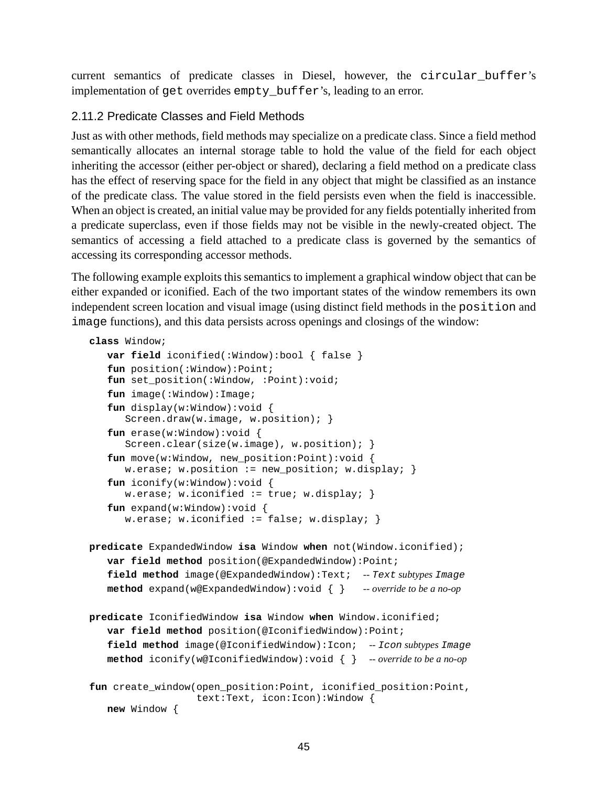current semantics of predicate classes in Diesel, however, the circular\_buffer's implementation of get overrides empty buffer's, leading to an error.

### 2.11.2 Predicate Classes and Field Methods

Just as with other methods, field methods may specialize on a predicate class. Since a field method semantically allocates an internal storage table to hold the value of the field for each object inheriting the accessor (either per-object or shared), declaring a field method on a predicate class has the effect of reserving space for the field in any object that might be classified as an instance of the predicate class. The value stored in the field persists even when the field is inaccessible. When an object is created, an initial value may be provided for any fields potentially inherited from a predicate superclass, even if those fields may not be visible in the newly-created object. The semantics of accessing a field attached to a predicate class is governed by the semantics of accessing its corresponding accessor methods.

The following example exploits this semantics to implement a graphical window object that can be either expanded or iconified. Each of the two important states of the window remembers its own independent screen location and visual image (using distinct field methods in the position and image functions), and this data persists across openings and closings of the window:

```
class Window;
```

```
var field iconified(:Window):bool { false }
fun position(:Window):Point;
fun set_position(:Window, :Point):void;
fun image(:Window):Image;
fun display(w:Window):void {
   Screen.draw(w.image, w.position); }
fun erase(w:Window):void {
   Screen.clear(size(w.image), w.position); }
fun move(w:Window, new_position:Point):void {
   w.erase; w.position := new_position; w.display; \}fun iconify(w:Window):void {
   w.erase; w.iconified := true; w.display; }
fun expand(w:Window):void {
   w.erase; w.iconified := false; w.display; \}
```

```
predicate ExpandedWindow isa Window when not(Window.iconified);
   var field method position(@ExpandedWindow):Point;
   field method image(@ExpandedWindow):Text; -- Text subtypes Image
   method expand(w@ExpandedWindow):void { } -- override to be a no-op
```

```
predicate IconifiedWindow isa Window when Window.iconified;
   var field method position(@IconifiedWindow):Point;
   field method image(@IconifiedWindow):Icon; -- Icon subtypes Image
   method iconify(w@IconifiedWindow):void { } -- override to be a no-op
fun create window(open position:Point, iconified position:Point,
                  text:Text, icon:Icon):Window {
```

```
new Window {
```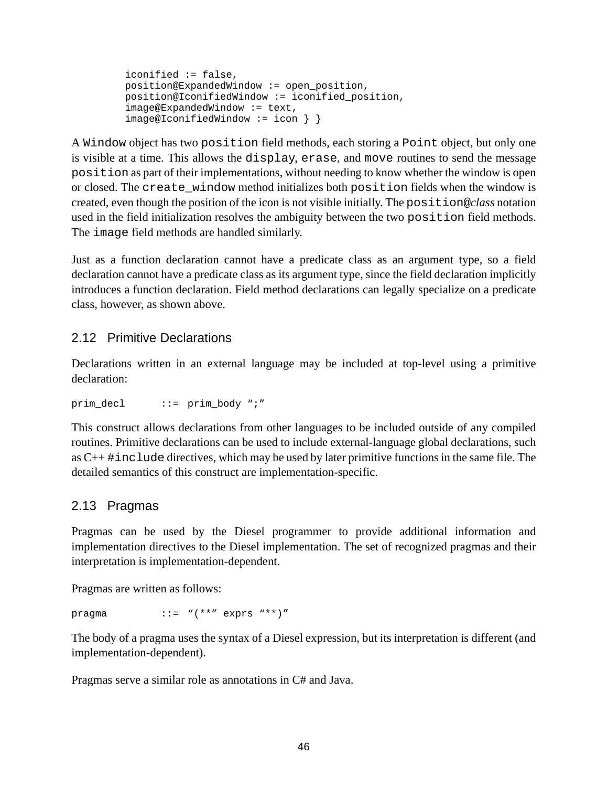```
iconified := false,
position@ExpandedWindow := open_position,
position@IconifiedWindow := iconified_position,
image@ExpandedWindow := text,
image@IconifiedWindow := icon } }
```
A Window object has two position field methods, each storing a Point object, but only one is visible at a time. This allows the display, erase, and move routines to send the message position as part of their implementations, without needing to know whether the window is open or closed. The create\_window method initializes both position fields when the window is created, even though the position of the icon is not visible initially. The position@*class* notation used in the field initialization resolves the ambiguity between the two position field methods. The image field methods are handled similarly.

Just as a function declaration cannot have a predicate class as an argument type, so a field declaration cannot have a predicate class as its argument type, since the field declaration implicitly introduces a function declaration. Field method declarations can legally specialize on a predicate class, however, as shown above.

### 2.12 Primitive Declarations

Declarations written in an external language may be included at top-level using a primitive declaration:

prim  $decl$  ::= prim  $body "i"$ 

This construct allows declarations from other languages to be included outside of any compiled routines. Primitive declarations can be used to include external-language global declarations, such as  $C_{++}$ #include directives, which may be used by later primitive functions in the same file. The detailed semantics of this construct are implementation-specific.

### 2.13 Pragmas

Pragmas can be used by the Diesel programmer to provide additional information and implementation directives to the Diesel implementation. The set of recognized pragmas and their interpretation is implementation-dependent.

Pragmas are written as follows:

pragma  $::="w(**" exprs "**)"$ 

The body of a pragma uses the syntax of a Diesel expression, but its interpretation is different (and implementation-dependent).

Pragmas serve a similar role as annotations in C# and Java.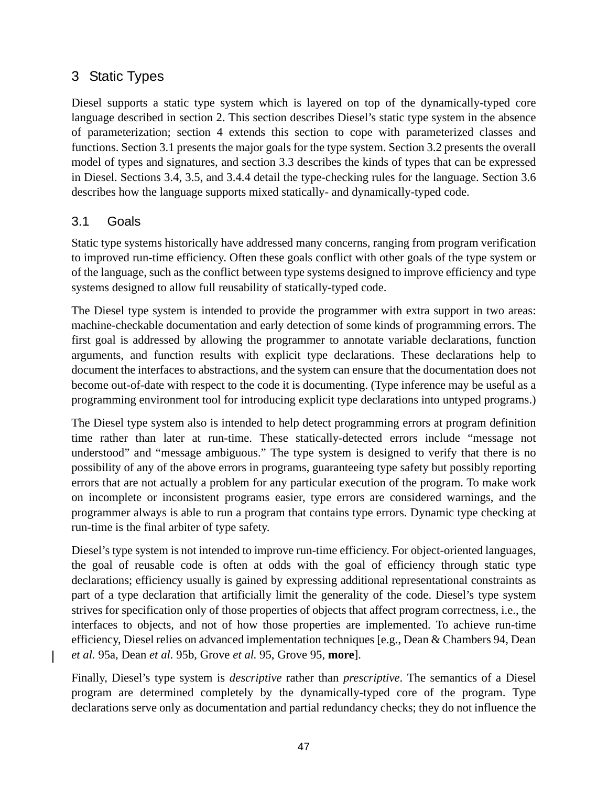# 3 Static Types

Diesel supports a static type system which is layered on top of the dynamically-typed core language described in section [2.](#page-6-0) This section describes Diesel's static type system in the absence of parameterization; section [4](#page-66-0) extends this section to cope with parameterized classes and functions. Section 3.1 presents the major goals for the type system. Section [3.2](#page-47-0) presents the overall model of types and signatures, and section [3.3](#page-49-0) describes the kinds of types that can be expressed in Diesel. Sections [3.4,](#page-51-0) [3.5,](#page-57-0) and [3.4.4](#page-55-0) detail the type-checking rules for the language. Section [3.6](#page-63-0) describes how the language supports mixed statically- and dynamically-typed code.

## 3.1 Goals

Static type systems historically have addressed many concerns, ranging from program verification to improved run-time efficiency. Often these goals conflict with other goals of the type system or of the language, such as the conflict between type systems designed to improve efficiency and type systems designed to allow full reusability of statically-typed code.

The Diesel type system is intended to provide the programmer with extra support in two areas: machine-checkable documentation and early detection of some kinds of programming errors. The first goal is addressed by allowing the programmer to annotate variable declarations, function arguments, and function results with explicit type declarations. These declarations help to document the interfaces to abstractions, and the system can ensure that the documentation does not become out-of-date with respect to the code it is documenting. (Type inference may be useful as a programming environment tool for introducing explicit type declarations into untyped programs.)

The Diesel type system also is intended to help detect programming errors at program definition time rather than later at run-time. These statically-detected errors include "message not understood" and "message ambiguous." The type system is designed to verify that there is no possibility of any of the above errors in programs, guaranteeing type safety but possibly reporting errors that are not actually a problem for any particular execution of the program. To make work on incomplete or inconsistent programs easier, type errors are considered warnings, and the programmer always is able to run a program that contains type errors. Dynamic type checking at run-time is the final arbiter of type safety.

Diesel's type system is not intended to improve run-time efficiency. For object-oriented languages, the goal of reusable code is often at odds with the goal of efficiency through static type declarations; efficiency usually is gained by expressing additional representational constraints as part of a type declaration that artificially limit the generality of the code. Diesel's type system strives for specification only of those properties of objects that affect program correctness, i.e., the interfaces to objects, and not of how those properties are implemented. To achieve run-time efficiency, Diesel relies on advanced implementation techniques [e.g., Dean & Chambers 94, Dean *et al.* 95a, Dean *et al.* 95b, Grove *et al.* 95, Grove 95, **more**].

Finally, Diesel's type system is *descriptive* rather than *prescriptive*. The semantics of a Diesel program are determined completely by the dynamically-typed core of the program. Type declarations serve only as documentation and partial redundancy checks; they do not influence the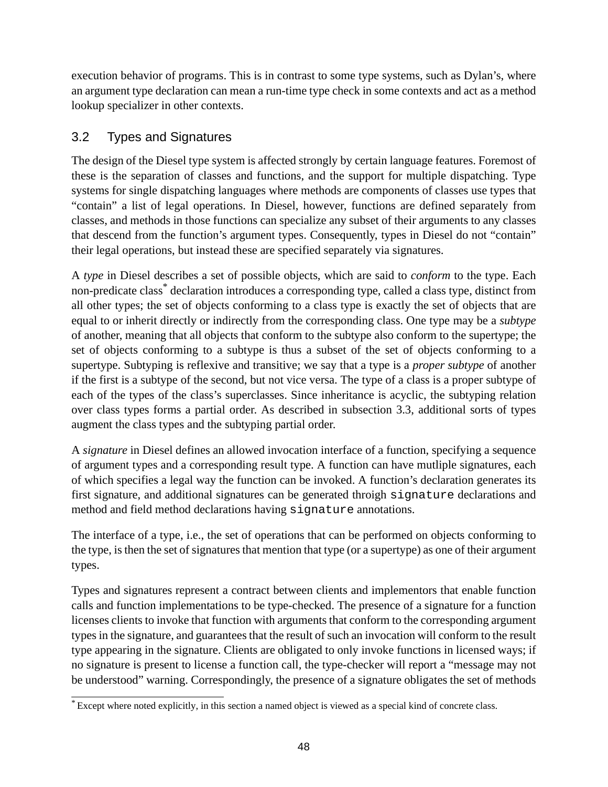<span id="page-47-0"></span>execution behavior of programs. This is in contrast to some type systems, such as Dylan's, where an argument type declaration can mean a run-time type check in some contexts and act as a method lookup specializer in other contexts.

# 3.2 Types and Signatures

The design of the Diesel type system is affected strongly by certain language features. Foremost of these is the separation of classes and functions, and the support for multiple dispatching. Type systems for single dispatching languages where methods are components of classes use types that "contain" a list of legal operations. In Diesel, however, functions are defined separately from classes, and methods in those functions can specialize any subset of their arguments to any classes that descend from the function's argument types. Consequently, types in Diesel do not "contain" their legal operations, but instead these are specified separately via signatures.

A *type* in Diesel describes a set of possible objects, which are said to *conform* to the type. Each non-predicate class \* declaration introduces a corresponding type, called a class type, distinct from all other types; the set of objects conforming to a class type is exactly the set of objects that are equal to or inherit directly or indirectly from the corresponding class. One type may be a *subtype* of another, meaning that all objects that conform to the subtype also conform to the supertype; the set of objects conforming to a subtype is thus a subset of the set of objects conforming to a supertype. Subtyping is reflexive and transitive; we say that a type is a *proper subtype* of another if the first is a subtype of the second, but not vice versa. The type of a class is a proper subtype of each of the types of the class's superclasses. Since inheritance is acyclic, the subtyping relation over class types forms a partial order. As described in subsection [3.3](#page-49-0), additional sorts of types augment the class types and the subtyping partial order.

A *signature* in Diesel defines an allowed invocation interface of a function, specifying a sequence of argument types and a corresponding result type. A function can have mutliple signatures, each of which specifies a legal way the function can be invoked. A function's declaration generates its first signature, and additional signatures can be generated throigh signature declarations and method and field method declarations having signature annotations.

The interface of a type, i.e., the set of operations that can be performed on objects conforming to the type, isthen the set of signatures that mention that type (or a supertype) as one of their argument types.

Types and signatures represent a contract between clients and implementors that enable function calls and function implementations to be type-checked. The presence of a signature for a function licenses clients to invoke that function with arguments that conform to the corresponding argument types in the signature, and guarantees that the result of such an invocation will conform to the result type appearing in the signature. Clients are obligated to only invoke functions in licensed ways; if no signature is present to license a function call, the type-checker will report a "message may not be understood" warning. Correspondingly, the presence of a signature obligates the set of methods

<sup>\*</sup> Except where noted explicitly, in this section a named object is viewed as a special kind of concrete class.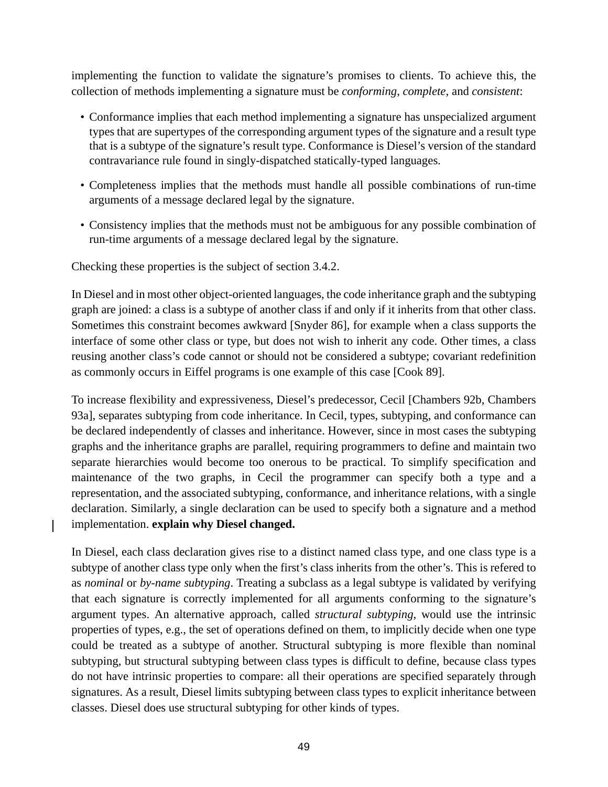implementing the function to validate the signature's promises to clients. To achieve this, the collection of methods implementing a signature must be *conforming*, *complete*, and *consistent*:

- Conformance implies that each method implementing a signature has unspecialized argument types that are supertypes of the corresponding argument types of the signature and a result type that is a subtype of the signature's result type. Conformance is Diesel's version of the standard contravariance rule found in singly-dispatched statically-typed languages.
- Completeness implies that the methods must handle all possible combinations of run-time arguments of a message declared legal by the signature.
- Consistency implies that the methods must not be ambiguous for any possible combination of run-time arguments of a message declared legal by the signature.

Checking these properties is the subject of section [3.4.2](#page-52-0).

 $\mathbf l$ 

In Diesel and in most other object-oriented languages, the code inheritance graph and the subtyping graph are joined: a class is a subtype of another class if and only if it inherits from that other class. Sometimes this constraint becomes awkward [Snyder 86], for example when a class supports the interface of some other class or type, but does not wish to inherit any code. Other times, a class reusing another class's code cannot or should not be considered a subtype; covariant redefinition as commonly occurs in Eiffel programs is one example of this case [Cook 89].

To increase flexibility and expressiveness, Diesel's predecessor, Cecil [Chambers 92b, Chambers 93a], separates subtyping from code inheritance. In Cecil, types, subtyping, and conformance can be declared independently of classes and inheritance. However, since in most cases the subtyping graphs and the inheritance graphs are parallel, requiring programmers to define and maintain two separate hierarchies would become too onerous to be practical. To simplify specification and maintenance of the two graphs, in Cecil the programmer can specify both a type and a representation, and the associated subtyping, conformance, and inheritance relations, with a single declaration. Similarly, a single declaration can be used to specify both a signature and a method implementation. **explain why Diesel changed.**

In Diesel, each class declaration gives rise to a distinct named class type, and one class type is a subtype of another class type only when the first's class inherits from the other's. This is refered to as *nominal* or *by-name subtyping*. Treating a subclass as a legal subtype is validated by verifying that each signature is correctly implemented for all arguments conforming to the signature's argument types. An alternative approach, called *structural subtyping*, would use the intrinsic properties of types, e.g., the set of operations defined on them, to implicitly decide when one type could be treated as a subtype of another. Structural subtyping is more flexible than nominal subtyping, but structural subtyping between class types is difficult to define, because class types do not have intrinsic properties to compare: all their operations are specified separately through signatures. As a result, Diesel limits subtyping between class types to explicit inheritance between classes. Diesel does use structural subtyping for other kinds of types.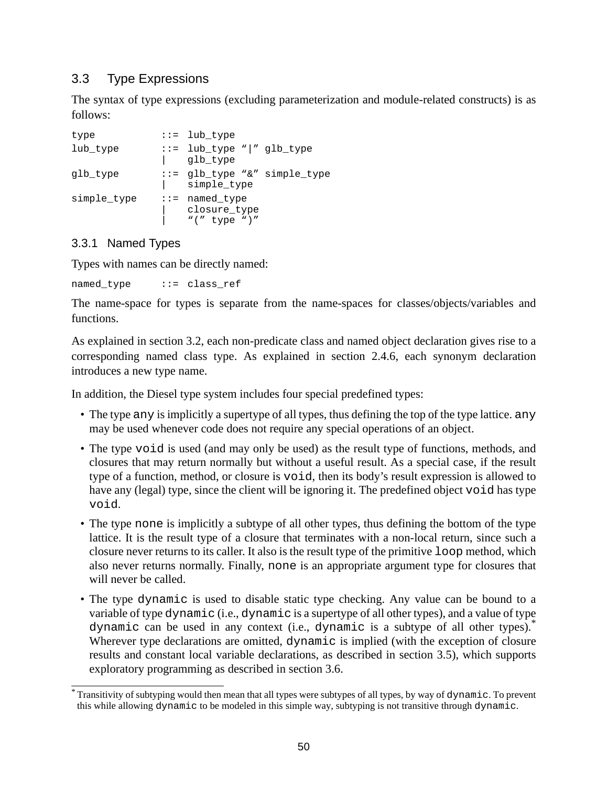# <span id="page-49-0"></span>3.3 Type Expressions

The syntax of type expressions (excluding parameterization and module-related constructs) is as follows:

```
type \cdots ::= lub_type
lub type ::= lub_type "|" glb_type
             | glb_type
glb_type ::= glb_type "&" simple_type
                 simple_type
simple_type ::= named_type
                closure type
                 " (" type ")"
```
## 3.3.1 Named Types

Types with names can be directly named:

named type ::= class ref

The name-space for types is separate from the name-spaces for classes/objects/variables and functions.

As explained in section [3.2,](#page-47-0) each non-predicate class and named object declaration gives rise to a corresponding named class type. As explained in section [2.4.6,](#page-11-0) each synonym declaration introduces a new type name.

In addition, the Diesel type system includes four special predefined types:

- The type any is implicitly a supertype of all types, thus defining the top of the type lattice, any may be used whenever code does not require any special operations of an object.
- The type void is used (and may only be used) as the result type of functions, methods, and closures that may return normally but without a useful result. As a special case, if the result type of a function, method, or closure is void, then its body's result expression is allowed to have any (legal) type, since the client will be ignoring it. The predefined object void has type void.
- The type none is implicitly a subtype of all other types, thus defining the bottom of the type lattice. It is the result type of a closure that terminates with a non-local return, since such a closure never returns to its caller. It also is the result type of the primitive loop method, which also never returns normally. Finally, none is an appropriate argument type for closures that will never be called.
- The type dynamic is used to disable static type checking. Any value can be bound to a variable of type dynamic (i.e., dynamic is a supertype of all other types), and a value of type dynamic can be used in any context (i.e., dynamic is a subtype of all other types). \* Wherever type declarations are omitted, dynamic is implied (with the exception of closure results and constant local variable declarations, as described in section [3.5](#page-57-0)), which supports exploratory programming as described in section [3.6](#page-63-0).

<sup>\*</sup> Transitivity of subtyping would then mean that all types were subtypes of all types, by way of dynamic. To prevent this while allowing dynamic to be modeled in this simple way, subtyping is not transitive through dynamic.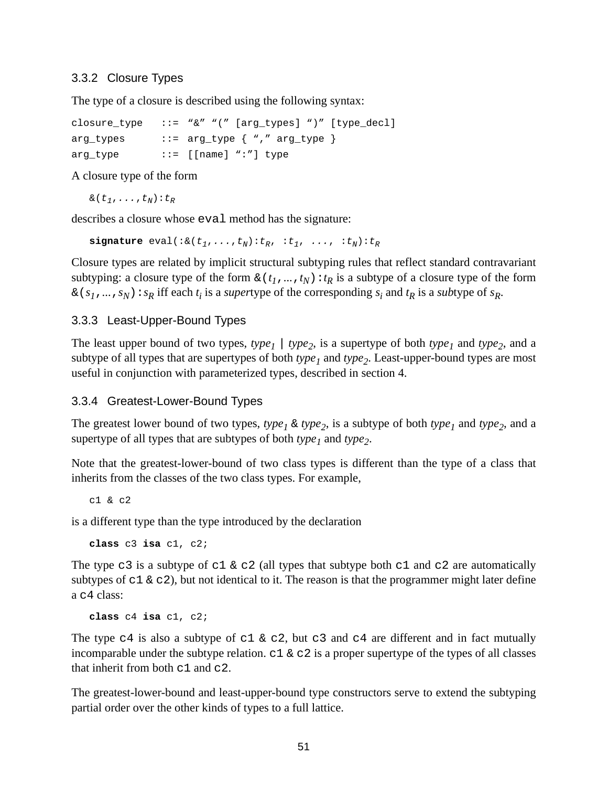#### 3.3.2 Closure Types

The type of a closure is described using the following syntax:

```
closure_type ::= "&" "(" [arg_types] ")" [type_decl]
arg_type ::= arg_type { "," arg_type }
arg_type ::= [[name] ":"] type
```
A closure type of the form

 $\&(t_1,\ldots,t_N):t_R$ 

describes a closure whose eval method has the signature:

**signature** eval( $:\&(t_1,\ldots,t_N):t_R, :t_1, \ldots, :t_N):t_R$ 

Closure types are related by implicit structural subtyping rules that reflect standard contravariant subtyping: a closure type of the form  $\&(t_1, \ldots, t_N): t_R$  is a subtype of a closure type of the form  $\& (s_1, \ldots, s_N) : s_R$  iff each  $t_i$  is a *super*type of the corresponding  $s_i$  and  $t_R$  is a *subtype* of  $s_R$ .

#### 3.3.3 Least-Upper-Bound Types

The least upper bound of two types,  $type_1$  |  $type_2$ , is a supertype of both  $type_1$  and  $type_2$ , and a subtype of all types that are supertypes of both *type<sup>1</sup>* and *type<sup>2</sup>* . Least-upper-bound types are most useful in conjunction with parameterized types, described in section [4](#page-66-0).

### 3.3.4 Greatest-Lower-Bound Types

The greatest lower bound of two types,  $type_1 \& type_2$ , is a subtype of both  $type_1$  and  $type_2$ , and a supertype of all types that are subtypes of both *type<sup>1</sup>* and *type<sup>2</sup>* .

Note that the greatest-lower-bound of two class types is different than the type of a class that inherits from the classes of the two class types. For example,

c1 & c2

is a different type than the type introduced by the declaration

```
class c3 isa c1, c2;
```
The type c3 is a subtype of c1  $\&$  c2 (all types that subtype both c1 and c2 are automatically subtypes of  $c1 \& c2$ ), but not identical to it. The reason is that the programmer might later define a c4 class:

**class** c4 **isa** c1, c2;

The type  $c4$  is also a subtype of  $c1 \& c2$ , but  $c3$  and  $c4$  are different and in fact mutually incomparable under the subtype relation.  $c1 \& c2$  is a proper supertype of the types of all classes that inherit from both c1 and c2.

The greatest-lower-bound and least-upper-bound type constructors serve to extend the subtyping partial order over the other kinds of types to a full lattice.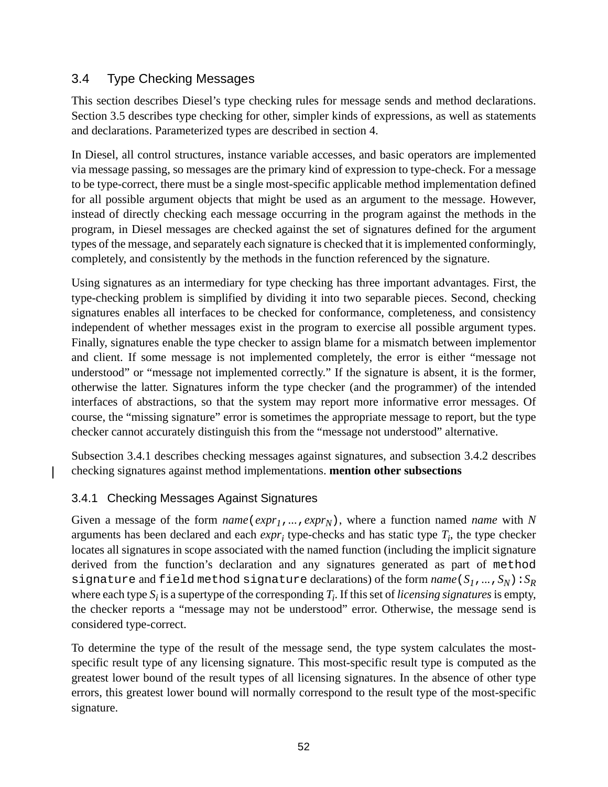## <span id="page-51-0"></span>3.4 Type Checking Messages

This section describes Diesel's type checking rules for message sends and method declarations. Section [3.5](#page-57-0) describes type checking for other, simpler kinds of expressions, as well as statements and declarations. Parameterized types are described in section [4](#page-66-0).

In Diesel, all control structures, instance variable accesses, and basic operators are implemented via message passing, so messages are the primary kind of expression to type-check. For a message to be type-correct, there must be a single most-specific applicable method implementation defined for all possible argument objects that might be used as an argument to the message. However, instead of directly checking each message occurring in the program against the methods in the program, in Diesel messages are checked against the set of signatures defined for the argument types of the message, and separately each signature is checked that it isimplemented conformingly, completely, and consistently by the methods in the function referenced by the signature.

Using signatures as an intermediary for type checking has three important advantages. First, the type-checking problem is simplified by dividing it into two separable pieces. Second, checking signatures enables all interfaces to be checked for conformance, completeness, and consistency independent of whether messages exist in the program to exercise all possible argument types. Finally, signatures enable the type checker to assign blame for a mismatch between implementor and client. If some message is not implemented completely, the error is either "message not understood" or "message not implemented correctly." If the signature is absent, it is the former, otherwise the latter. Signatures inform the type checker (and the programmer) of the intended interfaces of abstractions, so that the system may report more informative error messages. Of course, the "missing signature" error is sometimes the appropriate message to report, but the type checker cannot accurately distinguish this from the "message not understood" alternative.

Subsection 3.4.1 describes checking messages against signatures, and subsection [3.4.2](#page-52-0) describes checking signatures against method implementations. **mention other subsections**

## 3.4.1 Checking Messages Against Signatures

 $\mathbf l$ 

Given a message of the form *name*(*expr1*,*...*,*exprN*), where a function named *name* with *N* arguments has been declared and each *expr<sup>i</sup>* type-checks and has static type *T<sup>i</sup>* , the type checker locates all signatures in scope associated with the named function (including the implicit signature derived from the function's declaration and any signatures generated as part of method signature and field method signature declarations) of the form  $name(S_1, ..., S_N): S_R$ where each type  $S_i$  is a supertype of the corresponding  $T_i$ . If this set of *licensing signatures* is empty, the checker reports a "message may not be understood" error. Otherwise, the message send is considered type-correct.

To determine the type of the result of the message send, the type system calculates the mostspecific result type of any licensing signature. This most-specific result type is computed as the greatest lower bound of the result types of all licensing signatures. In the absence of other type errors, this greatest lower bound will normally correspond to the result type of the most-specific signature.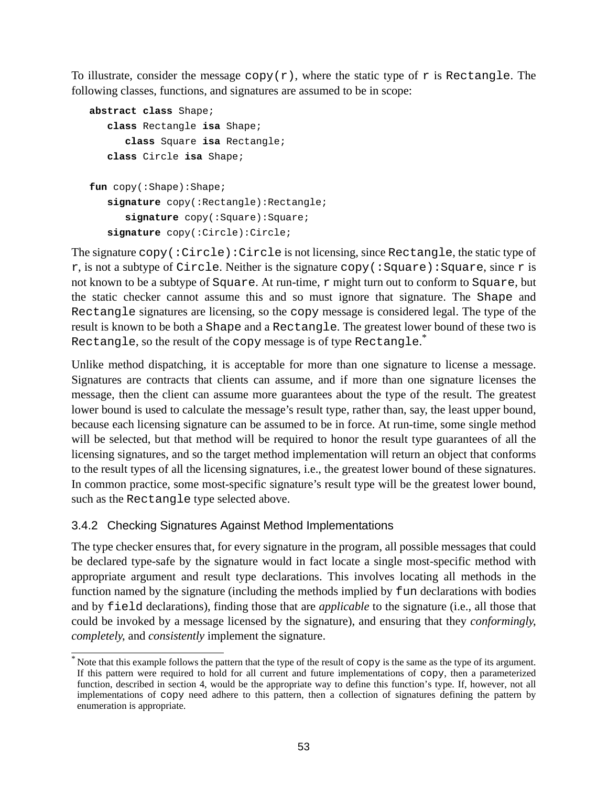<span id="page-52-0"></span>To illustrate, consider the message copy( $r$ ), where the static type of r is Rectangle. The following classes, functions, and signatures are assumed to be in scope:

```
abstract class Shape;
   class Rectangle isa Shape;
      class Square isa Rectangle;
   class Circle isa Shape;
fun copy(:Shape):Shape;
   signature copy(:Rectangle):Rectangle;
      signature copy(:Square):Square;
   signature copy(:Circle):Circle;
```
The signature copy(:Circle):Circle is not licensing, since Rectangle, the static type of r, is not a subtype of Circle. Neither is the signature copy (: Square): Square, since r is not known to be a subtype of Square. At run-time, r might turn out to conform to Square, but the static checker cannot assume this and so must ignore that signature. The Shape and Rectangle signatures are licensing, so the copy message is considered legal. The type of the result is known to be both a Shape and a Rectangle. The greatest lower bound of these two is <code>Rectangle</code>, so the result of the <code>copy</code> message is of type <code>Rectangle. $^{\ast}$ </code>

Unlike method dispatching, it is acceptable for more than one signature to license a message. Signatures are contracts that clients can assume, and if more than one signature licenses the message, then the client can assume more guarantees about the type of the result. The greatest lower bound is used to calculate the message's result type, rather than, say, the least upper bound, because each licensing signature can be assumed to be in force. At run-time, some single method will be selected, but that method will be required to honor the result type guarantees of all the licensing signatures, and so the target method implementation will return an object that conforms to the result types of all the licensing signatures, i.e., the greatest lower bound of these signatures. In common practice, some most-specific signature's result type will be the greatest lower bound, such as the Rectangle type selected above.

## 3.4.2 Checking Signatures Against Method Implementations

The type checker ensures that, for every signature in the program, all possible messages that could be declared type-safe by the signature would in fact locate a single most-specific method with appropriate argument and result type declarations. This involves locating all methods in the function named by the signature (including the methods implied by fun declarations with bodies and by field declarations), finding those that are *applicable* to the signature (i.e., all those that could be invoked by a message licensed by the signature), and ensuring that they *conformingly*, *completely*, and *consistently* implement the signature.

 $*$  Note that this example follows the pattern that the type of the result of  $\text{copy}$  is the same as the type of its argument. If this pattern were required to hold for all current and future implementations of copy, then a parameterized function, described in section [4](#page-66-0), would be the appropriate way to define this function's type. If, however, not all implementations of copy need adhere to this pattern, then a collection of signatures defining the pattern by enumeration is appropriate.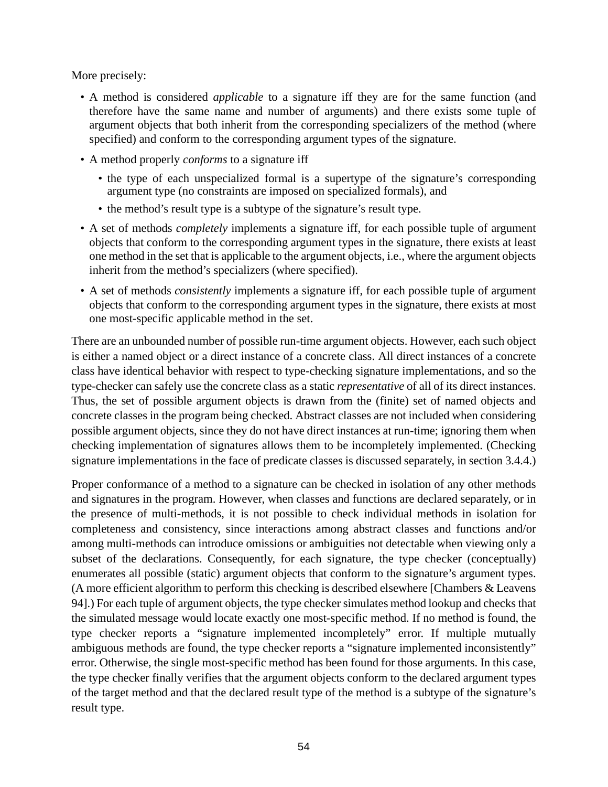More precisely:

- A method is considered *applicable* to a signature iff they are for the same function (and therefore have the same name and number of arguments) and there exists some tuple of argument objects that both inherit from the corresponding specializers of the method (where specified) and conform to the corresponding argument types of the signature.
- A method properly *conforms* to a signature iff
	- the type of each unspecialized formal is a supertype of the signature's corresponding argument type (no constraints are imposed on specialized formals), and
	- the method's result type is a subtype of the signature's result type.
- A set of methods *completely* implements a signature iff, for each possible tuple of argument objects that conform to the corresponding argument types in the signature, there exists at least one method in the set that is applicable to the argument objects, i.e., where the argument objects inherit from the method's specializers (where specified).
- A set of methods *consistently* implements a signature iff, for each possible tuple of argument objects that conform to the corresponding argument types in the signature, there exists at most one most-specific applicable method in the set.

There are an unbounded number of possible run-time argument objects. However, each such object is either a named object or a direct instance of a concrete class. All direct instances of a concrete class have identical behavior with respect to type-checking signature implementations, and so the type-checker can safely use the concrete class as a static *representative* of all of its direct instances. Thus, the set of possible argument objects is drawn from the (finite) set of named objects and concrete classes in the program being checked. Abstract classes are not included when considering possible argument objects, since they do not have direct instances at run-time; ignoring them when checking implementation of signatures allows them to be incompletely implemented. (Checking signature implementations in the face of predicate classes is discussed separately, in section [3.4.4](#page-55-0).)

Proper conformance of a method to a signature can be checked in isolation of any other methods and signatures in the program. However, when classes and functions are declared separately, or in the presence of multi-methods, it is not possible to check individual methods in isolation for completeness and consistency, since interactions among abstract classes and functions and/or among multi-methods can introduce omissions or ambiguities not detectable when viewing only a subset of the declarations. Consequently, for each signature, the type checker (conceptually) enumerates all possible (static) argument objects that conform to the signature's argument types. (A more efficient algorithm to perform this checking is described elsewhere [Chambers & Leavens 94].) For each tuple of argument objects, the type checker simulates method lookup and checks that the simulated message would locate exactly one most-specific method. If no method is found, the type checker reports a "signature implemented incompletely" error. If multiple mutually ambiguous methods are found, the type checker reports a "signature implemented inconsistently" error. Otherwise, the single most-specific method has been found for those arguments. In this case, the type checker finally verifies that the argument objects conform to the declared argument types of the target method and that the declared result type of the method is a subtype of the signature's result type.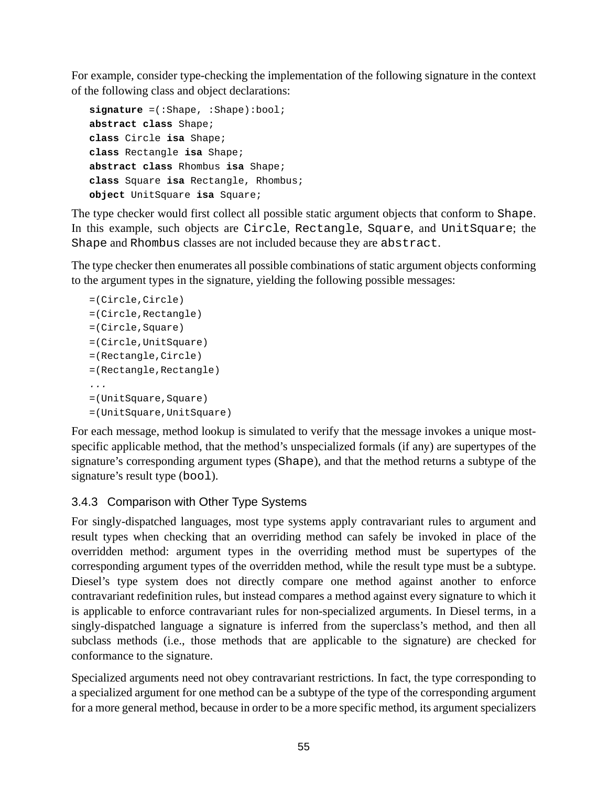For example, consider type-checking the implementation of the following signature in the context of the following class and object declarations:

```
signature =(:Shape, :Shape):bool;
abstract class Shape;
class Circle isa Shape;
class Rectangle isa Shape;
abstract class Rhombus isa Shape;
class Square isa Rectangle, Rhombus;
object UnitSquare isa Square;
```
The type checker would first collect all possible static argument objects that conform to Shape. In this example, such objects are Circle, Rectangle, Square, and UnitSquare; the Shape and Rhombus classes are not included because they are abstract.

The type checker then enumerates all possible combinations of static argument objects conforming to the argument types in the signature, yielding the following possible messages:

```
=(Circle,Circle)
=(Circle,Rectangle)
=(Circle,Square)
=(Circle,UnitSquare)
=(Rectangle,Circle)
=(Rectangle,Rectangle)
...
=(UnitSquare,Square)
=(UnitSquare,UnitSquare)
```
For each message, method lookup is simulated to verify that the message invokes a unique mostspecific applicable method, that the method's unspecialized formals (if any) are supertypes of the signature's corresponding argument types (Shape), and that the method returns a subtype of the signature's result type (bool).

## 3.4.3 Comparison with Other Type Systems

For singly-dispatched languages, most type systems apply contravariant rules to argument and result types when checking that an overriding method can safely be invoked in place of the overridden method: argument types in the overriding method must be supertypes of the corresponding argument types of the overridden method, while the result type must be a subtype. Diesel's type system does not directly compare one method against another to enforce contravariant redefinition rules, but instead compares a method against every signature to which it is applicable to enforce contravariant rules for non-specialized arguments. In Diesel terms, in a singly-dispatched language a signature is inferred from the superclass's method, and then all subclass methods (i.e., those methods that are applicable to the signature) are checked for conformance to the signature.

Specialized arguments need not obey contravariant restrictions. In fact, the type corresponding to a specialized argument for one method can be a subtype of the type of the corresponding argument for a more general method, because in order to be a more specific method, its argument specializers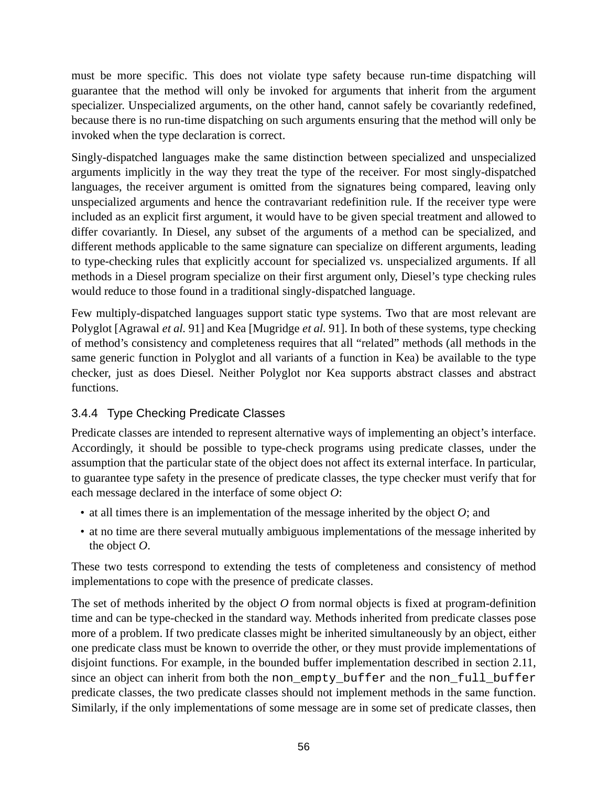<span id="page-55-0"></span>must be more specific. This does not violate type safety because run-time dispatching will guarantee that the method will only be invoked for arguments that inherit from the argument specializer. Unspecialized arguments, on the other hand, cannot safely be covariantly redefined, because there is no run-time dispatching on such arguments ensuring that the method will only be invoked when the type declaration is correct.

Singly-dispatched languages make the same distinction between specialized and unspecialized arguments implicitly in the way they treat the type of the receiver. For most singly-dispatched languages, the receiver argument is omitted from the signatures being compared, leaving only unspecialized arguments and hence the contravariant redefinition rule. If the receiver type were included as an explicit first argument, it would have to be given special treatment and allowed to differ covariantly. In Diesel, any subset of the arguments of a method can be specialized, and different methods applicable to the same signature can specialize on different arguments, leading to type-checking rules that explicitly account for specialized vs. unspecialized arguments. If all methods in a Diesel program specialize on their first argument only, Diesel's type checking rules would reduce to those found in a traditional singly-dispatched language.

Few multiply-dispatched languages support static type systems. Two that are most relevant are Polyglot [Agrawal *et al.* 91] and Kea [Mugridge *et al.* 91]. In both of these systems, type checking of method's consistency and completeness requires that all "related" methods (all methods in the same generic function in Polyglot and all variants of a function in Kea) be available to the type checker, just as does Diesel. Neither Polyglot nor Kea supports abstract classes and abstract functions.

## 3.4.4 Type Checking Predicate Classes

Predicate classes are intended to represent alternative ways of implementing an object's interface. Accordingly, it should be possible to type-check programs using predicate classes, under the assumption that the particular state of the object does not affect its external interface. In particular, to guarantee type safety in the presence of predicate classes, the type checker must verify that for each message declared in the interface of some object *O*:

- at all times there is an implementation of the message inherited by the object *O*; and
- at no time are there several mutually ambiguous implementations of the message inherited by the object *O*.

These two tests correspond to extending the tests of completeness and consistency of method implementations to cope with the presence of predicate classes.

The set of methods inherited by the object *O* from normal objects is fixed at program-definition time and can be type-checked in the standard way. Methods inherited from predicate classes pose more of a problem. If two predicate classes might be inherited simultaneously by an object, either one predicate class must be known to override the other, or they must provide implementations of disjoint functions. For example, in the bounded buffer implementation described in section [2.11,](#page-39-0) since an object can inherit from both the non\_empty\_buffer and the non\_full\_buffer predicate classes, the two predicate classes should not implement methods in the same function. Similarly, if the only implementations of some message are in some set of predicate classes, then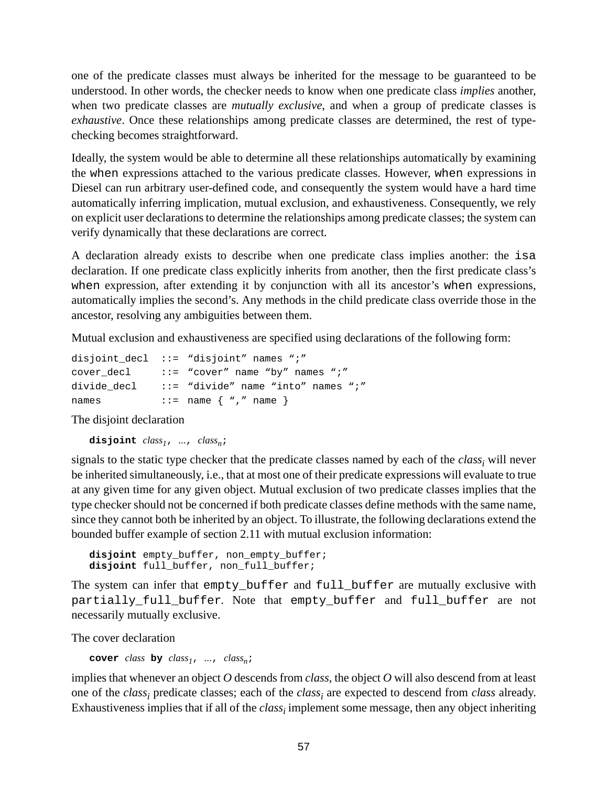one of the predicate classes must always be inherited for the message to be guaranteed to be understood. In other words, the checker needs to know when one predicate class *implies* another, when two predicate classes are *mutually exclusive*, and when a group of predicate classes is *exhaustive*. Once these relationships among predicate classes are determined, the rest of typechecking becomes straightforward.

Ideally, the system would be able to determine all these relationships automatically by examining the when expressions attached to the various predicate classes. However, when expressions in Diesel can run arbitrary user-defined code, and consequently the system would have a hard time automatically inferring implication, mutual exclusion, and exhaustiveness. Consequently, we rely on explicit user declarations to determine the relationships among predicate classes; the system can verify dynamically that these declarations are correct.

A declaration already exists to describe when one predicate class implies another: the isa declaration. If one predicate class explicitly inherits from another, then the first predicate class's when expression, after extending it by conjunction with all its ancestor's when expressions, automatically implies the second's. Any methods in the child predicate class override those in the ancestor, resolving any ambiguities between them.

Mutual exclusion and exhaustiveness are specified using declarations of the following form:

|             | disjoint decl ::= "disjoint" names ";"              |
|-------------|-----------------------------------------------------|
|             | cover decl $\cdots$ ::= "cover" name "by" names ";" |
| divide decl | $ ::=$ "divide" name "into" names ";"               |
| names       | $\cdot \cdot =$ name $\{$ ", " name $\}$            |

The disjoint declaration

**disjoint** *class1*, *...*, *classn*;

signals to the static type checker that the predicate classes named by each of the *class<sup>i</sup>* will never be inherited simultaneously, i.e., that at most one of their predicate expressions will evaluate to true at any given time for any given object. Mutual exclusion of two predicate classes implies that the type checker should not be concerned if both predicate classes define methods with the same name, since they cannot both be inherited by an object. To illustrate, the following declarations extend the bounded buffer example of section [2.11](#page-39-0) with mutual exclusion information:

**disjoint** empty\_buffer, non\_empty\_buffer; **disjoint** full\_buffer, non\_full\_buffer;

The system can infer that empty\_buffer and full\_buffer are mutually exclusive with partially\_full\_buffer. Note that empty\_buffer and full\_buffer are not necessarily mutually exclusive.

The cover declaration

**cover** *class* **by**  $class_1$ , *...*,  $class_n$ ;

implies that whenever an object *O* descends from *class*, the object *O* will also descend from at least one of the *class<sup>i</sup>* predicate classes; each of the *class<sup>i</sup>* are expected to descend from *class* already. Exhaustiveness implies that if all of the *class<sup>i</sup>* implement some message, then any object inheriting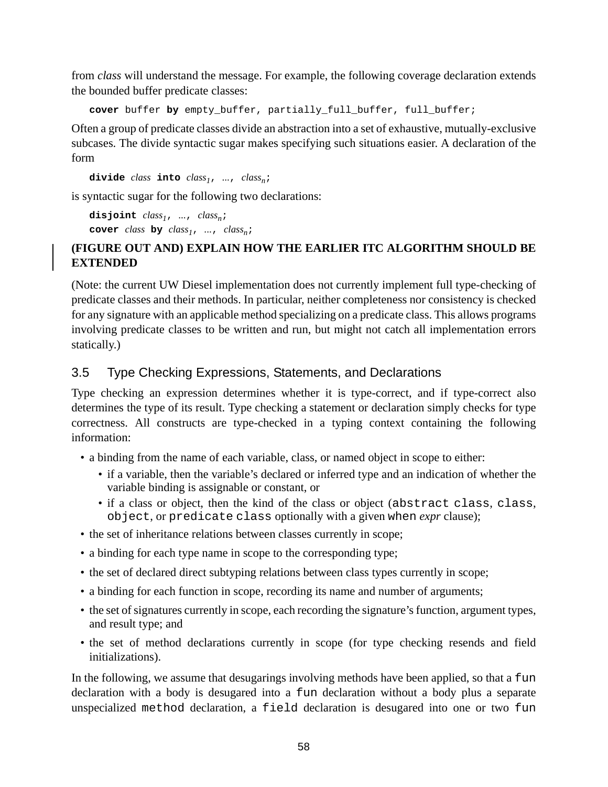<span id="page-57-0"></span>from *class* will understand the message. For example, the following coverage declaration extends the bounded buffer predicate classes:

**cover** buffer **by** empty\_buffer, partially\_full\_buffer, full\_buffer;

Often a group of predicate classes divide an abstraction into a set of exhaustive, mutually-exclusive subcases. The divide syntactic sugar makes specifying such situations easier. A declaration of the form

**divide** *class* **into** *class1*, *...*, *classn*;

is syntactic sugar for the following two declarations:

```
disjoint class1, ..., classn;
cover class by class_1, ..., class_n;
```
### **(FIGURE OUT AND) EXPLAIN HOW THE EARLIER ITC ALGORITHM SHOULD BE EXTENDED**

(Note: the current UW Diesel implementation does not currently implement full type-checking of predicate classes and their methods. In particular, neither completeness nor consistency is checked for any signature with an applicable method specializing on a predicate class. This allows programs involving predicate classes to be written and run, but might not catch all implementation errors statically.)

## 3.5 Type Checking Expressions, Statements, and Declarations

Type checking an expression determines whether it is type-correct, and if type-correct also determines the type of its result. Type checking a statement or declaration simply checks for type correctness. All constructs are type-checked in a typing context containing the following information:

- a binding from the name of each variable, class, or named object in scope to either:
	- if a variable, then the variable's declared or inferred type and an indication of whether the variable binding is assignable or constant, or
	- if a class or object, then the kind of the class or object (abstract class, class, object, or predicate class optionally with a given when *expr* clause);
- the set of inheritance relations between classes currently in scope;
- a binding for each type name in scope to the corresponding type;
- the set of declared direct subtyping relations between class types currently in scope;
- a binding for each function in scope, recording its name and number of arguments;
- the set of signatures currently in scope, each recording the signature's function, argument types, and result type; and
- the set of method declarations currently in scope (for type checking resends and field initializations).

In the following, we assume that desugarings involving methods have been applied, so that a fun declaration with a body is desugared into a fun declaration without a body plus a separate unspecialized method declaration, a field declaration is desugared into one or two fun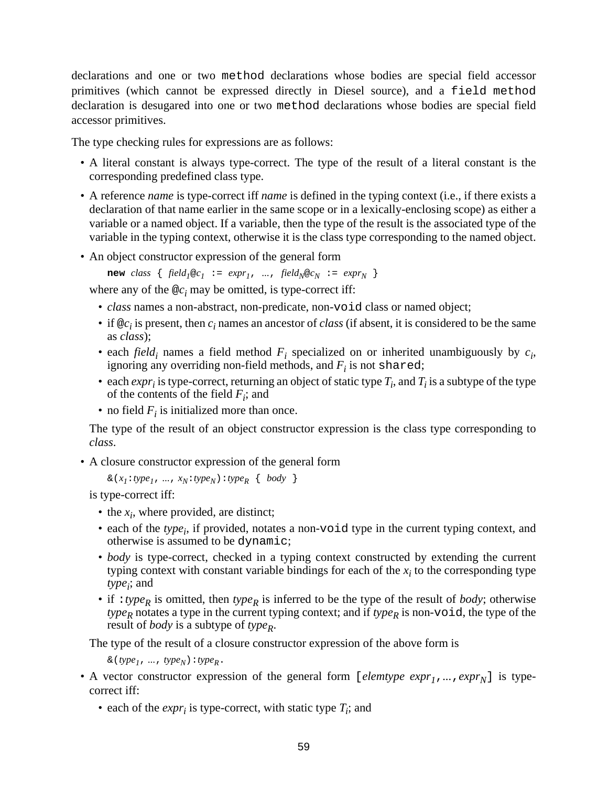declarations and one or two method declarations whose bodies are special field accessor primitives (which cannot be expressed directly in Diesel source), and a field method declaration is desugared into one or two method declarations whose bodies are special field accessor primitives.

The type checking rules for expressions are as follows:

- A literal constant is always type-correct. The type of the result of a literal constant is the corresponding predefined class type.
- A reference *name* is type-correct iff *name* is defined in the typing context (i.e., if there exists a declaration of that name earlier in the same scope or in a lexically-enclosing scope) as either a variable or a named object. If a variable, then the type of the result is the associated type of the variable in the typing context, otherwise it is the class type corresponding to the named object.
- An object constructor expression of the general form

**new** *class* {  $field_1@c_1 := expr_1$ , ...,  $field_N@c_N := expr_N$  }

where any of the  $@c<sub>i</sub>$  may be omitted, is type-correct iff:

- *class* names a non-abstract, non-predicate, non-void class or named object;
- if  $\mathscr{Q}c_i$  is present, then  $c_i$  names an ancestor of *class* (if absent, it is considered to be the same as *class*);
- each *field*<sub>*i*</sub> names a field method  $F_i$  specialized on or inherited unambiguously by  $c_i$ , ignoring any overriding non-field methods, and  $F_i$  is not shared;
- each  $\exp r_i$  is type-correct, returning an object of static type  $T_i$ , and  $T_i$  is a subtype of the type of the contents of the field  $F_i$ ; and
- no field  $F_i$  is initialized more than once.

The type of the result of an object constructor expression is the class type corresponding to *class*.

• A closure constructor expression of the general form

```
\& (x_1 : type_1, ..., x_N : type_N) : type_R \{ body \}
```
is type-correct iff:

- the  $x_i$ , where provided, are distinct;
- each of the *type<sub>i</sub>*, if provided, notates a non-void type in the current typing context, and otherwise is assumed to be dynamic;
- *body* is type-correct, checked in a typing context constructed by extending the current typing context with constant variable bindings for each of the  $x_i$  to the corresponding type *type<sup>i</sup>* ; and
- if :*type<sup>R</sup>* is omitted, then *type<sup>R</sup>* is inferred to be the type of the result of *body*; otherwise *type*<sub>*R*</sub> notates a type in the current typing context; and if *type*<sub>*R*</sub> is non-void, the type of the result of *body* is a subtype of *type<sup>R</sup>* .

The type of the result of a closure constructor expression of the above form is

 $\& (type_1, ..., type_N) : type_R.$ 

- A vector constructor expression of the general form [*elemtype expr1*,*...*,*exprN*] is typecorrect iff:
	- each of the  $expr_i$  is type-correct, with static type  $T_i$ ; and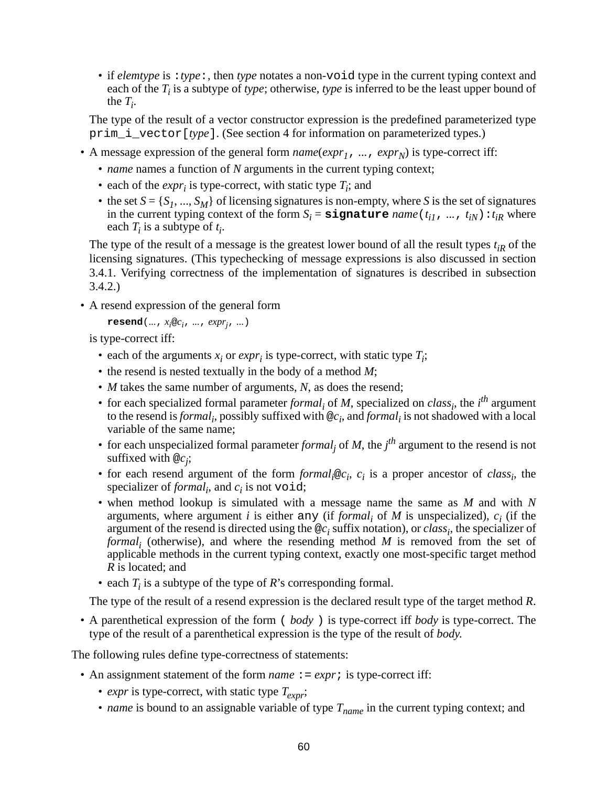• if *elemtype* is :*type*:, then *type* notates a non-void type in the current typing context and each of the  $T_i$  is a subtype of *type*; otherwise, *type* is inferred to be the least upper bound of the  $T_i$ .

The type of the result of a vector constructor expression is the predefined parameterized type prim\_i\_vector[*type*]. (See section [4](#page-66-0) for information on parameterized types.)

- A message expression of the general form  $name(exp_1, ..., exp_r_N)$  is type-correct iff:
	- *name* names a function of *N* arguments in the current typing context;
	- each of the  $expr_i$  is type-correct, with static type  $T_i$ ; and
	- the set  $S = \{S_1, ..., S_M\}$  of licensing signatures is non-empty, where *S* is the set of signatures in the current typing context of the form  $S_i =$  **signature** *name* ( $t_{i1}$ , ...,  $t_{iN}$ ) :  $t_{iR}$  where each  $T_i$  is a subtype of  $t_i$ .

The type of the result of a message is the greatest lower bound of all the result types  $t_{iR}$  of the licensing signatures. (This typechecking of message expressions is also discussed in section [3.4.1.](#page-51-0) Verifying correctness of the implementation of signatures is described in subsection [3.4.2.](#page-52-0))

• A resend expression of the general form

```
\text{resend}(..., x_i \otimes c_i, ..., \text{expr}_i, ...)
```
is type-correct iff:

- each of the arguments  $x_i$  or  $expr_i$  is type-correct, with static type  $T_i$ ;
- the resend is nested textually in the body of a method *M*;
- *M* takes the same number of arguments, *N*, as does the resend;
- for each specialized formal parameter *formal*<sub>i</sub> of *M*, specialized on *class*<sub>i</sub>, the *i*<sup>th</sup> argument to the resend is *formal*<sub>i</sub>, possibly suffixed with  $@c_i$ , and *formal*<sub>i</sub> is not shadowed with a local variable of the same name;
- for each unspecialized formal parameter *formal*<sub>j</sub> of *M*, the *j*<sup>th</sup> argument to the resend is not suffixed with @*c<sup>j</sup>* ;
- for each resend argument of the form  $formal_i@c_i$ ,  $c_i$  is a proper ancestor of *class<sub>i</sub>*, the specializer of *formal*<sub>*i*</sub>, and  $c_i$  is not void;
- when method lookup is simulated with a message name the same as *M* and with *N* arguments, where argument *i* is either any (if *formal<sub>i</sub>* of *M* is unspecialized),  $c_i$  (if the argument of the resend is directed using the  $\mathcal{Q}_i$  suffix notation), or *class<sub>i</sub>*, the specializer of *formal i* (otherwise), and where the resending method *M* is removed from the set of applicable methods in the current typing context, exactly one most-specific target method *R* is located; and
- each *T<sup>i</sup>* is a subtype of the type of *R*'s corresponding formal.

The type of the result of a resend expression is the declared result type of the target method *R*.

• A parenthetical expression of the form ( *body* ) is type-correct iff *body* is type-correct. The type of the result of a parenthetical expression is the type of the result of *body*.

The following rules define type-correctness of statements:

- An assignment statement of the form *name* : = *expr*; is type-correct iff:
	- *expr* is type-correct, with static type *Texpr* ;
	- *name* is bound to an assignable variable of type *Tname* in the current typing context; and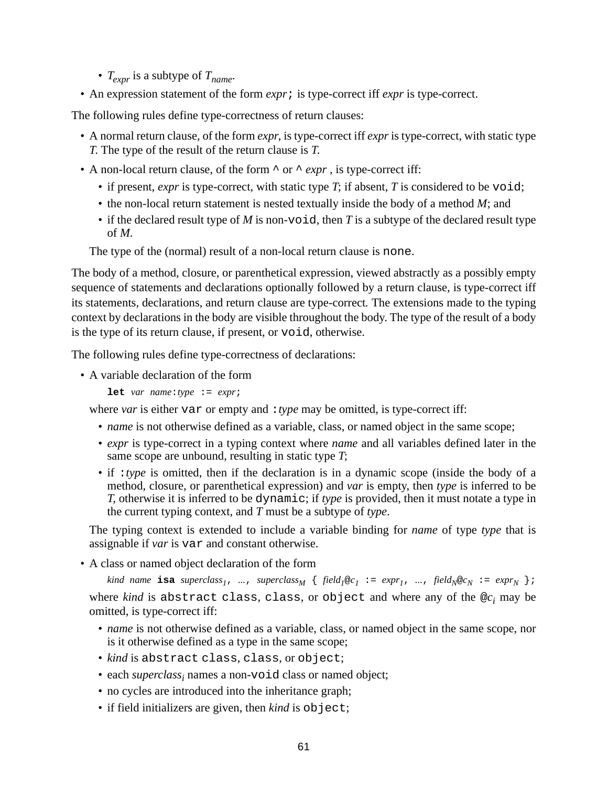- *Texpr* is a subtype of *Tname* .
- An expression statement of the form *expr*; is type-correct iff *expr* is type-correct.

The following rules define type-correctness of return clauses:

- A normal return clause, of the form *expr*, is type-correct iff *expr* is type-correct, with static type *T*. The type of the result of the return clause is *T*.
- A non-local return clause, of the form  $\land$  or  $\land$  *expr*, is type-correct iff:
	- if present, *expr* is type-correct, with static type *T*; if absent, *T* is considered to be void;
	- the non-local return statement is nested textually inside the body of a method *M*; and
	- if the declared result type of *M* is non-void, then *T* is a subtype of the declared result type of *M*.

The type of the (normal) result of a non-local return clause is none.

The body of a method, closure, or parenthetical expression, viewed abstractly as a possibly empty sequence of statements and declarations optionally followed by a return clause, is type-correct iff its statements, declarations, and return clause are type-correct*.* The extensions made to the typing context by declarations in the body are visible throughout the body. The type of the result of a body is the type of its return clause, if present, or void, otherwise.

The following rules define type-correctness of declarations:

• A variable declaration of the form

**let** *var name*:*type* := *expr*;

where *var* is either var or empty and : *type* may be omitted, is type-correct iff:

- *name* is not otherwise defined as a variable, class, or named object in the same scope;
- *expr* is type-correct in a typing context where *name* and all variables defined later in the same scope are unbound, resulting in static type *T*;
- if :*type* is omitted, then if the declaration is in a dynamic scope (inside the body of a method, closure, or parenthetical expression) and *var* is empty, then *type* is inferred to be *T*, otherwise it is inferred to be dynamic; if *type* is provided, then it must notate a type in the current typing context, and *T* must be a subtype of *type*.

The typing context is extended to include a variable binding for *name* of type *type* that is assignable if *var* is var and constant otherwise.

• A class or named object declaration of the form

kind name isa superclass<sub>1</sub>, ..., superclass<sub>M</sub> { field<sub>1</sub>@c<sub>1</sub> := expr<sub>1</sub>, ..., field<sub>N</sub>@c<sub>N</sub> := expr<sub>N</sub> }; where *kind* is abstract class, class, or object and where any of the @*c<sup>i</sup>* may be omitted, is type-correct iff:

- *name* is not otherwise defined as a variable, class, or named object in the same scope, nor is it otherwise defined as a type in the same scope;
- *kind* is abstract class, class, or object;
- each *superclass<sup>i</sup>* names a non-void class or named object;
- no cycles are introduced into the inheritance graph;
- if field initializers are given, then *kind* is object;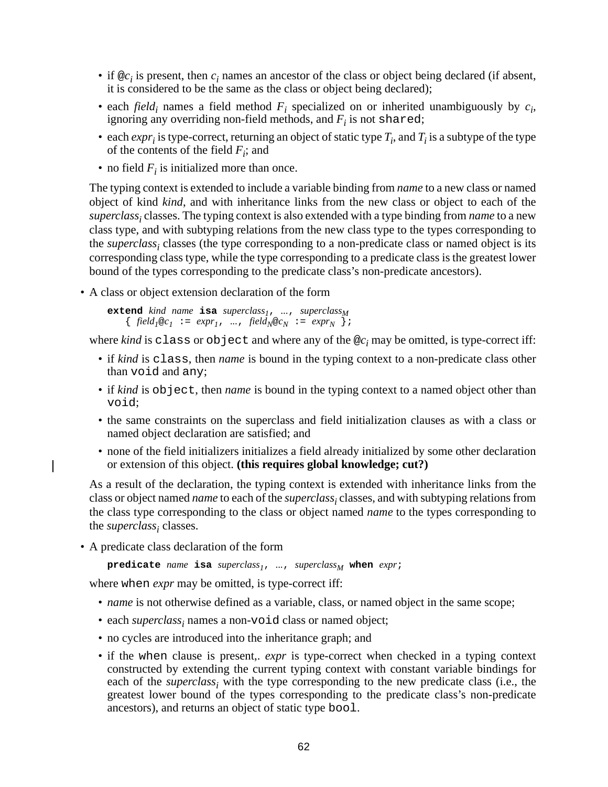- if  $@c_i$  is present, then  $c_i$  names an ancestor of the class or object being declared (if absent, it is considered to be the same as the class or object being declared);
- each *field*<sub>*i*</sub> names a field method  $F_i$  specialized on or inherited unambiguously by  $c_i$ , ignoring any overriding non-field methods, and  $F_i$  is not shared;
- each  $\exp r_i$  is type-correct, returning an object of static type  $T_i$ , and  $T_i$  is a subtype of the type of the contents of the field  $F_i$ ; and
- no field  $F_i$  is initialized more than once.

The typing context is extended to include a variable binding from *name* to a new class or named object of kind *kind*, and with inheritance links from the new class or object to each of the *superclass<sup>i</sup>* classes. The typing context is also extended with a type binding from *name* to a new class type, and with subtyping relations from the new class type to the types corresponding to the *superclass<sup>i</sup>* classes (the type corresponding to a non-predicate class or named object is its corresponding class type, while the type corresponding to a predicate class is the greatest lower bound of the types corresponding to the predicate class's non-predicate ancestors).

• A class or object extension declaration of the form

**extend** *kind name* **isa** *superclass1*, *...*, *superclass<sup>M</sup>*  $\{ \text{ field}_I @c_I := expr_I, \dots, \text{ field}_N @c_N := expr_N \}$ ;

where *kind* is class or object and where any of the @*c<sup>i</sup>* may be omitted, is type-correct iff:

- if *kind* is class, then *name* is bound in the typing context to a non-predicate class other than void and any;
- if *kind* is object, then *name* is bound in the typing context to a named object other than void;
- the same constraints on the superclass and field initialization clauses as with a class or named object declaration are satisfied; and
- none of the field initializers initializes a field already initialized by some other declaration or extension of this object. **(this requires global knowledge; cut?)**

As a result of the declaration, the typing context is extended with inheritance links from the class or object named *name* to each of the *superclass<sup>i</sup>* classes, and with subtyping relationsfrom the class type corresponding to the class or object named *name* to the types corresponding to the *superclass<sup>i</sup>* classes.

• A predicate class declaration of the form

```
predicate name isa superclass1, ..., superclassM when expr;
```
where when *expr* may be omitted, is type-correct iff:

- *name* is not otherwise defined as a variable, class, or named object in the same scope;
- each *superclass<sub>i</sub>* names a non-void class or named object;
- no cycles are introduced into the inheritance graph; and
- if the when clause is present,. *expr* is type-correct when checked in a typing context constructed by extending the current typing context with constant variable bindings for each of the *superclass<sup>i</sup>* with the type corresponding to the new predicate class (i.e., the greatest lower bound of the types corresponding to the predicate class's non-predicate ancestors), and returns an object of static type bool.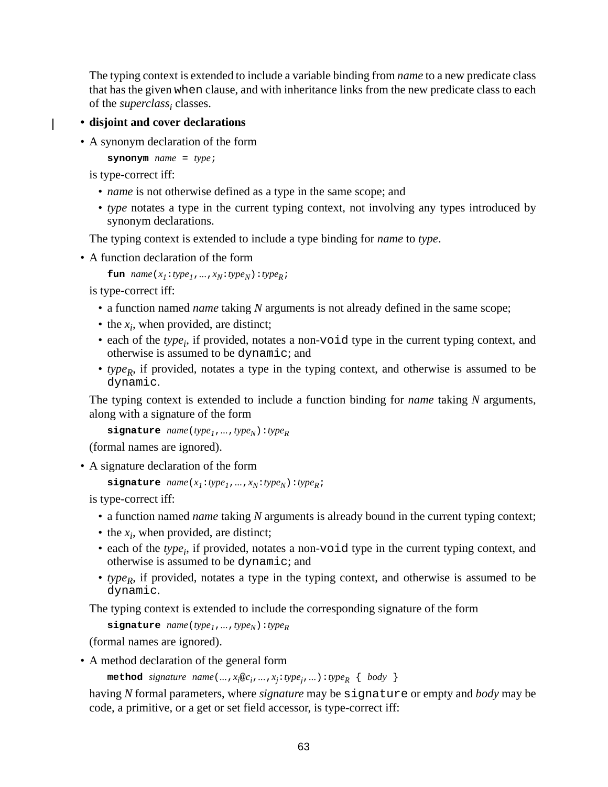The typing context is extended to include a variable binding from *name* to a new predicate class that has the given when clause, and with inheritance links from the new predicate class to each of the *superclass<sup>i</sup>* classes.

#### **• disjoint and cover declarations**

• A synonym declaration of the form

**synonym** *name* = *type*;

is type-correct iff:

 $\mathbf{I}$ 

- *name* is not otherwise defined as a type in the same scope; and
- *type* notates a type in the current typing context, not involving any types introduced by synonym declarations.

The typing context is extended to include a type binding for *name* to *type*.

• A function declaration of the form

```
fun name(x_1:type<sub>1</sub>,...,x_N:type<sub>N</sub>):type<sub>R</sub>;
```
is type-correct iff:

- a function named *name* taking *N* arguments is not already defined in the same scope;
- the  $x_i$ , when provided, are distinct;
- each of the *type<sub>i</sub>*, if provided, notates a non-void type in the current typing context, and otherwise is assumed to be dynamic; and
- *type<sup>R</sup>* , if provided, notates a type in the typing context, and otherwise is assumed to be dynamic.

The typing context is extended to include a function binding for *name* taking *N* arguments, along with a signature of the form

```
\text{signature} name(type_1, ..., type_N): type_R
```
(formal names are ignored).

• A signature declaration of the form

```
signature name(x1:type1,...,xN:typeN):typeR;
```
is type-correct iff:

- a function named *name* taking *N* arguments is already bound in the current typing context;
- the  $x_i$ , when provided, are distinct;
- each of the *type<sub>i</sub>*, if provided, notates a non-void type in the current typing context, and otherwise is assumed to be dynamic; and
- *type<sup>R</sup>* , if provided, notates a type in the typing context, and otherwise is assumed to be dynamic.

The typing context is extended to include the corresponding signature of the form

**signature** *name*(*type*<sub>1</sub>,...,*type*<sub>N</sub>):*type*<sub>R</sub>

(formal names are ignored).

• A method declaration of the general form

```
\mathbf{method} \quad signature \quad name(..., x_i \oplus c_i,..., x_j : type_j,...) : type_R \{ body \}
```
having *N* formal parameters, where *signature* may be signature or empty and *body* may be code, a primitive, or a get or set field accessor, is type-correct iff: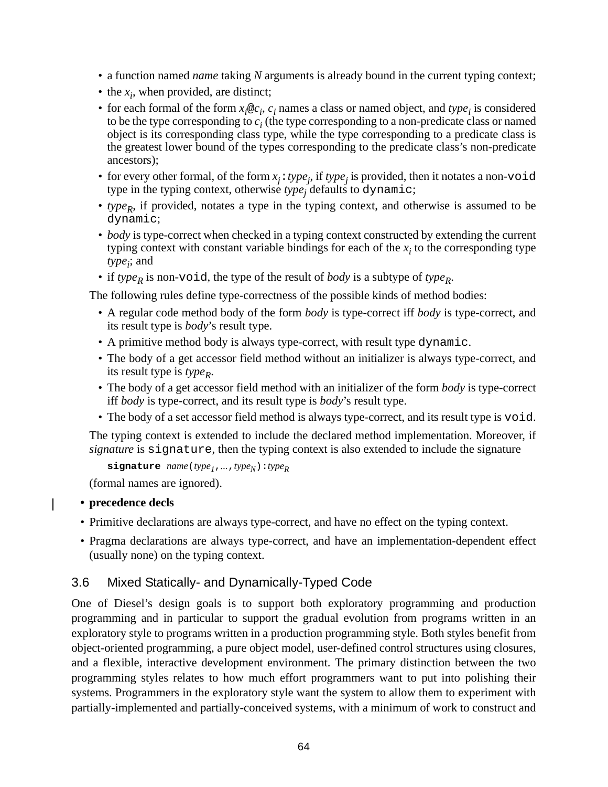- <span id="page-63-0"></span>• a function named *name* taking *N* arguments is already bound in the current typing context;
- the  $x_i$ , when provided, are distinct;
- for each formal of the form  $x_i \otimes c_i$ ,  $c_i$  names a class or named object, and  $type_i$  is considered to be the type corresponding to  $c_i$  (the type corresponding to a non-predicate class or named object is its corresponding class type, while the type corresponding to a predicate class is the greatest lower bound of the types corresponding to the predicate class's non-predicate ancestors);
- for every other formal, of the form  $x_j$ : *type<sub>j</sub>*, if *type<sub>j</sub>* is provided, then it notates a non-void type in the typing context, otherwise *type<sup>j</sup>* defaults to dynamic;
- *type<sup>R</sup>* , if provided, notates a type in the typing context, and otherwise is assumed to be dynamic;
- *body* is type-correct when checked in a typing context constructed by extending the current typing context with constant variable bindings for each of the  $x_i$  to the corresponding type *type<sup>i</sup>* ; and
- if *type<sup>R</sup>* is non-void, the type of the result of *body* is a subtype of *type<sup>R</sup>* .

The following rules define type-correctness of the possible kinds of method bodies:

- A regular code method body of the form *body* is type-correct iff *body* is type-correct, and its result type is *body*'s result type.
- A primitive method body is always type-correct, with result type dynamic.
- The body of a get accessor field method without an initializer is always type-correct, and its result type is *type<sup>R</sup>* .
- The body of a get accessor field method with an initializer of the form *body* is type-correct iff *body* is type-correct, and its result type is *body*'s result type.
- The body of a set accessor field method is always type-correct, and its result type is void.

The typing context is extended to include the declared method implementation. Moreover, if *signature* is signature, then the typing context is also extended to include the signature

```
signature name(type1,...,typeN):typeR
```
(formal names are ignored).

#### **• precedence decls**

- Primitive declarations are always type-correct, and have no effect on the typing context.
- Pragma declarations are always type-correct, and have an implementation-dependent effect (usually none) on the typing context.

## 3.6 Mixed Statically- and Dynamically-Typed Code

One of Diesel's design goals is to support both exploratory programming and production programming and in particular to support the gradual evolution from programs written in an exploratory style to programs written in a production programming style. Both styles benefit from object-oriented programming, a pure object model, user-defined control structures using closures, and a flexible, interactive development environment. The primary distinction between the two programming styles relates to how much effort programmers want to put into polishing their systems. Programmers in the exploratory style want the system to allow them to experiment with partially-implemented and partially-conceived systems, with a minimum of work to construct and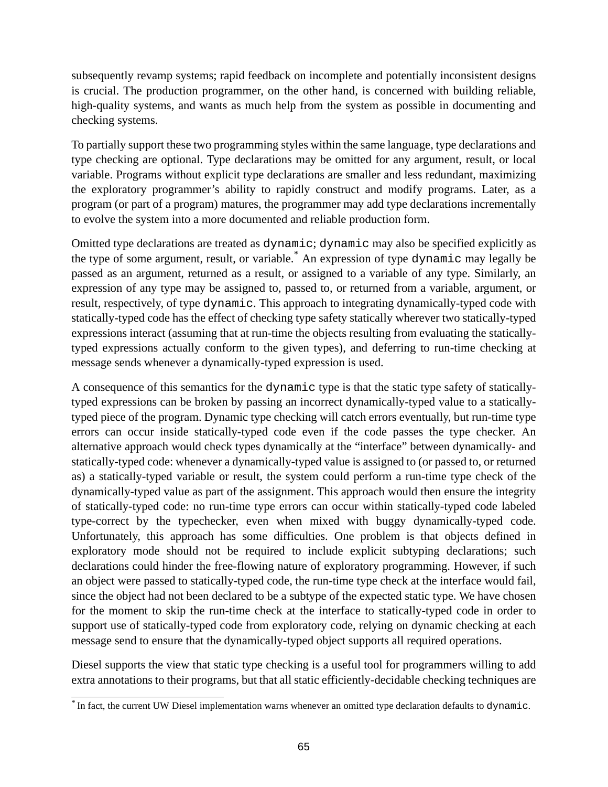subsequently revamp systems; rapid feedback on incomplete and potentially inconsistent designs is crucial. The production programmer, on the other hand, is concerned with building reliable, high-quality systems, and wants as much help from the system as possible in documenting and checking systems.

To partially support these two programming styles within the same language, type declarations and type checking are optional. Type declarations may be omitted for any argument, result, or local variable. Programs without explicit type declarations are smaller and less redundant, maximizing the exploratory programmer's ability to rapidly construct and modify programs. Later, as a program (or part of a program) matures, the programmer may add type declarations incrementally to evolve the system into a more documented and reliable production form.

Omitted type declarations are treated as dynamic; dynamic may also be specified explicitly as the type of some argument, result, or variable. \* An expression of type dynamic may legally be passed as an argument, returned as a result, or assigned to a variable of any type. Similarly, an expression of any type may be assigned to, passed to, or returned from a variable, argument, or result, respectively, of type dynamic. This approach to integrating dynamically-typed code with statically-typed code has the effect of checking type safety statically wherever two statically-typed expressions interact (assuming that at run-time the objects resulting from evaluating the staticallytyped expressions actually conform to the given types), and deferring to run-time checking at message sends whenever a dynamically-typed expression is used.

A consequence of this semantics for the dynamic type is that the static type safety of staticallytyped expressions can be broken by passing an incorrect dynamically-typed value to a staticallytyped piece of the program. Dynamic type checking will catch errors eventually, but run-time type errors can occur inside statically-typed code even if the code passes the type checker. An alternative approach would check types dynamically at the "interface" between dynamically- and statically-typed code: whenever a dynamically-typed value is assigned to (or passed to, or returned as) a statically-typed variable or result, the system could perform a run-time type check of the dynamically-typed value as part of the assignment. This approach would then ensure the integrity of statically-typed code: no run-time type errors can occur within statically-typed code labeled type-correct by the typechecker, even when mixed with buggy dynamically-typed code. Unfortunately, this approach has some difficulties. One problem is that objects defined in exploratory mode should not be required to include explicit subtyping declarations; such declarations could hinder the free-flowing nature of exploratory programming. However, if such an object were passed to statically-typed code, the run-time type check at the interface would fail, since the object had not been declared to be a subtype of the expected static type. We have chosen for the moment to skip the run-time check at the interface to statically-typed code in order to support use of statically-typed code from exploratory code, relying on dynamic checking at each message send to ensure that the dynamically-typed object supports all required operations.

Diesel supports the view that static type checking is a useful tool for programmers willing to add extra annotations to their programs, but that all static efficiently-decidable checking techniques are

<sup>\*</sup> In fact, the current UW Diesel implementation warns whenever an omitted type declaration defaults to dynamic.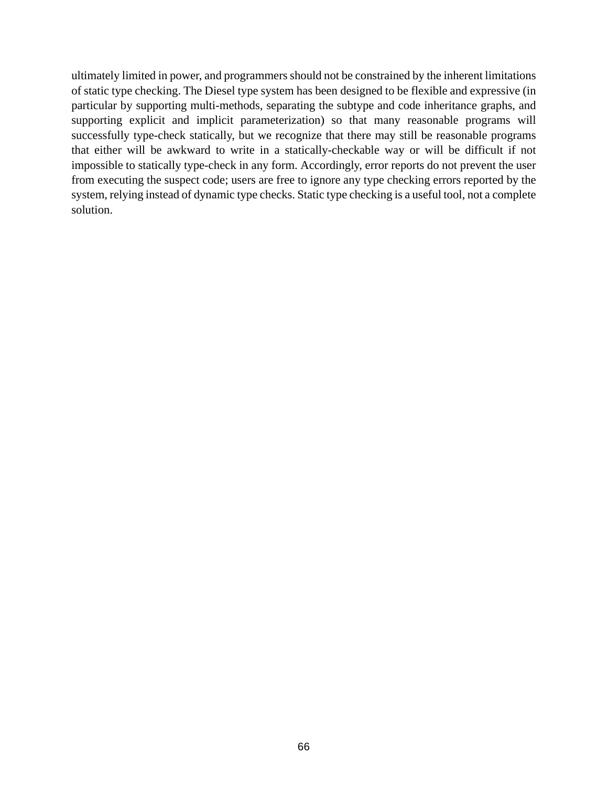ultimately limited in power, and programmers should not be constrained by the inherent limitations of static type checking. The Diesel type system has been designed to be flexible and expressive (in particular by supporting multi-methods, separating the subtype and code inheritance graphs, and supporting explicit and implicit parameterization) so that many reasonable programs will successfully type-check statically, but we recognize that there may still be reasonable programs that either will be awkward to write in a statically-checkable way or will be difficult if not impossible to statically type-check in any form. Accordingly, error reports do not prevent the user from executing the suspect code; users are free to ignore any type checking errors reported by the system, relying instead of dynamic type checks. Static type checking is a useful tool, not a complete solution.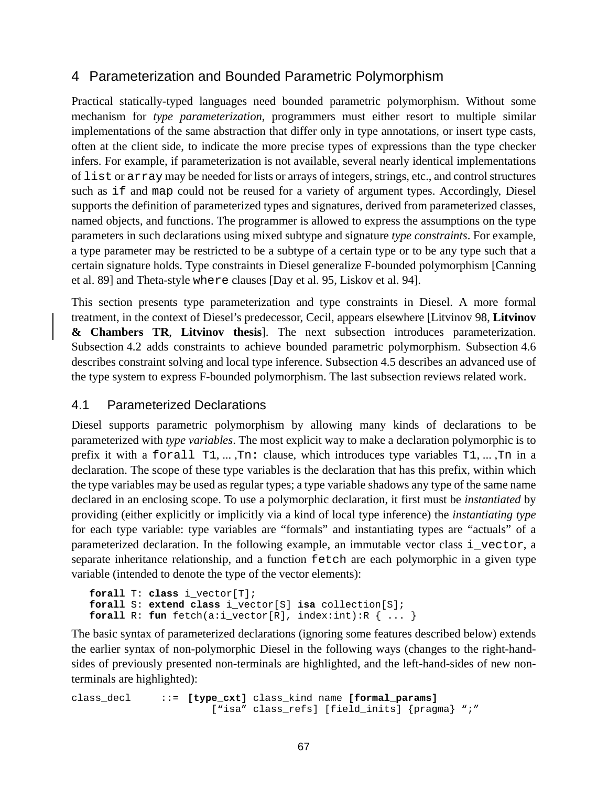# <span id="page-66-0"></span>4 Parameterization and Bounded Parametric Polymorphism

Practical statically-typed languages need bounded parametric polymorphism. Without some mechanism for *type parameterization*, programmers must either resort to multiple similar implementations of the same abstraction that differ only in type annotations, or insert type casts, often at the client side, to indicate the more precise types of expressions than the type checker infers. For example, if parameterization is not available, several nearly identical implementations of list or array may be needed for lists or arrays of integers, strings, etc., and controlstructures such as if and map could not be reused for a variety of argument types. Accordingly, Diesel supports the definition of parameterized types and signatures, derived from parameterized classes, named objects, and functions. The programmer is allowed to express the assumptions on the type parameters in such declarations using mixed subtype and signature *type constraints*. For example, a type parameter may be restricted to be a subtype of a certain type or to be any type such that a certain signature holds. Type constraints in Diesel generalize F-bounded polymorphism [Canning et al. 89] and Theta-style where clauses [Day et al. 95, Liskov et al. 94].

This section presents type parameterization and type constraints in Diesel. A more formal treatment, in the context of Diesel's predecessor, Cecil, appears elsewhere [Litvinov 98, **Litvinov & Chambers TR**, **Litvinov thesis**]. The next subsection introduces parameterization. Subsection [4.2](#page-68-0) adds constraints to achieve bounded parametric polymorphism. Subsection [4.6](#page-76-0) describes constraint solving and local type inference. Subsection [4.5](#page-74-0) describes an advanced use of the type system to express F-bounded polymorphism. The last subsection reviews related work.

## 4.1 Parameterized Declarations

Diesel supports parametric polymorphism by allowing many kinds of declarations to be parameterized with *type variables*. The most explicit way to make a declaration polymorphic is to prefix it with a forall T1, ... ,Tn: clause, which introduces type variables T1, ... ,Tn in a declaration. The scope of these type variables is the declaration that has this prefix, within which the type variables may be used as regular types; a type variable shadows any type of the same name declared in an enclosing scope. To use a polymorphic declaration, it first must be *instantiated* by providing (either explicitly or implicitly via a kind of local type inference) the *instantiating type* for each type variable: type variables are "formals" and instantiating types are "actuals" of a parameterized declaration. In the following example, an immutable vector class i\_vector, a separate inheritance relationship, and a function fetch are each polymorphic in a given type variable (intended to denote the type of the vector elements):

```
forall T: class i_vector[T];
forall S: extend class i_vector[S] isa collection[S];
forall R: fun fetch(a:i vector[R], index:int):R \{ \ldots \}
```
The basic syntax of parameterized declarations (ignoring some features described below) extends the earlier syntax of non-polymorphic Diesel in the following ways (changes to the right-handsides of previously presented non-terminals are highlighted, and the left-hand-sides of new nonterminals are highlighted):

```
class_decl ::= [type_cxt] class_kind name [formal_params]
                      ["isa" class_refs] [field_inits] {pragma} ";"
```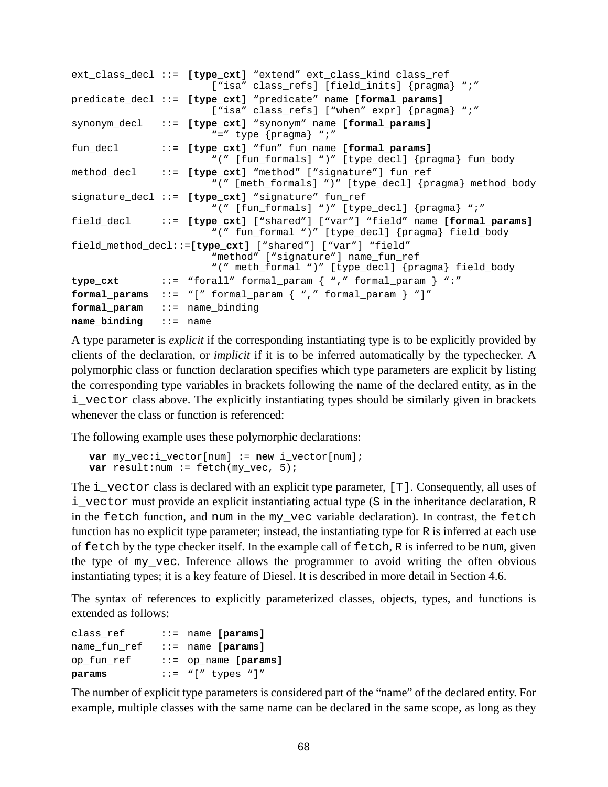```
ext_class_decl ::= [type_cxt] "extend" ext_class_kind class_ref
                       ["isa" class refs] [field inits] {pragma} ";"
predicate_decl ::= [type_cxt] "predicate" name [formal_params]
                       ["isa" class refs] ["when" expr] {pragma} ";"
synonym_decl ::= [type_cxt] "synonym" name [formal_params]
                       "=" type {pragma} ";"
fun_decl ::= [type_cxt] "fun" fun_name [formal_params]
                       "(" [fun formals] ")" [type decl] {pragma} fun body
method decl ::= [type cxt] "method" ["signature"] fun ref
                       "(" [meth_formals] ")" [type_decl] {pragma} method_body
signature_decl ::= [type_cxt] "signature" fun_ref
                       "(" [fun_formals] ")" [type_decl] {pragma} ";"
field_decl ::= [type_cxt] ["shared"] ["var"] "field" name [formal_params]
                       "(" fun_formal ")" [type_decl] {pragma} field_body
field_method_decl::=[type_cxt] ["shared"] ["var"] "field"
                       "method" ["signature"] name_fun_ref
                       "(" meth_formal ")" [type_decl] {pragma} field_body
type_cxt ::= "forall" formal_param { "," formal_param } ":"
formal_params ::= "[" formal_param { "," formal_param } "]"
formal_param ::= name_binding
name binding ::= name
```
A type parameter is *explicit* if the corresponding instantiating type is to be explicitly provided by clients of the declaration, or *implicit* if it is to be inferred automatically by the typechecker. A polymorphic class or function declaration specifies which type parameters are explicit by listing the corresponding type variables in brackets following the name of the declared entity, as in the i\_vector class above. The explicitly instantiating types should be similarly given in brackets whenever the class or function is referenced:

The following example uses these polymorphic declarations:

```
var my vec:i vector[num] := new i_vector[num];
var result:num := fetch(my_vec, 5);
```
The i\_vector class is declared with an explicit type parameter, [T]. Consequently, all uses of i\_vector must provide an explicit instantiating actual type (S in the inheritance declaration, R in the fetch function, and num in the my\_vec variable declaration). In contrast, the fetch function has no explicit type parameter; instead, the instantiating type for R is inferred at each use of fetch by the type checker itself. In the example call of fetch, R is inferred to be num, given the type of my\_vec. Inference allows the programmer to avoid writing the often obvious instantiating types; it is a key feature of Diesel. It is described in more detail in Section [4.6](#page-76-0).

The syntax of references to explicitly parameterized classes, objects, types, and functions is extended as follows:

| class ref    | $\cdots$ name [params]  |
|--------------|-------------------------|
| name fun ref | $\cdots$ name [params]  |
| op fun ref   | $::=$ op_name [params]  |
| params       | $::=" "[' " types "] "$ |

The number of explicit type parameters is considered part of the "name" of the declared entity. For example, multiple classes with the same name can be declared in the same scope, as long as they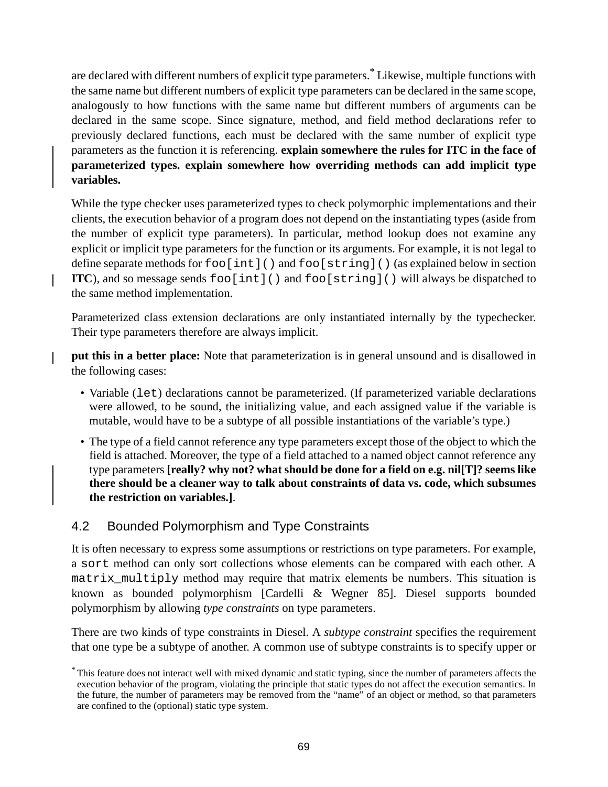<span id="page-68-0"></span>are declared with different numbers of explicit type parameters. \* Likewise, multiple functions with the same name but different numbers of explicit type parameters can be declared in the same scope, analogously to how functions with the same name but different numbers of arguments can be declared in the same scope. Since signature, method, and field method declarations refer to previously declared functions, each must be declared with the same number of explicit type parameters as the function it is referencing. **explain somewhere the rules for ITC in the face of parameterized types. explain somewhere how overriding methods can add implicit type variables.**

While the type checker uses parameterized types to check polymorphic implementations and their clients, the execution behavior of a program does not depend on the instantiating types (aside from the number of explicit type parameters). In particular, method lookup does not examine any explicit or implicit type parameters for the function or its arguments. For example, it is not legal to define separate methods for foo[int]() and foo[string]() (as explained below in section **ITC**), and so message sends  $f \circ \text{dist}(x)$  and  $f \circ \text{dist}(x)$  () will always be dispatched to the same method implementation.

Parameterized class extension declarations are only instantiated internally by the typechecker. Their type parameters therefore are always implicit.

**put this in a better place:** Note that parameterization is in general unsound and is disallowed in the following cases:

- Variable (let) declarations cannot be parameterized. (If parameterized variable declarations were allowed, to be sound, the initializing value, and each assigned value if the variable is mutable, would have to be a subtype of all possible instantiations of the variable's type.)
- The type of a field cannot reference any type parameters except those of the object to which the field is attached. Moreover, the type of a field attached to a named object cannot reference any type parameters **[really? why not? what should be done for a field on e.g. nil[T]? seems like there should be a cleaner way to talk about constraints of data vs. code, which subsumes the restriction on variables.]**.

## 4.2 Bounded Polymorphism and Type Constraints

It is often necessary to express some assumptions or restrictions on type parameters. For example, a sort method can only sort collections whose elements can be compared with each other. A matrix\_multiply method may require that matrix elements be numbers. This situation is known as bounded polymorphism [Cardelli & Wegner 85]. Diesel supports bounded polymorphism by allowing *type constraints* on type parameters.

There are two kinds of type constraints in Diesel. A *subtype constraint* specifies the requirement that one type be a subtype of another. A common use of subtype constraints is to specify upper or

<sup>\*</sup> This feature does not interact well with mixed dynamic and static typing, since the number of parameters affects the execution behavior of the program, violating the principle that static types do not affect the execution semantics. In the future, the number of parameters may be removed from the "name" of an object or method, so that parameters are confined to the (optional) static type system.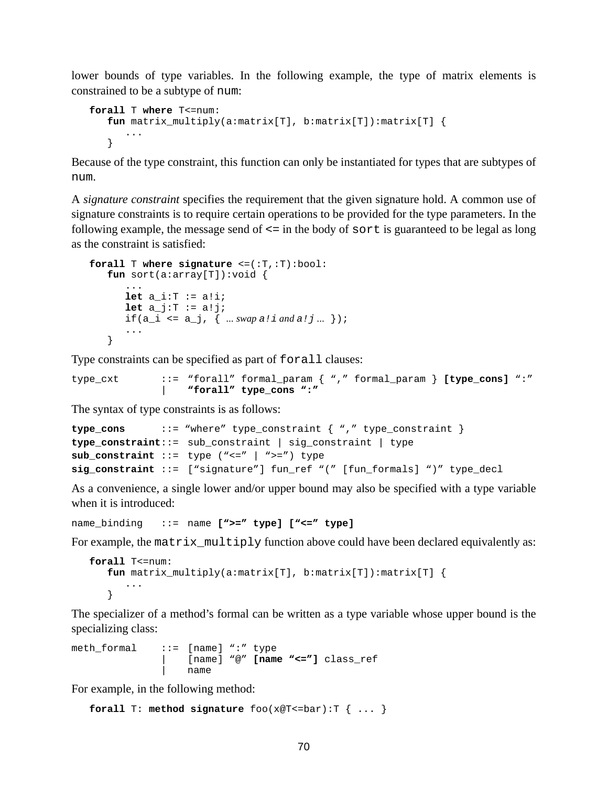lower bounds of type variables. In the following example, the type of matrix elements is constrained to be a subtype of num:

```
forall T where T<=num:
   fun matrix_multiply(a:matrix[T], b:matrix[T]):matrix[T] {
      ...
   }
```
Because of the type constraint, this function can only be instantiated for types that are subtypes of num.

A *signature constraint* specifies the requirement that the given signature hold. A common use of signature constraints is to require certain operations to be provided for the type parameters. In the following example, the message send of  $\leq$  in the body of sort is guaranteed to be legal as long as the constraint is satisfied:

```
forall T where signature <=(:T,:T):bool:
   fun sort(a:array[T]):void {
       ...
       let a i:T := a!i;let a j:T := a!j;
       if(a_i \leq a_j, { ... swap a! \text{ i and } a! \text{ j...} });
       ...
   }
```
Type constraints can be specified as part of forall clauses:

```
type_cxt ::= "forall" formal_param { "," formal_param } [type_cons] ":"
              | "forall" type_cons ":"
```
The syntax of type constraints is as follows:

```
type_cons ::= "where" type_constraint { "," type_constraint }
type_constraint::= sub_constraint | sig_constraint | type
sub_constraint ::= type ("<=" | ">=") type
sig_constraint ::= ["signature"] fun_ref "(" [fun_formals] ")" type_decl
```
As a convenience, a single lower and/or upper bound may also be specified with a type variable when it is introduced:

```
name_binding ::= name [">=" type] ["<=" type]
```
For example, the matrix\_multiply function above could have been declared equivalently as:

```
forall T<=num:
   fun matrix_multiply(a:matrix[T], b:matrix[T]):matrix[T] {
      ...
   }
```
The specializer of a method's formal can be written as a type variable whose upper bound is the specializing class:

```
meth_formal ::= [name] ":" type
                   | [name] "@" [name "<="] class_ref
                   | name
```
For example, in the following method:

```
forall T: method signature foo(x@T<=bar):T { ... }
```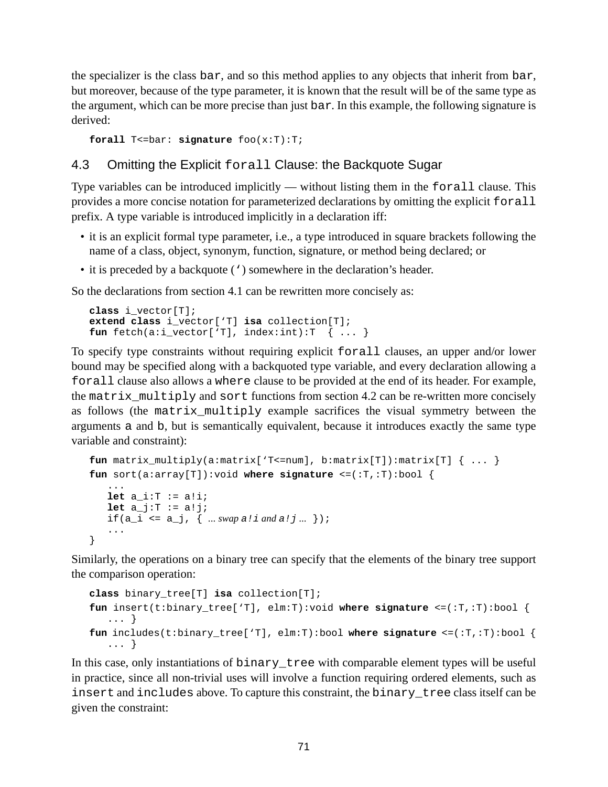the specializer is the class bar, and so this method applies to any objects that inherit from bar, but moreover, because of the type parameter, it is known that the result will be of the same type as the argument, which can be more precise than just bar. In this example, the following signature is derived:

```
forall T<=bar: signature foo(x:T):T;
```
## 4.3 Omitting the Explicit forall Clause: the Backquote Sugar

Type variables can be introduced implicitly — without listing them in the forall clause. This provides a more concise notation for parameterized declarations by omitting the explicit forall prefix. A type variable is introduced implicitly in a declaration iff:

- it is an explicit formal type parameter, i.e., a type introduced in square brackets following the name of a class, object, synonym, function, signature, or method being declared; or
- it is preceded by a backquote (') somewhere in the declaration's header.

So the declarations from section [4.1](#page-66-0) can be rewritten more concisely as:

```
class i_vector[T];
extend class i_vector['T] isa collection[T];
fun \text{ fetch}(a:i\_vector['T], index: int):T \{ ... \}
```
To specify type constraints without requiring explicit forall clauses, an upper and/or lower bound may be specified along with a backquoted type variable, and every declaration allowing a forall clause also allows a where clause to be provided at the end of its header. For example, the matrix\_multiply and sort functions from section [4.2](#page-68-0) can be re-written more concisely as follows (the matrix\_multiply example sacrifices the visual symmetry between the arguments a and b, but is semantically equivalent, because it introduces exactly the same type variable and constraint):

```
fun matrix_multiply(a:matrix['T<=num], b:matrix[T]):matrix[T] { ... }
fun sort(a:array[T]):void where signature <=(:T,:T):bool {
   ...
   let a i:T := a!i;let a_j:T := a!j;if(a_i = a_j, \{ ... \, swap \, a! \, i \, and \, a! \, j... \});
   ...
}
```
Similarly, the operations on a binary tree can specify that the elements of the binary tree support the comparison operation:

```
class binary_tree[T] isa collection[T];
fun insert(t:binary_tree['T], elm:T):void where signature <=(:T,:T):bool {
   ... }
fun includes(t:binary_tree['T], elm:T):bool where signature <=(:T,:T):bool {
   ... }
```
In this case, only instantiations of binary\_tree with comparable element types will be useful in practice, since all non-trivial uses will involve a function requiring ordered elements, such as insert and includes above. To capture this constraint, the binary\_tree class itself can be given the constraint: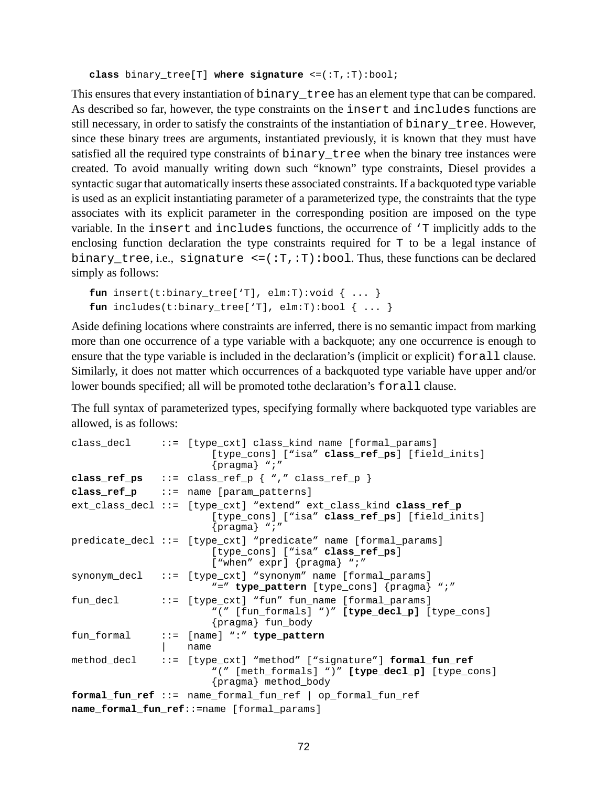```
class binary_tree[T] where signature <=(:T,:T):bool;
```
This ensures that every instantiation of binary tree has an element type that can be compared. As described so far, however, the type constraints on the insert and includes functions are still necessary, in order to satisfy the constraints of the instantiation of binary\_tree. However, since these binary trees are arguments, instantiated previously, it is known that they must have satisfied all the required type constraints of binary tree when the binary tree instances were created. To avoid manually writing down such "known" type constraints, Diesel provides a syntactic sugar that automatically inserts these associated constraints. If a backquoted type variable is used as an explicit instantiating parameter of a parameterized type, the constraints that the type associates with its explicit parameter in the corresponding position are imposed on the type variable. In the insert and includes functions, the occurrence of 'T implicitly adds to the enclosing function declaration the type constraints required for T to be a legal instance of binary\_tree, i.e., signature  $\leq$ =(:T,:T):bool. Thus, these functions can be declared simply as follows:

```
fun insert(t:binary_tree['T], elm:T):void { ... }
fun includes(t:binary_tree['T], elm:T):bool \{ \ldots \}
```
Aside defining locations where constraints are inferred, there is no semantic impact from marking more than one occurrence of a type variable with a backquote; any one occurrence is enough to ensure that the type variable is included in the declaration's (implicit or explicit) forall clause. Similarly, it does not matter which occurrences of a backquoted type variable have upper and/or lower bounds specified; all will be promoted to the declaration's forall clause.

The full syntax of parameterized types, specifying formally where backquoted type variables are allowed, is as follows:

```
class decl \therefore := [type cxt] class kind name [formal params]
                       [type_cons] ["isa" class_ref_ps] [field_inits]
                       {pragma} ";"
class_ref_ps ::= class_ref_p { "," class_ref_p }
class_ref_p ::= name [param_patterns]
ext_class_decl ::= [type_cxt] "extend" ext_class_kind class_ref_p
                       [type_cons] ["isa" class_ref_ps] [field_inits]
                       {pragma} ";"
predicate_decl ::= [type_cxt] "predicate" name [formal_params]
                       [type_cons] ["isa" class_ref_ps]
                       ["when" expr] {pragma} ";"
synonym_decl ::= [type_cxt] "synonym" name [formal_params]
                       "=" type_pattern [type_cons] {pragma} ";"
fun decl ::= [type cxt] "fun" fun name [formal params]
                       "(" [fun_formals] ")" [type_decl_p] [type_cons]
                       {pragma} fun_body
fun_formal ::= [name] ":" type_pattern
               | name
method_decl ::= [type_cxt] "method" ["signature"] formal_fun_ref
                       "(" [meth_formals] ")" [type_decl_p] [type_cons]
                       {pragma} method_body
formal_fun_ref ::= name_formal_fun_ref | op_formal_fun_ref
name_formal_fun_ref::=name [formal_params]
```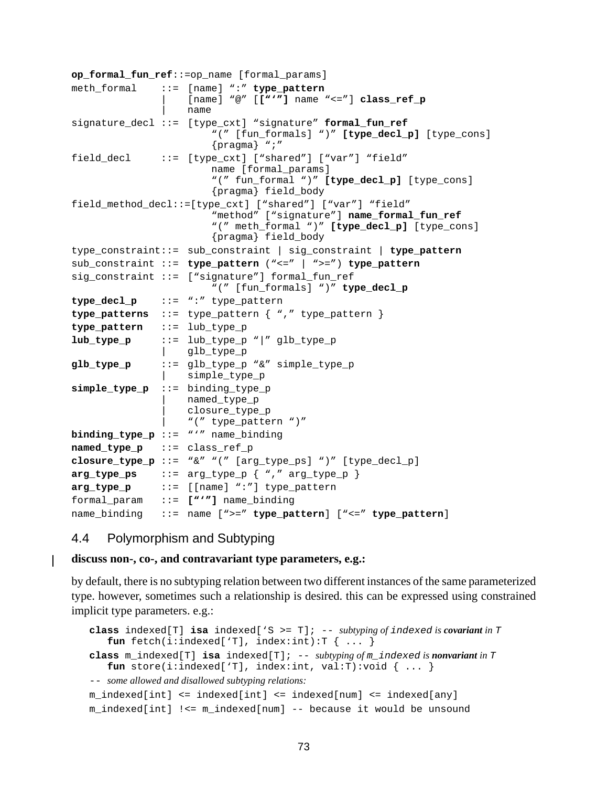```
op_formal_fun_ref::=op_name [formal_params]
meth_formal ::= [name] ":" type_pattern
                   | [name] "@" [["'"] name "<="] class_ref_p
                   | name
signature_decl ::= [type_cxt] "signature" formal_fun_ref
                       "(" [fun_formals] ")" [type_decl_p] [type_cons]
                       {pragma} ";"
field decl ::= [type cxt] ["shared"] ["var"] "field"
                       name [formal_params]
                       "(" fun_formal ")" [type_decl_p] [type_cons]
                       {pragma} field_body
field_method_decl::=[type_cxt] ["shared"] ["var"] "field"
                       "method" ["signature"] name formal fun ref
                       "(" meth_formal ")" [type_decl_p] [type_cons]
                       {pragma} field_body
type_constraint::= sub_constraint | sig_constraint | type_pattern
sub_constraint ::= type_pattern ("<=" | ">=") type_pattern
sig constraint ::= ["signature"] formal fun ref
                       "(" [fun_formals] ")" type_decl_p
type_decl_p ::= ":" type_pattern
type_patterns ::= type_pattern { "," type_pattern }
type pattern ::= lub type p
lub_type_p ::= lub_type_p "|" glb_type_p
                  qlb type p
glb_type_p ::= glb_type_p "&" simple_type_p
              | simple_type_p
simple_type_p ::= binding_type_p
                  named type p
                   | closure_type_p
                   | "(" type_pattern ")"
binding_type_p ::= "'" name_binding
named_type_p ::= class_ref_p
closure_type_p ::= "&" "(" [arg_type_ps] ")" [type_decl_p]
arg_type_ps ::= arg_type_p\ {\n," arg_type_p\ }arg_type_p ::= [[name] ":"] type_pattern
formal_param ::= ["'"] name_binding
name_binding ::= name [">=" type_pattern] ["<=" type_pattern]
```
#### 4.4 Polymorphism and Subtyping

#### **discuss non-, co-, and contravariant type parameters, e.g.:**

by default, there is no subtyping relation between two different instances of the same parameterized type. however, sometimes such a relationship is desired. this can be expressed using constrained implicit type parameters. e.g.:

```
class indexed[T] isa indexed['S >= T]; -- subtyping of indexed is covariant in T
   fun\ \f{fun}\ \f{tch}(i:indexed['T],\ \text{index:int}):T\ \{\dots\}class m_indexed[T] isa indexed[T]; -- subtyping of m_indexed is nonvariant in T
   fun store(i:indexed['T], index:int, val:T):void \{ \ldots \}-- some allowed and disallowed subtyping relations:
m_indexed[int] <= indexed[int] <= indexed[num] <= indexed[any]
m_indexed[int] !<= m_indexed[num] -- because it would be unsound
```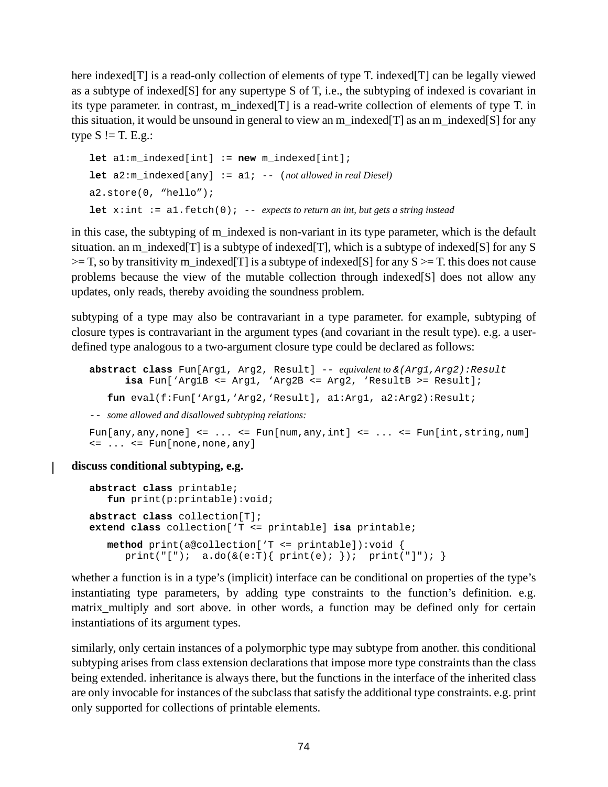here indexed[T] is a read-only collection of elements of type T. indexed[T] can be legally viewed as a subtype of indexed[S] for any supertype S of T, i.e., the subtyping of indexed is covariant in its type parameter, in contrast, m\_indexed[T] is a read-write collection of elements of type T. in this situation, it would be unsound in general to view an m\_indexed[T] as an m\_indexed[S] for any type  $S \models T$ . E.g.:

```
let a1:m_indexed[int] := new m_indexed[int];
let a2:m indexed[any] := a1; -- (not allowed in real Diesel)
a2.store(0, "hello");
let x:int := a1.fetch(0); -- expects to return an int, but gets a string instead
```
in this case, the subtyping of m\_indexed is non-variant in its type parameter, which is the default situation. an m\_indexed[T] is a subtype of indexed[T], which is a subtype of indexed[S] for any S  $>=$  T, so by transitivity m\_indexed[T] is a subtype of indexed[S] for any S  $>=$  T, this does not cause problems because the view of the mutable collection through indexed[S] does not allow any updates, only reads, thereby avoiding the soundness problem.

subtyping of a type may also be contravariant in a type parameter. for example, subtyping of closure types is contravariant in the argument types (and covariant in the result type). e.g. a userdefined type analogous to a two-argument closure type could be declared as follows:

```
abstract class Fun[Arg1, Arg2, Result] -- equivalent to &(Arg1,Arg2):Result
      isa Fun['Arg1B <= Arg1, 'Arg2B <= Arg2, 'ResultB >= Result];
   fun eval(f:Fun['Arg1,'Arg2,'Result], a1:Arg1, a2:Arg2):Result;
```
-- *some allowed and disallowed subtyping relations:*

```
Fun[any,any,none] \leq ... \leq Fun[num,any,int] \leq ... \leq Fun[int,string,num]
\leq ... \leq Fun[none, none, any]
```
**discuss conditional subtyping, e.g.**

```
abstract class printable;
   fun print(p:printable):void;
abstract class collection[T];
extend class collection['T <= printable] isa printable;
  method print(a@collection['T <= printable]):void {
      print("["); a.do(&e:T){ \prime} print(e); } ; print("["");
```
whether a function is in a type's (implicit) interface can be conditional on properties of the type's instantiating type parameters, by adding type constraints to the function's definition. e.g. matrix\_multiply and sort above. in other words, a function may be defined only for certain instantiations of its argument types.

similarly, only certain instances of a polymorphic type may subtype from another. this conditional subtyping arises from class extension declarations that impose more type constraints than the class being extended. inheritance is always there, but the functions in the interface of the inherited class are only invocable for instances of the subclass that satisfy the additional type constraints. e.g. print only supported for collections of printable elements.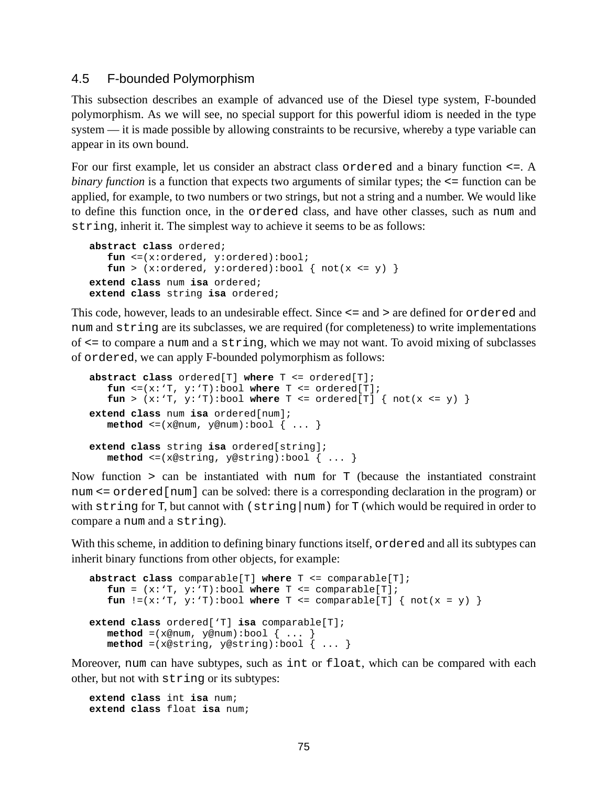#### <span id="page-74-0"></span>4.5 F-bounded Polymorphism

This subsection describes an example of advanced use of the Diesel type system, F-bounded polymorphism. As we will see, no special support for this powerful idiom is needed in the type system — it is made possible by allowing constraints to be recursive, whereby a type variable can appear in its own bound.

For our first example, let us consider an abstract class ordered and a binary function <=. A *binary function* is a function that expects two arguments of similar types; the  $\leq$  function can be applied, for example, to two numbers or two strings, but not a string and a number. We would like to define this function once, in the ordered class, and have other classes, such as num and string, inherit it. The simplest way to achieve it seems to be as follows:

```
abstract class ordered;
   fun <=(x:ordered, y:ordered):bool;
   fun > (x:ordered, y:ordered):bool { not(x <= y) }
extend class num isa ordered;
extend class string isa ordered;
```
This code, however, leads to an undesirable effect. Since <= and > are defined for ordered and num and string are its subclasses, we are required (for completeness) to write implementations of <= to compare a num and a string, which we may not want. To avoid mixing of subclasses of ordered, we can apply F-bounded polymorphism as follows:

```
abstract class ordered[T] where T <= ordered[T];
   fun \leq (x: 'T, y: 'T):bool where T \leq 1 ordered[T];
   fun > (x: 'T, y: 'T): bool where T \leq ordered[T] \{ not(x \leq y) \}extend class num isa ordered[num];
   method \leq (x@num, y@num):bool \{ \ldots \}extend class string isa ordered[string];
   \texttt{method} \leq (x \texttt{@string}, y \texttt{@string}) : \texttt{bool} \{ \dots \}
```
Now function > can be instantiated with num for T (because the instantiated constraint num  $\le$  ordered [num] can be solved: there is a corresponding declaration in the program) or with string for T, but cannot with  $(s^{string} | num)$  for T (which would be required in order to compare a num and a string).

With this scheme, in addition to defining binary functions itself, ordered and all its subtypes can inherit binary functions from other objects, for example:

```
abstract class comparable[T] where T <= comparable[T];
   fun = (x: T, y: T):bool where T \leq comparable [T];
   fun != (x : T, y : T) : \text{bool} where T \leq \text{comparable}[T] \{ \text{not}(x = y) \}extend class ordered['T] isa comparable[T];
   method = (x@num, y@num):bool \{ ... \}method =(x@string, y@string):bool { ... }
```
Moreover, num can have subtypes, such as int or float, which can be compared with each other, but not with string or its subtypes:

**extend class** int **isa** num; **extend class** float **isa** num;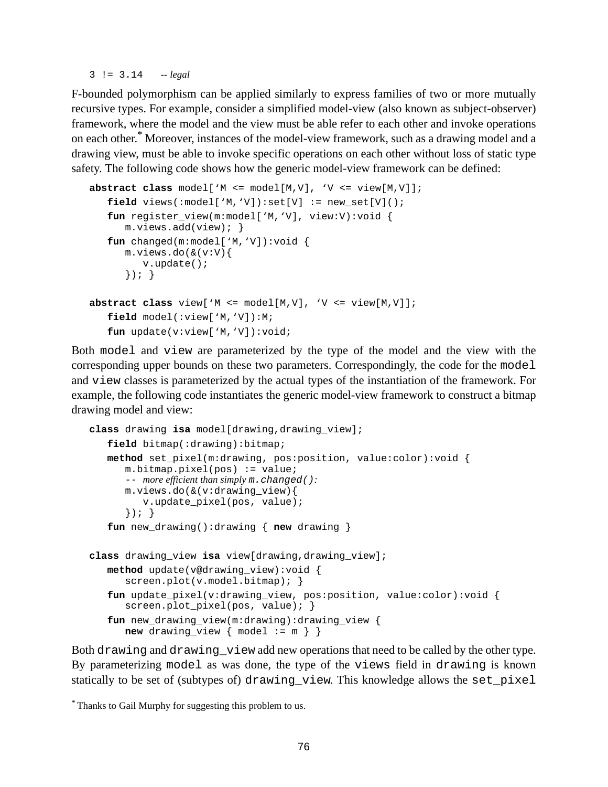3 != 3.14 *-- legal*

F-bounded polymorphism can be applied similarly to express families of two or more mutually recursive types. For example, consider a simplified model-view (also known as subject-observer) framework, where the model and the view must be able refer to each other and invoke operations on each other. \* Moreover, instances of the model-view framework, such as a drawing model and a drawing view, must be able to invoke specific operations on each other without loss of static type safety. The following code shows how the generic model-view framework can be defined:

```
abstract class model['M <= model[M,V], 'V <= view[M,V]];
   field views(:model['M,'V]):set[V] := new_set[V]();
   fun register_view(m:model['M,'V], view:V):void {
     m.views.add(view); }
   fun changed(m:model['M,'V]):void {
     m.views.do(&(v:V){
        v.update();
      }); }
abstract class view['M <= model[M,V], 'V <= view[M,V]];
   field model(:view['M,'V]):M;
   fun update(v:view['M,'V]):void;
```
Both model and view are parameterized by the type of the model and the view with the corresponding upper bounds on these two parameters. Correspondingly, the code for the model and view classes is parameterized by the actual types of the instantiation of the framework. For example, the following code instantiates the generic model-view framework to construct a bitmap drawing model and view:

```
class drawing isa model[drawing,drawing_view];
   field bitmap(:drawing):bitmap;
   method set_pixel(m:drawing, pos:position, value:color):void {
      m.bitmap.pixel(pos) := value;-- more efficient than simply m.changed():
      m.views.do(&(v:drawing_view){
         v.update_pixel(pos, value);
      }); }
   fun new drawing():drawing { new drawing }
class drawing_view isa view[drawing,drawing_view];
   method update(v@drawing_view):void {
      screen.plot(v.model.bitmap); }
   fun update_pixel(v:drawing_view, pos:position, value:color):void {
      screen.plot pixel(pos, value); \}fun new drawing view(m:drawing):drawing view {
      new drawing view \{ \text{ model } := m \}
```
Both drawing and drawing\_view add new operations that need to be called by the other type. By parameterizing model as was done, the type of the views field in drawing is known statically to be set of (subtypes of) drawing\_view. This knowledge allows the set\_pixel

<sup>\*</sup> Thanks to Gail Murphy for suggesting this problem to us.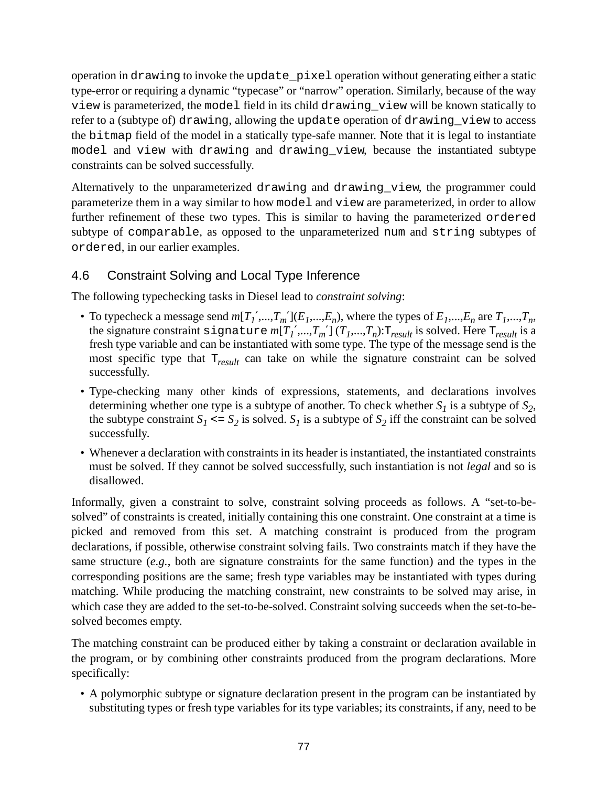operation in drawing to invoke the update\_pixel operation without generating either a static type-error or requiring a dynamic "typecase" or "narrow" operation. Similarly, because of the way view is parameterized, the model field in its child drawing\_view will be known statically to refer to a (subtype of) drawing, allowing the update operation of drawing\_view to access the bitmap field of the model in a statically type-safe manner. Note that it is legal to instantiate model and view with drawing and drawing\_view, because the instantiated subtype constraints can be solved successfully.

Alternatively to the unparameterized drawing and drawing\_view, the programmer could parameterize them in a way similar to how model and view are parameterized, in order to allow further refinement of these two types. This is similar to having the parameterized ordered subtype of comparable, as opposed to the unparameterized num and string subtypes of ordered, in our earlier examples.

# 4.6 Constraint Solving and Local Type Inference

The following typechecking tasks in Diesel lead to *constraint solving*:

- To typecheck a message send  $m[T_1',...,T_m'](E_1,...,E_n)$ , where the types of  $E_1,...,E_n$  are  $T_1,...,T_n$ , the signature constraint  $\texttt{signature}~m[T_1',...,T_m']$   $(T_1,...,T_n)$ : $\texttt{T}_{result}$  is solved. Here  $\texttt{T}_{result}$  is a fresh type variable and can be instantiated with some type. The type of the message send is the most specific type that T*result* can take on while the signature constraint can be solved successfully.
- Type-checking many other kinds of expressions, statements, and declarations involves determining whether one type is a subtype of another. To check whether  $S_I$  is a subtype of  $S_2$ , the subtype constraint  $S_I \leq S_2$  is solved.  $S_I$  is a subtype of  $S_2$  iff the constraint can be solved successfully.
- Whenever a declaration with constraints in its header is instantiated, the instantiated constraints must be solved. If they cannot be solved successfully, such instantiation is not *legal* and so is disallowed.

Informally, given a constraint to solve, constraint solving proceeds as follows. A "set-to-besolved" of constraints is created, initially containing this one constraint. One constraint at a time is picked and removed from this set. A matching constraint is produced from the program declarations, if possible, otherwise constraint solving fails. Two constraints match if they have the same structure (*e.g.*, both are signature constraints for the same function) and the types in the corresponding positions are the same; fresh type variables may be instantiated with types during matching. While producing the matching constraint, new constraints to be solved may arise, in which case they are added to the set-to-be-solved. Constraint solving succeeds when the set-to-besolved becomes empty.

The matching constraint can be produced either by taking a constraint or declaration available in the program, or by combining other constraints produced from the program declarations. More specifically:

• A polymorphic subtype or signature declaration present in the program can be instantiated by substituting types or fresh type variables for its type variables; its constraints, if any, need to be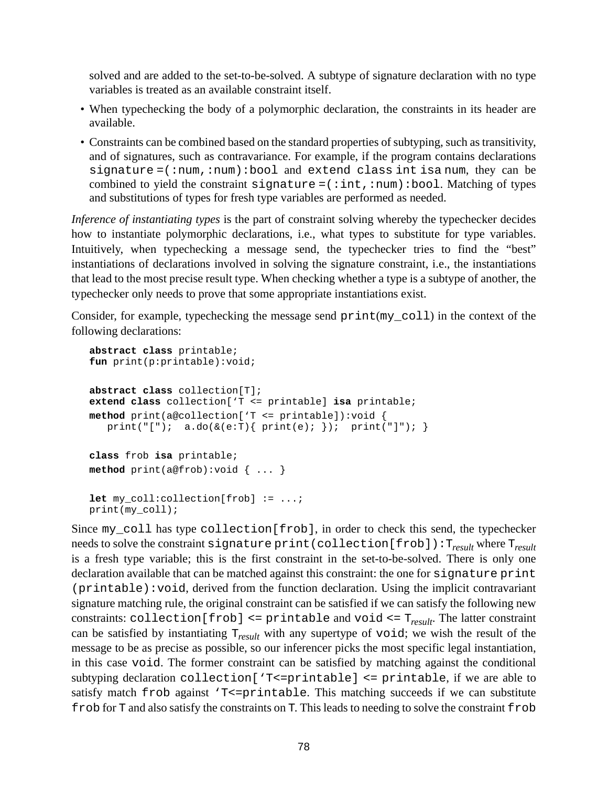solved and are added to the set-to-be-solved. A subtype of signature declaration with no type variables is treated as an available constraint itself.

- When typechecking the body of a polymorphic declaration, the constraints in its header are available.
- Constraints can be combined based on the standard properties of subtyping, such as transitivity, and of signatures, such as contravariance. For example, if the program contains declarations signature =(:num,:num):bool and extend class int isa num, they can be combined to yield the constraint signature =  $(iint, inum):bool$ . Matching of types and substitutions of types for fresh type variables are performed as needed.

*Inference of instantiating types* is the part of constraint solving whereby the typechecker decides how to instantiate polymorphic declarations, i.e., what types to substitute for type variables. Intuitively, when typechecking a message send, the typechecker tries to find the "best" instantiations of declarations involved in solving the signature constraint, i.e., the instantiations that lead to the most precise result type. When checking whether a type is a subtype of another, the typechecker only needs to prove that some appropriate instantiations exist.

Consider, for example, typechecking the message send print(my\_coll) in the context of the following declarations:

```
abstract class printable;
fun print(p:printable):void;
abstract class collection[T];
extend class collection['T <= printable] isa printable;
method print(a@collection['T <= printable]):void {
  print("["); a.doc(& (e:T) { print(e); } ); print("["); }class frob isa printable;
method print(a@frob):void { ... }
let my_coll:collection[frob] := ...;
print(my_coll);
```
Since my\_coll has type collection[frob], in order to check this send, the typechecker needs to solve the constraint signature print(collection[frob]):T*result* where T*result* is a fresh type variable; this is the first constraint in the set-to-be-solved. There is only one declaration available that can be matched against this constraint: the one for signature print (printable):void, derived from the function declaration. Using the implicit contravariant signature matching rule, the original constraint can be satisfied if we can satisfy the following new constraints: collection[frob] <= printable and void <= T*result* . The latter constraint can be satisfied by instantiating T*result* with any supertype of void; we wish the result of the message to be as precise as possible, so our inferencer picks the most specific legal instantiation, in this case void. The former constraint can be satisfied by matching against the conditional subtyping declaration collection['T<=printable] <= printable, if we are able to satisfy match  $frob$  against 'T<=printable. This matching succeeds if we can substitute frob for T and also satisfy the constraints on T. This leads to needing to solve the constraint frob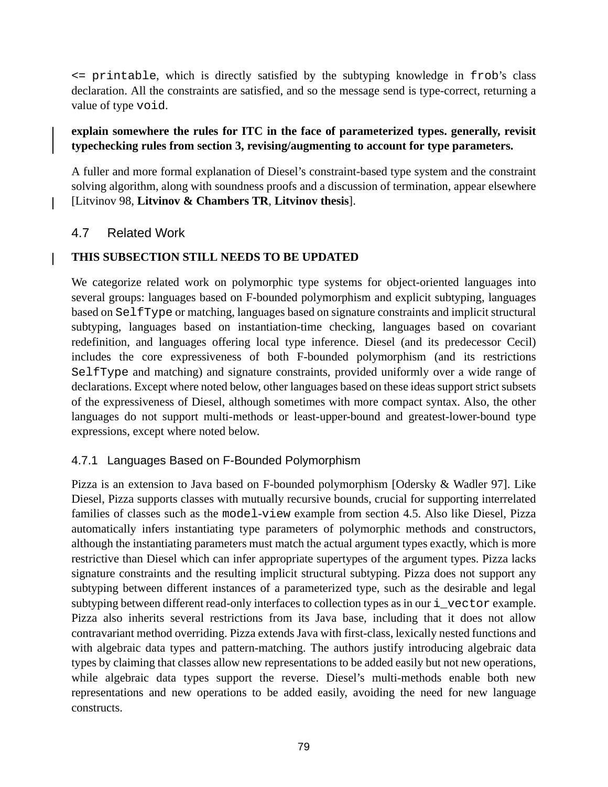<= printable, which is directly satisfied by the subtyping knowledge in frob's class declaration. All the constraints are satisfied, and so the message send is type-correct, returning a value of type void.

#### **explain somewhere the rules for ITC in the face of parameterized types. generally, revisit typechecking rules from section 3, revising/augmenting to account for type parameters.**

A fuller and more formal explanation of Diesel's constraint-based type system and the constraint solving algorithm, along with soundness proofs and a discussion of termination, appear elsewhere [Litvinov 98, **Litvinov & Chambers TR**, **Litvinov thesis**].

## 4.7 Related Work

 $\mathsf{l}$ 

#### **THIS SUBSECTION STILL NEEDS TO BE UPDATED**

We categorize related work on polymorphic type systems for object-oriented languages into several groups: languages based on F-bounded polymorphism and explicit subtyping, languages based on SelfType or matching, languages based on signature constraints and implicit structural subtyping, languages based on instantiation-time checking, languages based on covariant redefinition, and languages offering local type inference. Diesel (and its predecessor Cecil) includes the core expressiveness of both F-bounded polymorphism (and its restrictions SelfType and matching) and signature constraints, provided uniformly over a wide range of declarations. Except where noted below, other languages based on these ideas support strict subsets of the expressiveness of Diesel, although sometimes with more compact syntax. Also, the other languages do not support multi-methods or least-upper-bound and greatest-lower-bound type expressions, except where noted below.

### 4.7.1 Languages Based on F-Bounded Polymorphism

Pizza is an extension to Java based on F-bounded polymorphism [Odersky & Wadler 97]. Like Diesel, Pizza supports classes with mutually recursive bounds, crucial for supporting interrelated families of classes such as the model-view example from section [4.5](#page-74-0). Also like Diesel, Pizza automatically infers instantiating type parameters of polymorphic methods and constructors, although the instantiating parameters must match the actual argument types exactly, which is more restrictive than Diesel which can infer appropriate supertypes of the argument types. Pizza lacks signature constraints and the resulting implicit structural subtyping. Pizza does not support any subtyping between different instances of a parameterized type, such as the desirable and legal subtyping between different read-only interfaces to collection types as in our i\_vector example. Pizza also inherits several restrictions from its Java base, including that it does not allow contravariant method overriding. Pizza extends Java with first-class, lexically nested functions and with algebraic data types and pattern-matching. The authors justify introducing algebraic data types by claiming that classes allow new representations to be added easily but not new operations, while algebraic data types support the reverse. Diesel's multi-methods enable both new representations and new operations to be added easily, avoiding the need for new language constructs.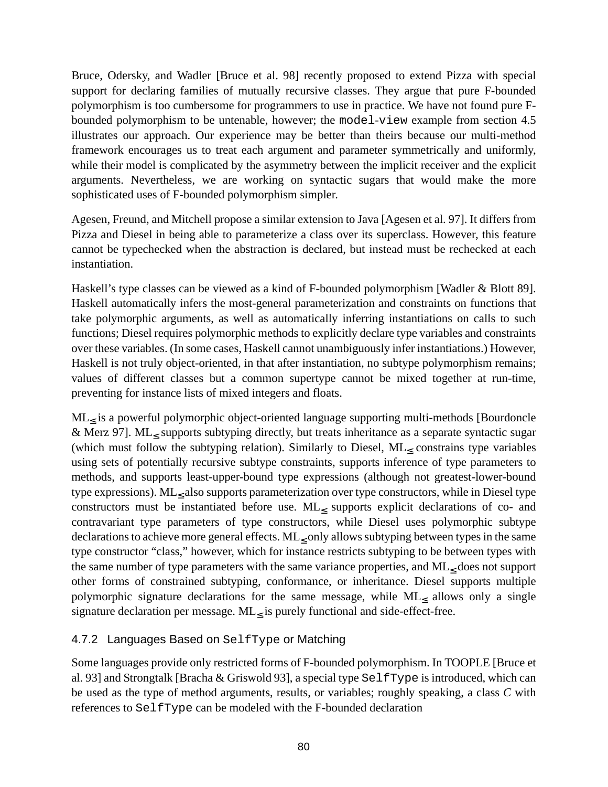Bruce, Odersky, and Wadler [Bruce et al. 98] recently proposed to extend Pizza with special support for declaring families of mutually recursive classes. They argue that pure F-bounded polymorphism is too cumbersome for programmers to use in practice. We have not found pure Fbounded polymorphism to be untenable, however; the model-view example from section [4.5](#page-74-0) illustrates our approach. Our experience may be better than theirs because our multi-method framework encourages us to treat each argument and parameter symmetrically and uniformly, while their model is complicated by the asymmetry between the implicit receiver and the explicit arguments. Nevertheless, we are working on syntactic sugars that would make the more sophisticated uses of F-bounded polymorphism simpler.

Agesen, Freund, and Mitchell propose a similar extension to Java [Agesen et al. 97]. It differs from Pizza and Diesel in being able to parameterize a class over its superclass. However, this feature cannot be typechecked when the abstraction is declared, but instead must be rechecked at each instantiation.

Haskell's type classes can be viewed as a kind of F-bounded polymorphism [Wadler & Blott 89]. Haskell automatically infers the most-general parameterization and constraints on functions that take polymorphic arguments, as well as automatically inferring instantiations on calls to such functions; Diesel requires polymorphic methods to explicitly declare type variables and constraints over these variables. (In some cases, Haskell cannot unambiguously infer instantiations.) However, Haskell is not truly object-oriented, in that after instantiation, no subtype polymorphism remains; values of different classes but a common supertype cannot be mixed together at run-time, preventing for instance lists of mixed integers and floats.

ML<sup>≤</sup> is a powerful polymorphic object-oriented language supporting multi-methods [Bourdoncle & Merz 97]. ML<sub>≤</sub> supports subtyping directly, but treats inheritance as a separate syntactic sugar (which must follow the subtyping relation). Similarly to Diesel, ML< constrains type variables using sets of potentially recursive subtype constraints, supports inference of type parameters to methods, and supports least-upper-bound type expressions (although not greatest-lower-bound type expressions).  $\mathrm{ML}_\leq$  also supports parameterization over type constructors, while in Diesel type constructors must be instantiated before use. ML≤ supports explicit declarations of co- and contravariant type parameters of type constructors, while Diesel uses polymorphic subtype declarations to achieve more general effects. ML< only allows subtyping between types in the same type constructor "class," however, which for instance restricts subtyping to be between types with the same number of type parameters with the same variance properties, and ML< does not support other forms of constrained subtyping, conformance, or inheritance. Diesel supports multiple polymorphic signature declarations for the same message, while  $ML_\leq$  allows only a single signature declaration per message.  $ML_{\leq}$  is purely functional and side-effect-free.

### 4.7.2 Languages Based on SelfType or Matching

Some languages provide only restricted forms of F-bounded polymorphism. In TOOPLE [Bruce et al. 93] and Strongtalk [Bracha & Griswold 93], a special type SelfType is introduced, which can be used as the type of method arguments, results, or variables; roughly speaking, a class *C* with references to SelfType can be modeled with the F-bounded declaration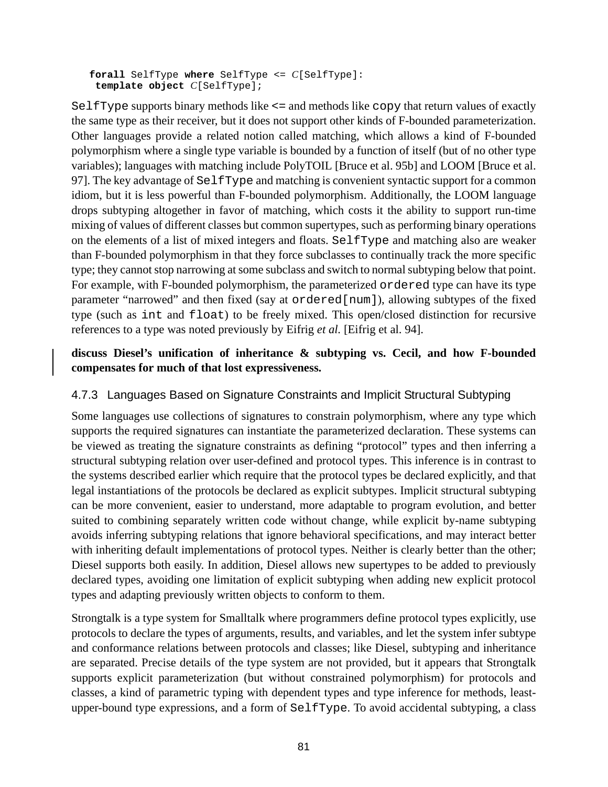**forall** SelfType **where** SelfType <= *C*[SelfType]: **template object** *C*[SelfType];

SelfType supports binary methods like <= and methods like copy that return values of exactly the same type as their receiver, but it does not support other kinds of F-bounded parameterization. Other languages provide a related notion called matching, which allows a kind of F-bounded polymorphism where a single type variable is bounded by a function of itself (but of no other type variables); languages with matching include PolyTOIL [Bruce et al. 95b] and LOOM [Bruce et al. 97]. The key advantage of SelfType and matching is convenient syntactic support for a common idiom, but it is less powerful than F-bounded polymorphism. Additionally, the LOOM language drops subtyping altogether in favor of matching, which costs it the ability to support run-time mixing of values of different classes but common supertypes, such as performing binary operations on the elements of a list of mixed integers and floats. SelfType and matching also are weaker than F-bounded polymorphism in that they force subclasses to continually track the more specific type; they cannot stop narrowing at some subclass and switch to normal subtyping below that point. For example, with F-bounded polymorphism, the parameterized ordered type can have its type parameter "narrowed" and then fixed (say at ordered[num]), allowing subtypes of the fixed type (such as int and float) to be freely mixed. This open/closed distinction for recursive references to a type was noted previously by Eifrig *et al.* [Eifrig et al. 94].

#### **discuss Diesel's unification of inheritance & subtyping vs. Cecil, and how F-bounded compensates for much of that lost expressiveness.**

#### 4.7.3 Languages Based on Signature Constraints and Implicit Structural Subtyping

Some languages use collections of signatures to constrain polymorphism, where any type which supports the required signatures can instantiate the parameterized declaration. These systems can be viewed as treating the signature constraints as defining "protocol" types and then inferring a structural subtyping relation over user-defined and protocol types. This inference is in contrast to the systems described earlier which require that the protocol types be declared explicitly, and that legal instantiations of the protocols be declared as explicit subtypes. Implicit structural subtyping can be more convenient, easier to understand, more adaptable to program evolution, and better suited to combining separately written code without change, while explicit by-name subtyping avoids inferring subtyping relations that ignore behavioral specifications, and may interact better with inheriting default implementations of protocol types. Neither is clearly better than the other; Diesel supports both easily. In addition, Diesel allows new supertypes to be added to previously declared types, avoiding one limitation of explicit subtyping when adding new explicit protocol types and adapting previously written objects to conform to them.

Strongtalk is a type system for Smalltalk where programmers define protocol types explicitly, use protocols to declare the types of arguments, results, and variables, and let the system infer subtype and conformance relations between protocols and classes; like Diesel, subtyping and inheritance are separated. Precise details of the type system are not provided, but it appears that Strongtalk supports explicit parameterization (but without constrained polymorphism) for protocols and classes, a kind of parametric typing with dependent types and type inference for methods, leastupper-bound type expressions, and a form of SelfType. To avoid accidental subtyping, a class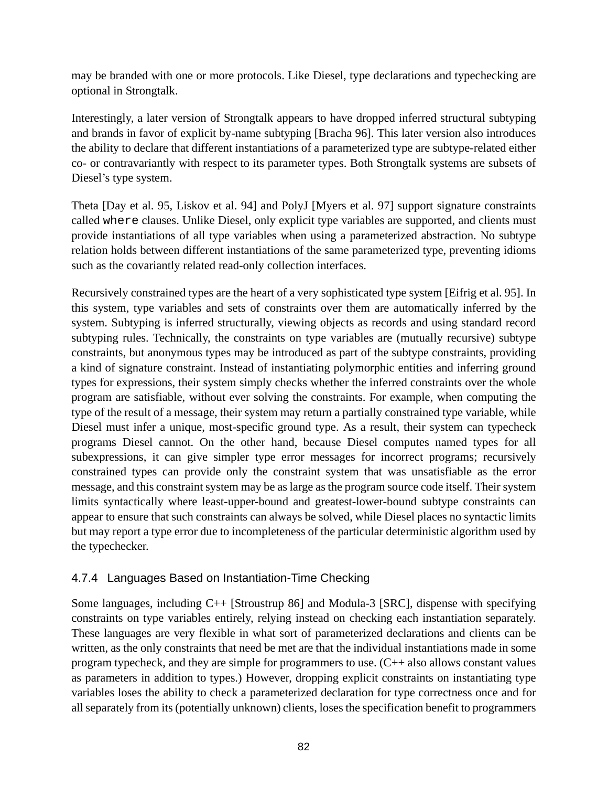may be branded with one or more protocols. Like Diesel, type declarations and typechecking are optional in Strongtalk.

Interestingly, a later version of Strongtalk appears to have dropped inferred structural subtyping and brands in favor of explicit by-name subtyping [Bracha 96]. This later version also introduces the ability to declare that different instantiations of a parameterized type are subtype-related either co- or contravariantly with respect to its parameter types. Both Strongtalk systems are subsets of Diesel's type system.

Theta [Day et al. 95, Liskov et al. 94] and PolyJ [Myers et al. 97] support signature constraints called where clauses. Unlike Diesel, only explicit type variables are supported, and clients must provide instantiations of all type variables when using a parameterized abstraction. No subtype relation holds between different instantiations of the same parameterized type, preventing idioms such as the covariantly related read-only collection interfaces.

Recursively constrained types are the heart of a very sophisticated type system [Eifrig et al. 95]. In this system, type variables and sets of constraints over them are automatically inferred by the system. Subtyping is inferred structurally, viewing objects as records and using standard record subtyping rules. Technically, the constraints on type variables are (mutually recursive) subtype constraints, but anonymous types may be introduced as part of the subtype constraints, providing a kind of signature constraint. Instead of instantiating polymorphic entities and inferring ground types for expressions, their system simply checks whether the inferred constraints over the whole program are satisfiable, without ever solving the constraints. For example, when computing the type of the result of a message, their system may return a partially constrained type variable, while Diesel must infer a unique, most-specific ground type. As a result, their system can typecheck programs Diesel cannot. On the other hand, because Diesel computes named types for all subexpressions, it can give simpler type error messages for incorrect programs; recursively constrained types can provide only the constraint system that was unsatisfiable as the error message, and this constraint system may be as large as the program source code itself. Their system limits syntactically where least-upper-bound and greatest-lower-bound subtype constraints can appear to ensure that such constraints can always be solved, while Diesel places no syntactic limits but may report a type error due to incompleteness of the particular deterministic algorithm used by the typechecker.

### 4.7.4 Languages Based on Instantiation-Time Checking

Some languages, including C++ [Stroustrup 86] and Modula-3 [SRC], dispense with specifying constraints on type variables entirely, relying instead on checking each instantiation separately. These languages are very flexible in what sort of parameterized declarations and clients can be written, as the only constraints that need be met are that the individual instantiations made in some program typecheck, and they are simple for programmers to use. (C++ also allows constant values as parameters in addition to types.) However, dropping explicit constraints on instantiating type variables loses the ability to check a parameterized declaration for type correctness once and for all separately from its (potentially unknown) clients, loses the specification benefit to programmers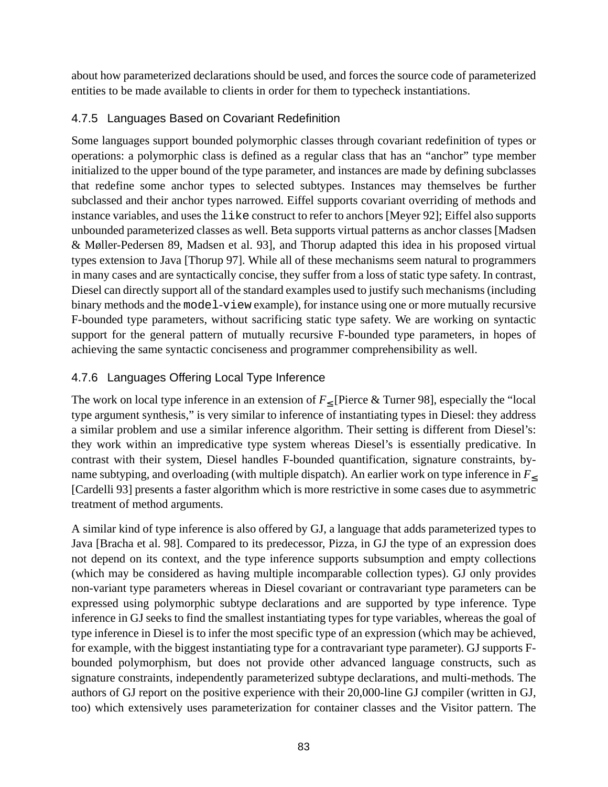about how parameterized declarations should be used, and forces the source code of parameterized entities to be made available to clients in order for them to typecheck instantiations.

## 4.7.5 Languages Based on Covariant Redefinition

Some languages support bounded polymorphic classes through covariant redefinition of types or operations: a polymorphic class is defined as a regular class that has an "anchor" type member initialized to the upper bound of the type parameter, and instances are made by defining subclasses that redefine some anchor types to selected subtypes. Instances may themselves be further subclassed and their anchor types narrowed. Eiffel supports covariant overriding of methods and instance variables, and uses the like construct to refer to anchors [Meyer 92]; Eiffel also supports unbounded parameterized classes as well. Beta supports virtual patterns as anchor classes [Madsen & Møller-Pedersen 89, Madsen et al. 93], and Thorup adapted this idea in his proposed virtual types extension to Java [Thorup 97]. While all of these mechanisms seem natural to programmers in many cases and are syntactically concise, they suffer from a loss of static type safety. In contrast, Diesel can directly support all of the standard examples used to justify such mechanisms(including binary methods and the model-view example), for instance using one or more mutually recursive F-bounded type parameters, without sacrificing static type safety. We are working on syntactic support for the general pattern of mutually recursive F-bounded type parameters, in hopes of achieving the same syntactic conciseness and programmer comprehensibility as well.

## 4.7.6 Languages Offering Local Type Inference

The work on local type inference in an extension of  $F_{\leq}$  [Pierce & Turner 98], especially the "local type argument synthesis," is very similar to inference of instantiating types in Diesel: they address a similar problem and use a similar inference algorithm. Their setting is different from Diesel's: they work within an impredicative type system whereas Diesel's is essentially predicative. In contrast with their system, Diesel handles F-bounded quantification, signature constraints, byname subtyping, and overloading (with multiple dispatch). An earlier work on type inference in *F*≤ [Cardelli 93] presents a faster algorithm which is more restrictive in some cases due to asymmetric treatment of method arguments.

A similar kind of type inference is also offered by GJ, a language that adds parameterized types to Java [Bracha et al. 98]. Compared to its predecessor, Pizza, in GJ the type of an expression does not depend on its context, and the type inference supports subsumption and empty collections (which may be considered as having multiple incomparable collection types). GJ only provides non-variant type parameters whereas in Diesel covariant or contravariant type parameters can be expressed using polymorphic subtype declarations and are supported by type inference. Type inference in GJ seeks to find the smallest instantiating types for type variables, whereas the goal of type inference in Diesel is to infer the most specific type of an expression (which may be achieved, for example, with the biggest instantiating type for a contravariant type parameter). GJ supports Fbounded polymorphism, but does not provide other advanced language constructs, such as signature constraints, independently parameterized subtype declarations, and multi-methods. The authors of GJ report on the positive experience with their 20,000-line GJ compiler (written in GJ, too) which extensively uses parameterization for container classes and the Visitor pattern. The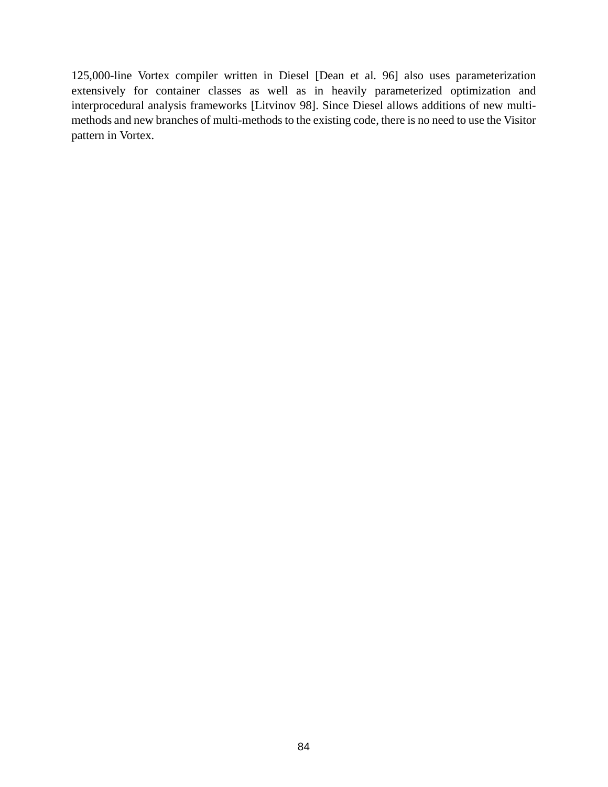125,000-line Vortex compiler written in Diesel [Dean et al. 96] also uses parameterization extensively for container classes as well as in heavily parameterized optimization and interprocedural analysis frameworks [Litvinov 98]. Since Diesel allows additions of new multimethods and new branches of multi-methods to the existing code, there is no need to use the Visitor pattern in Vortex.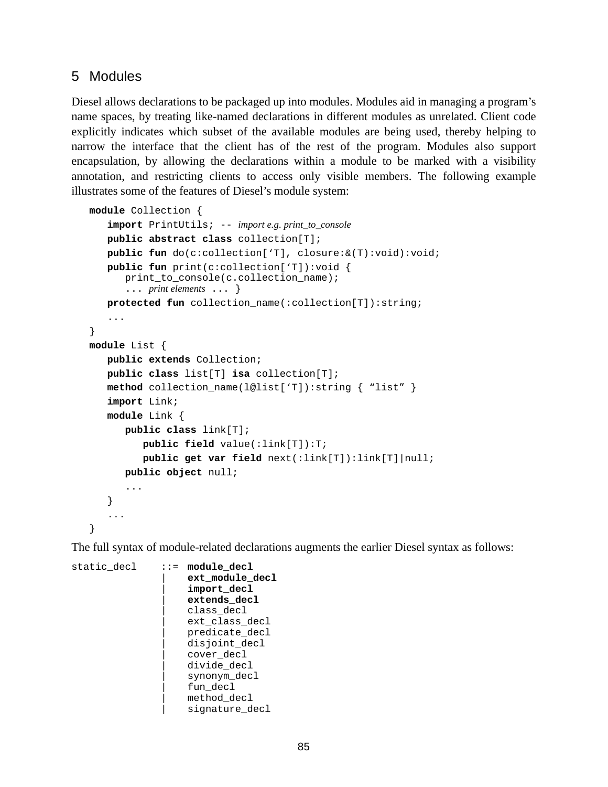## 5 Modules

Diesel allows declarations to be packaged up into modules. Modules aid in managing a program's name spaces, by treating like-named declarations in different modules as unrelated. Client code explicitly indicates which subset of the available modules are being used, thereby helping to narrow the interface that the client has of the rest of the program. Modules also support encapsulation, by allowing the declarations within a module to be marked with a visibility annotation, and restricting clients to access only visible members. The following example illustrates some of the features of Diesel's module system:

```
module Collection {
   import PrintUtils; -- import e.g. print_to_console
   public abstract class collection[T];
   public fun do(c:collection['T], closure:&(T):void):void;
   public fun print(c:collection['T]):void {
      print_to_console(c.collection_name);
      ... print elements ... }
   protected fun collection_name(:collection[T]):string;
   ...
}
module List {
   public extends Collection;
   public class list[T] isa collection[T];
   method collection_name(l@list['T]):string { "list" }
   import Link;
   module Link {
      public class link[T];
         public field value(:link[T]):T;
         public get var field next(:link[T]):link[T]|null;
      public object null;
      ...
   }
   ...
}
```
The full syntax of module-related declarations augments the earlier Diesel syntax as follows:

```
static decl ::= module decl
                    | ext_module_decl
                    | import_decl
                    | extends_decl
                    class decl
                    ext class decl
                    predicate decl
                    disjoint_decl
                    | cover_decl
                    divide decl
                    synonym decl
                    fun decl
                    method decl
                    | signature_decl
```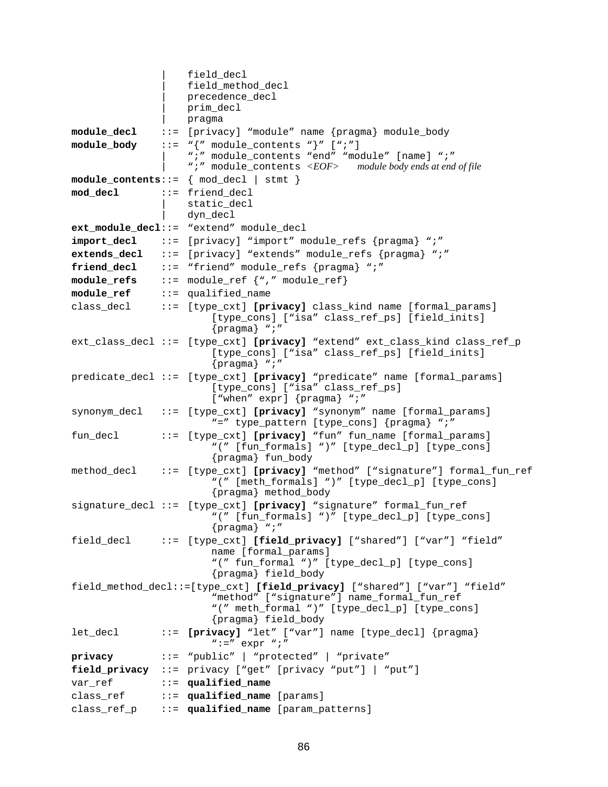```
| field_decl
                   field method decl
                   | precedence_decl
                   | prim_decl
                   | pragma
module_decl ::= [privacy] "module" name {pragma} module_body
module body ::= \sqrt{''} module contents \sqrt{''} [\sqrt{''}; \sqrt{''}]
                   | ";" module_contents "end" "module" [name] ";"
                   | ";" module_contents <EOF> module body ends at end of file
module_contents::= { mod_decl | stmt }
mod_decl ::= friend_decl
                   | static_decl
                   | dyn_decl
ext_module_decl::= "extend" module_decl
import_decl ::= [privacy] "import" module_refs {pragma} ";"
extends decl ::= [privacy] "extends" module refs {pragma} ";"
friend decl ::= "friend" module refs {pragma} ";"
module_refs ::= module_ref {"," module_ref}
module_ref ::= qualified_name
class decl ::= [type cxt] [privacy] class kind name [formal params]
                       [type_cons] ["isa" class_ref_ps] [field_inits]
                       {pragma} ";"
ext_class_decl ::= [type_cxt] [privacy] "extend" ext_class_kind class_ref_p
                       [type_cons] ["isa" class_ref_ps] [field_inits]
                       {pragma} ";"
predicate_decl ::= [type_cxt] [privacy] "predicate" name [formal_params]
                       [type_cons] ["isa" class_ref_ps]
                       ["when" expr] {pragma} ";"
synonym_decl ::= [type_cxt] [privacy] "synonym" name [formal_params]
                       "=" type_pattern [type_cons] {pragma} ";"
fun_decl ::= [type_cxt] [privacy] "fun" fun_name [formal_params]
                       "(" [fun_formals] ")" [type_decl_p] [type_cons]
                       {pragma} fun_body
method_decl ::= [type_cxt] [privacy] "method" ["signature"] formal_fun_ref
                       "(" [meth_formals] ")" [type_decl_p] [type_cons]
                       {pragma} method_body
signature_decl ::= [type_cxt] [privacy] "signature" formal_fun_ref
                       "(" [fun_formals] ")" [type_decl_p] [type_cons]
                       {pragma} ";"
field_decl ::= [type_cxt] [field_privacy] ["shared"] ["var"] "field"
                       name [formal_params]
                       "(" fun_formal ")" [type_decl_p] [type_cons]
                       {pragma} field_body
field_method_decl::=[type_cxt] [field_privacy] ["shared"] ["var"] "field"
                       "method" ["signature"] name_formal_fun_ref
                       "(" meth_formal ")" [type_decl_p] [type_cons]
                       {pragma} field_body
let_decl ::= [privacy] "let" ["var"] name [type_decl] {pragma}
                       " :=" \exp r "privacy ::= "public" | "protected" | "private"
field_privacy ::= privacy ["get" [privacy "put"] | "put"]
var ref ::= qualified name
class ref ::= qualified name [params]
class_ref_p ::= qualified_name [param_patterns]
```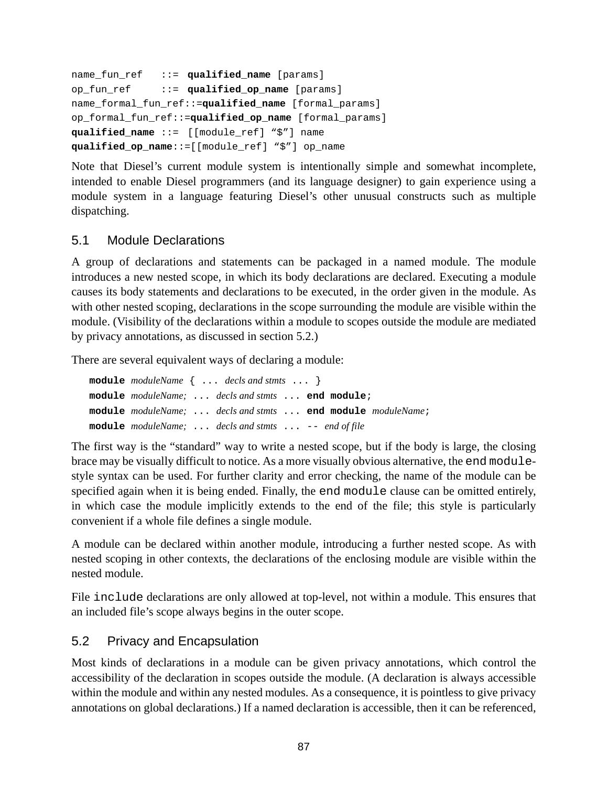```
name_fun_ref ::= qualified_name [params]
op_fun_ref ::= qualified_op_name [params]
name_formal_fun_ref::=qualified_name [formal_params]
op_formal_fun_ref::=qualified_op_name [formal_params]
qualified_name ::= [[module_ref] "$"] name
qualified_op_name::=[[module_ref] "$"] op_name
```
Note that Diesel's current module system is intentionally simple and somewhat incomplete, intended to enable Diesel programmers (and its language designer) to gain experience using a module system in a language featuring Diesel's other unusual constructs such as multiple dispatching.

### 5.1 Module Declarations

A group of declarations and statements can be packaged in a named module. The module introduces a new nested scope, in which its body declarations are declared. Executing a module causes its body statements and declarations to be executed, in the order given in the module. As with other nested scoping, declarations in the scope surrounding the module are visible within the module. (Visibility of the declarations within a module to scopes outside the module are mediated by privacy annotations, as discussed in section 5.2.)

There are several equivalent ways of declaring a module:

|  | module $moduleName \{ \dots \text{ } decls \text{ } and \text{ }stmts \dots \}$ |  |  |
|--|---------------------------------------------------------------------------------|--|--|
|  | module moduleName;  decls and stmts  end module;                                |  |  |
|  | module moduleName;  decls and stmts  end module moduleName;                     |  |  |
|  | <b>module</b> moduleName; $\ldots$ decls and stmts $\ldots$ -- end of file      |  |  |

The first way is the "standard" way to write a nested scope, but if the body is large, the closing brace may be visually difficult to notice. As a more visually obvious alternative, the end modulestyle syntax can be used. For further clarity and error checking, the name of the module can be specified again when it is being ended. Finally, the end module clause can be omitted entirely, in which case the module implicitly extends to the end of the file; this style is particularly convenient if a whole file defines a single module.

A module can be declared within another module, introducing a further nested scope. As with nested scoping in other contexts, the declarations of the enclosing module are visible within the nested module.

File include declarations are only allowed at top-level, not within a module. This ensures that an included file's scope always begins in the outer scope.

### 5.2 Privacy and Encapsulation

Most kinds of declarations in a module can be given privacy annotations, which control the accessibility of the declaration in scopes outside the module. (A declaration is always accessible within the module and within any nested modules. As a consequence, it is pointless to give privacy annotations on global declarations.) If a named declaration is accessible, then it can be referenced,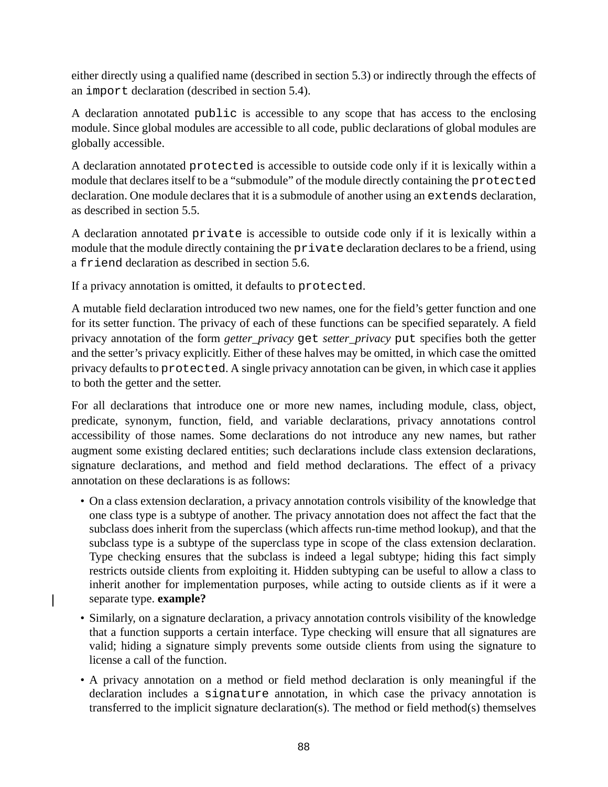either directly using a qualified name (described in section [5.3](#page-89-0)) or indirectly through the effects of an import declaration (described in section [5.4\)](#page-89-0).

A declaration annotated public is accessible to any scope that has access to the enclosing module. Since global modules are accessible to all code, public declarations of global modules are globally accessible.

A declaration annotated protected is accessible to outside code only if it is lexically within a module that declares itself to be a "submodule" of the module directly containing the protected declaration. One module declares that it is a submodule of another using an extends declaration, as described in section [5.5](#page-90-0).

A declaration annotated private is accessible to outside code only if it is lexically within a module that the module directly containing the private declaration declares to be a friend, using a friend declaration as described in section [5.6.](#page-90-0)

If a privacy annotation is omitted, it defaults to protected.

 $\overline{\phantom{a}}$ 

A mutable field declaration introduced two new names, one for the field's getter function and one for its setter function. The privacy of each of these functions can be specified separately. A field privacy annotation of the form *getter\_privacy* get *setter\_privacy* put specifies both the getter and the setter's privacy explicitly. Either of these halves may be omitted, in which case the omitted privacy defaults to protected. A single privacy annotation can be given, in which case it applies to both the getter and the setter.

For all declarations that introduce one or more new names, including module, class, object, predicate, synonym, function, field, and variable declarations, privacy annotations control accessibility of those names. Some declarations do not introduce any new names, but rather augment some existing declared entities; such declarations include class extension declarations, signature declarations, and method and field method declarations. The effect of a privacy annotation on these declarations is as follows:

- On a class extension declaration, a privacy annotation controls visibility of the knowledge that one class type is a subtype of another. The privacy annotation does not affect the fact that the subclass does inherit from the superclass (which affects run-time method lookup), and that the subclass type is a subtype of the superclass type in scope of the class extension declaration. Type checking ensures that the subclass is indeed a legal subtype; hiding this fact simply restricts outside clients from exploiting it. Hidden subtyping can be useful to allow a class to inherit another for implementation purposes, while acting to outside clients as if it were a separate type. **example?**
- Similarly, on a signature declaration, a privacy annotation controls visibility of the knowledge that a function supports a certain interface. Type checking will ensure that all signatures are valid; hiding a signature simply prevents some outside clients from using the signature to license a call of the function.
- A privacy annotation on a method or field method declaration is only meaningful if the declaration includes a signature annotation, in which case the privacy annotation is transferred to the implicit signature declaration(s). The method or field method(s) themselves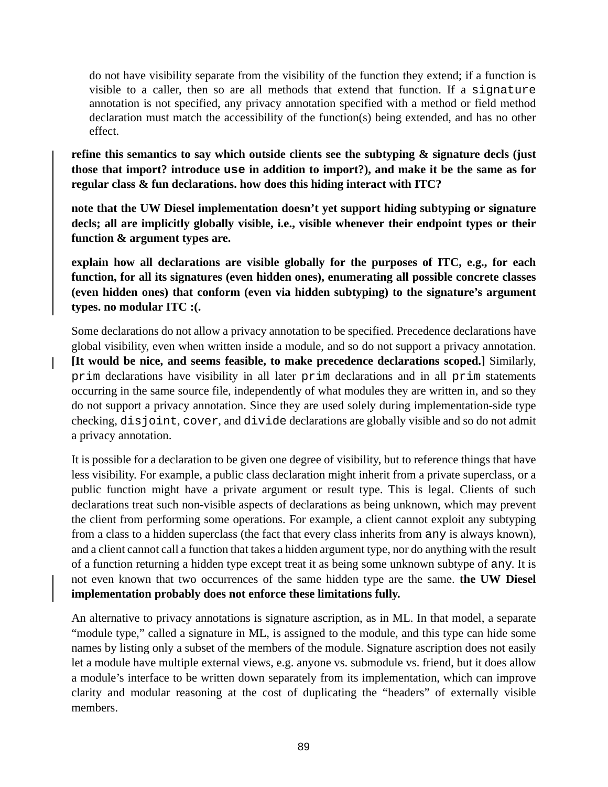do not have visibility separate from the visibility of the function they extend; if a function is visible to a caller, then so are all methods that extend that function. If a signature annotation is not specified, any privacy annotation specified with a method or field method declaration must match the accessibility of the function(s) being extended, and has no other effect.

**refine this semantics to say which outside clients see the subtyping & signature decls (just those that import? introduce use in addition to import?), and make it be the same as for regular class & fun declarations. how does this hiding interact with ITC?**

**note that the UW Diesel implementation doesn't yet support hiding subtyping or signature decls; all are implicitly globally visible, i.e., visible whenever their endpoint types or their function & argument types are.**

**explain how all declarations are visible globally for the purposes of ITC, e.g., for each function, for all its signatures (even hidden ones), enumerating all possible concrete classes (even hidden ones) that conform (even via hidden subtyping) to the signature's argument types. no modular ITC :(.**

Some declarations do not allow a privacy annotation to be specified. Precedence declarations have global visibility, even when written inside a module, and so do not support a privacy annotation. **[It would be nice, and seems feasible, to make precedence declarations scoped.]** Similarly, prim declarations have visibility in all later prim declarations and in all prim statements occurring in the same source file, independently of what modules they are written in, and so they do not support a privacy annotation. Since they are used solely during implementation-side type checking, disjoint, cover, and divide declarations are globally visible and so do not admit a privacy annotation.

 $\mathbf l$ 

It is possible for a declaration to be given one degree of visibility, but to reference things that have less visibility. For example, a public class declaration might inherit from a private superclass, or a public function might have a private argument or result type. This is legal. Clients of such declarations treat such non-visible aspects of declarations as being unknown, which may prevent the client from performing some operations. For example, a client cannot exploit any subtyping from a class to a hidden superclass (the fact that every class inherits from any is always known), and a client cannot call a function that takes a hidden argument type, nor do anything with the result of a function returning a hidden type except treat it as being some unknown subtype of any. It is not even known that two occurrences of the same hidden type are the same. **the UW Diesel implementation probably does not enforce these limitations fully.**

An alternative to privacy annotations is signature ascription, as in ML. In that model, a separate "module type," called a signature in ML, is assigned to the module, and this type can hide some names by listing only a subset of the members of the module. Signature ascription does not easily let a module have multiple external views, e.g. anyone vs. submodule vs. friend, but it does allow a module's interface to be written down separately from its implementation, which can improve clarity and modular reasoning at the cost of duplicating the "headers" of externally visible members.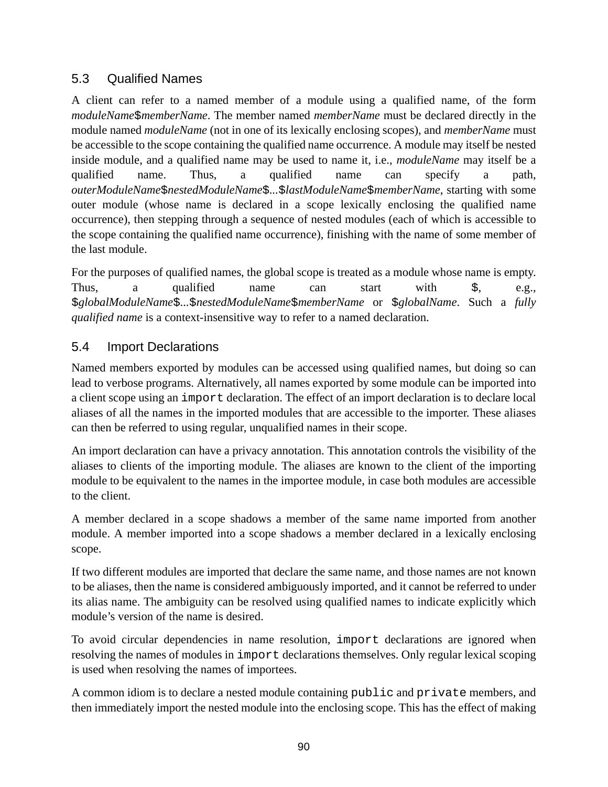## <span id="page-89-0"></span>5.3 Qualified Names

A client can refer to a named member of a module using a qualified name, of the form *moduleName*\$*memberName*. The member named *memberName* must be declared directly in the module named *moduleName* (not in one of its lexically enclosing scopes), and *memberName* must be accessible to the scope containing the qualified name occurrence. A module may itself be nested inside module, and a qualified name may be used to name it, i.e., *moduleName* may itself be a qualified name. Thus, a qualified name can specify a path, *outerModuleName*\$*nestedModuleName*\$*...*\$*lastModuleName*\$*memberName*, starting with some outer module (whose name is declared in a scope lexically enclosing the qualified name occurrence), then stepping through a sequence of nested modules (each of which is accessible to the scope containing the qualified name occurrence), finishing with the name of some member of the last module.

For the purposes of qualified names, the global scope is treated as a module whose name is empty. Thus, a qualified name can start with \$, e.g., \$*globalModuleName*\$*...*\$*nestedModuleName*\$*memberName* or \$*globalName*. Such a *fully qualified name* is a context-insensitive way to refer to a named declaration.

## 5.4 Import Declarations

Named members exported by modules can be accessed using qualified names, but doing so can lead to verbose programs. Alternatively, all names exported by some module can be imported into a client scope using an import declaration. The effect of an import declaration is to declare local aliases of all the names in the imported modules that are accessible to the importer. These aliases can then be referred to using regular, unqualified names in their scope.

An import declaration can have a privacy annotation. This annotation controls the visibility of the aliases to clients of the importing module. The aliases are known to the client of the importing module to be equivalent to the names in the importee module, in case both modules are accessible to the client.

A member declared in a scope shadows a member of the same name imported from another module. A member imported into a scope shadows a member declared in a lexically enclosing scope.

If two different modules are imported that declare the same name, and those names are not known to be aliases, then the name is considered ambiguously imported, and it cannot be referred to under its alias name. The ambiguity can be resolved using qualified names to indicate explicitly which module's version of the name is desired.

To avoid circular dependencies in name resolution, import declarations are ignored when resolving the names of modules in import declarations themselves. Only regular lexical scoping is used when resolving the names of importees.

A common idiom is to declare a nested module containing public and private members, and then immediately import the nested module into the enclosing scope. This has the effect of making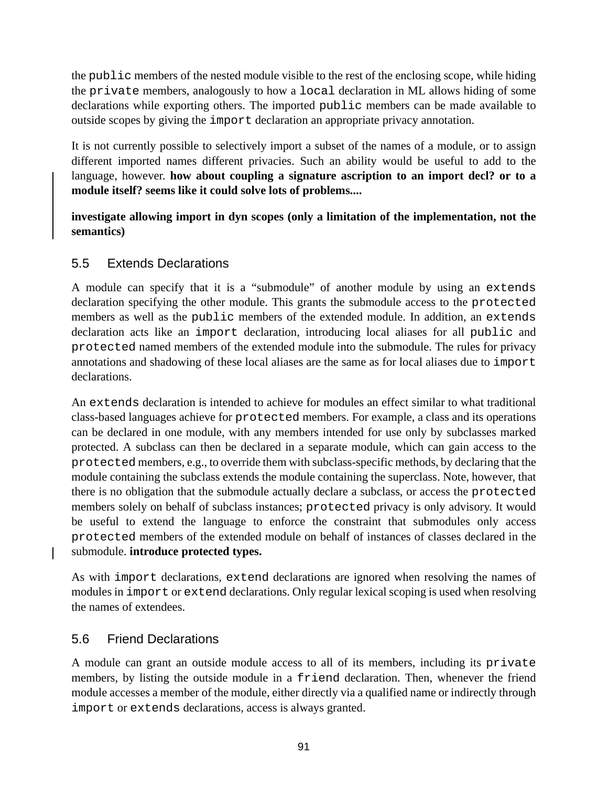<span id="page-90-0"></span>the public members of the nested module visible to the rest of the enclosing scope, while hiding the private members, analogously to how a local declaration in ML allows hiding of some declarations while exporting others. The imported public members can be made available to outside scopes by giving the import declaration an appropriate privacy annotation.

It is not currently possible to selectively import a subset of the names of a module, or to assign different imported names different privacies. Such an ability would be useful to add to the language, however. **how about coupling a signature ascription to an import decl? or to a module itself? seems like it could solve lots of problems....**

**investigate allowing import in dyn scopes (only a limitation of the implementation, not the semantics)**

## 5.5 Extends Declarations

A module can specify that it is a "submodule" of another module by using an extends declaration specifying the other module. This grants the submodule access to the protected members as well as the public members of the extended module. In addition, an extends declaration acts like an import declaration, introducing local aliases for all public and protected named members of the extended module into the submodule. The rules for privacy annotations and shadowing of these local aliases are the same as for local aliases due to import declarations.

An extends declaration is intended to achieve for modules an effect similar to what traditional class-based languages achieve for protected members. For example, a class and its operations can be declared in one module, with any members intended for use only by subclasses marked protected. A subclass can then be declared in a separate module, which can gain access to the protected members, e.g., to override them with subclass-specific methods, by declaring that the module containing the subclass extends the module containing the superclass. Note, however, that there is no obligation that the submodule actually declare a subclass, or access the protected members solely on behalf of subclass instances; protected privacy is only advisory. It would be useful to extend the language to enforce the constraint that submodules only access protected members of the extended module on behalf of instances of classes declared in the submodule. **introduce protected types.**

As with import declarations, extend declarations are ignored when resolving the names of modules in import or extend declarations. Only regular lexical scoping is used when resolving the names of extendees.

## 5.6 Friend Declarations

A module can grant an outside module access to all of its members, including its private members, by listing the outside module in a friend declaration. Then, whenever the friend module accesses a member of the module, either directly via a qualified name or indirectly through import or extends declarations, access is always granted.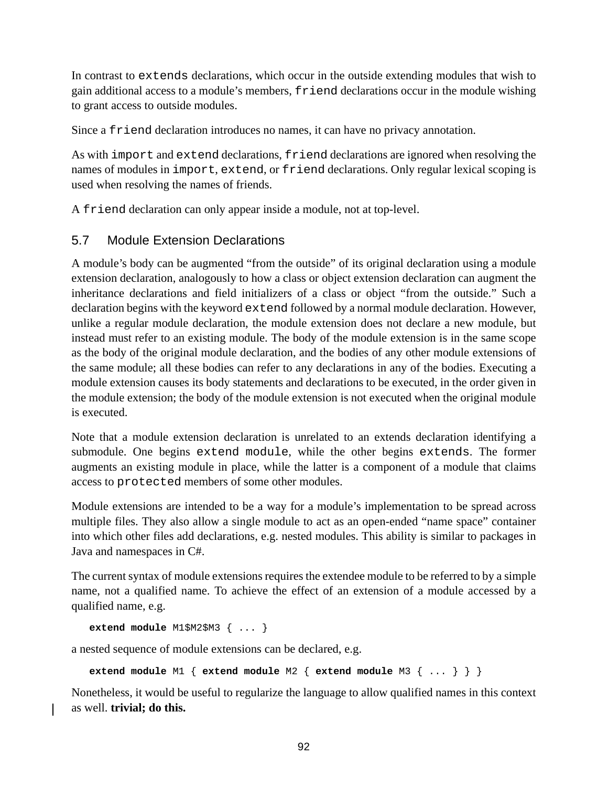In contrast to extends declarations, which occur in the outside extending modules that wish to gain additional access to a module's members, friend declarations occur in the module wishing to grant access to outside modules.

Since a friend declaration introduces no names, it can have no privacy annotation.

As with import and extend declarations, friend declarations are ignored when resolving the names of modules in import, extend, or friend declarations. Only regular lexical scoping is used when resolving the names of friends.

A friend declaration can only appear inside a module, not at top-level.

### 5.7 Module Extension Declarations

A module's body can be augmented "from the outside" of its original declaration using a module extension declaration, analogously to how a class or object extension declaration can augment the inheritance declarations and field initializers of a class or object "from the outside." Such a declaration begins with the keyword extend followed by a normal module declaration. However, unlike a regular module declaration, the module extension does not declare a new module, but instead must refer to an existing module. The body of the module extension is in the same scope as the body of the original module declaration, and the bodies of any other module extensions of the same module; all these bodies can refer to any declarations in any of the bodies. Executing a module extension causes its body statements and declarations to be executed, in the order given in the module extension; the body of the module extension is not executed when the original module is executed.

Note that a module extension declaration is unrelated to an extends declaration identifying a submodule. One begins extend module, while the other begins extends. The former augments an existing module in place, while the latter is a component of a module that claims access to protected members of some other modules.

Module extensions are intended to be a way for a module's implementation to be spread across multiple files. They also allow a single module to act as an open-ended "name space" container into which other files add declarations, e.g. nested modules. This ability is similar to packages in Java and namespaces in C#.

The current syntax of module extensions requires the extendee module to be referred to by a simple name, not a qualified name. To achieve the effect of an extension of a module accessed by a qualified name, e.g.

**extend module** M1\$M2\$M3 { ... }

a nested sequence of module extensions can be declared, e.g.

**extend module** M1 { **extend module** M2 { **extend module** M3 { ... } } }

Nonetheless, it would be useful to regularize the language to allow qualified names in this context as well. **trivial; do this.**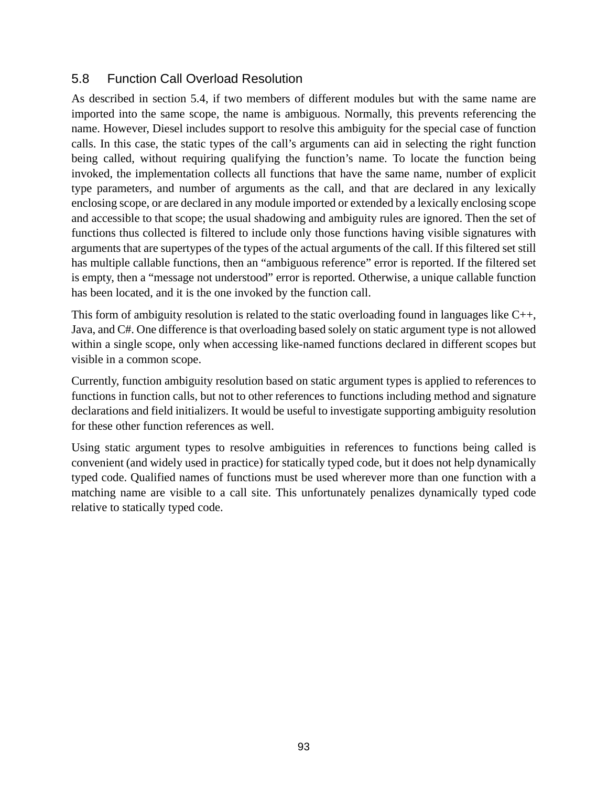## 5.8 Function Call Overload Resolution

As described in section [5.4,](#page-89-0) if two members of different modules but with the same name are imported into the same scope, the name is ambiguous. Normally, this prevents referencing the name. However, Diesel includes support to resolve this ambiguity for the special case of function calls. In this case, the static types of the call's arguments can aid in selecting the right function being called, without requiring qualifying the function's name. To locate the function being invoked, the implementation collects all functions that have the same name, number of explicit type parameters, and number of arguments as the call, and that are declared in any lexically enclosing scope, or are declared in any module imported or extended by a lexically enclosing scope and accessible to that scope; the usual shadowing and ambiguity rules are ignored. Then the set of functions thus collected is filtered to include only those functions having visible signatures with arguments that are supertypes of the types of the actual arguments of the call. If this filtered set still has multiple callable functions, then an "ambiguous reference" error is reported. If the filtered set is empty, then a "message not understood" error is reported. Otherwise, a unique callable function has been located, and it is the one invoked by the function call.

This form of ambiguity resolution is related to the static overloading found in languages like C++, Java, and C#. One difference is that overloading based solely on static argument type is not allowed within a single scope, only when accessing like-named functions declared in different scopes but visible in a common scope.

Currently, function ambiguity resolution based on static argument types is applied to references to functions in function calls, but not to other references to functions including method and signature declarations and field initializers. It would be useful to investigate supporting ambiguity resolution for these other function references as well.

Using static argument types to resolve ambiguities in references to functions being called is convenient (and widely used in practice) for statically typed code, but it does not help dynamically typed code. Qualified names of functions must be used wherever more than one function with a matching name are visible to a call site. This unfortunately penalizes dynamically typed code relative to statically typed code.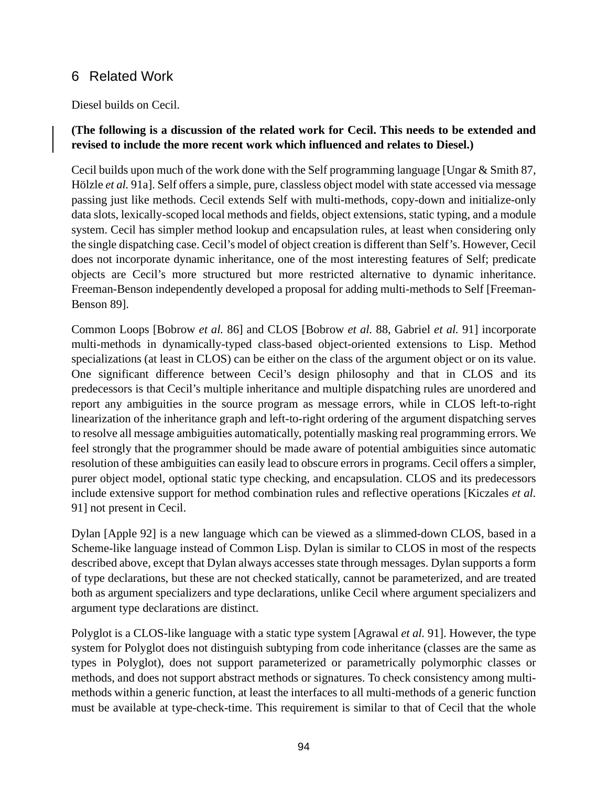# 6 Related Work

Diesel builds on Cecil.

#### **(The following is a discussion of the related work for Cecil. This needs to be extended and revised to include the more recent work which influenced and relates to Diesel.)**

Cecil builds upon much of the work done with the Self programming language [Ungar  $&$  Smith 87, Hölzle *et al.* 91a]. Self offers a simple, pure, classless object model with state accessed via message passing just like methods. Cecil extends Self with multi-methods, copy-down and initialize-only data slots, lexically-scoped local methods and fields, object extensions, static typing, and a module system. Cecil has simpler method lookup and encapsulation rules, at least when considering only the single dispatching case. Cecil's model of object creation is different than Self's. However, Cecil does not incorporate dynamic inheritance, one of the most interesting features of Self; predicate objects are Cecil's more structured but more restricted alternative to dynamic inheritance. Freeman-Benson independently developed a proposal for adding multi-methods to Self [Freeman-Benson 89].

Common Loops [Bobrow *et al.* 86] and CLOS [Bobrow *et al.* 88, Gabriel *et al.* 91] incorporate multi-methods in dynamically-typed class-based object-oriented extensions to Lisp. Method specializations (at least in CLOS) can be either on the class of the argument object or on its value. One significant difference between Cecil's design philosophy and that in CLOS and its predecessors is that Cecil's multiple inheritance and multiple dispatching rules are unordered and report any ambiguities in the source program as message errors, while in CLOS left-to-right linearization of the inheritance graph and left-to-right ordering of the argument dispatching serves to resolve all message ambiguities automatically, potentially masking real programming errors. We feel strongly that the programmer should be made aware of potential ambiguities since automatic resolution of these ambiguities can easily lead to obscure errors in programs. Cecil offers a simpler, purer object model, optional static type checking, and encapsulation. CLOS and its predecessors include extensive support for method combination rules and reflective operations [Kiczales *et al.* 91] not present in Cecil.

Dylan [Apple 92] is a new language which can be viewed as a slimmed-down CLOS, based in a Scheme-like language instead of Common Lisp. Dylan is similar to CLOS in most of the respects described above, except that Dylan always accesses state through messages. Dylan supports a form of type declarations, but these are not checked statically, cannot be parameterized, and are treated both as argument specializers and type declarations, unlike Cecil where argument specializers and argument type declarations are distinct.

Polyglot is a CLOS-like language with a static type system [Agrawal *et al.* 91]. However, the type system for Polyglot does not distinguish subtyping from code inheritance (classes are the same as types in Polyglot), does not support parameterized or parametrically polymorphic classes or methods, and does not support abstract methods or signatures. To check consistency among multimethods within a generic function, at least the interfaces to all multi-methods of a generic function must be available at type-check-time. This requirement is similar to that of Cecil that the whole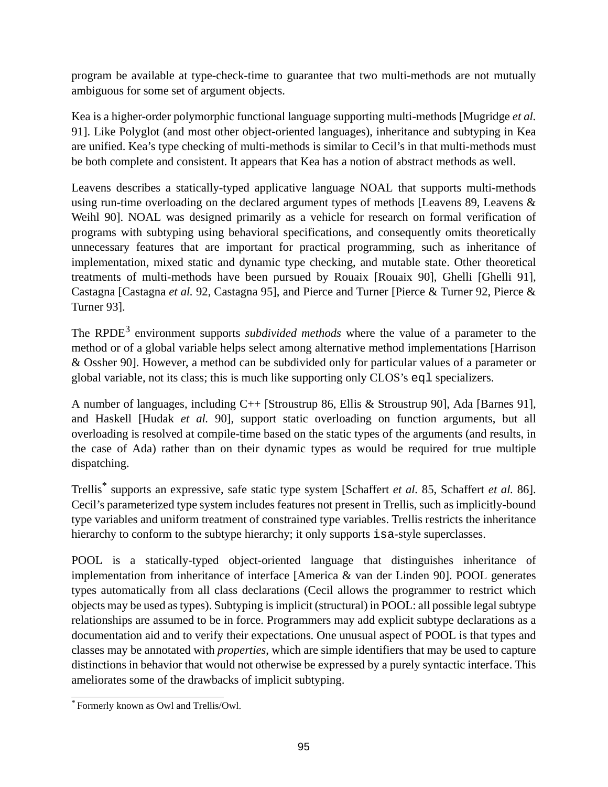program be available at type-check-time to guarantee that two multi-methods are not mutually ambiguous for some set of argument objects.

Kea is a higher-order polymorphic functional language supporting multi-methods [Mugridge *et al.* 91]. Like Polyglot (and most other object-oriented languages), inheritance and subtyping in Kea are unified. Kea's type checking of multi-methods is similar to Cecil's in that multi-methods must be both complete and consistent. It appears that Kea has a notion of abstract methods as well.

Leavens describes a statically-typed applicative language NOAL that supports multi-methods using run-time overloading on the declared argument types of methods [Leavens 89, Leavens & Weihl 90]. NOAL was designed primarily as a vehicle for research on formal verification of programs with subtyping using behavioral specifications, and consequently omits theoretically unnecessary features that are important for practical programming, such as inheritance of implementation, mixed static and dynamic type checking, and mutable state. Other theoretical treatments of multi-methods have been pursued by Rouaix [Rouaix 90], Ghelli [Ghelli 91], Castagna [Castagna *et al.* 92, Castagna 95], and Pierce and Turner [Pierce & Turner 92, Pierce & Turner 93].

The RPDE 3 environment supports *subdivided methods* where the value of a parameter to the method or of a global variable helps select among alternative method implementations [Harrison & Ossher 90]. However, a method can be subdivided only for particular values of a parameter or global variable, not its class; this is much like supporting only CLOS's eql specializers.

A number of languages, including C++ [Stroustrup 86, Ellis & Stroustrup 90], Ada [Barnes 91], and Haskell [Hudak *et al.* 90], support static overloading on function arguments, but all overloading is resolved at compile-time based on the static types of the arguments (and results, in the case of Ada) rather than on their dynamic types as would be required for true multiple dispatching.

Trellis \* supports an expressive, safe static type system [Schaffert *et al.* 85, Schaffert *et al.* 86]. Cecil's parameterized type system includes features not present in Trellis, such as implicitly-bound type variables and uniform treatment of constrained type variables. Trellis restricts the inheritance hierarchy to conform to the subtype hierarchy; it only supports is a-style superclasses.

POOL is a statically-typed object-oriented language that distinguishes inheritance of implementation from inheritance of interface [America & van der Linden 90]. POOL generates types automatically from all class declarations (Cecil allows the programmer to restrict which objects may be used astypes). Subtyping isimplicit (structural) in POOL: all possible legalsubtype relationships are assumed to be in force. Programmers may add explicit subtype declarations as a documentation aid and to verify their expectations. One unusual aspect of POOL is that types and classes may be annotated with *properties*, which are simple identifiers that may be used to capture distinctions in behavior that would not otherwise be expressed by a purely syntactic interface. This ameliorates some of the drawbacks of implicit subtyping.

<sup>\*</sup> Formerly known as Owl and Trellis/Owl.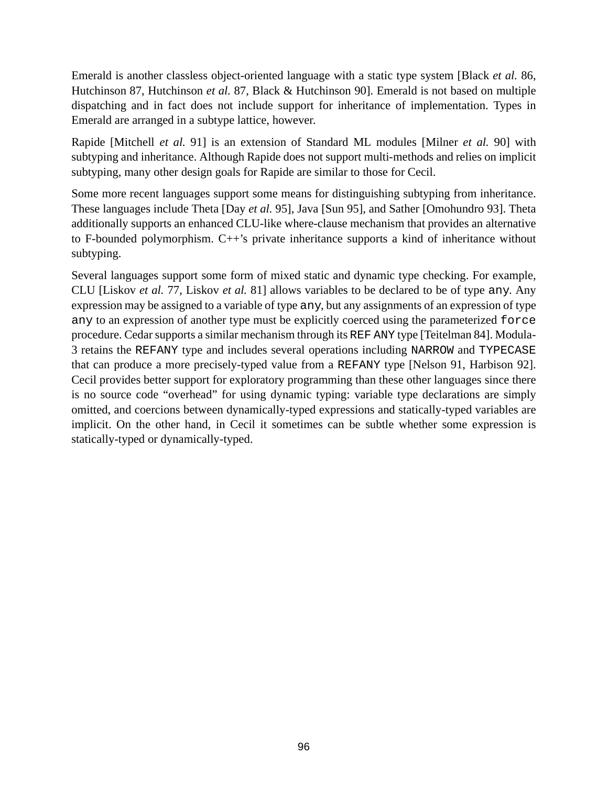Emerald is another classless object-oriented language with a static type system [Black *et al.* 86, Hutchinson 87, Hutchinson *et al.* 87, Black & Hutchinson 90]. Emerald is not based on multiple dispatching and in fact does not include support for inheritance of implementation. Types in Emerald are arranged in a subtype lattice, however.

Rapide [Mitchell *et al.* 91] is an extension of Standard ML modules [Milner *et al.* 90] with subtyping and inheritance. Although Rapide does not support multi-methods and relies on implicit subtyping, many other design goals for Rapide are similar to those for Cecil.

Some more recent languages support some means for distinguishing subtyping from inheritance. These languages include Theta [Day *et al.* 95], Java [Sun 95], and Sather [Omohundro 93]. Theta additionally supports an enhanced CLU-like where-clause mechanism that provides an alternative to F-bounded polymorphism. C++'s private inheritance supports a kind of inheritance without subtyping.

Several languages support some form of mixed static and dynamic type checking. For example, CLU [Liskov *et al.* 77, Liskov *et al.* 81] allows variables to be declared to be of type any. Any expression may be assigned to a variable of type any, but any assignments of an expression of type any to an expression of another type must be explicitly coerced using the parameterized force procedure. Cedar supports a similar mechanism through its REF ANY type [Teitelman 84]. Modula-3 retains the REFANY type and includes several operations including NARROW and TYPECASE that can produce a more precisely-typed value from a REFANY type [Nelson 91, Harbison 92]. Cecil provides better support for exploratory programming than these other languages since there is no source code "overhead" for using dynamic typing: variable type declarations are simply omitted, and coercions between dynamically-typed expressions and statically-typed variables are implicit. On the other hand, in Cecil it sometimes can be subtle whether some expression is statically-typed or dynamically-typed.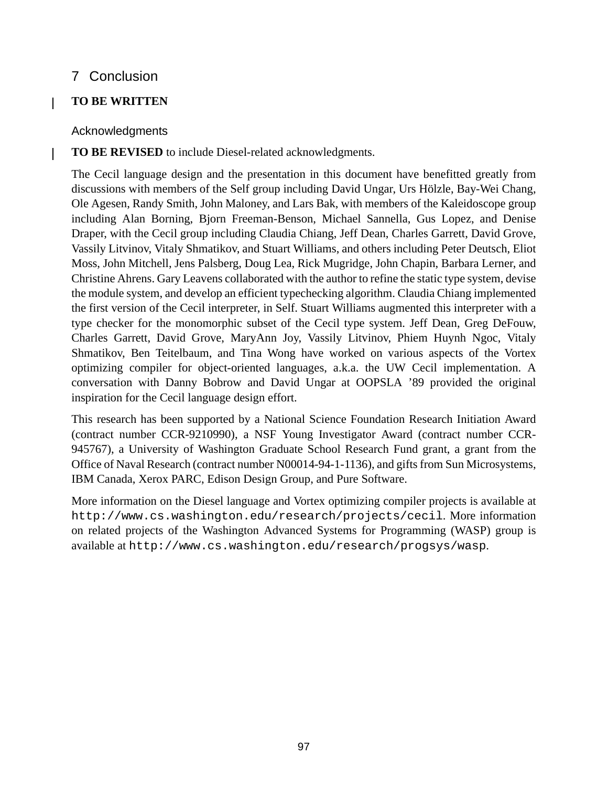# 7 Conclusion

### **TO BE WRITTEN**

 $\mathbf{I}$ 

 $\overline{\phantom{a}}$ 

#### Acknowledgments

#### **TO BE REVISED** to include Diesel-related acknowledgments.

The Cecil language design and the presentation in this document have benefitted greatly from discussions with members of the Self group including David Ungar, Urs Hölzle, Bay-Wei Chang, Ole Agesen, Randy Smith, John Maloney, and Lars Bak, with members of the Kaleidoscope group including Alan Borning, Bjorn Freeman-Benson, Michael Sannella, Gus Lopez, and Denise Draper, with the Cecil group including Claudia Chiang, Jeff Dean, Charles Garrett, David Grove, Vassily Litvinov, Vitaly Shmatikov, and Stuart Williams, and others including Peter Deutsch, Eliot Moss, John Mitchell, Jens Palsberg, Doug Lea, Rick Mugridge, John Chapin, Barbara Lerner, and Christine Ahrens. Gary Leavens collaborated with the author to refine the static type system, devise the module system, and develop an efficient typechecking algorithm. Claudia Chiang implemented the first version of the Cecil interpreter, in Self. Stuart Williams augmented this interpreter with a type checker for the monomorphic subset of the Cecil type system. Jeff Dean, Greg DeFouw, Charles Garrett, David Grove, MaryAnn Joy, Vassily Litvinov, Phiem Huynh Ngoc, Vitaly Shmatikov, Ben Teitelbaum, and Tina Wong have worked on various aspects of the Vortex optimizing compiler for object-oriented languages, a.k.a. the UW Cecil implementation. A conversation with Danny Bobrow and David Ungar at OOPSLA '89 provided the original inspiration for the Cecil language design effort.

This research has been supported by a National Science Foundation Research Initiation Award (contract number CCR-9210990), a NSF Young Investigator Award (contract number CCR-945767), a University of Washington Graduate School Research Fund grant, a grant from the Office of Naval Research (contract number N00014-94-1-1136), and gifts from Sun Microsystems, IBM Canada, Xerox PARC, Edison Design Group, and Pure Software.

More information on the Diesel language and Vortex optimizing compiler projects is available at http://www.cs.washington.edu/research/projects/cecil. More information on related projects of the Washington Advanced Systems for Programming (WASP) group is available at http://www.cs.washington.edu/research/progsys/wasp.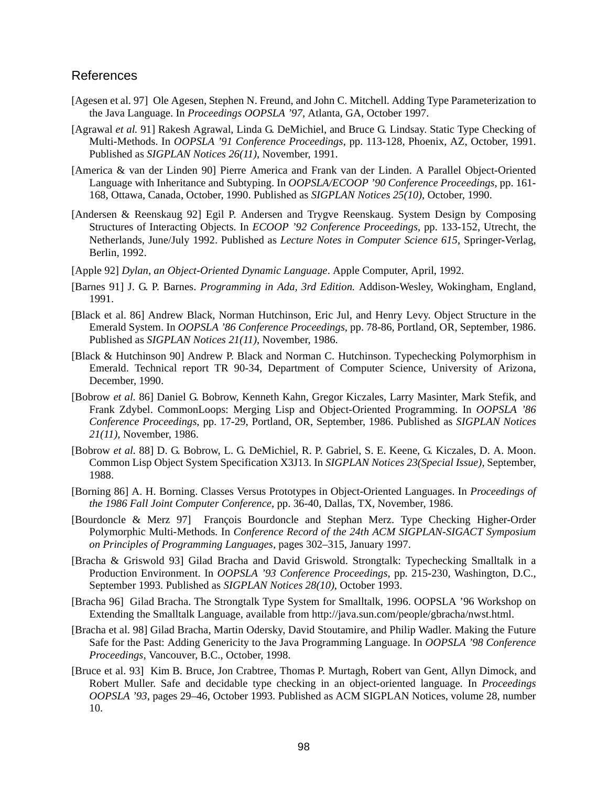#### References

- [Agesen et al. 97] Ole Agesen, Stephen N. Freund, and John C. Mitchell. Adding Type Parameterization to the Java Language. In *Proceedings OOPSLA '97*, Atlanta, GA, October 1997.
- [Agrawal *et al.* 91] Rakesh Agrawal, Linda G. DeMichiel, and Bruce G. Lindsay. Static Type Checking of Multi-Methods. In *OOPSLA '91 Conference Proceedings*, pp. 113-128, Phoenix, AZ, October, 1991. Published as *SIGPLAN Notices 26(11)*, November, 1991.
- [America & van der Linden 90] Pierre America and Frank van der Linden. A Parallel Object-Oriented Language with Inheritance and Subtyping. In *OOPSLA/ECOOP '90 Conference Proceedings*, pp. 161- 168, Ottawa, Canada, October, 1990. Published as *SIGPLAN Notices 25(10)*, October, 1990.
- [Andersen & Reenskaug 92] Egil P. Andersen and Trygve Reenskaug. System Design by Composing Structures of Interacting Objects. In *ECOOP '92 Conference Proceedings*, pp. 133-152, Utrecht, the Netherlands, June/July 1992. Published as *Lecture Notes in Computer Science 615*, Springer-Verlag, Berlin, 1992.
- [Apple 92] *Dylan, an Object-Oriented Dynamic Language*. Apple Computer, April, 1992.
- [Barnes 91] J. G. P. Barnes. *Programming in Ada, 3rd Edition.* Addison-Wesley, Wokingham, England, 1991.
- [Black et al. 86] Andrew Black, Norman Hutchinson, Eric Jul, and Henry Levy. Object Structure in the Emerald System. In *OOPSLA '86 Conference Proceedings*, pp. 78-86, Portland, OR, September, 1986. Published as *SIGPLAN Notices 21(11)*, November, 1986.
- [Black & Hutchinson 90] Andrew P. Black and Norman C. Hutchinson. Typechecking Polymorphism in Emerald. Technical report TR 90-34, Department of Computer Science, University of Arizona, December, 1990.
- [Bobrow *et al.* 86] Daniel G. Bobrow, Kenneth Kahn, Gregor Kiczales, Larry Masinter, Mark Stefik, and Frank Zdybel. CommonLoops: Merging Lisp and Object-Oriented Programming. In *OOPSLA '86 Conference Proceedings*, pp. 17-29, Portland, OR, September, 1986. Published as *SIGPLAN Notices 21(11)*, November, 1986.
- [Bobrow *et al.* 88] D. G. Bobrow, L. G. DeMichiel, R. P. Gabriel, S. E. Keene, G. Kiczales, D. A. Moon. Common Lisp Object System Specification X3J13. In *SIGPLAN Notices 23(Special Issue)*, September, 1988.
- [Borning 86] A. H. Borning. Classes Versus Prototypes in Object-Oriented Languages. In *Proceedings of the 1986 Fall Joint Computer Conference*, pp. 36-40, Dallas, TX, November, 1986.
- [Bourdoncle & Merz 97] François Bourdoncle and Stephan Merz. Type Checking Higher-Order Polymorphic Multi-Methods. In *Conference Record of the 24th ACM SIGPLAN-SIGACT Symposium on Principles of Programming Languages*, pages 302–315, January 1997.
- [Bracha & Griswold 93] Gilad Bracha and David Griswold. Strongtalk: Typechecking Smalltalk in a Production Environment. In *OOPSLA '93 Conference Proceedings*, pp. 215-230, Washington, D.C., September 1993. Published as *SIGPLAN Notices 28(10)*, October 1993.
- [Bracha 96] Gilad Bracha. The Strongtalk Type System for Smalltalk, 1996. OOPSLA '96 Workshop on Extending the Smalltalk Language, available from http://java.sun.com/people/gbracha/nwst.html.
- [Bracha et al. 98] Gilad Bracha, Martin Odersky, David Stoutamire, and Philip Wadler. Making the Future Safe for the Past: Adding Genericity to the Java Programming Language. In *OOPSLA '98 Conference Proceedings*, Vancouver, B.C., October, 1998.
- [Bruce et al. 93] Kim B. Bruce, Jon Crabtree, Thomas P. Murtagh, Robert van Gent, Allyn Dimock, and Robert Muller. Safe and decidable type checking in an object-oriented language. In *Proceedings OOPSLA '93*, pages 29–46, October 1993. Published as ACM SIGPLAN Notices, volume 28, number 10.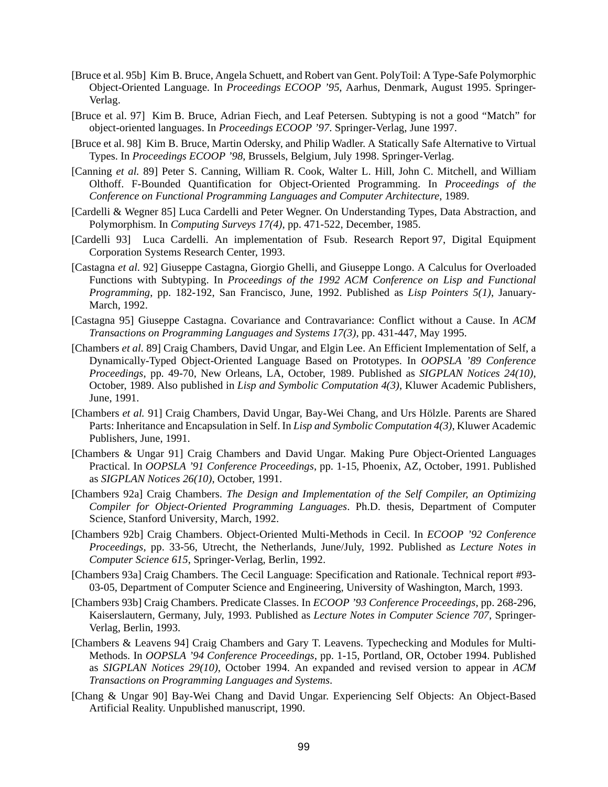- [Bruce et al. 95b] Kim B. Bruce, Angela Schuett, and Robert van Gent. PolyToil: A Type-Safe Polymorphic Object-Oriented Language. In *Proceedings ECOOP '95*, Aarhus, Denmark, August 1995. Springer-Verlag.
- [Bruce et al. 97] Kim B. Bruce, Adrian Fiech, and Leaf Petersen. Subtyping is not a good "Match" for object-oriented languages. In *Proceedings ECOOP '97*. Springer-Verlag, June 1997.
- [Bruce et al. 98] Kim B. Bruce, Martin Odersky, and Philip Wadler. A Statically Safe Alternative to Virtual Types. In *Proceedings ECOOP '98*, Brussels, Belgium, July 1998. Springer-Verlag.
- [Canning *et al.* 89] Peter S. Canning, William R. Cook, Walter L. Hill, John C. Mitchell, and William Olthoff. F-Bounded Quantification for Object-Oriented Programming. In *Proceedings of the Conference on Functional Programming Languages and Computer Architecture*, 1989.
- [Cardelli & Wegner 85] Luca Cardelli and Peter Wegner. On Understanding Types, Data Abstraction, and Polymorphism. In *Computing Surveys 17(4)*, pp. 471-522, December, 1985.
- [Cardelli 93] Luca Cardelli. An implementation of Fsub. Research Report 97, Digital Equipment Corporation Systems Research Center, 1993.
- [Castagna *et al.* 92] Giuseppe Castagna, Giorgio Ghelli, and Giuseppe Longo. A Calculus for Overloaded Functions with Subtyping. In *Proceedings of the 1992 ACM Conference on Lisp and Functional Programming*, pp. 182-192, San Francisco, June, 1992. Published as *Lisp Pointers 5(1)*, January-March, 1992.
- [Castagna 95] Giuseppe Castagna. Covariance and Contravariance: Conflict without a Cause. In *ACM Transactions on Programming Languages and Systems 17(3)*, pp. 431-447, May 1995.
- [Chambers *et al.* 89] Craig Chambers, David Ungar, and Elgin Lee. An Efficient Implementation of Self, a Dynamically-Typed Object-Oriented Language Based on Prototypes. In *OOPSLA '89 Conference Proceedings*, pp. 49-70, New Orleans, LA, October, 1989. Published as *SIGPLAN Notices 24(10)*, October, 1989. Also published in *Lisp and Symbolic Computation 4(3)*, Kluwer Academic Publishers, June, 1991.
- [Chambers *et al.* 91] Craig Chambers, David Ungar, Bay-Wei Chang, and Urs Hölzle. Parents are Shared Parts: Inheritance and Encapsulation in Self. In *Lisp and Symbolic Computation 4(3)*, Kluwer Academic Publishers, June, 1991.
- [Chambers & Ungar 91] Craig Chambers and David Ungar. Making Pure Object-Oriented Languages Practical. In *OOPSLA '91 Conference Proceedings*, pp. 1-15, Phoenix, AZ, October, 1991. Published as *SIGPLAN Notices 26(10)*, October, 1991.
- [Chambers 92a] Craig Chambers. *The Design and Implementation of the Self Compiler, an Optimizing Compiler for Object-Oriented Programming Languages*. Ph.D. thesis, Department of Computer Science, Stanford University, March, 1992.
- [Chambers 92b] Craig Chambers. Object-Oriented Multi-Methods in Cecil. In *ECOOP '92 Conference Proceedings*, pp. 33-56, Utrecht, the Netherlands, June/July, 1992. Published as *Lecture Notes in Computer Science 615*, Springer-Verlag, Berlin, 1992.
- [Chambers 93a] Craig Chambers. The Cecil Language: Specification and Rationale. Technical report #93- 03-05, Department of Computer Science and Engineering, University of Washington, March, 1993.
- [Chambers 93b] Craig Chambers. Predicate Classes. In *ECOOP '93 Conference Proceedings*, pp. 268-296, Kaiserslautern, Germany, July, 1993. Published as *Lecture Notes in Computer Science 707*, Springer-Verlag, Berlin, 1993.
- [Chambers & Leavens 94] Craig Chambers and Gary T. Leavens. Typechecking and Modules for Multi-Methods. In *OOPSLA '94 Conference Proceedings*, pp. 1-15, Portland, OR, October 1994. Published as *SIGPLAN Notices 29(10)*, October 1994. An expanded and revised version to appear in *ACM Transactions on Programming Languages and Systems*.
- [Chang & Ungar 90] Bay-Wei Chang and David Ungar. Experiencing Self Objects: An Object-Based Artificial Reality. Unpublished manuscript, 1990.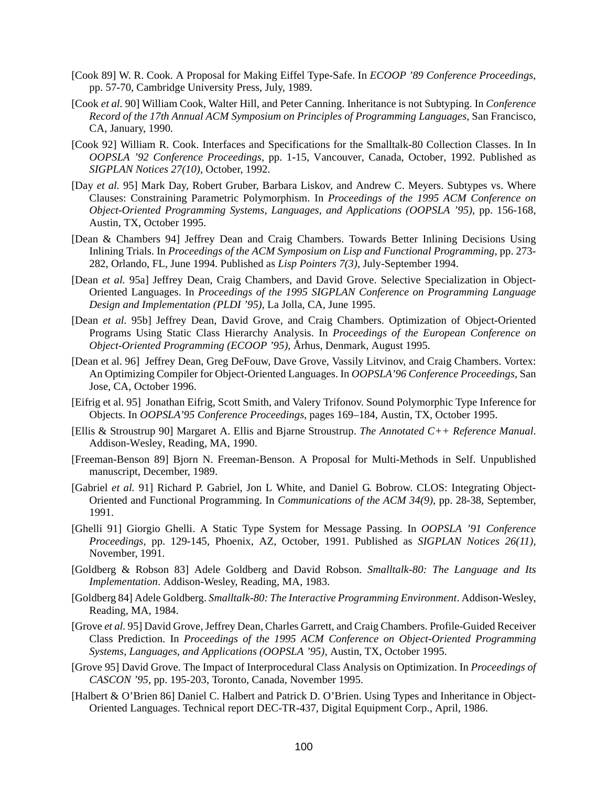- [Cook 89] W. R. Cook. A Proposal for Making Eiffel Type-Safe. In *ECOOP '89 Conference Proceedings*, pp. 57-70, Cambridge University Press, July, 1989.
- [Cook *et al.* 90] William Cook, Walter Hill, and Peter Canning. Inheritance is not Subtyping. In *Conference Record of the 17th Annual ACM Symposium on Principles of Programming Languages*, San Francisco, CA, January, 1990.
- [Cook 92] William R. Cook. Interfaces and Specifications for the Smalltalk-80 Collection Classes. In In *OOPSLA '92 Conference Proceedings*, pp. 1-15, Vancouver, Canada, October, 1992. Published as *SIGPLAN Notices 27(10)*, October, 1992.
- [Day *et al.* 95] Mark Day, Robert Gruber, Barbara Liskov, and Andrew C. Meyers. Subtypes vs. Where Clauses: Constraining Parametric Polymorphism. In *Proceedings of the 1995 ACM Conference on Object-Oriented Programming Systems, Languages, and Applications (OOPSLA '95)*, pp. 156-168, Austin, TX, October 1995.
- [Dean & Chambers 94] Jeffrey Dean and Craig Chambers. Towards Better Inlining Decisions Using Inlining Trials. In *Proceedings of the ACM Symposium on Lisp and Functional Programming*, pp. 273- 282, Orlando, FL, June 1994. Published as *Lisp Pointers 7(3)*, July-September 1994.
- [Dean *et al.* 95a] Jeffrey Dean, Craig Chambers, and David Grove. Selective Specialization in Object-Oriented Languages. In *Proceedings of the 1995 SIGPLAN Conference on Programming Language Design and Implementation (PLDI '95),* La Jolla, CA, June 1995.
- [Dean *et al.* 95b] Jeffrey Dean, David Grove, and Craig Chambers. Optimization of Object-Oriented Programs Using Static Class Hierarchy Analysis. In *Proceedings of the European Conference on Object-Oriented Programming (ECOOP '95)*, Århus, Denmark, August 1995.
- [Dean et al. 96] Jeffrey Dean, Greg DeFouw, Dave Grove, Vassily Litvinov, and Craig Chambers. Vortex: An Optimizing Compiler for Object-Oriented Languages. In *OOPSLA'96 Conference Proceedings*, San Jose, CA, October 1996.
- [Eifrig et al. 95] Jonathan Eifrig, Scott Smith, and Valery Trifonov. Sound Polymorphic Type Inference for Objects. In *OOPSLA'95 Conference Proceedings*, pages 169–184, Austin, TX, October 1995.
- [Ellis & Stroustrup 90] Margaret A. Ellis and Bjarne Stroustrup. *The Annotated C++ Reference Manual*. Addison-Wesley, Reading, MA, 1990.
- [Freeman-Benson 89] Bjorn N. Freeman-Benson. A Proposal for Multi-Methods in Self. Unpublished manuscript, December, 1989.
- [Gabriel *et al.* 91] Richard P. Gabriel, Jon L White, and Daniel G. Bobrow. CLOS: Integrating Object-Oriented and Functional Programming. In *Communications of the ACM 34(9)*, pp. 28-38, September, 1991.
- [Ghelli 91] Giorgio Ghelli. A Static Type System for Message Passing. In *OOPSLA '91 Conference Proceedings*, pp. 129-145, Phoenix, AZ, October, 1991. Published as *SIGPLAN Notices 26(11)*, November, 1991.
- [Goldberg & Robson 83] Adele Goldberg and David Robson. *Smalltalk-80: The Language and Its Implementation*. Addison-Wesley, Reading, MA, 1983.
- [Goldberg 84] Adele Goldberg. *Smalltalk-80: The Interactive Programming Environment*. Addison-Wesley, Reading, MA, 1984.
- [Grove *et al.* 95] David Grove,Jeffrey Dean, Charles Garrett, and Craig Chambers. Profile-Guided Receiver Class Prediction. In *Proceedings of the 1995 ACM Conference on Object-Oriented Programming Systems, Languages, and Applications (OOPSLA '95)*, Austin, TX, October 1995.
- [Grove 95] David Grove. The Impact of Interprocedural Class Analysis on Optimization. In *Proceedings of CASCON '95*, pp. 195-203, Toronto, Canada, November 1995.
- [Halbert & O'Brien 86] Daniel C. Halbert and Patrick D. O'Brien. Using Types and Inheritance in Object-Oriented Languages. Technical report DEC-TR-437, Digital Equipment Corp., April, 1986.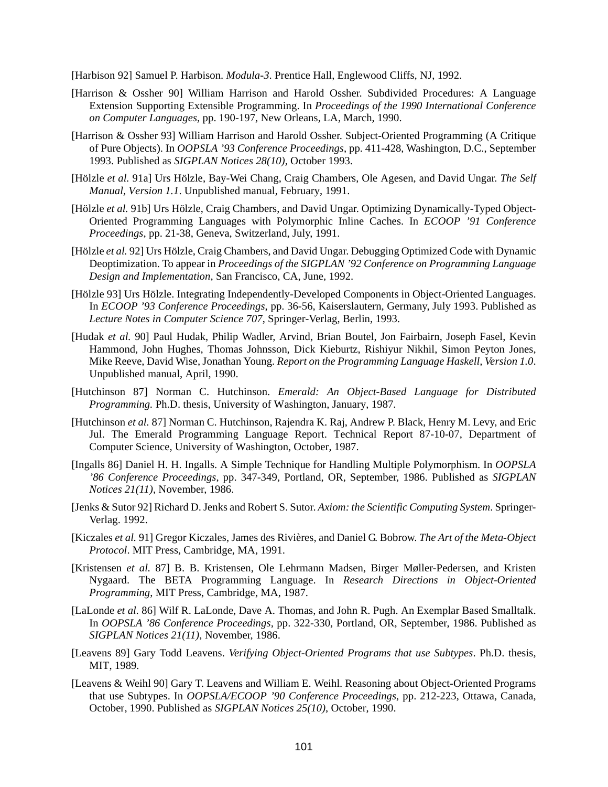[Harbison 92] Samuel P. Harbison. *Modula-3*. Prentice Hall, Englewood Cliffs, NJ, 1992.

- [Harrison & Ossher 90] William Harrison and Harold Ossher. Subdivided Procedures: A Language Extension Supporting Extensible Programming. In *Proceedings of the 1990 International Conference on Computer Languages*, pp. 190-197, New Orleans, LA, March, 1990.
- [Harrison & Ossher 93] William Harrison and Harold Ossher. Subject-Oriented Programming (A Critique of Pure Objects). In *OOPSLA '93 Conference Proceedings*, pp. 411-428, Washington, D.C., September 1993. Published as *SIGPLAN Notices 28(10)*, October 1993.
- [Hölzle *et al.* 91a] Urs Hölzle, Bay-Wei Chang, Craig Chambers, Ole Agesen, and David Ungar. *The Self Manual, Version 1.1*. Unpublished manual, February, 1991.
- [Hölzle *et al.* 91b] Urs Hölzle, Craig Chambers, and David Ungar. Optimizing Dynamically-Typed Object-Oriented Programming Languages with Polymorphic Inline Caches. In *ECOOP '91 Conference Proceedings*, pp. 21-38, Geneva, Switzerland, July, 1991.
- [Hölzle *et al.* 92] Urs Hölzle, Craig Chambers, and David Ungar. Debugging Optimized Code with Dynamic Deoptimization. To appear in *Proceedings of the SIGPLAN '92 Conference on Programming Language Design and Implementation*, San Francisco, CA, June, 1992.
- [Hölzle 93] Urs Hölzle. Integrating Independently-Developed Components in Object-Oriented Languages. In *ECOOP '93 Conference Proceedings*, pp. 36-56, Kaiserslautern, Germany, July 1993. Published as *Lecture Notes in Computer Science 707*, Springer-Verlag, Berlin, 1993.
- [Hudak *et al.* 90] Paul Hudak, Philip Wadler, Arvind, Brian Boutel, Jon Fairbairn, Joseph Fasel, Kevin Hammond, John Hughes, Thomas Johnsson, Dick Kieburtz, Rishiyur Nikhil, Simon Peyton Jones, Mike Reeve, David Wise, Jonathan Young. *Report on the Programming Language Haskell, Version 1.0*. Unpublished manual, April, 1990.
- [Hutchinson 87] Norman C. Hutchinson. *Emerald: An Object-Based Language for Distributed Programming.* Ph.D. thesis, University of Washington, January, 1987.
- [Hutchinson *et al.* 87] Norman C. Hutchinson, Rajendra K. Raj, Andrew P. Black, Henry M. Levy, and Eric Jul. The Emerald Programming Language Report. Technical Report 87-10-07, Department of Computer Science, University of Washington, October, 1987.
- [Ingalls 86] Daniel H. H. Ingalls. A Simple Technique for Handling Multiple Polymorphism. In *OOPSLA '86 Conference Proceedings*, pp. 347-349, Portland, OR, September, 1986. Published as *SIGPLAN Notices 21(11)*, November, 1986.
- [Jenks & Sutor 92] Richard D. Jenks and Robert S. Sutor. *Axiom: the Scientific Computing System*. Springer-Verlag. 1992.
- [Kiczales *et al.* 91] Gregor Kiczales, James des Rivières, and Daniel G. Bobrow. *The Art of the Meta-Object Protocol*. MIT Press, Cambridge, MA, 1991.
- [Kristensen *et al.* 87] B. B. Kristensen, Ole Lehrmann Madsen, Birger Møller-Pedersen, and Kristen Nygaard. The BETA Programming Language. In *Research Directions in Object-Oriented Programming*, MIT Press, Cambridge, MA, 1987.
- [LaLonde *et al.* 86] Wilf R. LaLonde, Dave A. Thomas, and John R. Pugh. An Exemplar Based Smalltalk. In *OOPSLA '86 Conference Proceedings,* pp. 322-330, Portland, OR, September, 1986. Published as *SIGPLAN Notices 21(11)*, November, 1986.
- [Leavens 89] Gary Todd Leavens. *Verifying Object-Oriented Programs that use Subtypes*. Ph.D. thesis, MIT, 1989.
- [Leavens & Weihl 90] Gary T. Leavens and William E. Weihl. Reasoning about Object-Oriented Programs that use Subtypes. In *OOPSLA/ECOOP '90 Conference Proceedings*, pp. 212-223, Ottawa, Canada, October, 1990. Published as *SIGPLAN Notices 25(10)*, October, 1990.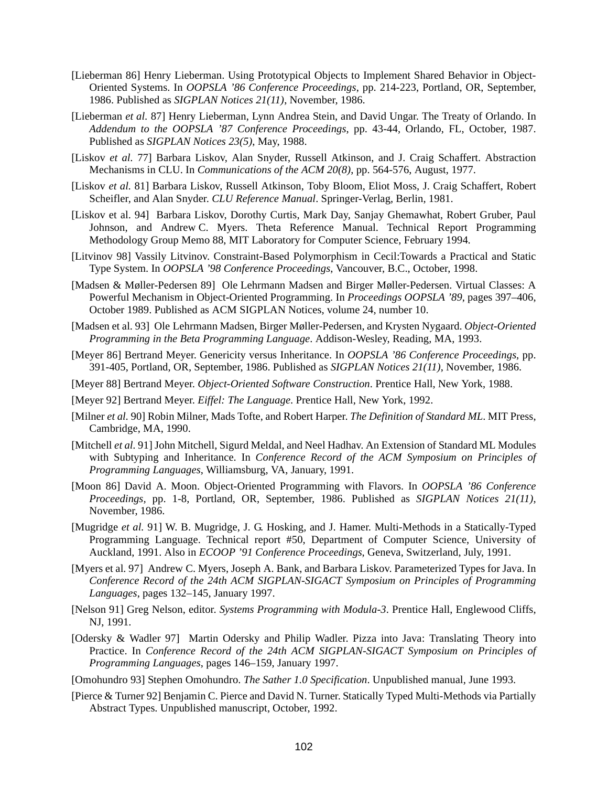- [Lieberman 86] Henry Lieberman. Using Prototypical Objects to Implement Shared Behavior in Object-Oriented Systems. In *OOPSLA '86 Conference Proceedings*, pp. 214-223, Portland, OR, September, 1986. Published as *SIGPLAN Notices 21(11)*, November, 1986.
- [Lieberman *et al.* 87] Henry Lieberman, Lynn Andrea Stein, and David Ungar. The Treaty of Orlando. In *Addendum to the OOPSLA '87 Conference Proceedings*, pp. 43-44, Orlando, FL, October, 1987. Published as *SIGPLAN Notices 23(5)*, May, 1988.
- [Liskov *et al.* 77] Barbara Liskov, Alan Snyder, Russell Atkinson, and J. Craig Schaffert. Abstraction Mechanisms in CLU. In *Communications of the ACM 20(8)*, pp. 564-576, August, 1977.
- [Liskov *et al.* 81] Barbara Liskov, Russell Atkinson, Toby Bloom, Eliot Moss, J. Craig Schaffert, Robert Scheifler, and Alan Snyder. *CLU Reference Manual*. Springer-Verlag, Berlin, 1981.
- [Liskov et al. 94] Barbara Liskov, Dorothy Curtis, Mark Day, Sanjay Ghemawhat, Robert Gruber, Paul Johnson, and Andrew C. Myers. Theta Reference Manual. Technical Report Programming Methodology Group Memo 88, MIT Laboratory for Computer Science, February 1994.
- [Litvinov 98] Vassily Litvinov. Constraint-Based Polymorphism in Cecil:Towards a Practical and Static Type System. In *OOPSLA '98 Conference Proceedings*, Vancouver, B.C., October, 1998.
- [Madsen & Møller-Pedersen 89] Ole Lehrmann Madsen and Birger Møller-Pedersen. Virtual Classes: A Powerful Mechanism in Object-Oriented Programming. In *Proceedings OOPSLA '89*, pages 397–406, October 1989. Published as ACM SIGPLAN Notices, volume 24, number 10.
- [Madsen et al. 93] Ole Lehrmann Madsen, Birger Møller-Pedersen, and Krysten Nygaard. *Object-Oriented Programming in the Beta Programming Language*. Addison-Wesley, Reading, MA, 1993.
- [Meyer 86] Bertrand Meyer. Genericity versus Inheritance. In *OOPSLA '86 Conference Proceedings*, pp. 391-405, Portland, OR, September, 1986. Published as *SIGPLAN Notices 21(11)*, November, 1986.
- [Meyer 88] Bertrand Meyer. *Object-Oriented Software Construction*. Prentice Hall, New York, 1988.
- [Meyer 92] Bertrand Meyer. *Eiffel: The Language*. Prentice Hall, New York, 1992.
- [Milner *et al.* 90] Robin Milner, Mads Tofte, and Robert Harper. *The Definition of Standard ML*. MIT Press, Cambridge, MA, 1990.
- [Mitchell *et al.* 91] John Mitchell, Sigurd Meldal, and Neel Hadhav. An Extension of Standard ML Modules with Subtyping and Inheritance. In *Conference Record of the ACM Symposium on Principles of Programming Languages*, Williamsburg, VA, January, 1991.
- [Moon 86] David A. Moon. Object-Oriented Programming with Flavors. In *OOPSLA '86 Conference Proceedings,* pp. 1-8, Portland, OR, September, 1986. Published as *SIGPLAN Notices 21(11)*, November, 1986.
- [Mugridge *et al.* 91] W. B. Mugridge, J. G. Hosking, and J. Hamer. Multi-Methods in a Statically-Typed Programming Language. Technical report #50, Department of Computer Science, University of Auckland, 1991. Also in *ECOOP '91 Conference Proceedings*, Geneva, Switzerland, July, 1991.
- [Myers et al. 97] Andrew C. Myers, Joseph A. Bank, and Barbara Liskov. Parameterized Types for Java. In *Conference Record of the 24th ACM SIGPLAN-SIGACT Symposium on Principles of Programming Languages*, pages 132–145, January 1997.
- [Nelson 91] Greg Nelson, editor. *Systems Programming with Modula-3*. Prentice Hall, Englewood Cliffs, NJ, 1991.
- [Odersky & Wadler 97] Martin Odersky and Philip Wadler. Pizza into Java: Translating Theory into Practice. In *Conference Record of the 24th ACM SIGPLAN-SIGACT Symposium on Principles of Programming Languages*, pages 146–159, January 1997.
- [Omohundro 93] Stephen Omohundro. *The Sather 1.0 Specification*. Unpublished manual, June 1993.
- [Pierce & Turner 92] Benjamin C. Pierce and David N. Turner. Statically Typed Multi-Methods via Partially Abstract Types. Unpublished manuscript, October, 1992.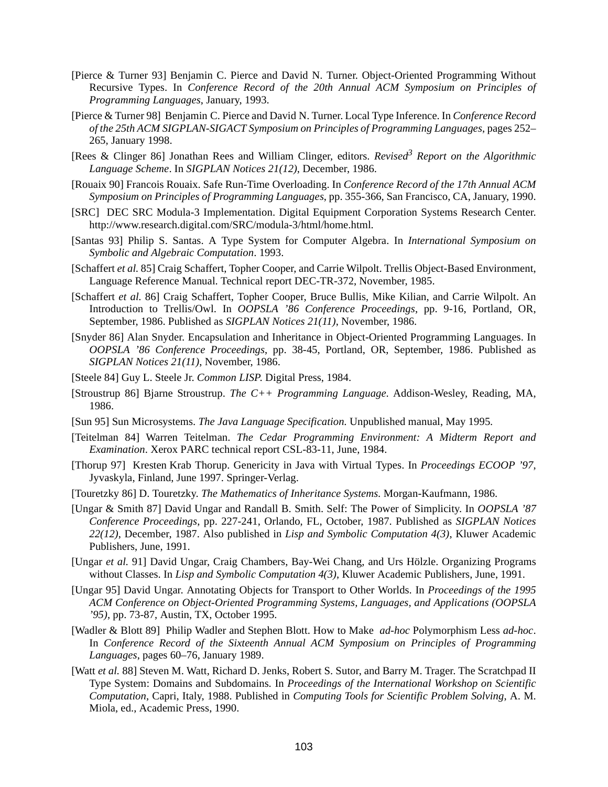- [Pierce & Turner 93] Benjamin C. Pierce and David N. Turner. Object-Oriented Programming Without Recursive Types. In *Conference Record of the 20th Annual ACM Symposium on Principles of Programming Languages*, January, 1993.
- [Pierce & Turner 98] Benjamin C. Pierce and David N. Turner. Local Type Inference. In *Conference Record of the 25th ACM SIGPLAN-SIGACT Symposium on Principles of Programming Languages*, pages 252– 265, January 1998.
- [Rees & Clinger 86] Jonathan Rees and William Clinger, editors. *Revised <sup>3</sup> Report on the Algorithmic Language Scheme*. In *SIGPLAN Notices 21(12)*, December, 1986.
- [Rouaix 90] Francois Rouaix. Safe Run-Time Overloading. In *Conference Record of the 17th Annual ACM Symposium on Principles of Programming Languages*, pp. 355-366, San Francisco, CA, January, 1990.
- [SRC] DEC SRC Modula-3 Implementation. Digital Equipment Corporation Systems Research Center. http://www.research.digital.com/SRC/modula-3/html/home.html.
- [Santas 93] Philip S. Santas. A Type System for Computer Algebra. In *International Symposium on Symbolic and Algebraic Computation*. 1993.
- [Schaffert *et al.* 85] Craig Schaffert, Topher Cooper, and Carrie Wilpolt. Trellis Object-Based Environment, Language Reference Manual. Technical report DEC-TR-372, November, 1985.
- [Schaffert *et al.* 86] Craig Schaffert, Topher Cooper, Bruce Bullis, Mike Kilian, and Carrie Wilpolt. An Introduction to Trellis/Owl. In *OOPSLA '86 Conference Proceedings*, pp. 9-16, Portland, OR, September, 1986. Published as *SIGPLAN Notices 21(11)*, November, 1986.
- [Snyder 86] Alan Snyder. Encapsulation and Inheritance in Object-Oriented Programming Languages. In *OOPSLA '86 Conference Proceedings*, pp. 38-45, Portland, OR, September, 1986. Published as *SIGPLAN Notices 21(11)*, November, 1986.
- [Steele 84] Guy L. Steele Jr. *Common LISP*. Digital Press, 1984.
- [Stroustrup 86] Bjarne Stroustrup. *The C++ Programming Language*. Addison-Wesley, Reading, MA, 1986.
- [Sun 95] Sun Microsystems. *The Java Language Specification.* Unpublished manual, May 1995.
- [Teitelman 84] Warren Teitelman. *The Cedar Programming Environment: A Midterm Report and Examination*. Xerox PARC technical report CSL-83-11, June, 1984.
- [Thorup 97] Kresten Krab Thorup. Genericity in Java with Virtual Types. In *Proceedings ECOOP '97*, Jyvaskyla, Finland, June 1997. Springer-Verlag.
- [Touretzky 86] D. Touretzky. *The Mathematics of Inheritance Systems.* Morgan-Kaufmann, 1986.
- [Ungar & Smith 87] David Ungar and Randall B. Smith. Self: The Power of Simplicity. In *OOPSLA '87 Conference Proceedings*, pp. 227-241, Orlando, FL, October, 1987. Published as *SIGPLAN Notices 22(12)*, December, 1987. Also published in *Lisp and Symbolic Computation 4(3)*, Kluwer Academic Publishers, June, 1991.
- [Ungar *et al.* 91] David Ungar, Craig Chambers, Bay-Wei Chang, and Urs Hölzle. Organizing Programs without Classes. In *Lisp and Symbolic Computation 4(3)*, Kluwer Academic Publishers, June, 1991.
- [Ungar 95] David Ungar. Annotating Objects for Transport to Other Worlds. In *Proceedings of the 1995 ACM Conference on Object-Oriented Programming Systems, Languages, and Applications (OOPSLA '95)*, pp. 73-87, Austin, TX, October 1995.
- [Wadler & Blott 89] Philip Wadler and Stephen Blott. How to Make *ad-hoc* Polymorphism Less *ad-hoc*. In *Conference Record of the Sixteenth Annual ACM Symposium on Principles of Programming Languages*, pages 60–76, January 1989.
- [Watt *et al.* 88] Steven M. Watt, Richard D. Jenks, Robert S. Sutor, and Barry M. Trager. The Scratchpad II Type System: Domains and Subdomains. In *Proceedings of the International Workshop on Scientific Computation*, Capri, Italy, 1988. Published in *Computing Tools for Scientific Problem Solving*, A. M. Miola, ed., Academic Press, 1990.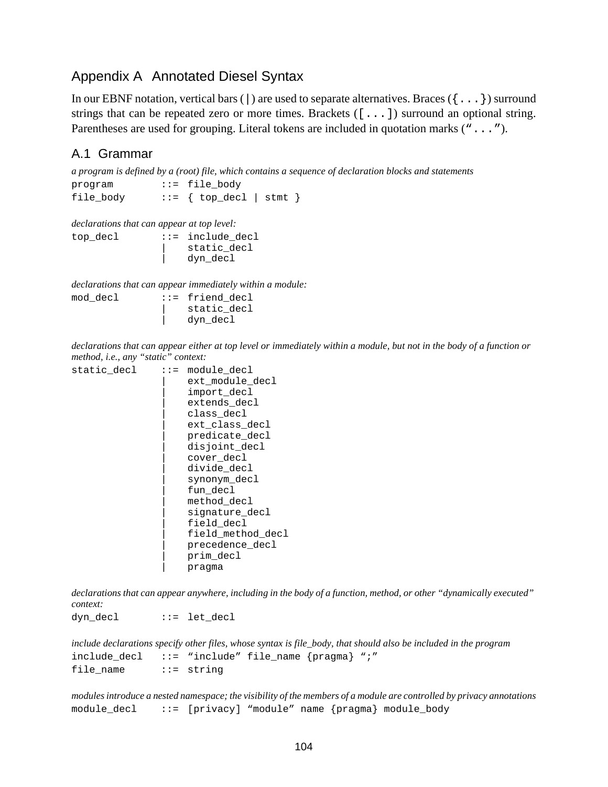## Appendix A Annotated Diesel Syntax

In our EBNF notation, vertical bars ( $\vert$ ) are used to separate alternatives. Braces ( $\{ \ldots \}$ ) surround strings that can be repeated zero or more times. Brackets ([...]) surround an optional string. Parentheses are used for grouping. Literal tokens are included in quotation marks ("...").

### A.1 Grammar

*a program is defined by a (root) file, which contains a sequence of declaration blocks and statements* program ::= file body file body  $::=$  { top decl | stmt }

*declarations that can appear at top level:*

| $ ::=$ include decl |
|---------------------|
| static decl         |
| dyn decl            |
|                     |

*declarations that can appear immediately within a module:*

| mod decl | $ ::=$ friend decl |
|----------|--------------------|
|          | static decl        |
|          | dyn decl           |

declarations that can appear either at top level or immediately within a module, but not in the body of a function or *method, i.e., any "static" context:*

| static decl | $: : =$ | module decl       |
|-------------|---------|-------------------|
|             |         | ext module decl   |
|             |         | import decl       |
|             |         | extends decl      |
|             |         | class decl        |
|             |         | ext class decl    |
|             |         | predicate decl    |
|             |         | disjoint decl     |
|             |         | cover decl        |
|             |         | divide decl       |
|             |         | synonym decl      |
|             |         | fun decl          |
|             |         | method decl       |
|             |         | signature decl    |
|             |         | field decl        |
|             |         | field method decl |
|             |         | precedence decl   |
|             |         | prim decl         |
|             |         | pragma            |
|             |         |                   |

declarations that can appear anywhere, including in the body of a function, method, or other "dynamically executed" *context:*

dyn decl ::= let decl

include declarations specify other files, whose syntax is file\_body, that should also be included in the program include\_decl ::= "include" file\_name {pragma} ";" file\_name ::= string

modules introduce a nested namespace; the visibility of the members of a module are controlled by privacy annotations module\_decl ::= [privacy] "module" name {pragma} module\_body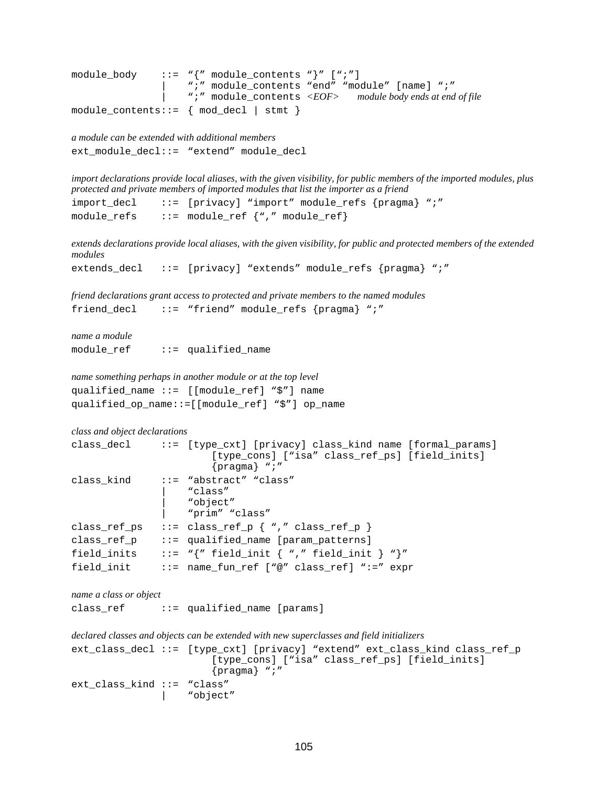```
module\_body ::= "\{'' \text{ module\_contents } "\}'' [";"]
                        | ";" module_contents "end" "module" [name] ";"
                        | ";" module_contents <EOF> module body ends at end of file
module contents::= \{ \mod \text{ decl} \mid \text{stmt} \}
```

```
a module can be extended with additional members
ext_module_decl::= "extend" module_decl
```
import declarations provide local aliases, with the given visibility, for public members of the imported modules, plus *protected and private members of imported modules that list the importer as a friend*

import\_decl ::= [privacy] "import" module\_refs {pragma} ";" module\_refs ::= module\_ref {"," module\_ref}

extends declarations provide local aliases, with the given visibility, for public and protected members of the extended *modules*

```
extends_decl ::= [privacy] "extends" module_refs {pragma} ";"
```
*friend declarations grant access to protected and private members to the named modules* friend\_decl ::= "friend" module\_refs {pragma} ";"

*name a module* module  $ref$  ::= qualified name

*name something perhaps in another module or at the top level* qualified\_name ::= [[module\_ref] "\$"] name qualified\_op\_name::=[[module\_ref] "\$"] op\_name

```
class and object declarations
class_decl ::= [type_cxt] [privacy] class_kind name [formal_params]
                       [type_cons] ["isa" class_ref_ps] [field_inits]
                       {pragma} ";"
class_kind ::= "abstract" "class"
                   "class"
                   | "object"
                   | "prim" "class"
class_ref_ps ::= class_ref_p \{ "," class_ref_p \}class_ref_p ::= qualified_name [param_patterns]
field inits ::= "{" field init { "," field init } "}"
field_init ::= name_fun_ref ["@" class_ref] ":=" expr
```
*name a class or object*

class  $ref$  ::= qualified name [params]

```
declared classes and objects can be extended with new superclasses and field initializers
ext_class_decl ::= [type_cxt] [privacy] "extend" ext_class_kind class_ref_p
                           [type_cons] ["isa" class_ref_ps] [field_inits]
                           {pragma} ";"
ext_class_kind ::= "class"
                      | "object"
```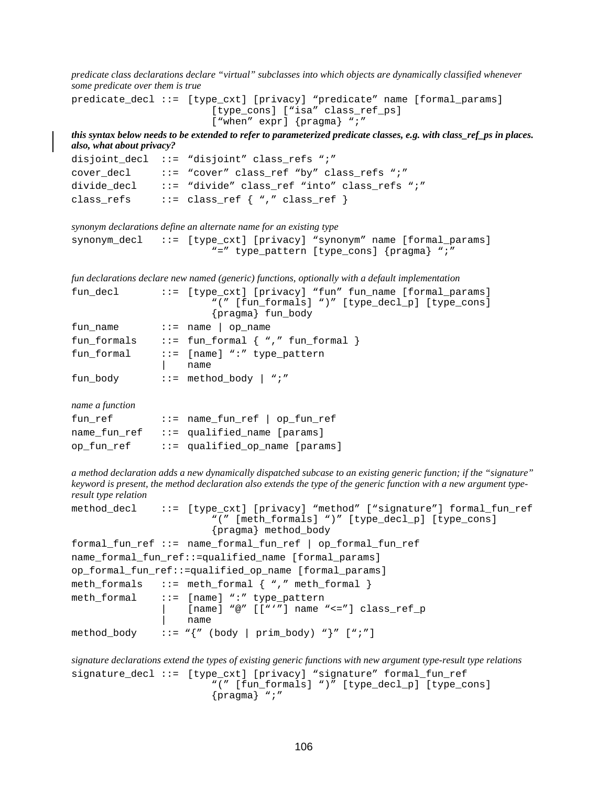*predicate class declarations declare "virtual" subclasses into which objects are dynamically classified whenever some predicate over them is true*

predicate\_decl ::= [type\_cxt] [privacy] "predicate" name [formal\_params] [type\_cons] ["isa" class\_ref\_ps] ["when" expr] {pragma} ";"

this syntax below needs to be extended to refer to parameterized predicate classes, e.g. with class\_ref\_ps in places. *also, what about privacy?*

disjoint decl  $::=$  "disjoint" class refs ";" cover\_decl ::= "cover" class\_ref "by" class\_refs ";" divide decl  $\therefore$  "divide" class ref "into" class refs ";" class\_refs ::= class\_ref { "," class\_ref }

```
synonym declarations define an alternate name for an existing type
synonym_decl ::= [type_cxt] [privacy] "synonym" name [formal_params]
                          "=" type_pattern [type_cons] {pragma} ";"
```
*fun declarations declare new named (generic) functions, optionally with a default implementation*

| fun decl    | ::= [type_cxt] [privacy] "fun" fun_name [formal_params] |
|-------------|---------------------------------------------------------|
|             | "(" [fun_formals] ")" [type_decl_p] [type_cons]         |
|             | {pragma} fun_body                                       |
| fun_name    | $\cdot \cdot$ = name   op_name                          |
| fun formals | $::=$ fun_formal $\{$ "," fun_formal $\}$               |
| fun formal  | $::=$ [name] ":" type pattern                           |
|             | name                                                    |
| fun_body    | $::=$ method_body $ $ ";"                               |

*name a function*

| fun ref      | $::=$ name_fun_ref   op_fun_ref   |
|--------------|-----------------------------------|
| name fun ref | $ ::=$ qualified name [params]    |
| op fun ref   | $ ::=$ qualified_op_name [params] |

a method declaration adds a new dynamically dispatched subcase to an existing generic function; if the "signature" keyword is present, the method declaration also extends the type of the generic function with a new argument type*result type relation*

```
method_decl ::= [type_cxt] [privacy] "method" ["signature"] formal_fun_ref
                        "(" [meth_formals] ")" [type_decl_p] [type_cons]
                        {pragma} method_body
formal_fun_ref ::= name_formal_fun_ref | op_formal_fun_ref
name_formal_fun_ref::=qualified_name [formal_params]
op_formal_fun_ref::=qualified_op_name [formal_params]
meth_formals ::= meth_formal { "," meth_formal }
meth_formal ::= [name] ":" type_pattern
                    [name] "@" [["'"] name "<="] class_ref_p| name
method_body ::= \sqrt[n]{n} (body | prim_body) \sqrt[n]{n} [";"]
```
*signature declarations extend the types of existing generic functions with new argument type-result type relations* signature\_decl ::= [type\_cxt] [privacy] "signature" formal\_fun\_ref "(" [fun\_formals] ")" [type\_decl\_p] [type\_cons] {pragma} ";"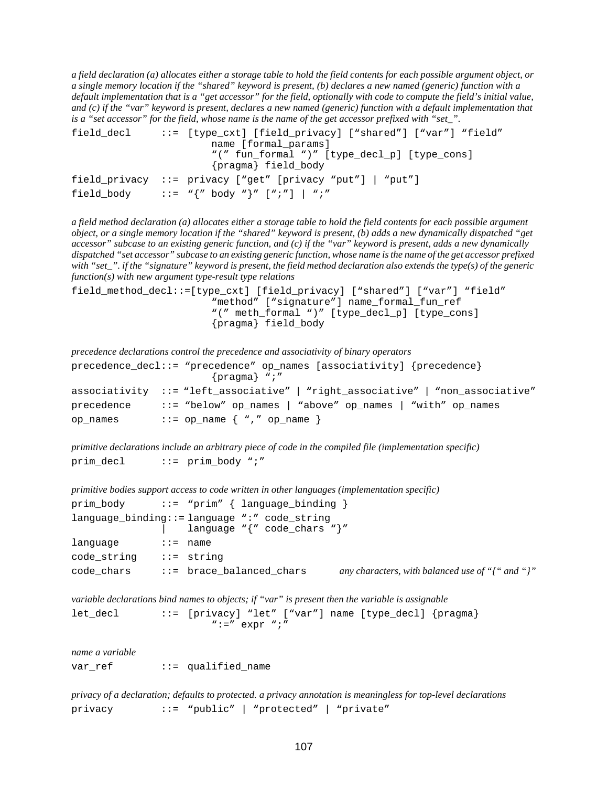a field declaration (a) allocates either a storage table to hold the field contents for each possible argument object, or a single memory location if the "shared" keyword is present, (b) declares a new named (generic) function with a default implementation that is a "get accessor" for the field, optionally with code to compute the field's initial value, and  $(c)$  if the "var" keyword is present, declares a new named (generic) function with a default implementation that is a "set accessor" for the field, whose name is the name of the get accessor prefixed with "set".

```
field_decl ::= [type_cxt] [field_privacy] ["shared"] ["var"] "field"
                      name [formal_params]
                       "(" fun formal ")" [type decl p] [type cons]
                       {pragma} field_body
field_privacy ::= privacy ["get" [privacy "put"] | "put"]
field body ::= "{" body "}" [";"] | ";"
```
a field method declaration (a) allocates either a storage table to hold the field contents for each possible argument object, or a single memory location if the "shared" keyword is present, (b) adds a new dynamically dispatched "get accessor" subcase to an existing generic function, and  $(c)$  if the "var" keyword is present, adds a new dynamically dispatched "set accessor" subcase to an existing generic function, whose name is the name of the get accessor prefixed with "set\_". if the "signature" keyword is present, the field method declaration also extends the type(s) of the generic *function(s) with new argument type-result type relations*

field\_method\_decl::=[type\_cxt] [field\_privacy] ["shared"] ["var"] "field" "method" ["signature"] name\_formal\_fun\_ref "(" meth formal ")" [type decl p] [type cons] {pragma} field\_body

*precedence declarations control the precedence and associativity of binary operators*

|          | precedence_decl::= "precedence" op_names [associativity] {precedence}<br>$\{pragma\}$ ";" |
|----------|-------------------------------------------------------------------------------------------|
|          | associativity ::= "left_associative"   "right_associative"   "non_associative"            |
|          | precedence ::= "below" op_names   "above" op_names   "with" op_names                      |
| op names | $\cdot \cdot =$ op_name $\{$ "," op_name $\}$                                             |

*primitive declarations include an arbitrary piece of code in the compiled file (implementation specific)* prim decl  $::=$  prim body ";"

```
primitive bodies support access to code written in other languages (implementation specific)
prim_body ::= "prim" { language_binding }
language_binding::= language ":" code_string
                     language "{" code_chars "}"
language ::= name
code_string ::= string
code_chars ::= brace_balanced_chars any characters, with balanced use of "{" and "}"
```
*variable declarations bind names to objects; if "var" is present then the variable is assignable*

let decl  $::=$  [privacy] "let" ["var"] name [type decl] {pragma}  $" :=" \exp r "$ 

*name a variable* var\_ref ::= qualified\_name

*privacy of a declaration; defaults to protected. a privacy annotation is meaningless for top-level declarations* privacy ::= "public" | "protected" | "private"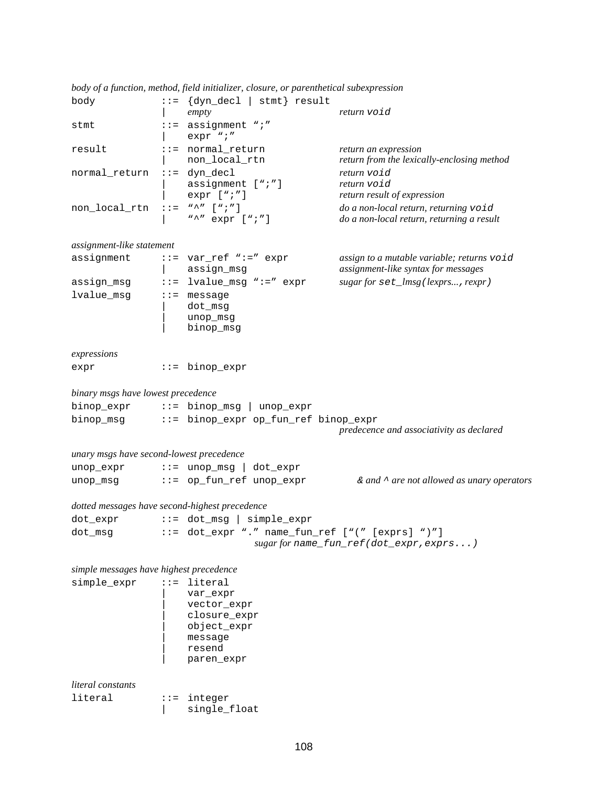| body                                           |                                      | $ ::= \{dyn\_dec1   simt\} \text{result}$<br>empty                                        | return void                                                                        |  |  |  |
|------------------------------------------------|--------------------------------------|-------------------------------------------------------------------------------------------|------------------------------------------------------------------------------------|--|--|--|
| stmt                                           | $: z =$                              | assignment ";"<br>expr ";"                                                                |                                                                                    |  |  |  |
| result                                         |                                      | $::=$ normal_return<br>non_local_rtn                                                      | return an expression<br>return from the lexically-enclosing method                 |  |  |  |
| normal_return                                  |                                      | $::=$ dyn_decl<br>assignment [";"]<br>$expr$ [";"]                                        | return void<br>return void<br>return result of expression                          |  |  |  |
| non_local_rtn                                  | $: : =$                              | $W \wedge W$ [ $W$ ; $W$ ]<br>"^" $expr$ [";"]                                            | do a non-local return, returning void<br>do a non-local return, returning a result |  |  |  |
| assignment-like statement                      |                                      |                                                                                           |                                                                                    |  |  |  |
| assignment                                     |                                      | $::= var_ref " := "expr$<br>assign_msg                                                    | assign to a mutable variable; returns void<br>assignment-like syntax for messages  |  |  |  |
| assign_msg                                     | $: : =$                              | lvalue_msg ":=" expr                                                                      | sugar for set_lmsg(lexprs, rexpr)                                                  |  |  |  |
| lvalue_msg                                     |                                      | $::=$ message<br>dot_msg<br>unop_msg<br>binop_msg                                         |                                                                                    |  |  |  |
| expressions                                    |                                      |                                                                                           |                                                                                    |  |  |  |
| expr                                           |                                      | $ ::=$ binop_expr                                                                         |                                                                                    |  |  |  |
| binary msgs have lowest precedence             |                                      |                                                                                           |                                                                                    |  |  |  |
| binop_expr                                     |                                      | $::=$ binop_msg  <br>unop_expr                                                            |                                                                                    |  |  |  |
| binop_msg                                      |                                      | ::= binop_expr op_fun_ref binop_expr                                                      | predecence and associativity as declared                                           |  |  |  |
| unary msgs have second-lowest precedence       |                                      |                                                                                           |                                                                                    |  |  |  |
| unop_expr                                      |                                      | $\cdots$ $\cdots$ unop msg<br>dot_expr                                                    |                                                                                    |  |  |  |
| unop_msg                                       |                                      | $::=$ op_fun_ref unop_expr                                                                | $\&$ and $\uparrow$ are not allowed as unary operators                             |  |  |  |
| dotted messages have second-highest precedence |                                      |                                                                                           |                                                                                    |  |  |  |
| dot_expr                                       |                                      | $ ::= dot_msg   simple\_expr$                                                             |                                                                                    |  |  |  |
| dot_msg                                        |                                      | ::= dot_expr "." name_fun_ref ["(" [exprs] ")"]<br>sugar for name_fun_ref(dot_expr,exprs) |                                                                                    |  |  |  |
| simple messages have highest precedence        |                                      |                                                                                           |                                                                                    |  |  |  |
| simple_expr                                    |                                      | $::=$ literal                                                                             |                                                                                    |  |  |  |
|                                                |                                      | var_expr<br>vector_expr<br>closure_expr<br>object_expr<br>message<br>resend<br>paren_expr |                                                                                    |  |  |  |
| literal constants                              |                                      |                                                                                           |                                                                                    |  |  |  |
| literal                                        | $\mathbf{1} \mathbf{1} = \mathbf{1}$ | integer                                                                                   |                                                                                    |  |  |  |

*body of a function, method, field initializer, closure, or parenthetical subexpression*

| single\_float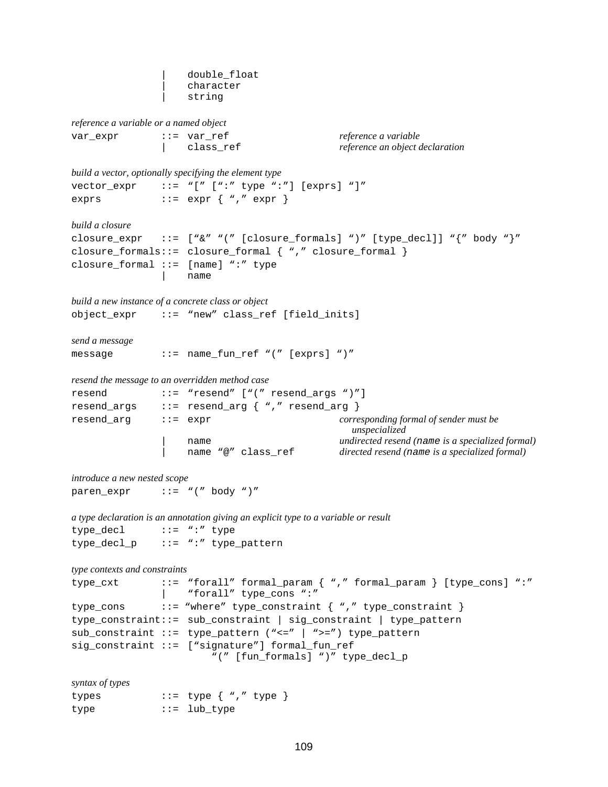| double\_float | character string *reference a variable or a named object* var expr  $::=$  var ref *reference a* variable | class\_ref *reference an object declaration build a vector, optionally specifying the element type* vector  $expr ::=" "[' " : " type " : " ] [express] "]"$ exprs  $::=$  expr  $\{$  "," expr  $\}$ *build a closure* closure\_expr ::= ["&" "(" [closure\_formals] ")" [type\_decl]] "{" body "}" closure\_formals::= closure\_formal { "," closure\_formal } closure formal  $::=$  [name] ":" type | name *build a new instance of a concrete class or object* object\_expr ::= "new" class\_ref [field\_inits] *send a message* message ::= name\_fun\_ref "(" [exprs] ")" *resend the message to an overridden method case* resend ::= "resend" ["(" resend\_args ")"] resend\_args ::= resend\_arg { "," resend\_arg } resend\_arg ::= expr *corresponding formal of sender must be unspecialized* | name *undirected resend (*name *is a specialized formal)* | name "@" class\_ref *directed resend (*name *is a specialized formal) introduce a new nested scope* paren expr  $::= "(" body ")"$ *a type declaration is an annotation giving an explicit type to a variable or result* type\_decl ::= ":" type type\_decl\_p ::= ":" type\_pattern *type contexts and constraints* type\_cxt ::= "forall" formal\_param { "," formal\_param } [type\_cons] ":" | "forall" type\_cons ":" type\_cons ::= "where" type\_constraint { "," type\_constraint } type\_constraint::= sub\_constraint | sig\_constraint | type\_pattern sub\_constraint ::= type\_pattern ("<=" | ">=") type\_pattern sig\_constraint ::= ["signature"] formal\_fun\_ref "(" [fun\_formals] ")" type\_decl\_p *syntax of types* types  $\cdots$  ::= type  $\{$  "," type  $\}$ type ::= lub\_type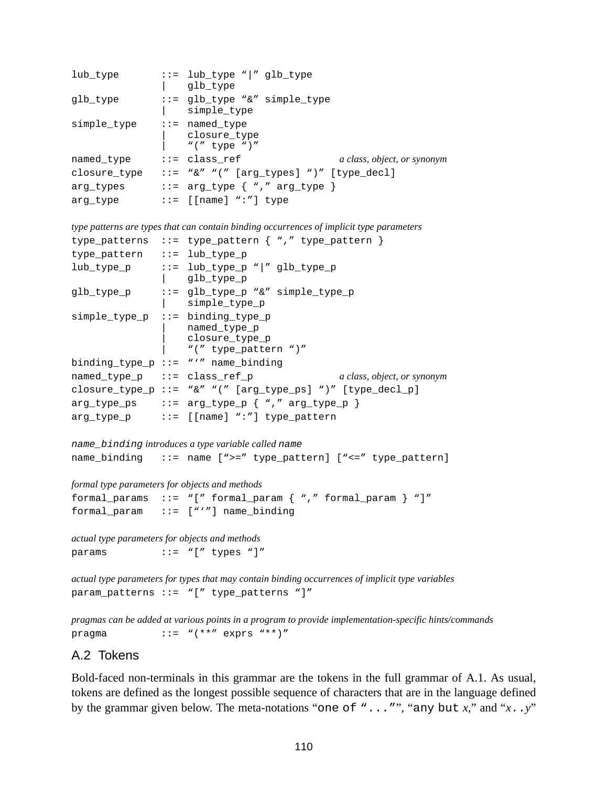```
lub_type ::= lub_type "|" glb_type
               qlb type
glb_type ::= glb_type "&" simple_type
                 simple type
simple type ::= named type
                | closure_type
                 " (" type ")"
named_type ::= class_ref a class, object, or synonym
closure_type ::= "\&"" (" [arg_types] ")" [type_decl]
arg_types ::= arg_type { "," arg_type }
arg_type ::= [[name] ":"] type
```
*type patterns are types that can contain binding occurrences of implicit type parameters*

```
type_patterns ::= type_pattern { "," type_pattern }
type_pattern ::= lub_type_p
lub_type_p ::= lub_type_p "|" glb_type_p
              | glb_type_p
glb_type_p ::= glb_type_p "&" simple_type_p
              | simple_type_p
simple_type_p ::= binding_type_p
                 | named_type_p
                  closure type p
                 "(" type_pattern ")"
binding_type_p ::= "'" name_binding
named_type_p ::= class_ref_p a class, object, or synonym
closure_type_p ::= "&" "(" [arg_type_ps] ")" [type_decl_p]
arg_type_ps ::= arg_type_p { "," arg_type_p }
arg_type_p ::= [[name] ":"] type_pattern
```

```
name_binding introduces a type variable called name
name_binding ::= name [">=" type_pattern] ["<=" type_pattern]
```

```
formal type parameters for objects and methods
```

```
formal_params ::= "[" formal_param { "," formal_param } "]"
formal_param ::= ["'"] name_binding
```
*actual type parameters for objects and methods* params ::= "[" types "]"

*actual type parameters for types that may contain binding occurrences of implicit type variables* param patterns  $::= "['$  type patterns "]"

*pragmas can be added at various points in a program to provide implementation-specific hints/commands* pragma  $::=$  " $(**"$  exprs "\*\*)"

#### A.2 Tokens

Bold-faced non-terminals in this grammar are the tokens in the full grammar of [A.1](#page-103-0). As usual, tokens are defined as the longest possible sequence of characters that are in the language defined by the grammar given below. The meta-notations "one of "..."", "any but *x*," and "*x*..*y*"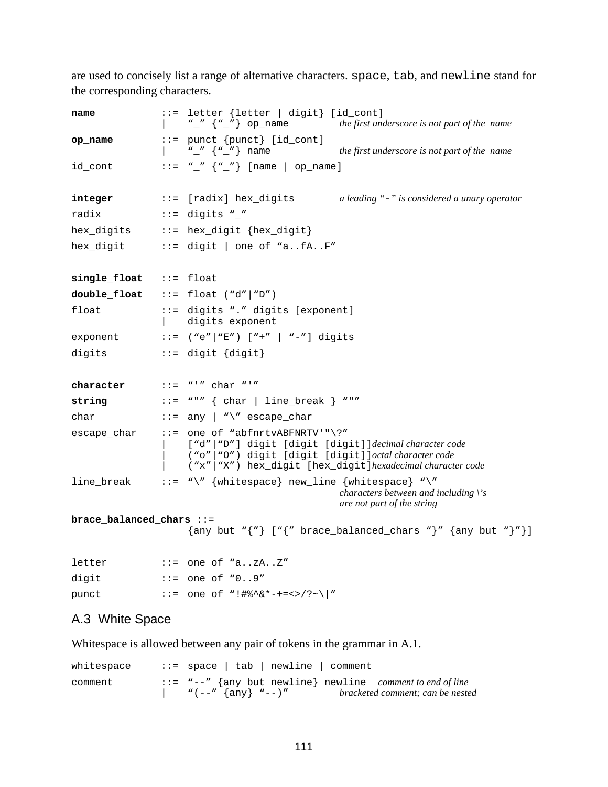are used to concisely list a range of alternative characters. space, tab, and newline stand for the corresponding characters.

| name                                           | ::= letter {letter   digit} [id_cont]<br>$\begin{bmatrix} 0 & \cdots & \cdots & \cdots \\ 0 & \cdots & \cdots & \cdots \end{bmatrix}$ op name the first underscore is not part of the name                                                                                                                                                                                                                                                                                                                                        |  |  |  |
|------------------------------------------------|-----------------------------------------------------------------------------------------------------------------------------------------------------------------------------------------------------------------------------------------------------------------------------------------------------------------------------------------------------------------------------------------------------------------------------------------------------------------------------------------------------------------------------------|--|--|--|
| op_name                                        | $::=$ punct ${punct}$ $id_{cont}$<br>$\begin{bmatrix} 1 & 1 \\ 1 & 1 \end{bmatrix}$ $\begin{bmatrix} 1 \\ 1 \end{bmatrix}$ $\begin{bmatrix} 1 \\ 1 \end{bmatrix}$ $\begin{bmatrix} 1 \\ 1 \end{bmatrix}$ $\begin{bmatrix} 1 \\ 1 \end{bmatrix}$ $\begin{bmatrix} 1 \\ 1 \end{bmatrix}$ $\begin{bmatrix} 1 \\ 1 \end{bmatrix}$ $\begin{bmatrix} 1 \\ 1 \end{bmatrix}$ $\begin{bmatrix} 1 \\ 1 \end{bmatrix}$ $\begin{bmatrix} 1 \\ 1 \end{bmatrix}$ $\begin{bmatrix} 1 \\ 1 \end{$<br>the first underscore is not part of the name |  |  |  |
| id_cont                                        | $\cdot : = "'' \{ "'' \}$ [name   op_name]                                                                                                                                                                                                                                                                                                                                                                                                                                                                                        |  |  |  |
| integer                                        | ::= [radix] hex_digits a leading "-" is considered a unary operator                                                                                                                                                                                                                                                                                                                                                                                                                                                               |  |  |  |
| radix                                          | $\cdots$ = digits "_"                                                                                                                                                                                                                                                                                                                                                                                                                                                                                                             |  |  |  |
|                                                |                                                                                                                                                                                                                                                                                                                                                                                                                                                                                                                                   |  |  |  |
|                                                |                                                                                                                                                                                                                                                                                                                                                                                                                                                                                                                                   |  |  |  |
| single_float ::= float                         |                                                                                                                                                                                                                                                                                                                                                                                                                                                                                                                                   |  |  |  |
|                                                | $double_f$ loat ::= float ("d" "D")                                                                                                                                                                                                                                                                                                                                                                                                                                                                                               |  |  |  |
| float                                          | ::= digits "." digits [exponent]<br>  digits exponent                                                                                                                                                                                                                                                                                                                                                                                                                                                                             |  |  |  |
|                                                | exponent ::= $("e"   "E") [ "+"   "--" ] digits$                                                                                                                                                                                                                                                                                                                                                                                                                                                                                  |  |  |  |
| digits                                         | $::=$ digit $\{ digit\}$                                                                                                                                                                                                                                                                                                                                                                                                                                                                                                          |  |  |  |
| character $\qquad :: = "''" \text{ char} "''"$ |                                                                                                                                                                                                                                                                                                                                                                                                                                                                                                                                   |  |  |  |
| string                                         |                                                                                                                                                                                                                                                                                                                                                                                                                                                                                                                                   |  |  |  |
| char                                           | $::=$ any $ $ "\" escape_char                                                                                                                                                                                                                                                                                                                                                                                                                                                                                                     |  |  |  |
|                                                | $\texttt{escape\_char}$ ::= one of "abfnrtvABFNRTV'"\?"<br>["d" "D"] digit [digit [digit]]decimal character code<br>("o" "O") digit [digit [digit]]octal character code<br>("x"   "X") hex_digit [hex_digit] hexadecimal character code                                                                                                                                                                                                                                                                                           |  |  |  |
|                                                | line_break ::= "\" {whitespace} new_line {whitespace} "\"<br>characters between and including $\zeta$ 's<br>are not part of the string                                                                                                                                                                                                                                                                                                                                                                                            |  |  |  |
| $brace\_balanced\_chars :: =$                  | $\{\text{any but }\text{``} \{\text{''}\}\text{ ['``} \text{brace\_balanced\_charges\text{ ``}\text{''} \text{ and }\text{``}\text{''}\}$                                                                                                                                                                                                                                                                                                                                                                                         |  |  |  |
| letter                                         | $\cdot \cdot$ = one of "azAZ"                                                                                                                                                                                                                                                                                                                                                                                                                                                                                                     |  |  |  |
| digit                                          | $::=$ one of $"09"$                                                                                                                                                                                                                                                                                                                                                                                                                                                                                                               |  |  |  |
| punct                                          | ::= one of "!#%^&*-+=<>/?~\ "                                                                                                                                                                                                                                                                                                                                                                                                                                                                                                     |  |  |  |

## A.3 White Space

Whitespace is allowed between any pair of tokens in the grammar in [A.1](#page-103-0).

| whitespace | $::=$ space   tab   newline   comment       |                                                                             |
|------------|---------------------------------------------|-----------------------------------------------------------------------------|
| comment    |                                             | $\therefore$ = "--" {any but newline} newline <i>comment to end of line</i> |
|            | $"\left(--"\right {any}\}_{\dots-\right)''$ | bracketed comment; can be nested                                            |